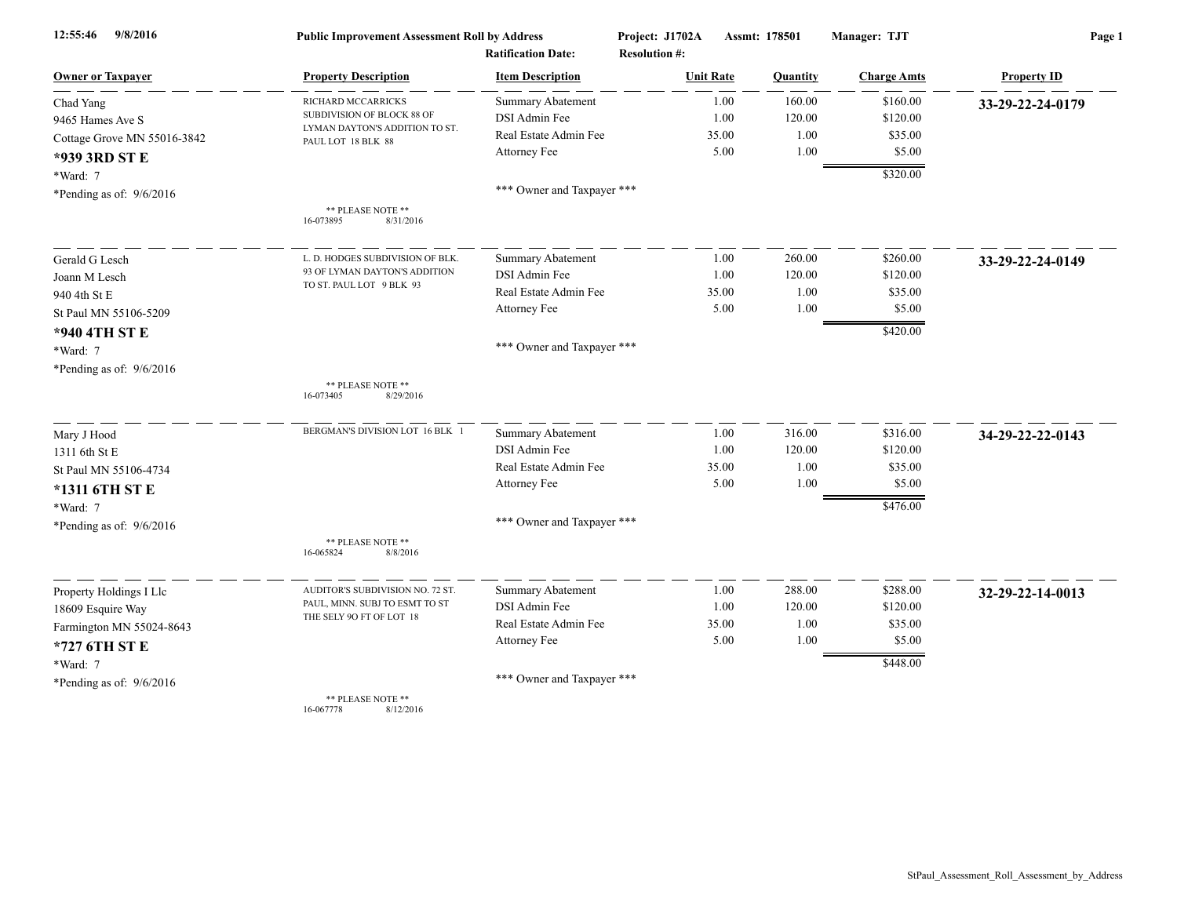| 9/8/2016<br>12:55:46        | <b>Public Improvement Assessment Roll by Address</b><br><b>Ratification Date:</b> |                            | Project: J1702A<br><b>Resolution #:</b> | Assmt: 178501 | Manager: TJT       | Page 1             |  |
|-----------------------------|-----------------------------------------------------------------------------------|----------------------------|-----------------------------------------|---------------|--------------------|--------------------|--|
| <b>Owner or Taxpayer</b>    | <b>Property Description</b>                                                       | <b>Item Description</b>    | <b>Unit Rate</b>                        | Quantity      | <b>Charge Amts</b> | <b>Property ID</b> |  |
| Chad Yang                   | RICHARD MCCARRICKS                                                                | Summary Abatement          | 1.00                                    | 160.00        | \$160.00           | 33-29-22-24-0179   |  |
| 9465 Hames Ave S            | SUBDIVISION OF BLOCK 88 OF                                                        | DSI Admin Fee              | 1.00                                    | 120.00        | \$120.00           |                    |  |
| Cottage Grove MN 55016-3842 | LYMAN DAYTON'S ADDITION TO ST.<br>PAUL LOT 18 BLK 88                              | Real Estate Admin Fee      | 35.00                                   | 1.00          | \$35.00            |                    |  |
| *939 3RD ST E               |                                                                                   | Attorney Fee               | 5.00                                    | 1.00          | \$5.00             |                    |  |
| *Ward: 7                    |                                                                                   |                            |                                         |               | \$320.00           |                    |  |
| *Pending as of: $9/6/2016$  |                                                                                   | *** Owner and Taxpayer *** |                                         |               |                    |                    |  |
|                             | ** PLEASE NOTE **<br>16-073895<br>8/31/2016                                       |                            |                                         |               |                    |                    |  |
| Gerald G Lesch              | L. D. HODGES SUBDIVISION OF BLK.                                                  | Summary Abatement          | 1.00                                    | 260.00        | \$260.00           | 33-29-22-24-0149   |  |
| Joann M Lesch               | 93 OF LYMAN DAYTON'S ADDITION<br>TO ST. PAUL LOT 9 BLK 93                         | DSI Admin Fee              | 1.00                                    | 120.00        | \$120.00           |                    |  |
| 940 4th St E                |                                                                                   | Real Estate Admin Fee      | 35.00                                   | 1.00          | \$35.00            |                    |  |
| St Paul MN 55106-5209       |                                                                                   | Attorney Fee               | 5.00                                    | 1.00          | \$5.00             |                    |  |
| *940 4TH ST E               |                                                                                   |                            |                                         |               | \$420.00           |                    |  |
| *Ward: 7                    |                                                                                   | *** Owner and Taxpayer *** |                                         |               |                    |                    |  |
| *Pending as of: $9/6/2016$  |                                                                                   |                            |                                         |               |                    |                    |  |
|                             | ** PLEASE NOTE **<br>16-073405<br>8/29/2016                                       |                            |                                         |               |                    |                    |  |
| Mary J Hood                 | BERGMAN'S DIVISION LOT 16 BLK 1                                                   | <b>Summary Abatement</b>   | 1.00                                    | 316.00        | \$316.00           | 34-29-22-22-0143   |  |
| 1311 6th St E               |                                                                                   | DSI Admin Fee              | 1.00                                    | 120.00        | \$120.00           |                    |  |
| St Paul MN 55106-4734       |                                                                                   | Real Estate Admin Fee      | 35.00                                   | 1.00          | \$35.00            |                    |  |
| *1311 6TH ST E              |                                                                                   | Attorney Fee               | 5.00                                    | 1.00          | \$5.00             |                    |  |
| *Ward: 7                    |                                                                                   |                            |                                         |               | \$476.00           |                    |  |
| *Pending as of: 9/6/2016    |                                                                                   | *** Owner and Taxpayer *** |                                         |               |                    |                    |  |
|                             | ** PLEASE NOTE **<br>16-065824<br>8/8/2016                                        |                            |                                         |               |                    |                    |  |
| Property Holdings I Llc     | AUDITOR'S SUBDIVISION NO. 72 ST                                                   | Summary Abatement          | 1.00                                    | 288.00        | \$288.00           | 32-29-22-14-0013   |  |
| 18609 Esquire Way           | PAUL, MINN. SUBJ TO ESMT TO ST                                                    | DSI Admin Fee              | 1.00                                    | 120.00        | \$120.00           |                    |  |
| Farmington MN 55024-8643    | THE SELY 90 FT OF LOT 18                                                          | Real Estate Admin Fee      | 35.00                                   | 1.00          | \$35.00            |                    |  |
| *727 6TH ST E               |                                                                                   | Attorney Fee               | 5.00                                    | 1.00          | \$5.00             |                    |  |
| *Ward: 7                    |                                                                                   |                            |                                         |               | \$448.00           |                    |  |
| *Pending as of: $9/6/2016$  |                                                                                   | *** Owner and Taxpayer *** |                                         |               |                    |                    |  |
|                             | ** PLEASE NOTE **                                                                 |                            |                                         |               |                    |                    |  |

16-067778 8/12/2016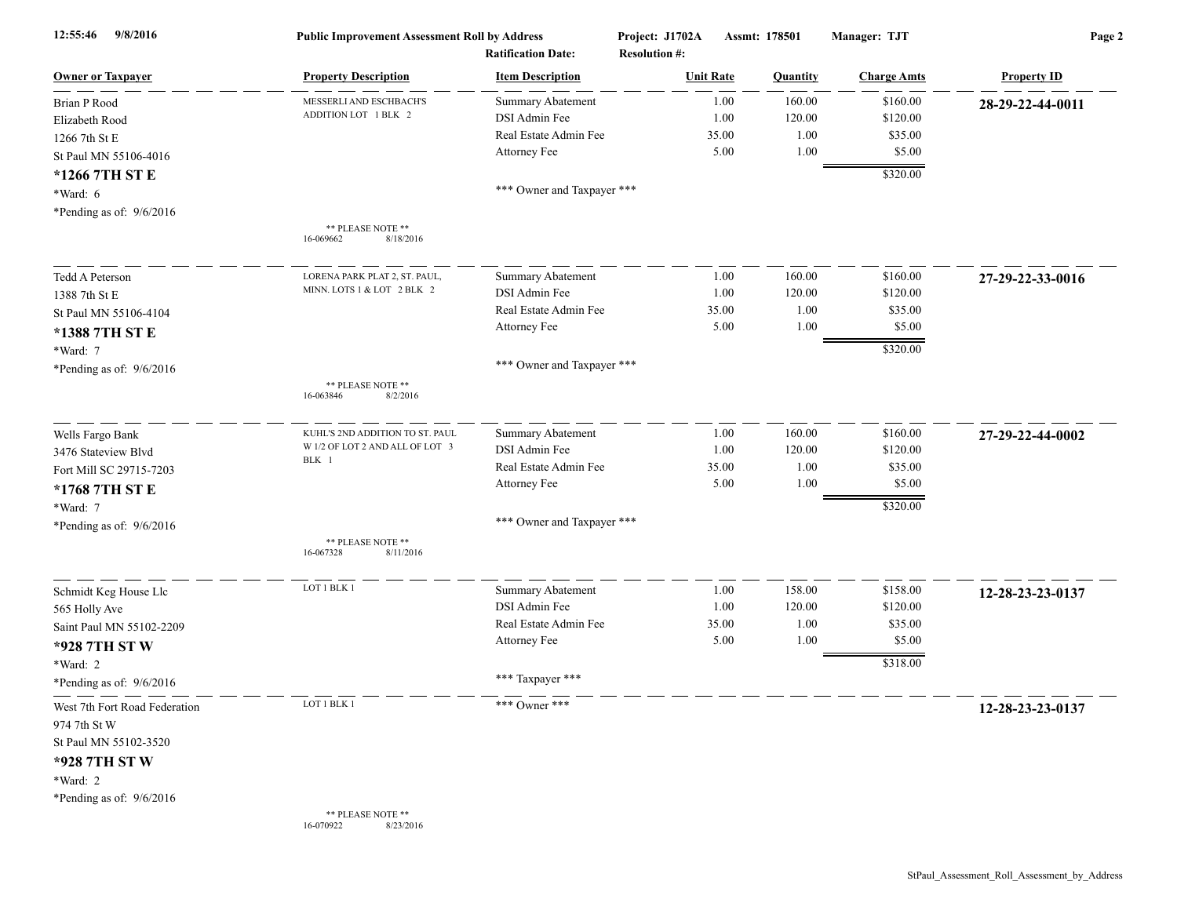| 12:55:46<br>9/8/2016          | <b>Public Improvement Assessment Roll by Address</b><br><b>Ratification Date:</b> |                            | Project: J1702A<br>Assmt: 178501<br><b>Resolution #:</b> |          | Manager: TJT       | Page 2             |  |
|-------------------------------|-----------------------------------------------------------------------------------|----------------------------|----------------------------------------------------------|----------|--------------------|--------------------|--|
| <b>Owner or Taxpayer</b>      | <b>Property Description</b>                                                       | <b>Item Description</b>    | <b>Unit Rate</b>                                         | Quantity | <b>Charge Amts</b> | <b>Property ID</b> |  |
| <b>Brian P Rood</b>           | MESSERLI AND ESCHBACH'S                                                           | <b>Summary Abatement</b>   | 1.00                                                     | 160.00   | \$160.00           | 28-29-22-44-0011   |  |
| Elizabeth Rood                | ADDITION LOT 1 BLK 2                                                              | DSI Admin Fee              | 1.00                                                     | 120.00   | \$120.00           |                    |  |
| 1266 7th St E                 |                                                                                   | Real Estate Admin Fee      | 35.00                                                    | 1.00     | \$35.00            |                    |  |
| St Paul MN 55106-4016         |                                                                                   | Attorney Fee               | 5.00                                                     | 1.00     | \$5.00             |                    |  |
| *1266 7TH ST E                |                                                                                   |                            |                                                          |          | \$320.00           |                    |  |
| $*Ward: 6$                    |                                                                                   | *** Owner and Taxpayer *** |                                                          |          |                    |                    |  |
| *Pending as of: $9/6/2016$    |                                                                                   |                            |                                                          |          |                    |                    |  |
|                               | ** PLEASE NOTE **<br>8/18/2016<br>16-069662                                       |                            |                                                          |          |                    |                    |  |
| Tedd A Peterson               | LORENA PARK PLAT 2, ST. PAUL,                                                     | <b>Summary Abatement</b>   | 1.00                                                     | 160.00   | \$160.00           | 27-29-22-33-0016   |  |
| 1388 7th St E                 | MINN. LOTS 1 & LOT 2 BLK 2                                                        | DSI Admin Fee              | 1.00                                                     | 120.00   | \$120.00           |                    |  |
| St Paul MN 55106-4104         |                                                                                   | Real Estate Admin Fee      | 35.00                                                    | 1.00     | \$35.00            |                    |  |
| *1388 7TH ST E                |                                                                                   | Attorney Fee               | 5.00                                                     | 1.00     | \$5.00             |                    |  |
| *Ward: 7                      |                                                                                   |                            |                                                          |          | \$320.00           |                    |  |
| *Pending as of: $9/6/2016$    |                                                                                   | *** Owner and Taxpayer *** |                                                          |          |                    |                    |  |
|                               | ** PLEASE NOTE **<br>16-063846<br>8/2/2016                                        |                            |                                                          |          |                    |                    |  |
| Wells Fargo Bank              | KUHL'S 2ND ADDITION TO ST. PAUL                                                   | Summary Abatement          | 1.00                                                     | 160.00   | \$160.00           | 27-29-22-44-0002   |  |
| 3476 Stateview Blvd           | W 1/2 OF LOT 2 AND ALL OF LOT 3                                                   | DSI Admin Fee              | 1.00                                                     | 120.00   | \$120.00           |                    |  |
| Fort Mill SC 29715-7203       | BLK 1                                                                             | Real Estate Admin Fee      | 35.00                                                    | 1.00     | \$35.00            |                    |  |
| *1768 7TH ST E                |                                                                                   | Attorney Fee               | 5.00                                                     | 1.00     | \$5.00             |                    |  |
| *Ward: 7                      |                                                                                   |                            |                                                          |          | \$320.00           |                    |  |
| *Pending as of: $9/6/2016$    |                                                                                   | *** Owner and Taxpayer *** |                                                          |          |                    |                    |  |
|                               | ** PLEASE NOTE **<br>8/11/2016<br>16-067328                                       |                            |                                                          |          |                    |                    |  |
| Schmidt Keg House Llc         | LOT 1 BLK 1                                                                       | Summary Abatement          | 1.00                                                     | 158.00   | \$158.00           | 12-28-23-23-0137   |  |
| 565 Holly Ave                 |                                                                                   | DSI Admin Fee              | 1.00                                                     | 120.00   | \$120.00           |                    |  |
| Saint Paul MN 55102-2209      |                                                                                   | Real Estate Admin Fee      | 35.00                                                    | 1.00     | \$35.00            |                    |  |
| *928 7TH ST W                 |                                                                                   | Attorney Fee               | 5.00                                                     | 1.00     | \$5.00             |                    |  |
| *Ward: 2                      |                                                                                   |                            |                                                          |          | \$318.00           |                    |  |
| *Pending as of: $9/6/2016$    |                                                                                   | *** Taxpayer ***           |                                                          |          |                    |                    |  |
| West 7th Fort Road Federation | LOT 1 BLK 1                                                                       | *** Owner ***              |                                                          |          |                    | 12-28-23-23-0137   |  |
| 974 7th St W                  |                                                                                   |                            |                                                          |          |                    |                    |  |
| St Paul MN 55102-3520         |                                                                                   |                            |                                                          |          |                    |                    |  |
| *928 7TH ST W                 |                                                                                   |                            |                                                          |          |                    |                    |  |
| *Ward: 2                      |                                                                                   |                            |                                                          |          |                    |                    |  |
| *Pending as of: $9/6/2016$    |                                                                                   |                            |                                                          |          |                    |                    |  |
|                               | ** PLEASE NOTE **<br>8/23/2016<br>16-070922                                       |                            |                                                          |          |                    |                    |  |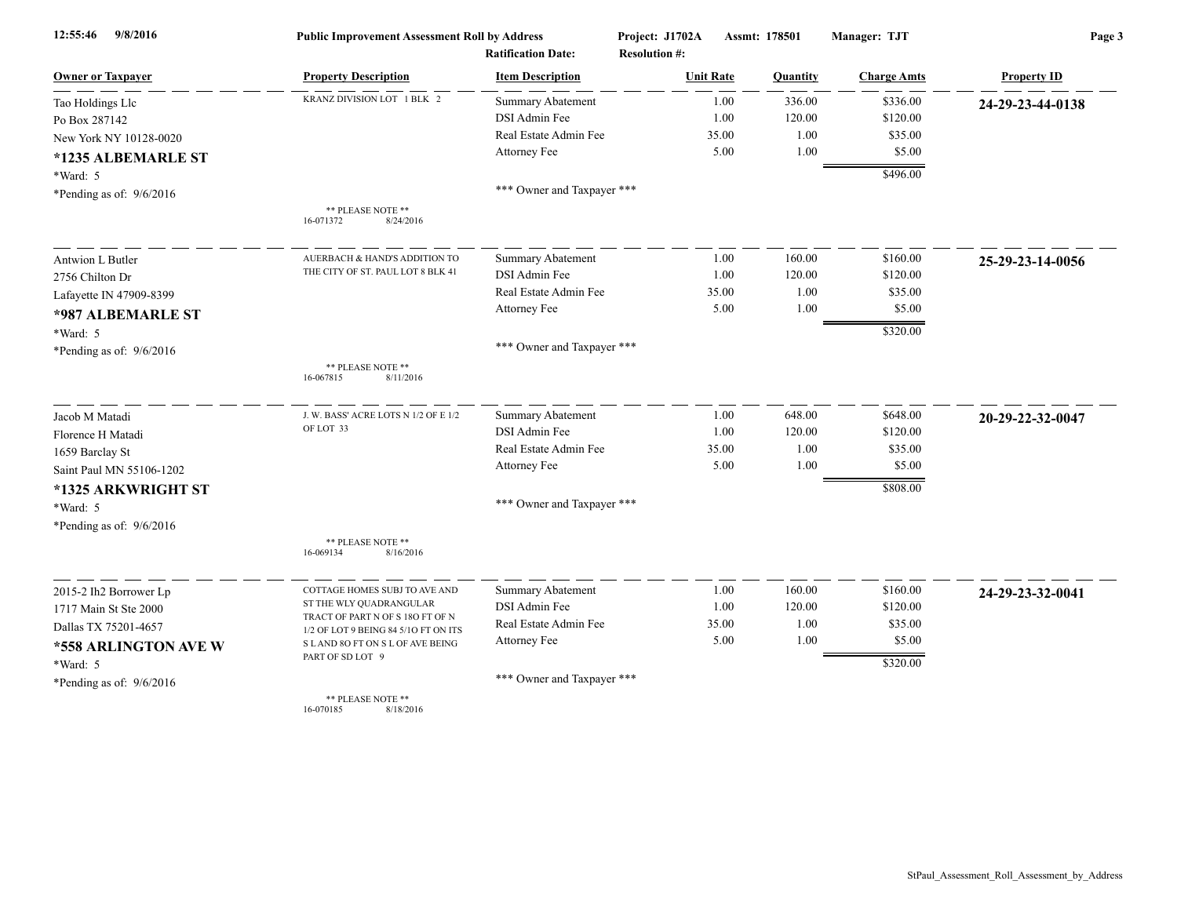| 9/8/2016<br>12:55:46       | <b>Public Improvement Assessment Roll by Address</b><br><b>Ratification Date:</b> |                            | Project: J1702A<br><b>Resolution #:</b> |       | Assmt: 178501 | Manager: TJT       | Page 3             |  |
|----------------------------|-----------------------------------------------------------------------------------|----------------------------|-----------------------------------------|-------|---------------|--------------------|--------------------|--|
| <b>Owner or Taxpayer</b>   | <b>Property Description</b>                                                       | <b>Item Description</b>    | <b>Unit Rate</b>                        |       | Quantity      | <b>Charge Amts</b> | <b>Property ID</b> |  |
| Tao Holdings Llc           | KRANZ DIVISION LOT 1 BLK 2                                                        | <b>Summary Abatement</b>   |                                         | 1.00  | 336.00        | \$336.00           | 24-29-23-44-0138   |  |
| Po Box 287142              |                                                                                   | DSI Admin Fee              |                                         | 1.00  | 120.00        | \$120.00           |                    |  |
| New York NY 10128-0020     |                                                                                   | Real Estate Admin Fee      |                                         | 35.00 | 1.00          | \$35.00            |                    |  |
| *1235 ALBEMARLE ST         |                                                                                   | Attorney Fee               |                                         | 5.00  | 1.00          | \$5.00             |                    |  |
| *Ward: 5                   |                                                                                   |                            |                                         |       |               | \$496.00           |                    |  |
| *Pending as of: $9/6/2016$ |                                                                                   | *** Owner and Taxpayer *** |                                         |       |               |                    |                    |  |
|                            | ** PLEASE NOTE **<br>16-071372<br>8/24/2016                                       |                            |                                         |       |               |                    |                    |  |
| Antwion L Butler           | AUERBACH & HAND'S ADDITION TO                                                     | <b>Summary Abatement</b>   |                                         | 1.00  | 160.00        | \$160.00           | 25-29-23-14-0056   |  |
| 2756 Chilton Dr            | THE CITY OF ST. PAUL LOT 8 BLK 41                                                 | DSI Admin Fee              |                                         | 1.00  | 120.00        | \$120.00           |                    |  |
| Lafayette IN 47909-8399    |                                                                                   | Real Estate Admin Fee      |                                         | 35.00 | 1.00          | \$35.00            |                    |  |
| *987 ALBEMARLE ST          |                                                                                   | Attorney Fee               |                                         | 5.00  | 1.00          | \$5.00             |                    |  |
| *Ward: 5                   |                                                                                   |                            |                                         |       |               | \$320.00           |                    |  |
| *Pending as of: $9/6/2016$ |                                                                                   | *** Owner and Taxpayer *** |                                         |       |               |                    |                    |  |
|                            | ** PLEASE NOTE **<br>8/11/2016<br>16-067815                                       |                            |                                         |       |               |                    |                    |  |
| Jacob M Matadi             | J. W. BASS' ACRE LOTS N 1/2 OF E 1/2                                              | <b>Summary Abatement</b>   |                                         | 1.00  | 648.00        | \$648.00           | 20-29-22-32-0047   |  |
| Florence H Matadi          | OF LOT 33                                                                         | DSI Admin Fee              |                                         | 1.00  | 120.00        | \$120.00           |                    |  |
| 1659 Barclay St            |                                                                                   | Real Estate Admin Fee      |                                         | 35.00 | 1.00          | \$35.00            |                    |  |
| Saint Paul MN 55106-1202   |                                                                                   | Attorney Fee               |                                         | 5.00  | 1.00          | \$5.00             |                    |  |
| *1325 ARKWRIGHT ST         |                                                                                   |                            |                                         |       |               | \$808.00           |                    |  |
| *Ward: 5                   |                                                                                   | *** Owner and Taxpayer *** |                                         |       |               |                    |                    |  |
| *Pending as of: $9/6/2016$ |                                                                                   |                            |                                         |       |               |                    |                    |  |
|                            | ** PLEASE NOTE **<br>16-069134<br>8/16/2016                                       |                            |                                         |       |               |                    |                    |  |
| 2015-2 Ih2 Borrower Lp     | COTTAGE HOMES SUBJ TO AVE AND                                                     | Summary Abatement          |                                         | 1.00  | 160.00        | \$160.00           | 24-29-23-32-0041   |  |
| 1717 Main St Ste 2000      | ST THE WLY QUADRANGULAR                                                           | DSI Admin Fee              |                                         | 1.00  | 120.00        | \$120.00           |                    |  |
| Dallas TX 75201-4657       | TRACT OF PART N OF S 18O FT OF N<br>1/2 OF LOT 9 BEING 84 5/10 FT ON ITS          | Real Estate Admin Fee      |                                         | 35.00 | 1.00          | \$35.00            |                    |  |
| *558 ARLINGTON AVE W       | S LAND 8O FT ON S L OF AVE BEING                                                  | Attorney Fee               |                                         | 5.00  | 1.00          | \$5.00             |                    |  |
| *Ward: 5                   | PART OF SD LOT 9                                                                  |                            |                                         |       |               | \$320.00           |                    |  |
| *Pending as of: $9/6/2016$ |                                                                                   | *** Owner and Taxpayer *** |                                         |       |               |                    |                    |  |
|                            | ** PLEASE NOTE **<br>16-070185<br>8/18/2016                                       |                            |                                         |       |               |                    |                    |  |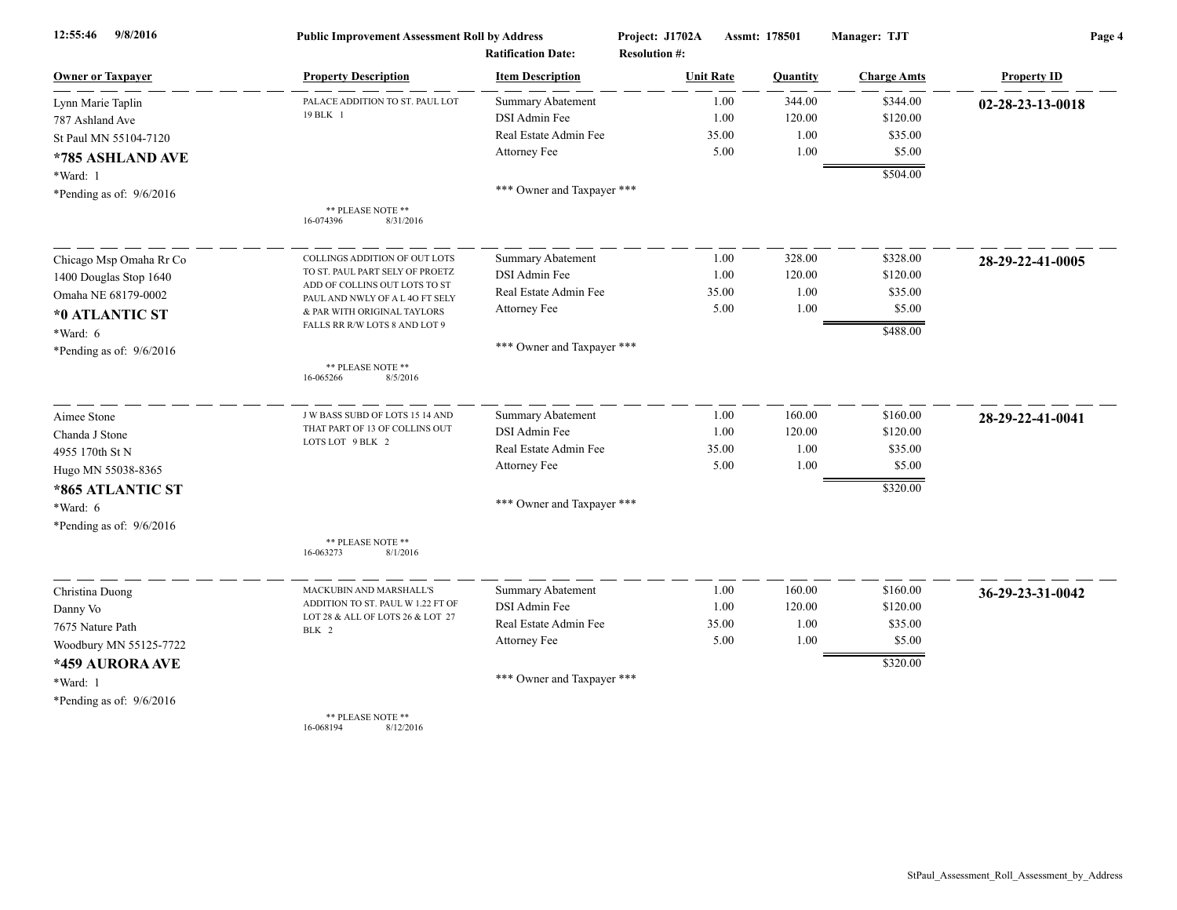| 9/8/2016<br>12:55:46       | <b>Public Improvement Assessment Roll by Address</b><br><b>Ratification Date:</b> |                            | Project: J1702A<br><b>Resolution #:</b> | Assmt: 178501 | Manager: TJT       | Page 4             |  |
|----------------------------|-----------------------------------------------------------------------------------|----------------------------|-----------------------------------------|---------------|--------------------|--------------------|--|
| <b>Owner or Taxpayer</b>   | <b>Property Description</b>                                                       | <b>Item Description</b>    | <b>Unit Rate</b>                        | Quantity      | <b>Charge Amts</b> | <b>Property ID</b> |  |
| Lynn Marie Taplin          | PALACE ADDITION TO ST. PAUL LOT                                                   | <b>Summary Abatement</b>   | 1.00                                    | 344.00        | \$344.00           | 02-28-23-13-0018   |  |
| 787 Ashland Ave            | 19 BLK 1                                                                          | DSI Admin Fee              | 1.00                                    | 120.00        | \$120.00           |                    |  |
| St Paul MN 55104-7120      |                                                                                   | Real Estate Admin Fee      | 35.00                                   | 1.00          | \$35.00            |                    |  |
| *785 ASHLAND AVE           |                                                                                   | Attorney Fee               | 5.00                                    | 1.00          | \$5.00             |                    |  |
| *Ward: 1                   |                                                                                   |                            |                                         |               | \$504.00           |                    |  |
| *Pending as of: $9/6/2016$ |                                                                                   | *** Owner and Taxpayer *** |                                         |               |                    |                    |  |
|                            | ** PLEASE NOTE **<br>16-074396<br>8/31/2016                                       |                            |                                         |               |                    |                    |  |
| Chicago Msp Omaha Rr Co    | COLLINGS ADDITION OF OUT LOTS                                                     | <b>Summary Abatement</b>   | 1.00                                    | 328.00        | \$328.00           | 28-29-22-41-0005   |  |
| 1400 Douglas Stop 1640     | TO ST. PAUL PART SELY OF PROETZ                                                   | DSI Admin Fee              | 1.00                                    | 120.00        | \$120.00           |                    |  |
| Omaha NE 68179-0002        | ADD OF COLLINS OUT LOTS TO ST<br>PAUL AND NWLY OF A L 40 FT SELY                  | Real Estate Admin Fee      | 35.00                                   | 1.00          | \$35.00            |                    |  |
| *0 ATLANTIC ST             | & PAR WITH ORIGINAL TAYLORS                                                       | Attorney Fee               | 5.00                                    | 1.00          | \$5.00             |                    |  |
| $*Ward: 6$                 | FALLS RR R/W LOTS 8 AND LOT 9                                                     |                            |                                         |               | \$488.00           |                    |  |
| *Pending as of: $9/6/2016$ |                                                                                   | *** Owner and Taxpayer *** |                                         |               |                    |                    |  |
|                            | ** PLEASE NOTE **<br>16-065266<br>8/5/2016                                        |                            |                                         |               |                    |                    |  |
| Aimee Stone                | J W BASS SUBD OF LOTS 15 14 AND                                                   | Summary Abatement          | 1.00                                    | 160.00        | \$160.00           | 28-29-22-41-0041   |  |
| Chanda J Stone             | THAT PART OF 13 OF COLLINS OUT                                                    | DSI Admin Fee              | 1.00                                    | 120.00        | \$120.00           |                    |  |
| 4955 170th St N            | LOTS LOT 9 BLK 2                                                                  | Real Estate Admin Fee      | 35.00                                   | 1.00          | \$35.00            |                    |  |
| Hugo MN 55038-8365         |                                                                                   | Attorney Fee               | 5.00                                    | 1.00          | \$5.00             |                    |  |
| *865 ATLANTIC ST           |                                                                                   |                            |                                         |               | \$320.00           |                    |  |
| *Ward: 6                   |                                                                                   | *** Owner and Taxpayer *** |                                         |               |                    |                    |  |
| *Pending as of: $9/6/2016$ |                                                                                   |                            |                                         |               |                    |                    |  |
|                            | ** PLEASE NOTE **<br>16-063273<br>8/1/2016                                        |                            |                                         |               |                    |                    |  |
| Christina Duong            | MACKUBIN AND MARSHALL'S                                                           | <b>Summary Abatement</b>   | 1.00                                    | 160.00        | \$160.00           | 36-29-23-31-0042   |  |
| Danny Vo                   | ADDITION TO ST. PAUL W 1.22 FT OF                                                 | DSI Admin Fee              | 1.00                                    | 120.00        | \$120.00           |                    |  |
| 7675 Nature Path           | LOT 28 & ALL OF LOTS 26 & LOT 27<br>BLK 2                                         | Real Estate Admin Fee      | 35.00                                   | 1.00          | \$35.00            |                    |  |
| Woodbury MN 55125-7722     |                                                                                   | Attorney Fee               | 5.00                                    | 1.00          | \$5.00             |                    |  |
| *459 AURORA AVE            |                                                                                   |                            |                                         |               | \$320.00           |                    |  |
| *Ward: 1                   |                                                                                   | *** Owner and Taxpayer *** |                                         |               |                    |                    |  |
| *Pending as of: $9/6/2016$ |                                                                                   |                            |                                         |               |                    |                    |  |
|                            | ** PLEASE NOTE **                                                                 |                            |                                         |               |                    |                    |  |

16-068194 8/12/2016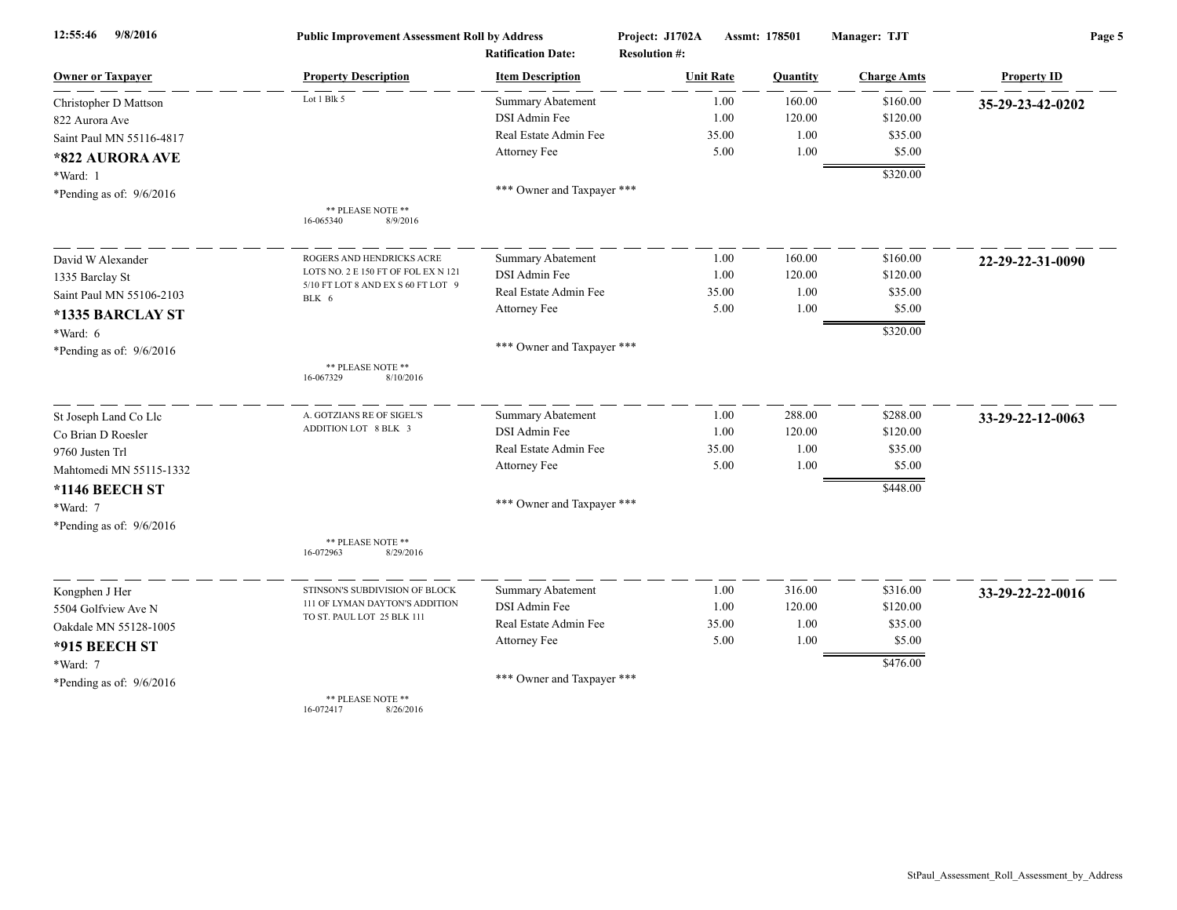| 9/8/2016<br>12:55:46       | <b>Public Improvement Assessment Roll by Address</b><br><b>Ratification Date:</b> |                            | Project: J1702A<br><b>Resolution #:</b> | Assmt: 178501 | Manager: TJT       | Page 5             |  |
|----------------------------|-----------------------------------------------------------------------------------|----------------------------|-----------------------------------------|---------------|--------------------|--------------------|--|
| <b>Owner or Taxpayer</b>   | <b>Property Description</b>                                                       | <b>Item Description</b>    | <b>Unit Rate</b>                        | Quantity      | <b>Charge Amts</b> | <b>Property ID</b> |  |
| Christopher D Mattson      | Lot 1 Blk 5                                                                       | <b>Summary Abatement</b>   | 1.00                                    | 160.00        | \$160.00           | 35-29-23-42-0202   |  |
| 822 Aurora Ave             |                                                                                   | DSI Admin Fee              | 1.00                                    | 120.00        | \$120.00           |                    |  |
| Saint Paul MN 55116-4817   |                                                                                   | Real Estate Admin Fee      | 35.00                                   | 1.00          | \$35.00            |                    |  |
| *822 AURORA AVE            |                                                                                   | Attorney Fee               | 5.00                                    | 1.00          | \$5.00             |                    |  |
| *Ward: 1                   |                                                                                   |                            |                                         |               | \$320.00           |                    |  |
| *Pending as of: 9/6/2016   |                                                                                   | *** Owner and Taxpayer *** |                                         |               |                    |                    |  |
|                            | ** PLEASE NOTE **<br>16-065340<br>8/9/2016                                        |                            |                                         |               |                    |                    |  |
| David W Alexander          | ROGERS AND HENDRICKS ACRE                                                         | Summary Abatement          | 1.00                                    | 160.00        | \$160.00           | 22-29-22-31-0090   |  |
| 1335 Barclay St            | LOTS NO. 2 E 150 FT OF FOL EX N 121                                               | DSI Admin Fee              | 1.00                                    | 120.00        | \$120.00           |                    |  |
| Saint Paul MN 55106-2103   | 5/10 FT LOT 8 AND EX S 60 FT LOT 9<br>BLK 6                                       | Real Estate Admin Fee      | 35.00                                   | 1.00          | \$35.00            |                    |  |
| *1335 BARCLAY ST           |                                                                                   | Attorney Fee               | 5.00                                    | 1.00          | \$5.00             |                    |  |
| *Ward: 6                   |                                                                                   |                            |                                         |               | \$320.00           |                    |  |
| *Pending as of: 9/6/2016   |                                                                                   | *** Owner and Taxpayer *** |                                         |               |                    |                    |  |
|                            | ** PLEASE NOTE **<br>8/10/2016<br>16-067329                                       |                            |                                         |               |                    |                    |  |
| St Joseph Land Co Llc      | A. GOTZIANS RE OF SIGEL'S                                                         | <b>Summary Abatement</b>   | 1.00                                    | 288.00        | \$288.00           | 33-29-22-12-0063   |  |
| Co Brian D Roesler         | ADDITION LOT 8 BLK 3                                                              | DSI Admin Fee              | 1.00                                    | 120.00        | \$120.00           |                    |  |
| 9760 Justen Trl            |                                                                                   | Real Estate Admin Fee      | 35.00                                   | 1.00          | \$35.00            |                    |  |
| Mahtomedi MN 55115-1332    |                                                                                   | Attorney Fee               | 5.00                                    | 1.00          | \$5.00             |                    |  |
| *1146 BEECH ST             |                                                                                   |                            |                                         |               | \$448.00           |                    |  |
| *Ward: 7                   |                                                                                   | *** Owner and Taxpayer *** |                                         |               |                    |                    |  |
| *Pending as of: $9/6/2016$ |                                                                                   |                            |                                         |               |                    |                    |  |
|                            | ** PLEASE NOTE **<br>16-072963<br>8/29/2016                                       |                            |                                         |               |                    |                    |  |
| Kongphen J Her             | STINSON'S SUBDIVISION OF BLOCK                                                    | Summary Abatement          | 1.00                                    | 316.00        | \$316.00           | 33-29-22-22-0016   |  |
| 5504 Golfview Ave N        | 111 OF LYMAN DAYTON'S ADDITION                                                    | DSI Admin Fee              | 1.00                                    | 120.00        | \$120.00           |                    |  |
| Oakdale MN 55128-1005      | TO ST. PAUL LOT 25 BLK 111                                                        | Real Estate Admin Fee      | 35.00                                   | 1.00          | \$35.00            |                    |  |
| *915 BEECH ST              |                                                                                   | Attorney Fee               | 5.00                                    | 1.00          | \$5.00             |                    |  |
| *Ward: 7                   |                                                                                   |                            |                                         |               | \$476.00           |                    |  |
| *Pending as of: $9/6/2016$ |                                                                                   | *** Owner and Taxpayer *** |                                         |               |                    |                    |  |
|                            | ** PLEASE NOTE **                                                                 |                            |                                         |               |                    |                    |  |

16-072417 8/26/2016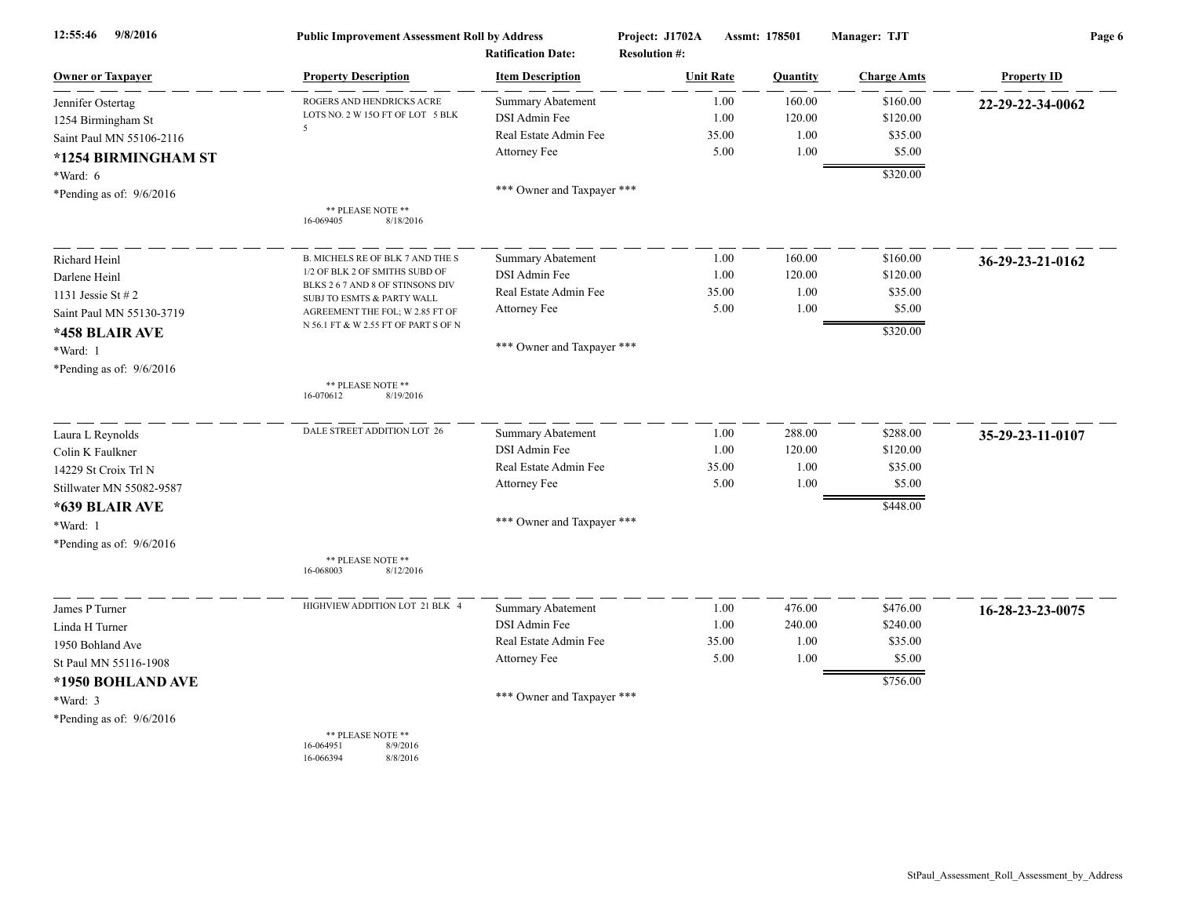| 12:55:46<br>9/8/2016       | <b>Public Improvement Assessment Roll by Address</b><br><b>Ratification Date:</b> |                            | Project: J1702A<br>Assmt: 178501<br><b>Resolution #:</b> |       | Manager: TJT | Page 6             |                    |
|----------------------------|-----------------------------------------------------------------------------------|----------------------------|----------------------------------------------------------|-------|--------------|--------------------|--------------------|
| <b>Owner or Taxpayer</b>   | <b>Property Description</b>                                                       | <b>Item Description</b>    | <b>Unit Rate</b>                                         |       | Quantity     | <b>Charge Amts</b> | <b>Property ID</b> |
| Jennifer Ostertag          | ROGERS AND HENDRICKS ACRE                                                         | Summary Abatement          |                                                          | 1.00  | 160.00       | \$160.00           | 22-29-22-34-0062   |
| 1254 Birmingham St         | LOTS NO. 2 W 15O FT OF LOT 5 BLK<br>5                                             | DSI Admin Fee              |                                                          | 1.00  | 120.00       | \$120.00           |                    |
| Saint Paul MN 55106-2116   |                                                                                   | Real Estate Admin Fee      |                                                          | 35.00 | 1.00         | \$35.00            |                    |
| *1254 BIRMINGHAM ST        |                                                                                   | Attorney Fee               |                                                          | 5.00  | 1.00         | \$5.00             |                    |
| *Ward: 6                   |                                                                                   |                            |                                                          |       |              | \$320.00           |                    |
| *Pending as of: $9/6/2016$ |                                                                                   | *** Owner and Taxpayer *** |                                                          |       |              |                    |                    |
|                            | ** PLEASE NOTE **<br>16-069405<br>8/18/2016                                       |                            |                                                          |       |              |                    |                    |
| Richard Heinl              | <b>B. MICHELS RE OF BLK 7 AND THE S</b>                                           | Summary Abatement          |                                                          | 1.00  | 160.00       | \$160.00           | 36-29-23-21-0162   |
| Darlene Heinl              | 1/2 OF BLK 2 OF SMITHS SUBD OF                                                    | DSI Admin Fee              |                                                          | 1.00  | 120.00       | \$120.00           |                    |
| 1131 Jessie St # 2         | BLKS 2 6 7 AND 8 OF STINSONS DIV<br>SUBJ TO ESMTS & PARTY WALL                    | Real Estate Admin Fee      |                                                          | 35.00 | 1.00         | \$35.00            |                    |
| Saint Paul MN 55130-3719   | AGREEMENT THE FOL; W 2.85 FT OF                                                   | Attorney Fee               |                                                          | 5.00  | 1.00         | \$5.00             |                    |
| *458 BLAIR AVE             | N 56.1 FT & W 2.55 FT OF PART S OF N                                              |                            |                                                          |       |              | \$320.00           |                    |
| *Ward: 1                   |                                                                                   | *** Owner and Taxpayer *** |                                                          |       |              |                    |                    |
| *Pending as of: 9/6/2016   |                                                                                   |                            |                                                          |       |              |                    |                    |
|                            | ** PLEASE NOTE **<br>16-070612<br>8/19/2016                                       |                            |                                                          |       |              |                    |                    |
| Laura L Reynolds           | DALE STREET ADDITION LOT 26                                                       | <b>Summary Abatement</b>   |                                                          | 1.00  | 288.00       | \$288.00           | 35-29-23-11-0107   |
| Colin K Faulkner           |                                                                                   | DSI Admin Fee              |                                                          | 1.00  | 120.00       | \$120.00           |                    |
| 14229 St Croix Trl N       |                                                                                   | Real Estate Admin Fee      |                                                          | 35.00 | 1.00         | \$35.00            |                    |
| Stillwater MN 55082-9587   |                                                                                   | Attorney Fee               |                                                          | 5.00  | 1.00         | \$5.00             |                    |
| *639 BLAIR AVE             |                                                                                   |                            |                                                          |       |              | \$448.00           |                    |
| *Ward: 1                   |                                                                                   | *** Owner and Taxpayer *** |                                                          |       |              |                    |                    |
| *Pending as of: 9/6/2016   |                                                                                   |                            |                                                          |       |              |                    |                    |
|                            | ** PLEASE NOTE **<br>16-068003<br>8/12/2016                                       |                            |                                                          |       |              |                    |                    |
| James P Turner             | HIGHVIEW ADDITION LOT 21 BLK 4                                                    | <b>Summary Abatement</b>   |                                                          | 1.00  | 476.00       | \$476.00           | 16-28-23-23-0075   |
| Linda H Turner             |                                                                                   | DSI Admin Fee              |                                                          | 1.00  | 240.00       | \$240.00           |                    |
| 1950 Bohland Ave           |                                                                                   | Real Estate Admin Fee      |                                                          | 35.00 | 1.00         | \$35.00            |                    |
| St Paul MN 55116-1908      |                                                                                   | Attorney Fee               |                                                          | 5.00  | 1.00         | \$5.00             |                    |
| *1950 BOHLAND AVE          |                                                                                   |                            |                                                          |       |              | \$756.00           |                    |
| *Ward: 3                   |                                                                                   | *** Owner and Taxpayer *** |                                                          |       |              |                    |                    |
| *Pending as of: $9/6/2016$ |                                                                                   |                            |                                                          |       |              |                    |                    |
|                            | ** PLEASE NOTE **<br>16-064951<br>8/9/2016<br>16-066394<br>8/8/2016               |                            |                                                          |       |              |                    |                    |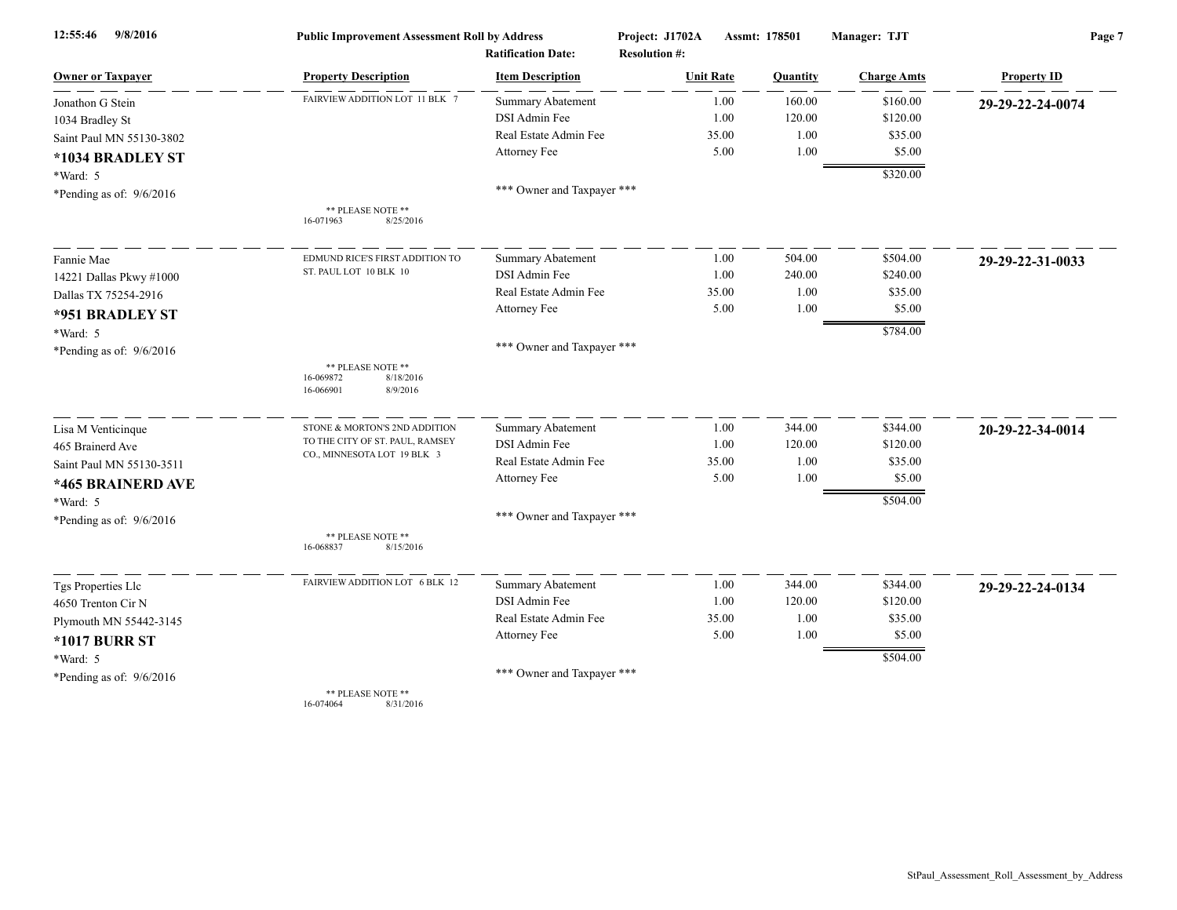| 12:55:46<br>9/8/2016       | <b>Public Improvement Assessment Roll by Address</b>                 |                                                      | Project: J1702A                          | Assmt: 178501 | Manager: TJT       | Page 7             |  |
|----------------------------|----------------------------------------------------------------------|------------------------------------------------------|------------------------------------------|---------------|--------------------|--------------------|--|
| <b>Owner or Taxpayer</b>   | <b>Property Description</b>                                          | <b>Ratification Date:</b><br><b>Item Description</b> | <b>Resolution #:</b><br><b>Unit Rate</b> | Quantity      | <b>Charge Amts</b> | <b>Property ID</b> |  |
| Jonathon G Stein           | FAIRVIEW ADDITION LOT 11 BLK 7                                       | <b>Summary Abatement</b>                             | 1.00                                     | 160.00        | \$160.00           | 29-29-22-24-0074   |  |
| 1034 Bradley St            |                                                                      | DSI Admin Fee                                        | 1.00                                     | 120.00        | \$120.00           |                    |  |
| Saint Paul MN 55130-3802   |                                                                      | Real Estate Admin Fee                                | 35.00                                    | 1.00          | \$35.00            |                    |  |
| *1034 BRADLEY ST           |                                                                      | Attorney Fee                                         | 5.00                                     | 1.00          | \$5.00             |                    |  |
| $*Ward: 5$                 |                                                                      |                                                      |                                          |               | \$320.00           |                    |  |
| *Pending as of: 9/6/2016   |                                                                      | *** Owner and Taxpayer ***                           |                                          |               |                    |                    |  |
|                            | ** PLEASE NOTE **<br>8/25/2016<br>16-071963                          |                                                      |                                          |               |                    |                    |  |
| Fannie Mae                 | EDMUND RICE'S FIRST ADDITION TO                                      | <b>Summary Abatement</b>                             | 1.00                                     | 504.00        | \$504.00           | 29-29-22-31-0033   |  |
| 14221 Dallas Pkwy #1000    | ST. PAUL LOT 10 BLK 10                                               | DSI Admin Fee                                        | 1.00                                     | 240.00        | \$240.00           |                    |  |
| Dallas TX 75254-2916       |                                                                      | Real Estate Admin Fee                                | 35.00                                    | 1.00          | \$35.00            |                    |  |
| *951 BRADLEY ST            |                                                                      | Attorney Fee                                         | 5.00                                     | 1.00          | \$5.00             |                    |  |
| *Ward: 5                   |                                                                      |                                                      |                                          |               | \$784.00           |                    |  |
| *Pending as of: $9/6/2016$ |                                                                      | *** Owner and Taxpayer ***                           |                                          |               |                    |                    |  |
|                            | ** PLEASE NOTE **<br>16-069872<br>8/18/2016<br>16-066901<br>8/9/2016 |                                                      |                                          |               |                    |                    |  |
| Lisa M Venticinque         | STONE & MORTON'S 2ND ADDITION                                        | <b>Summary Abatement</b>                             | 1.00                                     | 344.00        | \$344.00           | 20-29-22-34-0014   |  |
| 465 Brainerd Ave           | TO THE CITY OF ST. PAUL, RAMSEY                                      | DSI Admin Fee                                        | 1.00                                     | 120.00        | \$120.00           |                    |  |
| Saint Paul MN 55130-3511   | CO., MINNESOTA LOT 19 BLK 3                                          | Real Estate Admin Fee                                | 35.00                                    | 1.00          | \$35.00            |                    |  |
| *465 BRAINERD AVE          |                                                                      | Attorney Fee                                         | 5.00                                     | 1.00          | \$5.00             |                    |  |
| *Ward: 5                   |                                                                      |                                                      |                                          |               | \$504.00           |                    |  |
| *Pending as of: $9/6/2016$ |                                                                      | *** Owner and Taxpayer ***                           |                                          |               |                    |                    |  |
|                            | ** PLEASE NOTE **<br>16-068837<br>8/15/2016                          |                                                      |                                          |               |                    |                    |  |
| Tgs Properties Llc         | FAIRVIEW ADDITION LOT 6 BLK 12                                       | Summary Abatement                                    | 1.00                                     | 344.00        | \$344.00           | 29-29-22-24-0134   |  |
| 4650 Trenton Cir N         |                                                                      | DSI Admin Fee                                        | 1.00                                     | 120.00        | \$120.00           |                    |  |
| Plymouth MN 55442-3145     |                                                                      | Real Estate Admin Fee                                | 35.00                                    | 1.00          | \$35.00            |                    |  |
| <b>*1017 BURR ST</b>       |                                                                      | Attorney Fee                                         | 5.00                                     | 1.00          | \$5.00             |                    |  |
| *Ward: 5                   |                                                                      |                                                      |                                          |               | \$504.00           |                    |  |
| *Pending as of: $9/6/2016$ |                                                                      | *** Owner and Taxpayer ***                           |                                          |               |                    |                    |  |
|                            | ** PLEASE NOTE **<br>16-074064<br>8/31/2016                          |                                                      |                                          |               |                    |                    |  |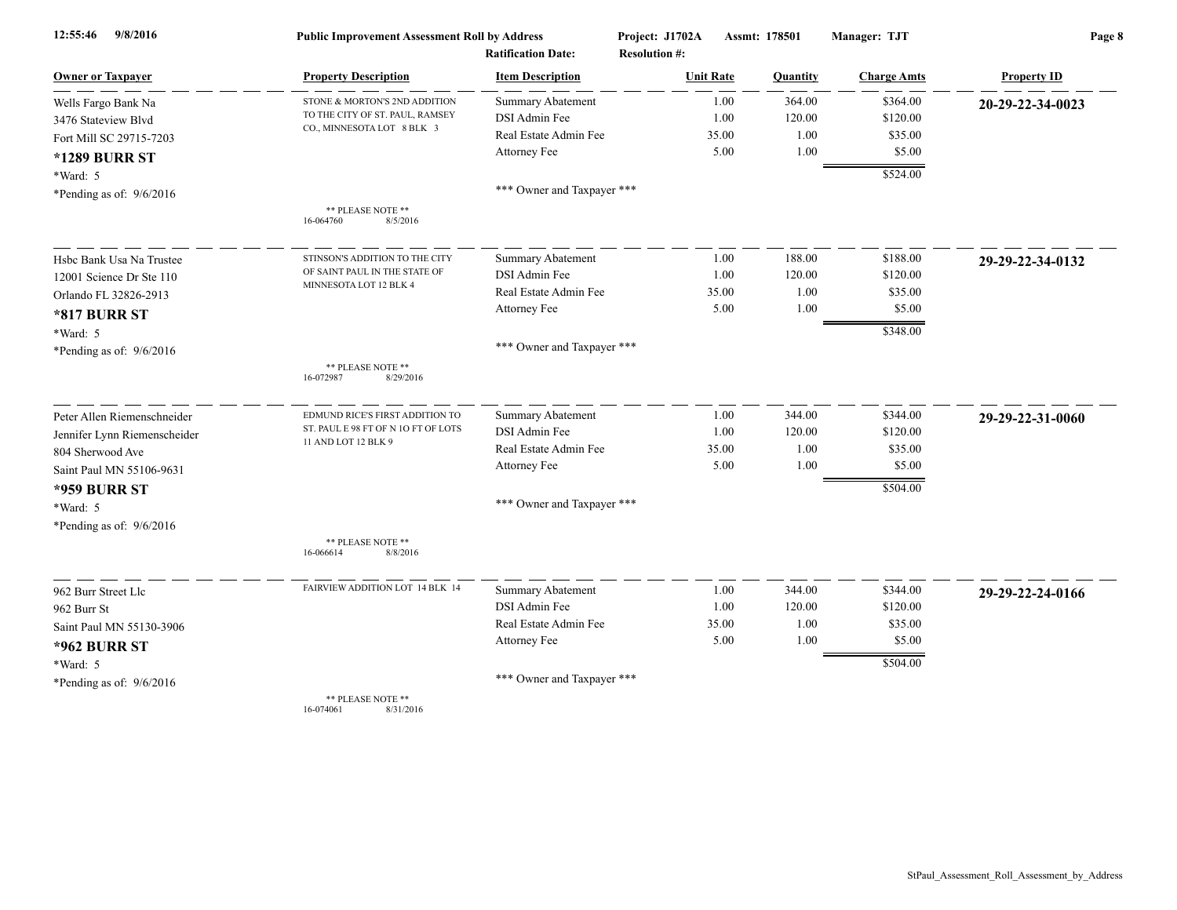| 9/8/2016<br>12:55:46         | <b>Public Improvement Assessment Roll by Address</b><br><b>Ratification Date:</b> |                            | Project: J1702A<br>Assmt: 178501<br><b>Resolution #:</b> |          | Manager: TJT       | Page 8             |  |
|------------------------------|-----------------------------------------------------------------------------------|----------------------------|----------------------------------------------------------|----------|--------------------|--------------------|--|
| <b>Owner or Taxpayer</b>     | <b>Property Description</b>                                                       | <b>Item Description</b>    | <b>Unit Rate</b>                                         | Quantity | <b>Charge Amts</b> | <b>Property ID</b> |  |
| Wells Fargo Bank Na          | STONE & MORTON'S 2ND ADDITION                                                     | <b>Summary Abatement</b>   | 1.00                                                     | 364.00   | \$364.00           | 20-29-22-34-0023   |  |
| 3476 Stateview Blvd          | TO THE CITY OF ST. PAUL, RAMSEY                                                   | DSI Admin Fee              | 1.00                                                     | 120.00   | \$120.00           |                    |  |
| Fort Mill SC 29715-7203      | CO., MINNESOTA LOT 8 BLK 3                                                        | Real Estate Admin Fee      | 35.00                                                    | 1.00     | \$35.00            |                    |  |
| <b>*1289 BURR ST</b>         |                                                                                   | Attorney Fee               | 5.00                                                     | 1.00     | \$5.00             |                    |  |
| *Ward: 5                     |                                                                                   |                            |                                                          |          | \$524.00           |                    |  |
| *Pending as of: $9/6/2016$   |                                                                                   | *** Owner and Taxpayer *** |                                                          |          |                    |                    |  |
|                              | ** PLEASE NOTE **<br>8/5/2016<br>16-064760                                        |                            |                                                          |          |                    |                    |  |
| Hsbc Bank Usa Na Trustee     | STINSON'S ADDITION TO THE CITY                                                    | Summary Abatement          | 1.00                                                     | 188.00   | \$188.00           | 29-29-22-34-0132   |  |
| 12001 Science Dr Ste 110     | OF SAINT PAUL IN THE STATE OF                                                     | DSI Admin Fee              | 1.00                                                     | 120.00   | \$120.00           |                    |  |
| Orlando FL 32826-2913        | MINNESOTA LOT 12 BLK 4                                                            | Real Estate Admin Fee      | 35.00                                                    | 1.00     | \$35.00            |                    |  |
| <b>*817 BURR ST</b>          |                                                                                   | Attorney Fee               | 5.00                                                     | 1.00     | \$5.00             |                    |  |
| *Ward: 5                     |                                                                                   |                            |                                                          |          | \$348.00           |                    |  |
| *Pending as of: $9/6/2016$   |                                                                                   | *** Owner and Taxpayer *** |                                                          |          |                    |                    |  |
|                              | ** PLEASE NOTE **<br>16-072987<br>8/29/2016                                       |                            |                                                          |          |                    |                    |  |
| Peter Allen Riemenschneider  | EDMUND RICE'S FIRST ADDITION TO                                                   | <b>Summary Abatement</b>   | 1.00                                                     | 344.00   | \$344.00           | 29-29-22-31-0060   |  |
| Jennifer Lynn Riemenscheider | ST. PAUL E 98 FT OF N 1O FT OF LOTS                                               | DSI Admin Fee              | 1.00                                                     | 120.00   | \$120.00           |                    |  |
| 804 Sherwood Ave             | 11 AND LOT 12 BLK 9                                                               | Real Estate Admin Fee      | 35.00                                                    | 1.00     | \$35.00            |                    |  |
| Saint Paul MN 55106-9631     |                                                                                   | Attorney Fee               | 5.00                                                     | 1.00     | \$5.00             |                    |  |
| <b>*959 BURR ST</b>          |                                                                                   |                            |                                                          |          | \$504.00           |                    |  |
| *Ward: 5                     |                                                                                   | *** Owner and Taxpayer *** |                                                          |          |                    |                    |  |
| *Pending as of: $9/6/2016$   |                                                                                   |                            |                                                          |          |                    |                    |  |
|                              | ** PLEASE NOTE **<br>16-066614<br>8/8/2016                                        |                            |                                                          |          |                    |                    |  |
| 962 Burr Street Llc          | FAIRVIEW ADDITION LOT 14 BLK 14                                                   | Summary Abatement          | 1.00                                                     | 344.00   | \$344.00           | 29-29-22-24-0166   |  |
| 962 Burr St                  |                                                                                   | DSI Admin Fee              | 1.00                                                     | 120.00   | \$120.00           |                    |  |
| Saint Paul MN 55130-3906     |                                                                                   | Real Estate Admin Fee      | 35.00                                                    | 1.00     | \$35.00            |                    |  |
| <b>*962 BURR ST</b>          |                                                                                   | Attorney Fee               | 5.00                                                     | 1.00     | \$5.00             |                    |  |
| *Ward: 5                     |                                                                                   |                            |                                                          |          | \$504.00           |                    |  |
| *Pending as of: $9/6/2016$   |                                                                                   | *** Owner and Taxpayer *** |                                                          |          |                    |                    |  |
|                              | ** PLEASE NOTE **<br>16-074061<br>8/31/2016                                       |                            |                                                          |          |                    |                    |  |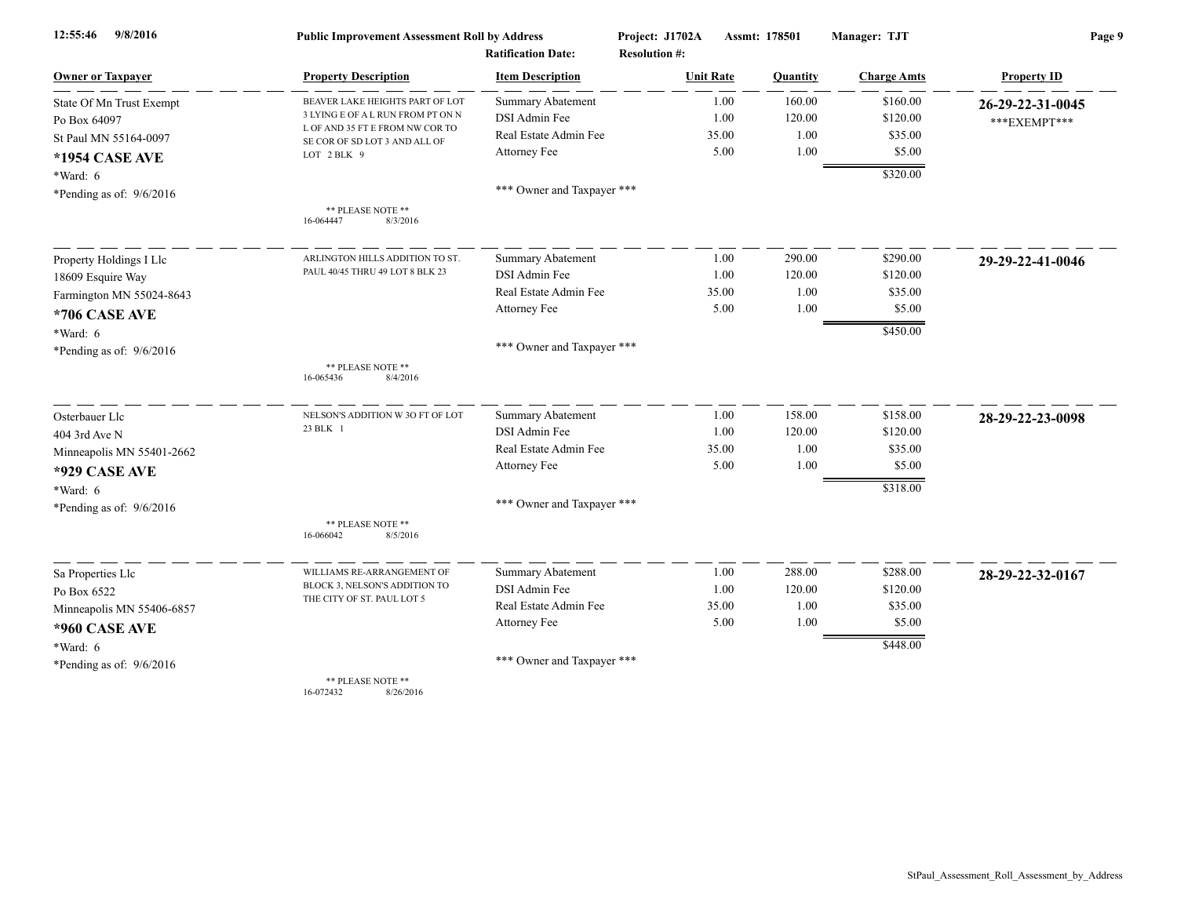| 9/8/2016<br>12:55:46       | <b>Public Improvement Assessment Roll by Address</b>                 |                            | Project: J1702A      | Assmt: 178501 | Manager: TJT       | Page 9             |  |
|----------------------------|----------------------------------------------------------------------|----------------------------|----------------------|---------------|--------------------|--------------------|--|
|                            |                                                                      | <b>Ratification Date:</b>  | <b>Resolution #:</b> |               |                    |                    |  |
| <b>Owner or Taxpayer</b>   | <b>Property Description</b>                                          | <b>Item Description</b>    | <b>Unit Rate</b>     | Quantity      | <b>Charge Amts</b> | <b>Property ID</b> |  |
| State Of Mn Trust Exempt   | BEAVER LAKE HEIGHTS PART OF LOT                                      | <b>Summary Abatement</b>   | 1.00                 | 160.00        | \$160.00           | 26-29-22-31-0045   |  |
| Po Box 64097               | 3 LYING E OF A L RUN FROM PT ON N<br>L OF AND 35 FT E FROM NW COR TO | DSI Admin Fee              | 1.00                 | 120.00        | \$120.00           | ***EXEMPT***       |  |
| St Paul MN 55164-0097      | SE COR OF SD LOT 3 AND ALL OF                                        | Real Estate Admin Fee      | 35.00                | 1.00          | \$35.00            |                    |  |
| <b>*1954 CASE AVE</b>      | LOT 2 BLK 9                                                          | Attorney Fee               | 5.00                 | 1.00          | \$5.00             |                    |  |
| *Ward: 6                   |                                                                      |                            |                      |               | \$320.00           |                    |  |
| *Pending as of: $9/6/2016$ |                                                                      | *** Owner and Taxpayer *** |                      |               |                    |                    |  |
|                            | ** PLEASE NOTE **<br>8/3/2016<br>16-064447                           |                            |                      |               |                    |                    |  |
| Property Holdings I Llc    | ARLINGTON HILLS ADDITION TO ST.                                      | <b>Summary Abatement</b>   | 1.00                 | 290.00        | \$290.00           | 29-29-22-41-0046   |  |
| 18609 Esquire Way          | PAUL 40/45 THRU 49 LOT 8 BLK 23                                      | DSI Admin Fee              | 1.00                 | 120.00        | \$120.00           |                    |  |
| Farmington MN 55024-8643   |                                                                      | Real Estate Admin Fee      | 35.00                | 1.00          | \$35.00            |                    |  |
| <b>*706 CASE AVE</b>       |                                                                      | Attorney Fee               | 5.00                 | 1.00          | \$5.00             |                    |  |
| $*Ward: 6$                 |                                                                      |                            |                      |               | \$450.00           |                    |  |
| *Pending as of: $9/6/2016$ |                                                                      | *** Owner and Taxpayer *** |                      |               |                    |                    |  |
|                            | ** PLEASE NOTE **<br>16-065436<br>8/4/2016                           |                            |                      |               |                    |                    |  |
| Osterbauer Llc             | NELSON'S ADDITION W 3O FT OF LOT                                     | Summary Abatement          | 1.00                 | 158.00        | \$158.00           | 28-29-22-23-0098   |  |
| 404 3rd Ave N              | 23 BLK 1                                                             | DSI Admin Fee              | 1.00                 | 120.00        | \$120.00           |                    |  |
| Minneapolis MN 55401-2662  |                                                                      | Real Estate Admin Fee      | 35.00                | 1.00          | \$35.00            |                    |  |
| *929 CASE AVE              |                                                                      | Attorney Fee               | 5.00                 | 1.00          | \$5.00             |                    |  |
| *Ward: 6                   |                                                                      |                            |                      |               | \$318.00           |                    |  |
| *Pending as of: $9/6/2016$ |                                                                      | *** Owner and Taxpayer *** |                      |               |                    |                    |  |
|                            | ** PLEASE NOTE **<br>8/5/2016<br>16-066042                           |                            |                      |               |                    |                    |  |
| Sa Properties Llc          | WILLIAMS RE-ARRANGEMENT OF                                           | Summary Abatement          | 1.00                 | 288.00        | \$288.00           | 28-29-22-32-0167   |  |
| Po Box 6522                | BLOCK 3, NELSON'S ADDITION TO                                        | DSI Admin Fee              | 1.00                 | 120.00        | \$120.00           |                    |  |
| Minneapolis MN 55406-6857  | THE CITY OF ST. PAUL LOT 5                                           | Real Estate Admin Fee      | 35.00                | 1.00          | \$35.00            |                    |  |
| *960 CASE AVE              |                                                                      | Attorney Fee               | 5.00                 | 1.00          | \$5.00             |                    |  |
| *Ward: 6                   |                                                                      |                            |                      |               | \$448.00           |                    |  |
| *Pending as of: $9/6/2016$ |                                                                      | *** Owner and Taxpayer *** |                      |               |                    |                    |  |
|                            | ** PLEASE NOTE **                                                    |                            |                      |               |                    |                    |  |

16-072432 8/26/2016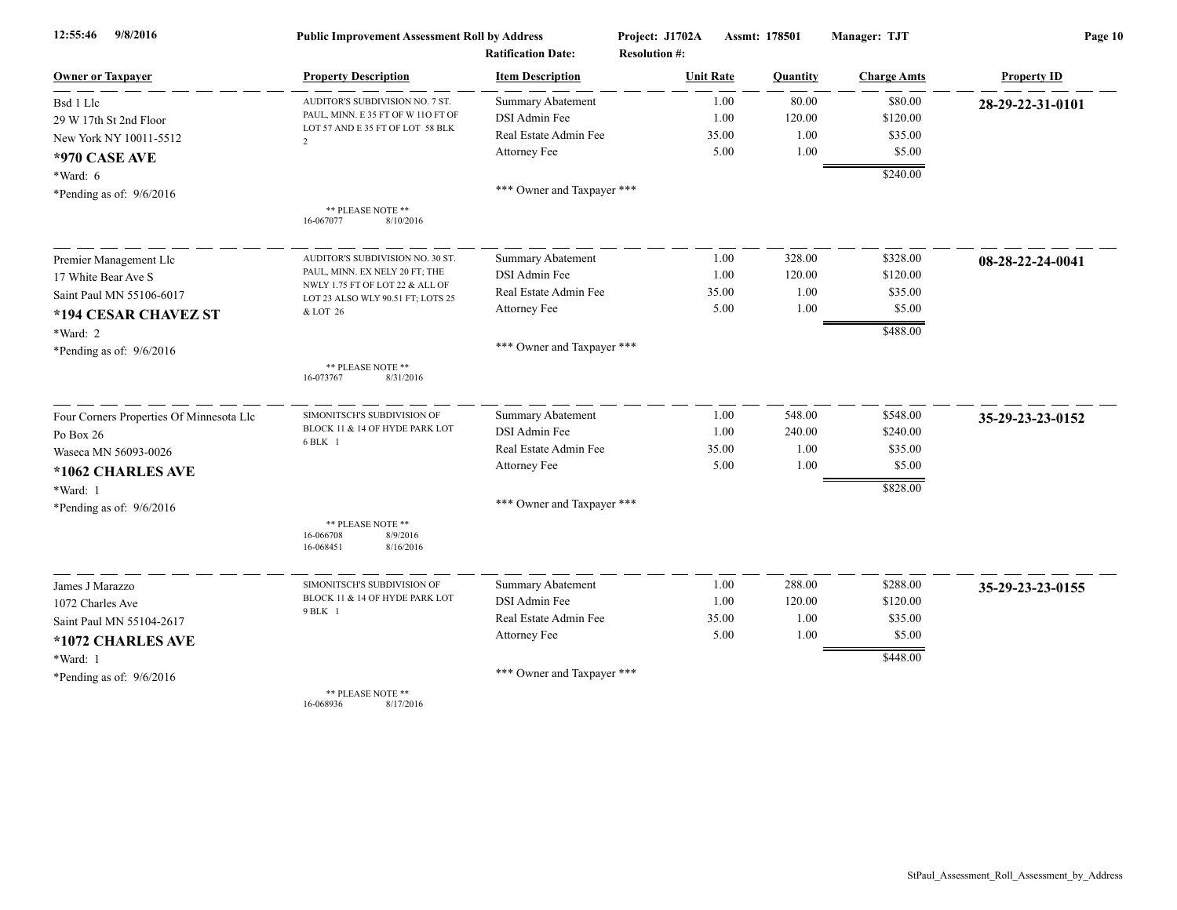| 9/8/2016<br>12:55:46                     | <b>Public Improvement Assessment Roll by Address</b>                   |                            | Project: J1702A<br>Assmt: 178501 |          | Manager: TJT       | Page 10            |  |
|------------------------------------------|------------------------------------------------------------------------|----------------------------|----------------------------------|----------|--------------------|--------------------|--|
|                                          |                                                                        | <b>Ratification Date:</b>  | <b>Resolution #:</b>             |          |                    |                    |  |
| <b>Owner or Taxpayer</b>                 | <b>Property Description</b>                                            | <b>Item Description</b>    | <b>Unit Rate</b>                 | Quantity | <b>Charge Amts</b> | <b>Property ID</b> |  |
| Bsd 1 Llc                                | AUDITOR'S SUBDIVISION NO. 7 ST.                                        | <b>Summary Abatement</b>   | 1.00                             | 80.00    | \$80.00            | 28-29-22-31-0101   |  |
| 29 W 17th St 2nd Floor                   | PAUL, MINN. E 35 FT OF W 11O FT OF<br>LOT 57 AND E 35 FT OF LOT 58 BLK | DSI Admin Fee              | 1.00                             | 120.00   | \$120.00           |                    |  |
| New York NY 10011-5512                   | $\overline{2}$                                                         | Real Estate Admin Fee      | 35.00                            | 1.00     | \$35.00            |                    |  |
| *970 CASE AVE                            |                                                                        | Attorney Fee               | 5.00                             | 1.00     | \$5.00             |                    |  |
| *Ward: 6                                 |                                                                        |                            |                                  |          | \$240.00           |                    |  |
| *Pending as of: 9/6/2016                 |                                                                        | *** Owner and Taxpayer *** |                                  |          |                    |                    |  |
|                                          | ** PLEASE NOTE **<br>16-067077<br>8/10/2016                            |                            |                                  |          |                    |                    |  |
| Premier Management Llc                   | AUDITOR'S SUBDIVISION NO. 30 ST                                        | <b>Summary Abatement</b>   | 1.00                             | 328.00   | \$328.00           | 08-28-22-24-0041   |  |
| 17 White Bear Ave S                      | PAUL, MINN. EX NELY 20 FT; THE                                         | DSI Admin Fee              | 1.00                             | 120.00   | \$120.00           |                    |  |
| Saint Paul MN 55106-6017                 | NWLY 1.75 FT OF LOT 22 & ALL OF<br>LOT 23 ALSO WLY 90.51 FT; LOTS 25   | Real Estate Admin Fee      | 35.00                            | 1.00     | \$35.00            |                    |  |
| *194 CESAR CHAVEZ ST                     | & LOT 26                                                               | Attorney Fee               | 5.00                             | 1.00     | \$5.00             |                    |  |
| *Ward: 2                                 |                                                                        |                            |                                  |          | \$488.00           |                    |  |
| *Pending as of: $9/6/2016$               |                                                                        | *** Owner and Taxpayer *** |                                  |          |                    |                    |  |
|                                          | ** PLEASE NOTE **<br>8/31/2016<br>16-073767                            |                            |                                  |          |                    |                    |  |
| Four Corners Properties Of Minnesota Llc | SIMONITSCH'S SUBDIVISION OF                                            | <b>Summary Abatement</b>   | 1.00                             | 548.00   | \$548.00           | 35-29-23-23-0152   |  |
| Po Box 26                                | BLOCK 11 & 14 OF HYDE PARK LOT                                         | DSI Admin Fee              | 1.00                             | 240.00   | \$240.00           |                    |  |
| Waseca MN 56093-0026                     | 6 BLK 1                                                                | Real Estate Admin Fee      | 35.00                            | 1.00     | \$35.00            |                    |  |
| *1062 CHARLES AVE                        |                                                                        | Attorney Fee               | 5.00                             | 1.00     | \$5.00             |                    |  |
| *Ward: 1                                 |                                                                        |                            |                                  |          | \$828.00           |                    |  |
| *Pending as of: $9/6/2016$               |                                                                        | *** Owner and Taxpayer *** |                                  |          |                    |                    |  |
|                                          | ** PLEASE NOTE **<br>16-066708<br>8/9/2016<br>16-068451<br>8/16/2016   |                            |                                  |          |                    |                    |  |
| James J Marazzo                          | SIMONITSCH'S SUBDIVISION OF                                            | <b>Summary Abatement</b>   | 1.00                             | 288.00   | \$288.00           | 35-29-23-23-0155   |  |
| 1072 Charles Ave                         | BLOCK 11 & 14 OF HYDE PARK LOT                                         | DSI Admin Fee              | 1.00                             | 120.00   | \$120.00           |                    |  |
| Saint Paul MN 55104-2617                 | 9 BLK 1                                                                | Real Estate Admin Fee      | 35.00                            | 1.00     | \$35.00            |                    |  |
| *1072 CHARLES AVE                        |                                                                        | Attorney Fee               | 5.00                             | 1.00     | \$5.00             |                    |  |
| *Ward: 1                                 |                                                                        |                            |                                  |          | \$448.00           |                    |  |
| *Pending as of: $9/6/2016$               |                                                                        | *** Owner and Taxpayer *** |                                  |          |                    |                    |  |
|                                          | ** PLEASE NOTE **                                                      |                            |                                  |          |                    |                    |  |

16-068936 8/17/2016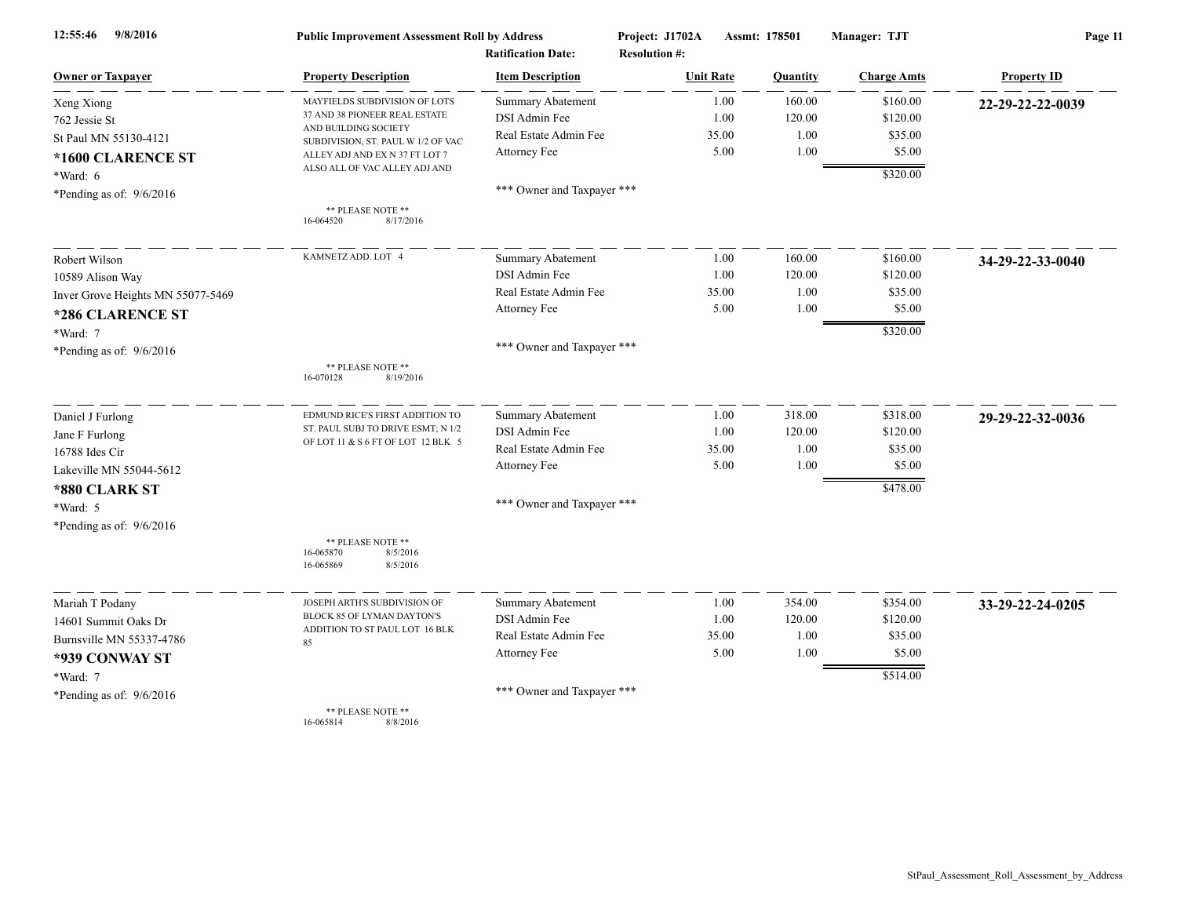| 9/8/2016<br>12:55:46              | <b>Public Improvement Assessment Roll by Address</b><br><b>Ratification Date:</b> |                            | Project: J1702A                          | Assmt: 178501   | Manager: TJT       | Page 11            |  |
|-----------------------------------|-----------------------------------------------------------------------------------|----------------------------|------------------------------------------|-----------------|--------------------|--------------------|--|
| <b>Owner or Taxpayer</b>          | <b>Property Description</b>                                                       | <b>Item Description</b>    | <b>Resolution #:</b><br><b>Unit Rate</b> | <b>Quantity</b> | <b>Charge Amts</b> | <b>Property ID</b> |  |
| Xeng Xiong                        | MAYFIELDS SUBDIVISION OF LOTS                                                     | <b>Summary Abatement</b>   | 1.00                                     | 160.00          | \$160.00           | 22-29-22-22-0039   |  |
| 762 Jessie St                     | 37 AND 38 PIONEER REAL ESTATE                                                     | DSI Admin Fee              | 1.00                                     | 120.00          | \$120.00           |                    |  |
| St Paul MN 55130-4121             | AND BUILDING SOCIETY<br>SUBDIVISION, ST. PAUL W 1/2 OF VAC                        | Real Estate Admin Fee      | 35.00                                    | 1.00            | \$35.00            |                    |  |
| *1600 CLARENCE ST                 | ALLEY ADJ AND EX N 37 FT LOT 7                                                    | Attorney Fee               | 5.00                                     | 1.00            | \$5.00             |                    |  |
| *Ward: 6                          | ALSO ALL OF VAC ALLEY ADJ AND                                                     |                            |                                          |                 | \$320.00           |                    |  |
| *Pending as of: $9/6/2016$        |                                                                                   | *** Owner and Taxpayer *** |                                          |                 |                    |                    |  |
|                                   | ** PLEASE NOTE **                                                                 |                            |                                          |                 |                    |                    |  |
|                                   | 16-064520<br>8/17/2016                                                            |                            |                                          |                 |                    |                    |  |
| Robert Wilson                     | KAMNETZ ADD. LOT 4                                                                | <b>Summary Abatement</b>   | 1.00                                     | 160.00          | \$160.00           | 34-29-22-33-0040   |  |
| 10589 Alison Way                  |                                                                                   | DSI Admin Fee              | 1.00                                     | 120.00          | \$120.00           |                    |  |
| Inver Grove Heights MN 55077-5469 |                                                                                   | Real Estate Admin Fee      | 35.00                                    | 1.00            | \$35.00            |                    |  |
| *286 CLARENCE ST                  |                                                                                   | Attorney Fee               | 5.00                                     | 1.00            | \$5.00             |                    |  |
| *Ward: 7                          |                                                                                   |                            |                                          |                 | \$320.00           |                    |  |
| *Pending as of: 9/6/2016          |                                                                                   | *** Owner and Taxpayer *** |                                          |                 |                    |                    |  |
|                                   | ** PLEASE NOTE **<br>16-070128<br>8/19/2016                                       |                            |                                          |                 |                    |                    |  |
| Daniel J Furlong                  | EDMUND RICE'S FIRST ADDITION TO                                                   | Summary Abatement          | 1.00                                     | 318.00          | \$318.00           | 29-29-22-32-0036   |  |
| Jane F Furlong                    | ST. PAUL SUBJ TO DRIVE ESMT; N 1/2                                                | DSI Admin Fee              | 1.00                                     | 120.00          | \$120.00           |                    |  |
| 16788 Ides Cir                    | OF LOT 11 & S 6 FT OF LOT 12 BLK 5                                                | Real Estate Admin Fee      | 35.00                                    | 1.00            | \$35.00            |                    |  |
| Lakeville MN 55044-5612           |                                                                                   | Attorney Fee               | 5.00                                     | 1.00            | \$5.00             |                    |  |
| *880 CLARK ST                     |                                                                                   |                            |                                          |                 | \$478.00           |                    |  |
| *Ward: 5                          |                                                                                   | *** Owner and Taxpayer *** |                                          |                 |                    |                    |  |
| *Pending as of: 9/6/2016          |                                                                                   |                            |                                          |                 |                    |                    |  |
|                                   | ** PLEASE NOTE **                                                                 |                            |                                          |                 |                    |                    |  |
|                                   | 16-065870<br>8/5/2016<br>16-065869<br>8/5/2016                                    |                            |                                          |                 |                    |                    |  |
| Mariah T Podany                   | JOSEPH ARTH'S SUBDIVISION OF                                                      | Summary Abatement          | 1.00                                     | 354.00          | \$354.00           | 33-29-22-24-0205   |  |
| 14601 Summit Oaks Dr              | BLOCK 85 OF LYMAN DAYTON'S                                                        | DSI Admin Fee              | 1.00                                     | 120.00          | \$120.00           |                    |  |
| Burnsville MN 55337-4786          | ADDITION TO ST PAUL LOT 16 BLK<br>85                                              | Real Estate Admin Fee      | 35.00                                    | 1.00            | \$35.00            |                    |  |
| *939 CONWAY ST                    |                                                                                   | Attorney Fee               | 5.00                                     | 1.00            | \$5.00             |                    |  |
| *Ward: 7                          |                                                                                   |                            |                                          |                 | \$514.00           |                    |  |
| *Pending as of: $9/6/2016$        |                                                                                   | *** Owner and Taxpayer *** |                                          |                 |                    |                    |  |
|                                   | ** PLEASE NOTE **<br>16-065814<br>8/8/2016                                        |                            |                                          |                 |                    |                    |  |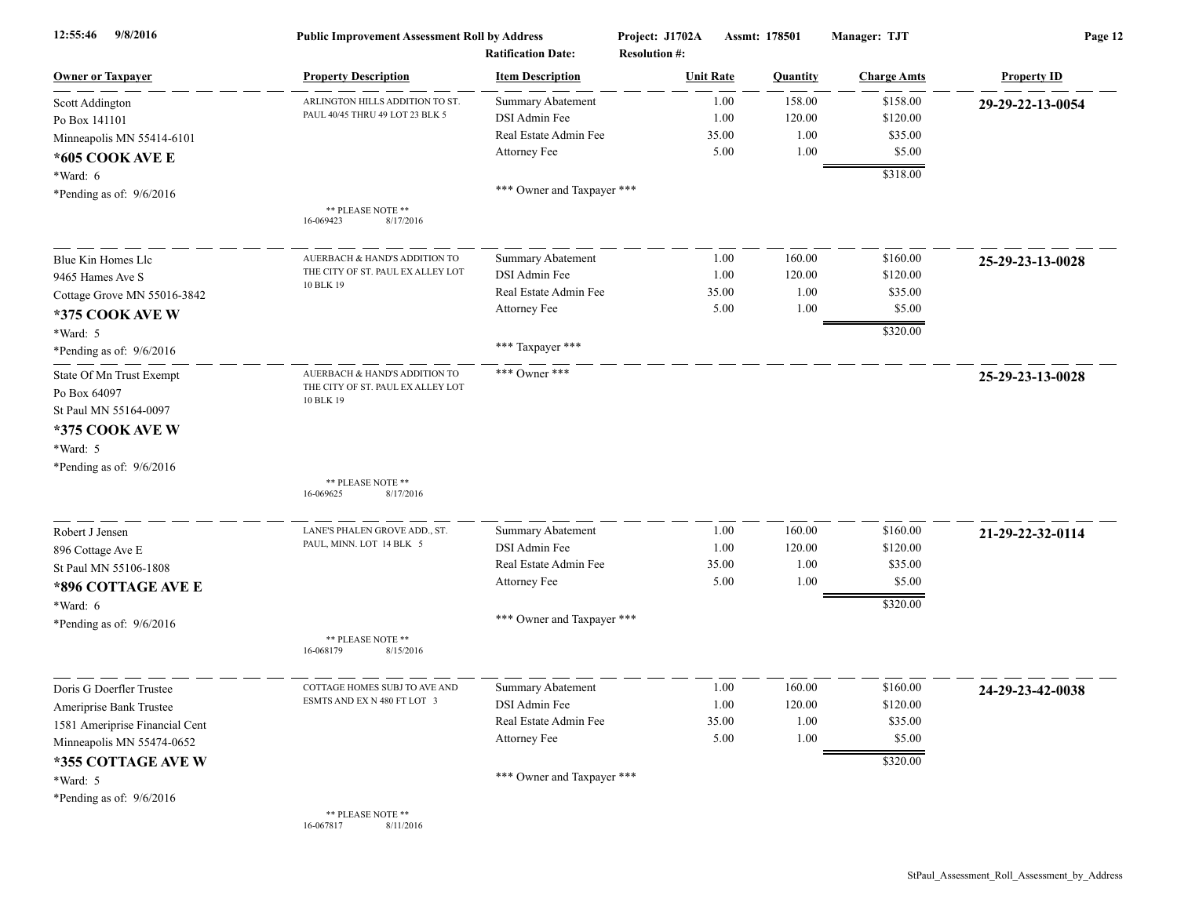| 12:55:46<br>9/8/2016           | <b>Public Improvement Assessment Roll by Address</b><br><b>Ratification Date:</b> |                            | Project: J1702A<br>Assmt: 178501<br><b>Resolution #:</b> |          | Manager: TJT       | Page 12            |  |
|--------------------------------|-----------------------------------------------------------------------------------|----------------------------|----------------------------------------------------------|----------|--------------------|--------------------|--|
| <b>Owner or Taxpayer</b>       | <b>Property Description</b>                                                       | <b>Item Description</b>    | <b>Unit Rate</b>                                         | Quantity | <b>Charge Amts</b> | <b>Property ID</b> |  |
| Scott Addington                | ARLINGTON HILLS ADDITION TO ST.                                                   | <b>Summary Abatement</b>   | 1.00                                                     | 158.00   | \$158.00           | 29-29-22-13-0054   |  |
| Po Box 141101                  | PAUL 40/45 THRU 49 LOT 23 BLK 5                                                   | DSI Admin Fee              | 1.00                                                     | 120.00   | \$120.00           |                    |  |
| Minneapolis MN 55414-6101      |                                                                                   | Real Estate Admin Fee      | 35.00                                                    | 1.00     | \$35.00            |                    |  |
| *605 COOK AVE E                |                                                                                   | Attorney Fee               | 5.00                                                     | 1.00     | \$5.00             |                    |  |
| *Ward: 6                       |                                                                                   |                            |                                                          |          | \$318.00           |                    |  |
| *Pending as of: $9/6/2016$     |                                                                                   | *** Owner and Taxpayer *** |                                                          |          |                    |                    |  |
|                                | ** PLEASE NOTE **<br>16-069423<br>8/17/2016                                       |                            |                                                          |          |                    |                    |  |
| Blue Kin Homes Llc             | AUERBACH & HAND'S ADDITION TO                                                     | <b>Summary Abatement</b>   | 1.00                                                     | 160.00   | \$160.00           | 25-29-23-13-0028   |  |
| 9465 Hames Ave S               | THE CITY OF ST. PAUL EX ALLEY LOT                                                 | DSI Admin Fee              | 1.00                                                     | 120.00   | \$120.00           |                    |  |
| Cottage Grove MN 55016-3842    | 10 BLK 19                                                                         | Real Estate Admin Fee      | 35.00                                                    | 1.00     | \$35.00            |                    |  |
| *375 COOK AVE W                |                                                                                   | Attorney Fee               | 5.00                                                     | 1.00     | \$5.00             |                    |  |
| *Ward: 5                       |                                                                                   |                            |                                                          |          | \$320.00           |                    |  |
| *Pending as of: $9/6/2016$     |                                                                                   | *** Taxpayer ***           |                                                          |          |                    |                    |  |
| State Of Mn Trust Exempt       | AUERBACH & HAND'S ADDITION TO<br>THE CITY OF ST. PAUL EX ALLEY LOT                | *** Owner ***              |                                                          |          |                    | 25-29-23-13-0028   |  |
| Po Box 64097                   | 10 BLK 19                                                                         |                            |                                                          |          |                    |                    |  |
| St Paul MN 55164-0097          |                                                                                   |                            |                                                          |          |                    |                    |  |
| *375 COOK AVE W                |                                                                                   |                            |                                                          |          |                    |                    |  |
| *Ward: 5                       |                                                                                   |                            |                                                          |          |                    |                    |  |
| *Pending as of: 9/6/2016       |                                                                                   |                            |                                                          |          |                    |                    |  |
|                                | ** PLEASE NOTE **<br>16-069625<br>8/17/2016                                       |                            |                                                          |          |                    |                    |  |
| Robert J Jensen                | LANE'S PHALEN GROVE ADD., ST.                                                     | <b>Summary Abatement</b>   | 1.00                                                     | 160.00   | \$160.00           | 21-29-22-32-0114   |  |
| 896 Cottage Ave E              | PAUL, MINN. LOT 14 BLK 5                                                          | DSI Admin Fee              | 1.00                                                     | 120.00   | \$120.00           |                    |  |
| St Paul MN 55106-1808          |                                                                                   | Real Estate Admin Fee      | 35.00                                                    | 1.00     | \$35.00            |                    |  |
| *896 COTTAGE AVE E             |                                                                                   | Attorney Fee               | 5.00                                                     | 1.00     | \$5.00             |                    |  |
| *Ward: 6                       |                                                                                   |                            |                                                          |          | \$320.00           |                    |  |
| *Pending as of: $9/6/2016$     |                                                                                   | *** Owner and Taxpayer *** |                                                          |          |                    |                    |  |
|                                | ** PLEASE NOTE **<br>16-068179<br>8/15/2016                                       |                            |                                                          |          |                    |                    |  |
| Doris G Doerfler Trustee       | COTTAGE HOMES SUBJ TO AVE AND                                                     | <b>Summary Abatement</b>   | 1.00                                                     | 160.00   | \$160.00           | 24-29-23-42-0038   |  |
| Ameriprise Bank Trustee        | ESMTS AND EX N 480 FT LOT 3                                                       | DSI Admin Fee              | 1.00                                                     | 120.00   | \$120.00           |                    |  |
| 1581 Ameriprise Financial Cent |                                                                                   | Real Estate Admin Fee      | 35.00                                                    | 1.00     | \$35.00            |                    |  |
| Minneapolis MN 55474-0652      |                                                                                   | Attorney Fee               | 5.00                                                     | 1.00     | \$5.00             |                    |  |
| *355 COTTAGE AVE W             |                                                                                   |                            |                                                          |          | \$320.00           |                    |  |
| *Ward: 5                       |                                                                                   | *** Owner and Taxpayer *** |                                                          |          |                    |                    |  |
| *Pending as of: 9/6/2016       |                                                                                   |                            |                                                          |          |                    |                    |  |
|                                | ** PLEASE NOTE **                                                                 |                            |                                                          |          |                    |                    |  |

16-067817 8/11/2016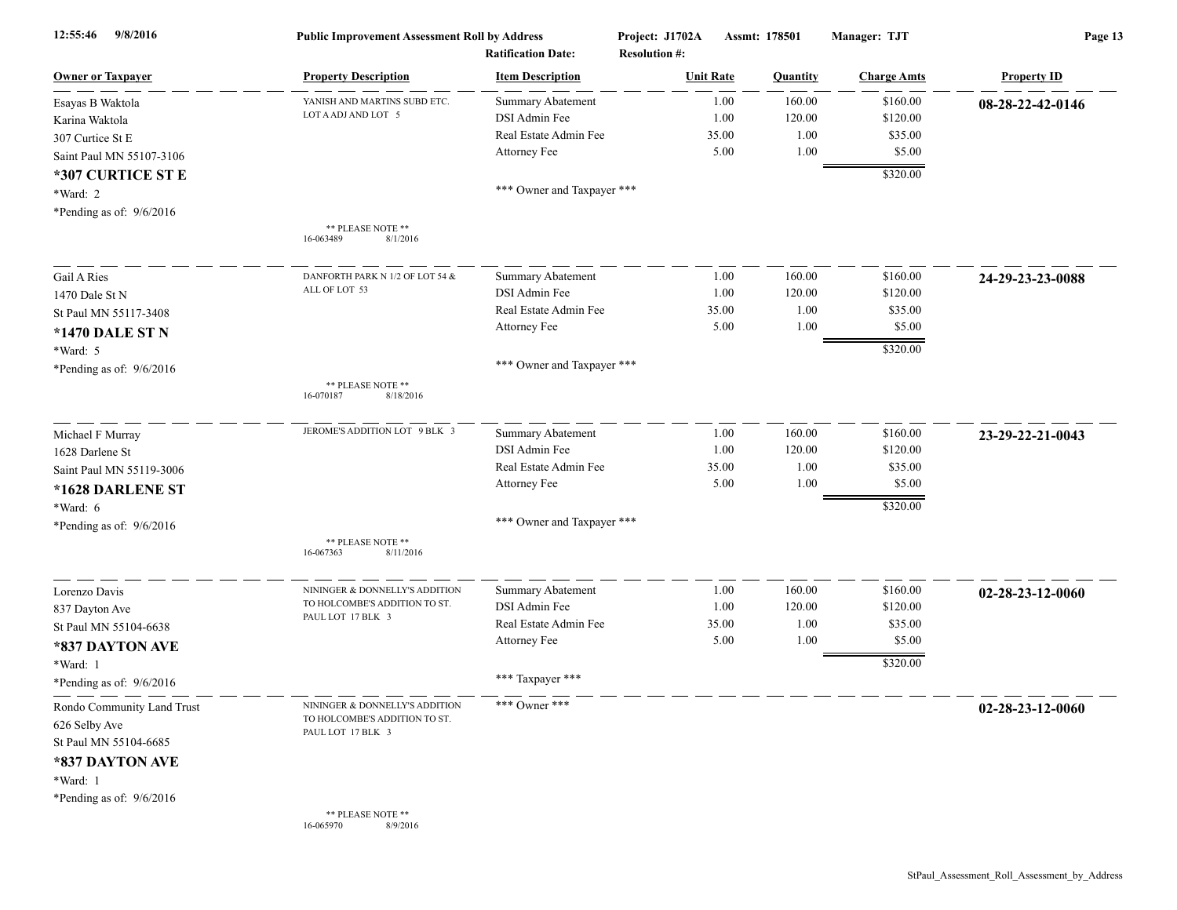| 9/8/2016<br>12:55:46                                                                                                              | <b>Public Improvement Assessment Roll by Address</b><br><b>Ratification Date:</b>    |                            | Project: J1702A<br><b>Resolution #:</b> | Assmt: 178501 | Manager: TJT       | Page 13            |  |
|-----------------------------------------------------------------------------------------------------------------------------------|--------------------------------------------------------------------------------------|----------------------------|-----------------------------------------|---------------|--------------------|--------------------|--|
| <b>Owner or Taxpayer</b>                                                                                                          | <b>Property Description</b>                                                          | <b>Item Description</b>    | <b>Unit Rate</b>                        | Quantity      | <b>Charge Amts</b> | <b>Property ID</b> |  |
| Esayas B Waktola                                                                                                                  | YANISH AND MARTINS SUBD ETC.                                                         | <b>Summary Abatement</b>   | 1.00                                    | 160.00        | \$160.00           | 08-28-22-42-0146   |  |
| Karina Waktola                                                                                                                    | LOT A ADJ AND LOT 5                                                                  | DSI Admin Fee              | 1.00                                    | 120.00        | \$120.00           |                    |  |
| 307 Curtice St E                                                                                                                  |                                                                                      | Real Estate Admin Fee      | 35.00                                   | 1.00          | \$35.00            |                    |  |
| Saint Paul MN 55107-3106                                                                                                          |                                                                                      | Attorney Fee               | 5.00                                    | 1.00          | \$5.00             |                    |  |
| *307 CURTICE ST E                                                                                                                 |                                                                                      |                            |                                         |               | \$320.00           |                    |  |
| *Ward: 2                                                                                                                          |                                                                                      | *** Owner and Taxpayer *** |                                         |               |                    |                    |  |
| *Pending as of: $9/6/2016$                                                                                                        |                                                                                      |                            |                                         |               |                    |                    |  |
|                                                                                                                                   | ** PLEASE NOTE **<br>8/1/2016<br>16-063489                                           |                            |                                         |               |                    |                    |  |
| Gail A Ries                                                                                                                       | DANFORTH PARK N 1/2 OF LOT 54 &                                                      | <b>Summary Abatement</b>   | 1.00                                    | 160.00        | \$160.00           | 24-29-23-23-0088   |  |
| 1470 Dale St N                                                                                                                    | ALL OF LOT 53                                                                        | DSI Admin Fee              | 1.00                                    | 120.00        | \$120.00           |                    |  |
| St Paul MN 55117-3408                                                                                                             |                                                                                      | Real Estate Admin Fee      | 35.00                                   | 1.00          | \$35.00            |                    |  |
| *1470 DALE ST N                                                                                                                   |                                                                                      | Attorney Fee               | 5.00                                    | 1.00          | \$5.00             |                    |  |
| *Ward: 5                                                                                                                          |                                                                                      |                            |                                         |               | \$320.00           |                    |  |
| *Pending as of: $9/6/2016$                                                                                                        |                                                                                      | *** Owner and Taxpayer *** |                                         |               |                    |                    |  |
|                                                                                                                                   | ** PLEASE NOTE **<br>16-070187<br>8/18/2016                                          |                            |                                         |               |                    |                    |  |
| Michael F Murray                                                                                                                  | JEROME'S ADDITION LOT 9 BLK 3                                                        | <b>Summary Abatement</b>   | 1.00                                    | 160.00        | \$160.00           | 23-29-22-21-0043   |  |
| 1628 Darlene St                                                                                                                   |                                                                                      | DSI Admin Fee              | 1.00                                    | 120.00        | \$120.00           |                    |  |
| Saint Paul MN 55119-3006                                                                                                          |                                                                                      | Real Estate Admin Fee      | 35.00                                   | 1.00          | \$35.00            |                    |  |
| *1628 DARLENE ST                                                                                                                  |                                                                                      | Attorney Fee               | 5.00                                    | 1.00          | \$5.00             |                    |  |
| *Ward: 6                                                                                                                          |                                                                                      |                            |                                         |               | \$320.00           |                    |  |
| *Pending as of: $9/6/2016$                                                                                                        |                                                                                      | *** Owner and Taxpayer *** |                                         |               |                    |                    |  |
|                                                                                                                                   | ** PLEASE NOTE **<br>16-067363<br>8/11/2016                                          |                            |                                         |               |                    |                    |  |
| Lorenzo Davis                                                                                                                     | NININGER & DONNELLY'S ADDITION                                                       | <b>Summary Abatement</b>   | 1.00                                    | 160.00        | \$160.00           | 02-28-23-12-0060   |  |
| 837 Dayton Ave                                                                                                                    | TO HOLCOMBE'S ADDITION TO ST.                                                        | DSI Admin Fee              | 1.00                                    | 120.00        | \$120.00           |                    |  |
| St Paul MN 55104-6638                                                                                                             | PAUL LOT 17 BLK 3                                                                    | Real Estate Admin Fee      | 35.00                                   | 1.00          | \$35.00            |                    |  |
| *837 DAYTON AVE                                                                                                                   |                                                                                      | Attorney Fee               | 5.00                                    | 1.00          | \$5.00             |                    |  |
| *Ward: 1                                                                                                                          |                                                                                      |                            |                                         |               | \$320.00           |                    |  |
| *Pending as of: $9/6/2016$                                                                                                        |                                                                                      | *** Taxpayer ***           |                                         |               |                    |                    |  |
| Rondo Community Land Trust<br>626 Selby Ave<br>St Paul MN 55104-6685<br>*837 DAYTON AVE<br>*Ward: 1<br>*Pending as of: $9/6/2016$ | NININGER & DONNELLY'S ADDITION<br>TO HOLCOMBE'S ADDITION TO ST.<br>PAUL LOT 17 BLK 3 | *** Owner ***              |                                         |               |                    | 02-28-23-12-0060   |  |
|                                                                                                                                   | ** PLEASE NOTE **<br>16-065970<br>8/9/2016                                           |                            |                                         |               |                    |                    |  |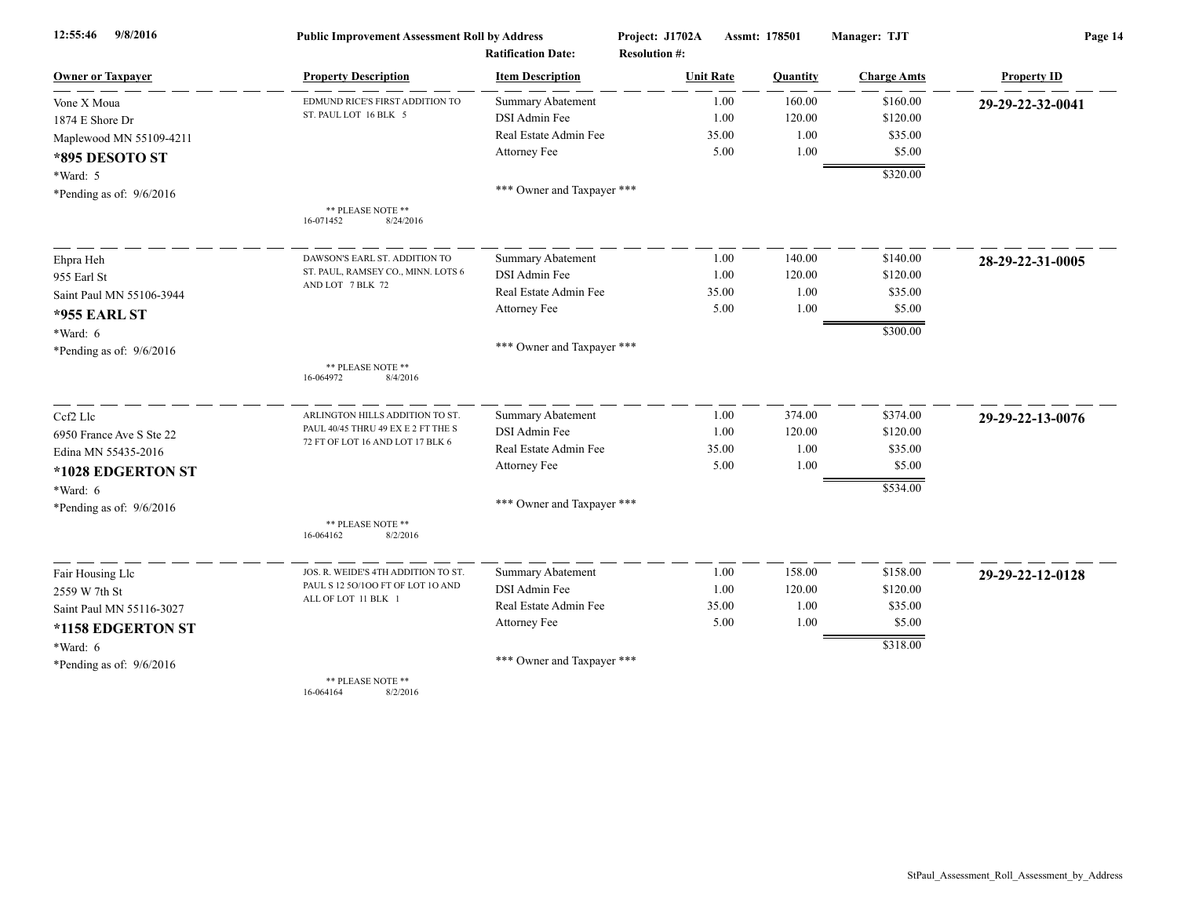| 9/8/2016<br>12:55:46       | <b>Public Improvement Assessment Roll by Address</b>                   |                            | Project: J1702A      | Assmt: 178501 | Manager: TJT       | Page 14            |  |
|----------------------------|------------------------------------------------------------------------|----------------------------|----------------------|---------------|--------------------|--------------------|--|
|                            |                                                                        | <b>Ratification Date:</b>  | <b>Resolution #:</b> |               |                    |                    |  |
| <b>Owner or Taxpayer</b>   | <b>Property Description</b>                                            | <b>Item Description</b>    | <b>Unit Rate</b>     | Quantity      | <b>Charge Amts</b> | <b>Property ID</b> |  |
| Vone X Moua                | EDMUND RICE'S FIRST ADDITION TO                                        | Summary Abatement          | 1.00                 | 160.00        | \$160.00           | 29-29-22-32-0041   |  |
| 1874 E Shore Dr            | ST. PAUL LOT 16 BLK 5                                                  | DSI Admin Fee              | 1.00                 | 120.00        | \$120.00           |                    |  |
| Maplewood MN 55109-4211    |                                                                        | Real Estate Admin Fee      | 35.00                | 1.00          | \$35.00            |                    |  |
| *895 DESOTO ST             |                                                                        | Attorney Fee               | 5.00                 | 1.00          | \$5.00             |                    |  |
| *Ward: 5                   |                                                                        |                            |                      |               | \$320.00           |                    |  |
| *Pending as of: $9/6/2016$ |                                                                        | *** Owner and Taxpayer *** |                      |               |                    |                    |  |
|                            | ** PLEASE NOTE **<br>8/24/2016<br>16-071452                            |                            |                      |               |                    |                    |  |
| Ehpra Heh                  | DAWSON'S EARL ST. ADDITION TO                                          | <b>Summary Abatement</b>   | 1.00                 | 140.00        | \$140.00           | 28-29-22-31-0005   |  |
| 955 Earl St                | ST. PAUL, RAMSEY CO., MINN. LOTS 6                                     | DSI Admin Fee              | 1.00                 | 120.00        | \$120.00           |                    |  |
| Saint Paul MN 55106-3944   | AND LOT 7 BLK 72                                                       | Real Estate Admin Fee      | 35.00                | 1.00          | \$35.00            |                    |  |
| <b>*955 EARL ST</b>        |                                                                        | Attorney Fee               | 5.00                 | 1.00          | \$5.00             |                    |  |
| *Ward: 6                   |                                                                        |                            |                      |               | \$300.00           |                    |  |
| *Pending as of: $9/6/2016$ |                                                                        | *** Owner and Taxpayer *** |                      |               |                    |                    |  |
|                            | ** PLEASE NOTE **<br>16-064972<br>8/4/2016                             |                            |                      |               |                    |                    |  |
| Ccf2 Llc                   | ARLINGTON HILLS ADDITION TO ST                                         | Summary Abatement          | 1.00                 | 374.00        | \$374.00           | 29-29-22-13-0076   |  |
| 6950 France Ave S Ste 22   | PAUL 40/45 THRU 49 EX E 2 FT THE S<br>72 FT OF LOT 16 AND LOT 17 BLK 6 | DSI Admin Fee              | 1.00                 | 120.00        | \$120.00           |                    |  |
| Edina MN 55435-2016        |                                                                        | Real Estate Admin Fee      | 35.00                | 1.00          | \$35.00            |                    |  |
| *1028 EDGERTON ST          |                                                                        | Attorney Fee               | 5.00                 | 1.00          | \$5.00             |                    |  |
| *Ward: 6                   |                                                                        |                            |                      |               | \$534.00           |                    |  |
| *Pending as of: $9/6/2016$ |                                                                        | *** Owner and Taxpayer *** |                      |               |                    |                    |  |
|                            | ** PLEASE NOTE **<br>16-064162<br>8/2/2016                             |                            |                      |               |                    |                    |  |
| Fair Housing Llc           | JOS. R. WEIDE'S 4TH ADDITION TO ST.                                    | Summary Abatement          | 1.00                 | 158.00        | \$158.00           | 29-29-22-12-0128   |  |
| 2559 W 7th St              | PAUL S 12 50/100 FT OF LOT 10 AND                                      | DSI Admin Fee              | 1.00                 | 120.00        | \$120.00           |                    |  |
| Saint Paul MN 55116-3027   | ALL OF LOT 11 BLK 1                                                    | Real Estate Admin Fee      | 35.00                | 1.00          | \$35.00            |                    |  |
| *1158 EDGERTON ST          |                                                                        | Attorney Fee               | 5.00                 | 1.00          | \$5.00             |                    |  |
| *Ward: 6                   |                                                                        |                            |                      |               | \$318.00           |                    |  |
| *Pending as of: $9/6/2016$ |                                                                        | *** Owner and Taxpayer *** |                      |               |                    |                    |  |
|                            | ** PLEASE NOTE **                                                      |                            |                      |               |                    |                    |  |

16-064164 8/2/2016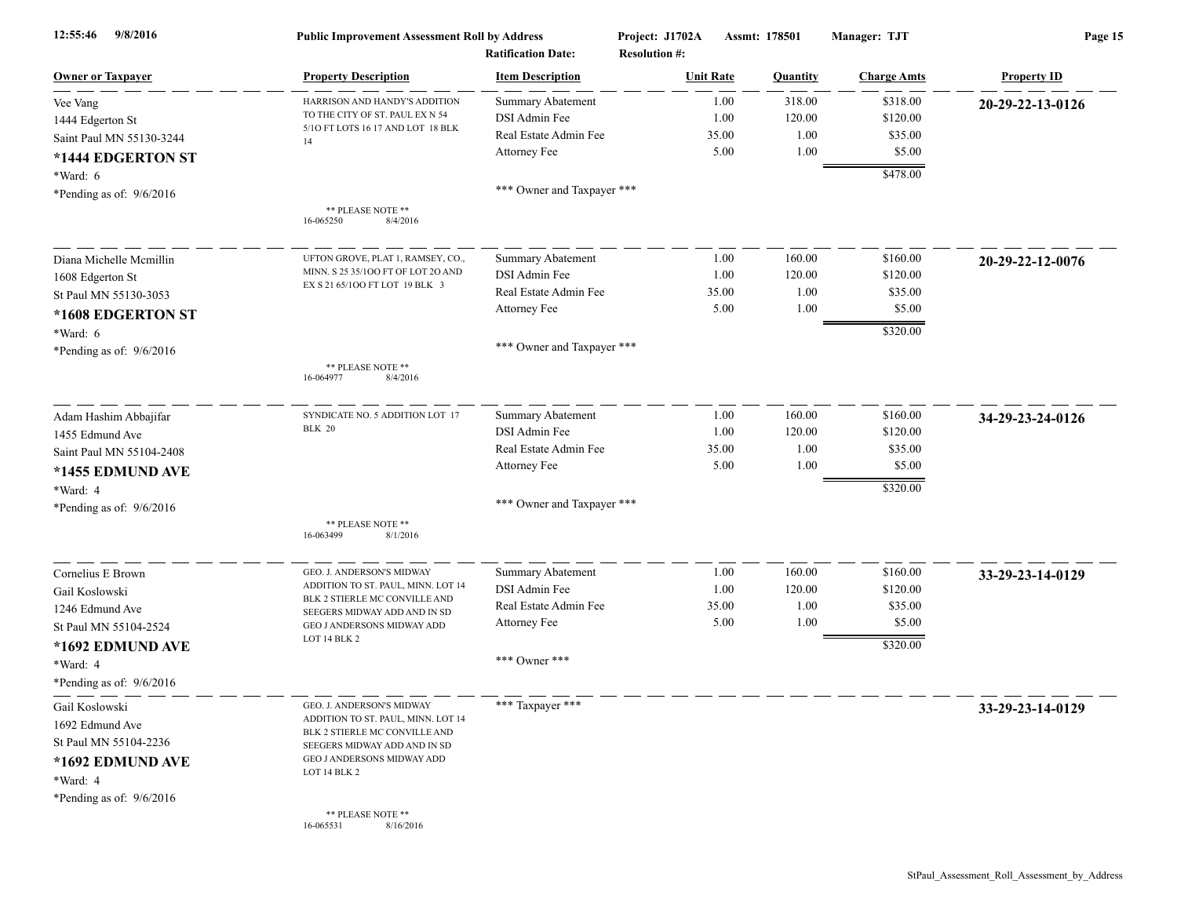| 9/8/2016<br>12:55:46       | <b>Public Improvement Assessment Roll by Address</b><br><b>Ratification Date:</b> |                            | Project: J1702A<br>Assmt: 178501<br><b>Resolution #:</b> |                  | Manager: TJT    | Page 15            |                    |
|----------------------------|-----------------------------------------------------------------------------------|----------------------------|----------------------------------------------------------|------------------|-----------------|--------------------|--------------------|
| <b>Owner or Taxpaver</b>   | <b>Property Description</b>                                                       | <b>Item Description</b>    |                                                          | <b>Unit Rate</b> | <b>Quantity</b> | <b>Charge Amts</b> | <b>Property ID</b> |
| Vee Vang                   | HARRISON AND HANDY'S ADDITION                                                     | <b>Summary Abatement</b>   |                                                          | 1.00             | 318.00          | \$318.00           | 20-29-22-13-0126   |
| 1444 Edgerton St           | TO THE CITY OF ST. PAUL EX N 54                                                   | DSI Admin Fee              |                                                          | 1.00             | 120.00          | \$120.00           |                    |
| Saint Paul MN 55130-3244   | 5/10 FT LOTS 16 17 AND LOT 18 BLK<br>14                                           | Real Estate Admin Fee      |                                                          | 35.00            | 1.00            | \$35.00            |                    |
| *1444 EDGERTON ST          |                                                                                   | Attorney Fee               |                                                          | 5.00             | 1.00            | \$5.00             |                    |
| *Ward: 6                   |                                                                                   |                            |                                                          |                  |                 | \$478.00           |                    |
| *Pending as of: $9/6/2016$ |                                                                                   | *** Owner and Taxpayer *** |                                                          |                  |                 |                    |                    |
|                            | ** PLEASE NOTE **<br>16-065250<br>8/4/2016                                        |                            |                                                          |                  |                 |                    |                    |
| Diana Michelle Mcmillin    | UFTON GROVE, PLAT 1, RAMSEY, CO.,                                                 | <b>Summary Abatement</b>   |                                                          | 1.00             | 160.00          | \$160.00           | 20-29-22-12-0076   |
| 1608 Edgerton St           | MINN. S 25 35/100 FT OF LOT 20 AND                                                | DSI Admin Fee              |                                                          | 1.00             | 120.00          | \$120.00           |                    |
| St Paul MN 55130-3053      | EX S 21 65/100 FT LOT 19 BLK 3                                                    | Real Estate Admin Fee      |                                                          | 35.00            | 1.00            | \$35.00            |                    |
| *1608 EDGERTON ST          |                                                                                   | Attorney Fee               |                                                          | 5.00             | 1.00            | \$5.00             |                    |
| *Ward: 6                   |                                                                                   |                            |                                                          |                  |                 | \$320.00           |                    |
| *Pending as of: $9/6/2016$ |                                                                                   | *** Owner and Taxpayer *** |                                                          |                  |                 |                    |                    |
|                            | ** PLEASE NOTE **<br>16-064977<br>8/4/2016                                        |                            |                                                          |                  |                 |                    |                    |
| Adam Hashim Abbajifar      | SYNDICATE NO. 5 ADDITION LOT 17                                                   | Summary Abatement          |                                                          | 1.00             | 160.00          | \$160.00           | 34-29-23-24-0126   |
| 1455 Edmund Ave            | <b>BLK 20</b>                                                                     | DSI Admin Fee              |                                                          | 1.00             | 120.00          | \$120.00           |                    |
| Saint Paul MN 55104-2408   |                                                                                   | Real Estate Admin Fee      |                                                          | 35.00            | 1.00            | \$35.00            |                    |
| *1455 EDMUND AVE           |                                                                                   | Attorney Fee               |                                                          | 5.00             | 1.00            | \$5.00             |                    |
| *Ward: 4                   |                                                                                   |                            |                                                          |                  |                 | \$320.00           |                    |
| *Pending as of: $9/6/2016$ |                                                                                   | *** Owner and Taxpayer *** |                                                          |                  |                 |                    |                    |
|                            | ** PLEASE NOTE **<br>16-063499<br>8/1/2016                                        |                            |                                                          |                  |                 |                    |                    |
| Cornelius E Brown          | GEO. J. ANDERSON'S MIDWAY                                                         | <b>Summary Abatement</b>   |                                                          | 1.00             | 160.00          | \$160.00           | 33-29-23-14-0129   |
| Gail Koslowski             | ADDITION TO ST. PAUL, MINN. LOT 14                                                | DSI Admin Fee              |                                                          | 1.00             | 120.00          | \$120.00           |                    |
| 1246 Edmund Ave            | BLK 2 STIERLE MC CONVILLE AND<br>SEEGERS MIDWAY ADD AND IN SD                     | Real Estate Admin Fee      |                                                          | 35.00            | 1.00            | \$35.00            |                    |
| St Paul MN 55104-2524      | GEO J ANDERSONS MIDWAY ADD                                                        | Attorney Fee               |                                                          | 5.00             | 1.00            | \$5.00             |                    |
| *1692 EDMUND AVE           | LOT 14 BLK 2                                                                      |                            |                                                          |                  |                 | \$320.00           |                    |
| *Ward: 4                   |                                                                                   | *** Owner ***              |                                                          |                  |                 |                    |                    |
| *Pending as of: $9/6/2016$ |                                                                                   |                            |                                                          |                  |                 |                    |                    |
| Gail Koslowski             | GEO. J. ANDERSON'S MIDWAY                                                         | *** Taxpayer ***           |                                                          |                  |                 |                    | 33-29-23-14-0129   |
| 1692 Edmund Ave            | ADDITION TO ST. PAUL, MINN. LOT 14<br>BLK 2 STIERLE MC CONVILLE AND               |                            |                                                          |                  |                 |                    |                    |
| St Paul MN 55104-2236      | SEEGERS MIDWAY ADD AND IN SD                                                      |                            |                                                          |                  |                 |                    |                    |
| *1692 EDMUND AVE           | GEO J ANDERSONS MIDWAY ADD                                                        |                            |                                                          |                  |                 |                    |                    |
| *Ward: 4                   | LOT 14 BLK 2                                                                      |                            |                                                          |                  |                 |                    |                    |
| *Pending as of: $9/6/2016$ |                                                                                   |                            |                                                          |                  |                 |                    |                    |
|                            | ** PLEASE NOTE **<br>8/16/2016<br>16-065531                                       |                            |                                                          |                  |                 |                    |                    |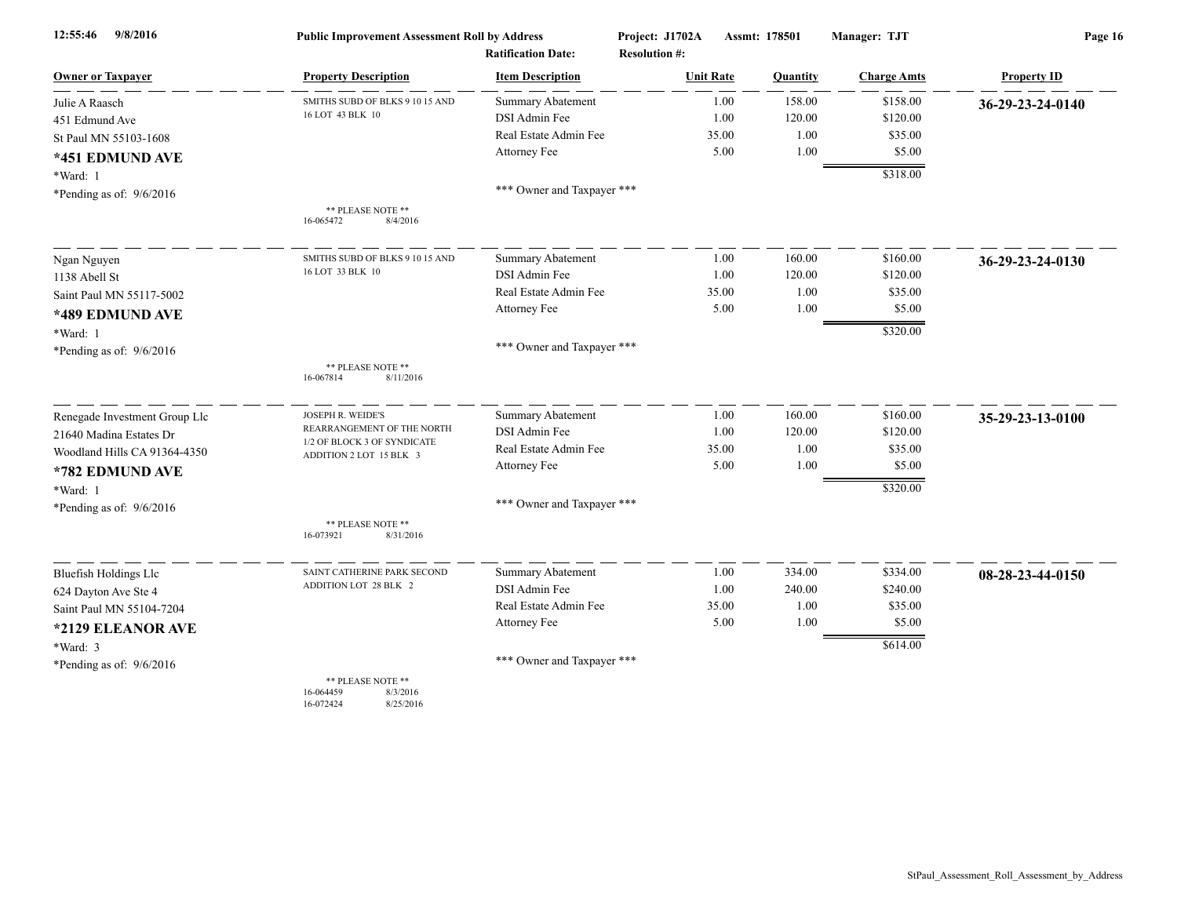| 12:55:46<br>9/8/2016          | <b>Public Improvement Assessment Roll by Address</b>                 |                            | Project: J1702A      | Assmt: 178501 | Manager: TJT       | Page 16            |  |
|-------------------------------|----------------------------------------------------------------------|----------------------------|----------------------|---------------|--------------------|--------------------|--|
|                               |                                                                      | <b>Ratification Date:</b>  | <b>Resolution #:</b> |               |                    |                    |  |
| <b>Owner or Taxpayer</b>      | <b>Property Description</b>                                          | <b>Item Description</b>    | <b>Unit Rate</b>     | Quantity      | <b>Charge Amts</b> | <b>Property ID</b> |  |
| Julie A Raasch                | SMITHS SUBD OF BLKS 9 10 15 AND                                      | Summary Abatement          | 1.00                 | 158.00        | \$158.00           | 36-29-23-24-0140   |  |
| 451 Edmund Ave                | 16 LOT 43 BLK 10                                                     | DSI Admin Fee              | 1.00                 | 120.00        | \$120.00           |                    |  |
| St Paul MN 55103-1608         |                                                                      | Real Estate Admin Fee      | 35.00                | 1.00          | \$35.00            |                    |  |
| *451 EDMUND AVE               |                                                                      | Attorney Fee               | 5.00                 | 1.00          | \$5.00             |                    |  |
| *Ward: 1                      |                                                                      |                            |                      |               | \$318.00           |                    |  |
| *Pending as of: $9/6/2016$    |                                                                      | *** Owner and Taxpayer *** |                      |               |                    |                    |  |
|                               | ** PLEASE NOTE **<br>16-065472<br>8/4/2016                           |                            |                      |               |                    |                    |  |
| Ngan Nguyen                   | SMITHS SUBD OF BLKS 9 10 15 AND                                      | Summary Abatement          | 1.00                 | 160.00        | \$160.00           | 36-29-23-24-0130   |  |
| 1138 Abell St                 | 16 LOT 33 BLK 10                                                     | DSI Admin Fee              | 1.00                 | 120.00        | \$120.00           |                    |  |
| Saint Paul MN 55117-5002      |                                                                      | Real Estate Admin Fee      | 35.00                | 1.00          | \$35.00            |                    |  |
| *489 EDMUND AVE               |                                                                      | Attorney Fee               | 5.00                 | 1.00          | \$5.00             |                    |  |
| *Ward: 1                      |                                                                      |                            |                      |               | \$320.00           |                    |  |
| *Pending as of: $9/6/2016$    |                                                                      | *** Owner and Taxpayer *** |                      |               |                    |                    |  |
|                               | ** PLEASE NOTE **<br>16-067814<br>8/11/2016                          |                            |                      |               |                    |                    |  |
| Renegade Investment Group Llc | JOSEPH R. WEIDE'S                                                    | <b>Summary Abatement</b>   | 1.00                 | 160.00        | \$160.00           | 35-29-23-13-0100   |  |
| 21640 Madina Estates Dr       | REARRANGEMENT OF THE NORTH                                           | DSI Admin Fee              | 1.00                 | 120.00        | \$120.00           |                    |  |
| Woodland Hills CA 91364-4350  | 1/2 OF BLOCK 3 OF SYNDICATE<br>ADDITION 2 LOT 15 BLK 3               | Real Estate Admin Fee      | 35.00                | 1.00          | \$35.00            |                    |  |
| *782 EDMUND AVE               |                                                                      | Attorney Fee               | 5.00                 | 1.00          | \$5.00             |                    |  |
| *Ward: 1                      |                                                                      |                            |                      |               | \$320.00           |                    |  |
| *Pending as of: 9/6/2016      |                                                                      | *** Owner and Taxpayer *** |                      |               |                    |                    |  |
|                               | ** PLEASE NOTE **<br>16-073921<br>8/31/2016                          |                            |                      |               |                    |                    |  |
| <b>Bluefish Holdings Llc</b>  | SAINT CATHERINE PARK SECOND                                          | <b>Summary Abatement</b>   | 1.00                 | 334.00        | \$334.00           | 08-28-23-44-0150   |  |
| 624 Dayton Ave Ste 4          | ADDITION LOT 28 BLK 2                                                | DSI Admin Fee              | 1.00                 | 240.00        | \$240.00           |                    |  |
| Saint Paul MN 55104-7204      |                                                                      | Real Estate Admin Fee      | 35.00                | 1.00          | \$35.00            |                    |  |
| *2129 ELEANOR AVE             |                                                                      | Attorney Fee               | 5.00                 | 1.00          | \$5.00             |                    |  |
| *Ward: 3                      |                                                                      |                            |                      |               | \$614.00           |                    |  |
| *Pending as of: 9/6/2016      |                                                                      | *** Owner and Taxpayer *** |                      |               |                    |                    |  |
|                               | ** PLEASE NOTE **<br>16-064459<br>8/3/2016<br>16-072424<br>8/25/2016 |                            |                      |               |                    |                    |  |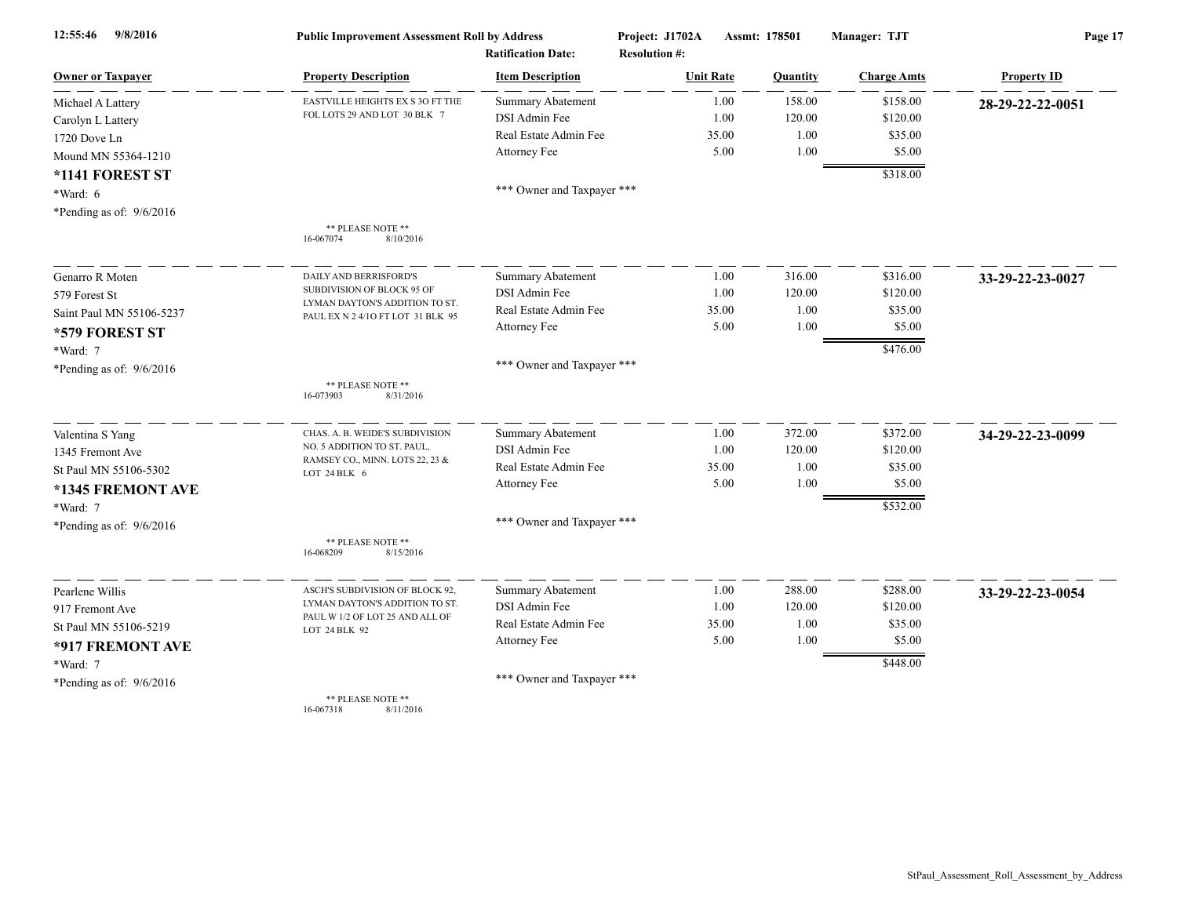| 9/8/2016<br>12:55:46       | <b>Public Improvement Assessment Roll by Address</b>              |                            | Project: J1702A      | Assmt: 178501  | Manager: TJT       | Page 17            |  |
|----------------------------|-------------------------------------------------------------------|----------------------------|----------------------|----------------|--------------------|--------------------|--|
|                            |                                                                   | <b>Ratification Date:</b>  | <b>Resolution #:</b> |                |                    |                    |  |
| <b>Owner or Taxpayer</b>   | <b>Property Description</b>                                       | <b>Item Description</b>    | <b>Unit Rate</b>     | Quantity       | <b>Charge Amts</b> | <b>Property ID</b> |  |
| Michael A Lattery          | EASTVILLE HEIGHTS EX S 3O FT THE<br>FOL LOTS 29 AND LOT 30 BLK 7  | <b>Summary Abatement</b>   |                      | 158.00<br>1.00 | \$158.00           | 28-29-22-22-0051   |  |
| Carolyn L Lattery          |                                                                   | DSI Admin Fee              |                      | 1.00<br>120.00 | \$120.00           |                    |  |
| 1720 Dove Ln               |                                                                   | Real Estate Admin Fee      | 35.00                | 1.00           | \$35.00            |                    |  |
| Mound MN 55364-1210        |                                                                   | Attorney Fee               |                      | 5.00<br>1.00   | \$5.00             |                    |  |
| *1141 FOREST ST            |                                                                   |                            |                      |                | \$318.00           |                    |  |
| *Ward: 6                   |                                                                   | *** Owner and Taxpayer *** |                      |                |                    |                    |  |
| *Pending as of: $9/6/2016$ |                                                                   |                            |                      |                |                    |                    |  |
|                            | ** PLEASE NOTE **<br>16-067074<br>8/10/2016                       |                            |                      |                |                    |                    |  |
| Genarro R Moten            | DAILY AND BERRISFORD'S                                            | <b>Summary Abatement</b>   |                      | 316.00<br>1.00 | \$316.00           | 33-29-22-23-0027   |  |
| 579 Forest St              | SUBDIVISION OF BLOCK 95 OF                                        | DSI Admin Fee              |                      | 1.00<br>120.00 | \$120.00           |                    |  |
| Saint Paul MN 55106-5237   | LYMAN DAYTON'S ADDITION TO ST                                     | Real Estate Admin Fee      | 35.00                | 1.00           | \$35.00            |                    |  |
| *579 FOREST ST             | PAUL EX N 2 4/10 FT LOT 31 BLK 95                                 | Attorney Fee               |                      | 5.00<br>1.00   | \$5.00             |                    |  |
|                            |                                                                   |                            |                      |                | \$476.00           |                    |  |
| *Ward: 7                   |                                                                   | *** Owner and Taxpayer *** |                      |                |                    |                    |  |
| *Pending as of: $9/6/2016$ |                                                                   |                            |                      |                |                    |                    |  |
|                            | ** PLEASE NOTE **<br>8/31/2016<br>16-073903                       |                            |                      |                |                    |                    |  |
| Valentina S Yang           | CHAS. A. B. WEIDE'S SUBDIVISION                                   | Summary Abatement          |                      | 372.00<br>1.00 | \$372.00           | 34-29-22-23-0099   |  |
| 1345 Fremont Ave           | NO. 5 ADDITION TO ST. PAUL,                                       | DSI Admin Fee              |                      | 1.00<br>120.00 | \$120.00           |                    |  |
| St Paul MN 55106-5302      | RAMSEY CO., MINN. LOTS 22, 23 &<br>LOT 24 BLK 6                   | Real Estate Admin Fee      | 35.00                | 1.00           | \$35.00            |                    |  |
| *1345 FREMONT AVE          |                                                                   | Attorney Fee               |                      | 5.00<br>1.00   | \$5.00             |                    |  |
| *Ward: 7                   |                                                                   |                            |                      |                | \$532.00           |                    |  |
| *Pending as of: $9/6/2016$ |                                                                   | *** Owner and Taxpayer *** |                      |                |                    |                    |  |
|                            | ** PLEASE NOTE **<br>16-068209<br>8/15/2016                       |                            |                      |                |                    |                    |  |
|                            |                                                                   | <b>Summary Abatement</b>   |                      | 288.00<br>1.00 | \$288.00           |                    |  |
| Pearlene Willis            | ASCH'S SUBDIVISION OF BLOCK 92.<br>LYMAN DAYTON'S ADDITION TO ST. | DSI Admin Fee              |                      | 1.00<br>120.00 | \$120.00           | 33-29-22-23-0054   |  |
| 917 Fremont Ave            | PAUL W 1/2 OF LOT 25 AND ALL OF                                   | Real Estate Admin Fee      | 35.00                | 1.00           | \$35.00            |                    |  |
| St Paul MN 55106-5219      | LOT 24 BLK 92                                                     | Attorney Fee               |                      | 5.00<br>1.00   | \$5.00             |                    |  |
| *917 FREMONT AVE           |                                                                   |                            |                      |                |                    |                    |  |
| *Ward: 7                   |                                                                   |                            |                      |                | \$448.00           |                    |  |
| *Pending as of: $9/6/2016$ |                                                                   | *** Owner and Taxpayer *** |                      |                |                    |                    |  |
|                            | ** PLEASE NOTE **<br>16-067318<br>8/11/2016                       |                            |                      |                |                    |                    |  |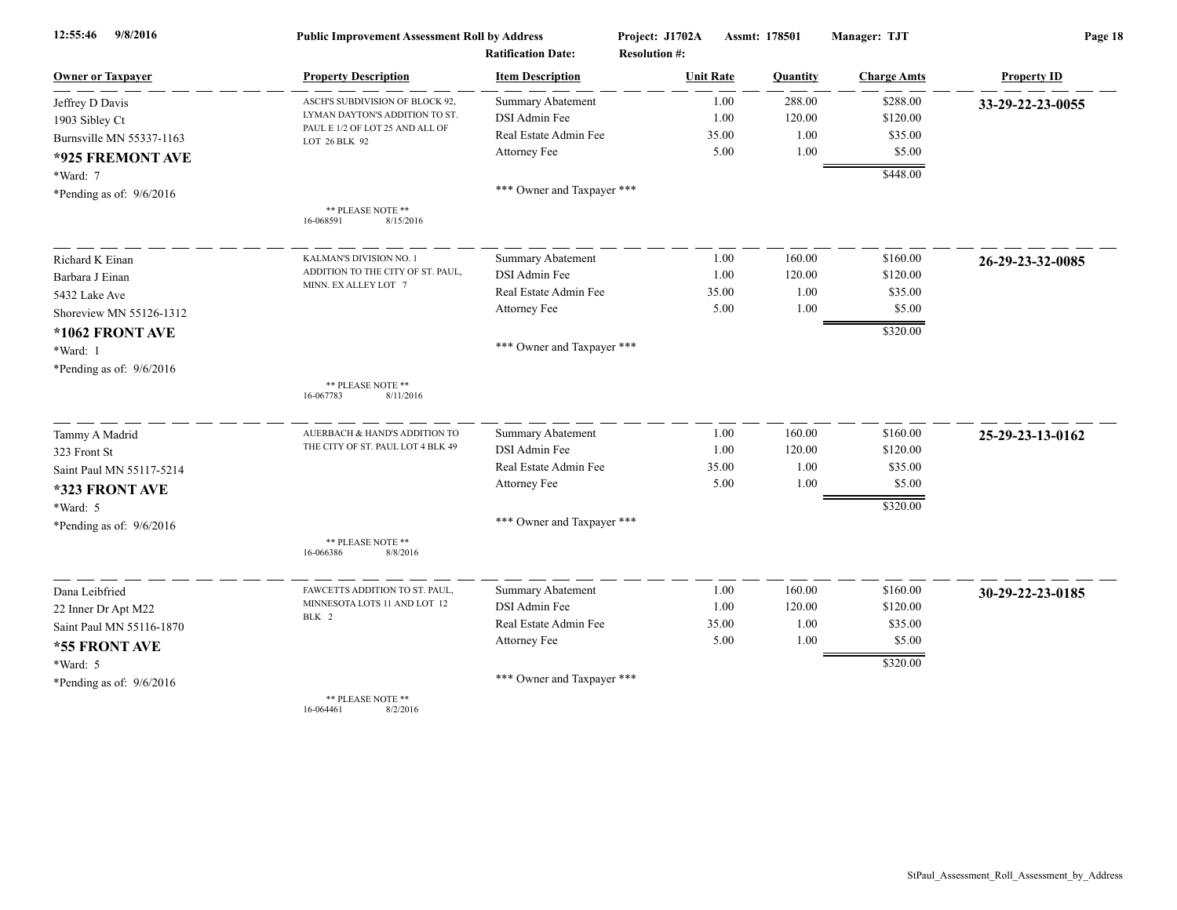| 9/8/2016<br>12:55:46       | <b>Public Improvement Assessment Roll by Address</b><br><b>Ratification Date:</b> |                            | Project: J1702A<br>Assmt: 178501<br><b>Resolution #:</b> |          | Manager: TJT       | Page 18            |  |
|----------------------------|-----------------------------------------------------------------------------------|----------------------------|----------------------------------------------------------|----------|--------------------|--------------------|--|
| <b>Owner or Taxpayer</b>   | <b>Property Description</b>                                                       | <b>Item Description</b>    | <b>Unit Rate</b>                                         | Quantity | <b>Charge Amts</b> | <b>Property ID</b> |  |
| Jeffrey D Davis            | ASCH'S SUBDIVISION OF BLOCK 92,                                                   | Summary Abatement          | 1.00                                                     | 288.00   | \$288.00           | 33-29-22-23-0055   |  |
| 1903 Sibley Ct             | LYMAN DAYTON'S ADDITION TO ST.                                                    | DSI Admin Fee              | 1.00                                                     | 120.00   | \$120.00           |                    |  |
| Burnsville MN 55337-1163   | PAUL E 1/2 OF LOT 25 AND ALL OF<br>LOT 26 BLK 92                                  | Real Estate Admin Fee      | 35.00                                                    | 1.00     | \$35.00            |                    |  |
| *925 FREMONT AVE           |                                                                                   | Attorney Fee               | 5.00                                                     | 1.00     | \$5.00             |                    |  |
| *Ward: 7                   |                                                                                   |                            |                                                          |          | \$448.00           |                    |  |
| *Pending as of: $9/6/2016$ |                                                                                   | *** Owner and Taxpayer *** |                                                          |          |                    |                    |  |
|                            | ** PLEASE NOTE **<br>16-068591<br>8/15/2016                                       |                            |                                                          |          |                    |                    |  |
| Richard K Einan            | KALMAN'S DIVISION NO. 1                                                           | <b>Summary Abatement</b>   | 1.00                                                     | 160.00   | \$160.00           | 26-29-23-32-0085   |  |
| Barbara J Einan            | ADDITION TO THE CITY OF ST. PAUL,                                                 | DSI Admin Fee              | 1.00                                                     | 120.00   | \$120.00           |                    |  |
| 5432 Lake Ave              | MINN. EX ALLEY LOT 7                                                              | Real Estate Admin Fee      | 35.00                                                    | 1.00     | \$35.00            |                    |  |
| Shoreview MN 55126-1312    |                                                                                   | Attorney Fee               | 5.00                                                     | 1.00     | \$5.00             |                    |  |
| *1062 FRONT AVE            |                                                                                   |                            |                                                          |          | \$320.00           |                    |  |
| *Ward: 1                   |                                                                                   | *** Owner and Taxpayer *** |                                                          |          |                    |                    |  |
| *Pending as of: $9/6/2016$ |                                                                                   |                            |                                                          |          |                    |                    |  |
|                            | ** PLEASE NOTE **<br>8/11/2016<br>16-067783                                       |                            |                                                          |          |                    |                    |  |
| Tammy A Madrid             | AUERBACH & HAND'S ADDITION TO                                                     | <b>Summary Abatement</b>   | 1.00                                                     | 160.00   | \$160.00           | 25-29-23-13-0162   |  |
| 323 Front St               | THE CITY OF ST. PAUL LOT 4 BLK 49                                                 | DSI Admin Fee              | 1.00                                                     | 120.00   | \$120.00           |                    |  |
| Saint Paul MN 55117-5214   |                                                                                   | Real Estate Admin Fee      | 35.00                                                    | 1.00     | \$35.00            |                    |  |
| *323 FRONT AVE             |                                                                                   | Attorney Fee               | 5.00                                                     | 1.00     | \$5.00             |                    |  |
| *Ward: 5                   |                                                                                   |                            |                                                          |          | \$320.00           |                    |  |
| *Pending as of: $9/6/2016$ |                                                                                   | *** Owner and Taxpayer *** |                                                          |          |                    |                    |  |
|                            | ** PLEASE NOTE **<br>16-066386<br>8/8/2016                                        |                            |                                                          |          |                    |                    |  |
| Dana Leibfried             | FAWCETTS ADDITION TO ST. PAUL                                                     | <b>Summary Abatement</b>   | 1.00                                                     | 160.00   | \$160.00           | 30-29-22-23-0185   |  |
| 22 Inner Dr Apt M22        | MINNESOTA LOTS 11 AND LOT 12                                                      | DSI Admin Fee              | 1.00                                                     | 120.00   | \$120.00           |                    |  |
| Saint Paul MN 55116-1870   | BLK 2                                                                             | Real Estate Admin Fee      | 35.00                                                    | 1.00     | \$35.00            |                    |  |
| *55 FRONT AVE              |                                                                                   | Attorney Fee               | 5.00                                                     | 1.00     | \$5.00             |                    |  |
| *Ward: 5                   |                                                                                   |                            |                                                          |          | \$320.00           |                    |  |
| *Pending as of: $9/6/2016$ |                                                                                   | *** Owner and Taxpayer *** |                                                          |          |                    |                    |  |
|                            | ** PLEASE NOTE **<br>16-064461<br>8/2/2016                                        |                            |                                                          |          |                    |                    |  |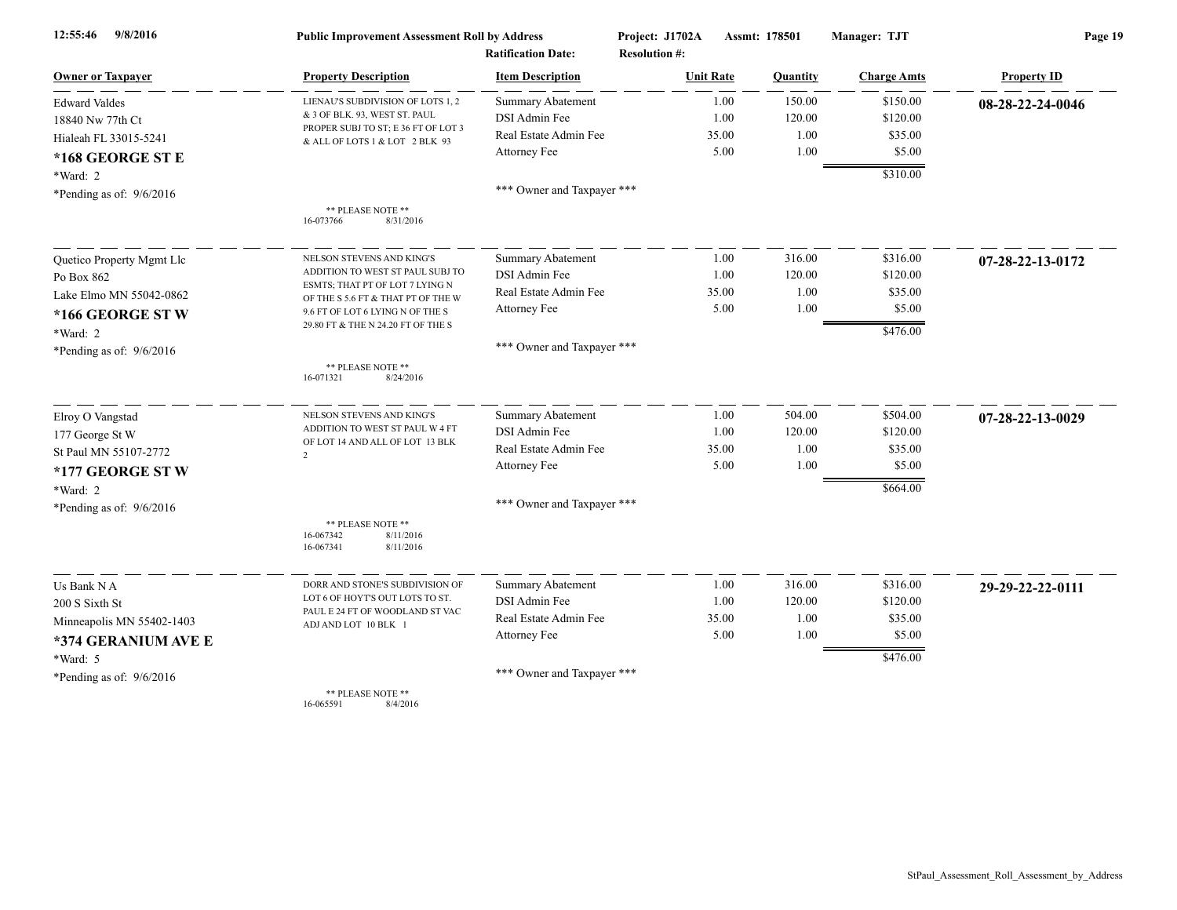| 9/8/2016<br>12:55:46       | <b>Public Improvement Assessment Roll by Address</b><br><b>Ratification Date:</b> |                            | Project: J1702A<br><b>Resolution #:</b> | Assmt: 178501  | Manager: TJT       | Page 19            |  |
|----------------------------|-----------------------------------------------------------------------------------|----------------------------|-----------------------------------------|----------------|--------------------|--------------------|--|
| <b>Owner or Taxpayer</b>   | <b>Property Description</b>                                                       | <b>Item Description</b>    | <b>Unit Rate</b>                        | Quantity       | <b>Charge Amts</b> | <b>Property ID</b> |  |
| <b>Edward Valdes</b>       | LIENAU'S SUBDIVISION OF LOTS 1, 2                                                 | <b>Summary Abatement</b>   |                                         | 150.00<br>1.00 | \$150.00           | 08-28-22-24-0046   |  |
| 18840 Nw 77th Ct           | & 3 OF BLK. 93, WEST ST. PAUL                                                     | DSI Admin Fee              |                                         | 120.00<br>1.00 | \$120.00           |                    |  |
| Hialeah FL 33015-5241      | PROPER SUBJ TO ST; E 36 FT OF LOT 3<br>& ALL OF LOTS 1 & LOT 2 BLK 93             | Real Estate Admin Fee      | 35.00                                   |                | 1.00<br>\$35.00    |                    |  |
| *168 GEORGE ST E           |                                                                                   | Attorney Fee               |                                         | 5.00           | 1.00<br>\$5.00     |                    |  |
| *Ward: 2                   |                                                                                   |                            |                                         |                | \$310.00           |                    |  |
| *Pending as of: 9/6/2016   |                                                                                   | *** Owner and Taxpayer *** |                                         |                |                    |                    |  |
|                            | ** PLEASE NOTE **<br>16-073766<br>8/31/2016                                       |                            |                                         |                |                    |                    |  |
| Quetico Property Mgmt Llc  | NELSON STEVENS AND KING'S                                                         | <b>Summary Abatement</b>   |                                         | 316.00<br>1.00 | \$316.00           | 07-28-22-13-0172   |  |
| Po Box 862                 | ADDITION TO WEST ST PAUL SUBJ TO                                                  | DSI Admin Fee              |                                         | 1.00<br>120.00 | \$120.00           |                    |  |
| Lake Elmo MN 55042-0862    | ESMTS; THAT PT OF LOT 7 LYING N<br>OF THE S 5.6 FT & THAT PT OF THE W             | Real Estate Admin Fee      |                                         | 35.00          | 1.00<br>\$35.00    |                    |  |
| *166 GEORGE STW            | 9.6 FT OF LOT 6 LYING N OF THE S                                                  | Attorney Fee               |                                         | 5.00           | 1.00<br>\$5.00     |                    |  |
| *Ward: 2                   | 29.80 FT & THE N 24.20 FT OF THE S                                                |                            |                                         |                | \$476.00           |                    |  |
| *Pending as of: $9/6/2016$ |                                                                                   | *** Owner and Taxpayer *** |                                         |                |                    |                    |  |
|                            | ** PLEASE NOTE **<br>8/24/2016<br>16-071321                                       |                            |                                         |                |                    |                    |  |
| Elroy O Vangstad           | NELSON STEVENS AND KING'S                                                         | <b>Summary Abatement</b>   |                                         | 504.00<br>1.00 | \$504.00           | 07-28-22-13-0029   |  |
| 177 George St W            | ADDITION TO WEST ST PAUL W 4 FT                                                   | DSI Admin Fee              |                                         | 120.00<br>1.00 | \$120.00           |                    |  |
| St Paul MN 55107-2772      | OF LOT 14 AND ALL OF LOT 13 BLK<br>$\mathcal{D}$                                  | Real Estate Admin Fee      | 35.00                                   |                | 1.00<br>\$35.00    |                    |  |
| *177 GEORGE ST W           |                                                                                   | Attorney Fee               |                                         | 5.00           | 1.00<br>\$5.00     |                    |  |
| *Ward: 2                   |                                                                                   |                            |                                         |                | \$664.00           |                    |  |
| *Pending as of: $9/6/2016$ |                                                                                   | *** Owner and Taxpayer *** |                                         |                |                    |                    |  |
|                            | ** PLEASE NOTE **<br>16-067342<br>8/11/2016<br>16-067341<br>8/11/2016             |                            |                                         |                |                    |                    |  |
| Us Bank N A                | DORR AND STONE'S SUBDIVISION OF                                                   | <b>Summary Abatement</b>   |                                         | 316.00<br>1.00 | \$316.00           | 29-29-22-22-0111   |  |
| 200 S Sixth St             | LOT 6 OF HOYT'S OUT LOTS TO ST.                                                   | DSI Admin Fee              |                                         | 120.00<br>1.00 | \$120.00           |                    |  |
| Minneapolis MN 55402-1403  | PAUL E 24 FT OF WOODLAND ST VAC<br>ADJ AND LOT 10 BLK 1                           | Real Estate Admin Fee      | 35.00                                   |                | 1.00<br>\$35.00    |                    |  |
| *374 GERANIUM AVE E        |                                                                                   | Attorney Fee               |                                         | 5.00           | 1.00<br>\$5.00     |                    |  |
| *Ward: 5                   |                                                                                   |                            |                                         |                | \$476.00           |                    |  |
| *Pending as of: $9/6/2016$ |                                                                                   | *** Owner and Taxpayer *** |                                         |                |                    |                    |  |
|                            | ** PLEASE NOTE **                                                                 |                            |                                         |                |                    |                    |  |

16-065591 8/4/2016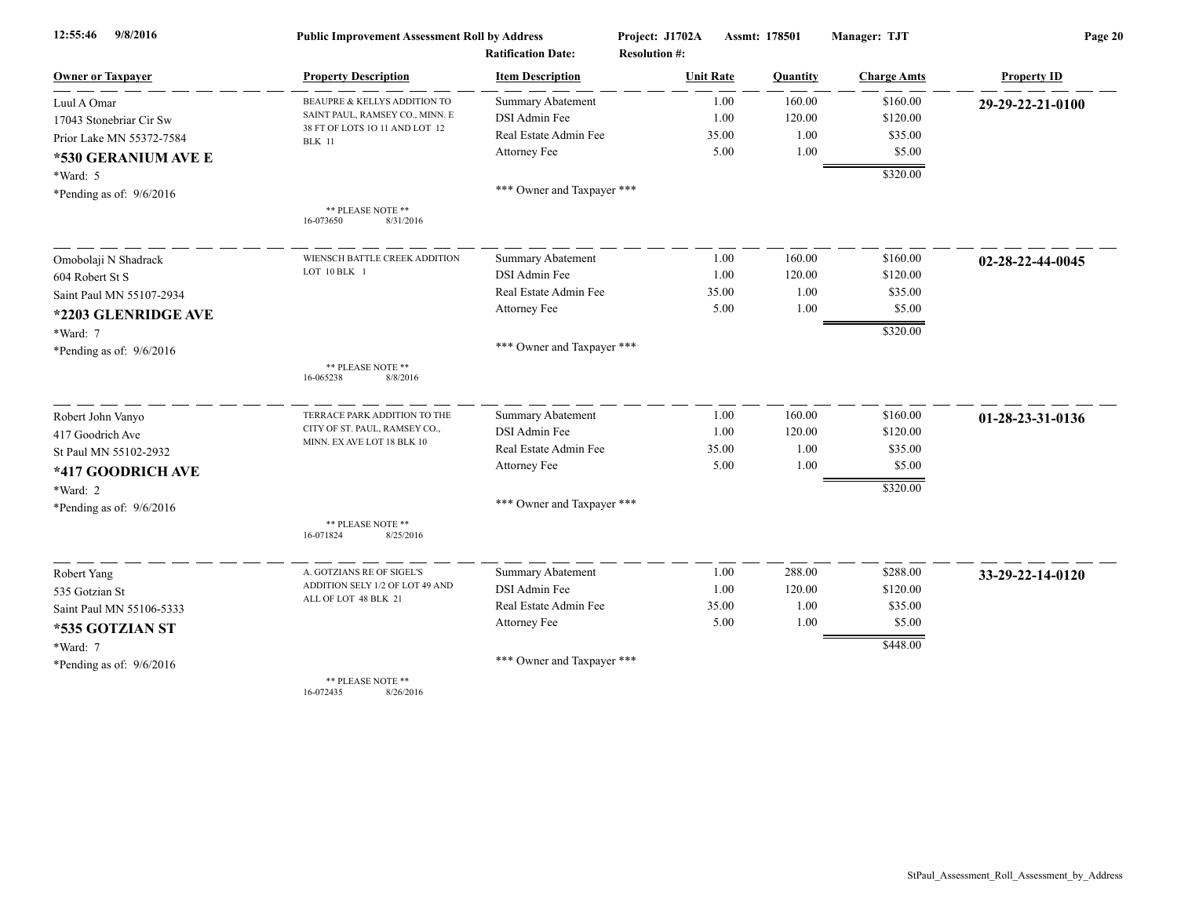| 9/8/2016<br>12:55:46       | <b>Public Improvement Assessment Roll by Address</b> |                            | Project: J1702A      | Assmt: 178501 | Manager: TJT       | Page 20            |  |
|----------------------------|------------------------------------------------------|----------------------------|----------------------|---------------|--------------------|--------------------|--|
|                            |                                                      | <b>Ratification Date:</b>  | <b>Resolution #:</b> |               |                    |                    |  |
| <b>Owner or Taxpayer</b>   | <b>Property Description</b>                          | <b>Item Description</b>    | <b>Unit Rate</b>     | Quantity      | <b>Charge Amts</b> | <b>Property ID</b> |  |
| Luul A Omar                | BEAUPRE & KELLYS ADDITION TO                         | <b>Summary Abatement</b>   | 1.00                 | 160.00        | \$160.00           | 29-29-22-21-0100   |  |
| 17043 Stonebriar Cir Sw    | SAINT PAUL, RAMSEY CO., MINN. E                      | DSI Admin Fee              | 1.00                 | 120.00        | \$120.00           |                    |  |
| Prior Lake MN 55372-7584   | 38 FT OF LOTS 10 11 AND LOT 12<br><b>BLK</b> 11      | Real Estate Admin Fee      | 35.00                | 1.00          | \$35.00            |                    |  |
| *530 GERANIUM AVE E        |                                                      | Attorney Fee               | 5.00                 | 1.00          | \$5.00             |                    |  |
| *Ward: 5                   |                                                      |                            |                      |               | \$320.00           |                    |  |
| *Pending as of: $9/6/2016$ |                                                      | *** Owner and Taxpayer *** |                      |               |                    |                    |  |
|                            | ** PLEASE NOTE **<br>8/31/2016<br>16-073650          |                            |                      |               |                    |                    |  |
| Omobolaji N Shadrack       | WIENSCH BATTLE CREEK ADDITION                        | <b>Summary Abatement</b>   | 1.00                 | 160.00        | \$160.00           | 02-28-22-44-0045   |  |
| 604 Robert St S            | LOT 10 BLK 1                                         | DSI Admin Fee              | 1.00                 | 120.00        | \$120.00           |                    |  |
| Saint Paul MN 55107-2934   |                                                      | Real Estate Admin Fee      | 35.00                | 1.00          | \$35.00            |                    |  |
| *2203 GLENRIDGE AVE        |                                                      | Attorney Fee               | 5.00                 | 1.00          | \$5.00             |                    |  |
| *Ward: 7                   |                                                      |                            |                      |               | \$320.00           |                    |  |
| *Pending as of: 9/6/2016   |                                                      | *** Owner and Taxpayer *** |                      |               |                    |                    |  |
|                            | ** PLEASE NOTE **<br>8/8/2016<br>16-065238           |                            |                      |               |                    |                    |  |
| Robert John Vanyo          | TERRACE PARK ADDITION TO THE                         | <b>Summary Abatement</b>   | 1.00                 | 160.00        | \$160.00           | 01-28-23-31-0136   |  |
| 417 Goodrich Ave           | CITY OF ST. PAUL, RAMSEY CO.,                        | DSI Admin Fee              | 1.00                 | 120.00        | \$120.00           |                    |  |
| St Paul MN 55102-2932      | MINN. EX AVE LOT 18 BLK 10                           | Real Estate Admin Fee      | 35.00                | 1.00          | \$35.00            |                    |  |
| *417 GOODRICH AVE          |                                                      | Attorney Fee               | 5.00                 | 1.00          | \$5.00             |                    |  |
| *Ward: 2                   |                                                      |                            |                      |               | \$320.00           |                    |  |
| *Pending as of: $9/6/2016$ |                                                      | *** Owner and Taxpayer *** |                      |               |                    |                    |  |
|                            | ** PLEASE NOTE **<br>16-071824<br>8/25/2016          |                            |                      |               |                    |                    |  |
| Robert Yang                | A. GOTZIANS RE OF SIGEL'S                            | <b>Summary Abatement</b>   | 1.00                 | 288.00        | \$288.00           | 33-29-22-14-0120   |  |
| 535 Gotzian St             | ADDITION SELY 1/2 OF LOT 49 AND                      | DSI Admin Fee              | 1.00                 | 120.00        | \$120.00           |                    |  |
| Saint Paul MN 55106-5333   | ALL OF LOT 48 BLK 21                                 | Real Estate Admin Fee      | 35.00                | 1.00          | \$35.00            |                    |  |
| *535 GOTZIAN ST            |                                                      | Attorney Fee               | 5.00                 | 1.00          | \$5.00             |                    |  |
| *Ward: 7                   |                                                      |                            |                      |               | \$448.00           |                    |  |
| *Pending as of: $9/6/2016$ |                                                      | *** Owner and Taxpayer *** |                      |               |                    |                    |  |
|                            | ** PLEASE NOTE **                                    |                            |                      |               |                    |                    |  |

16-072435 8/26/2016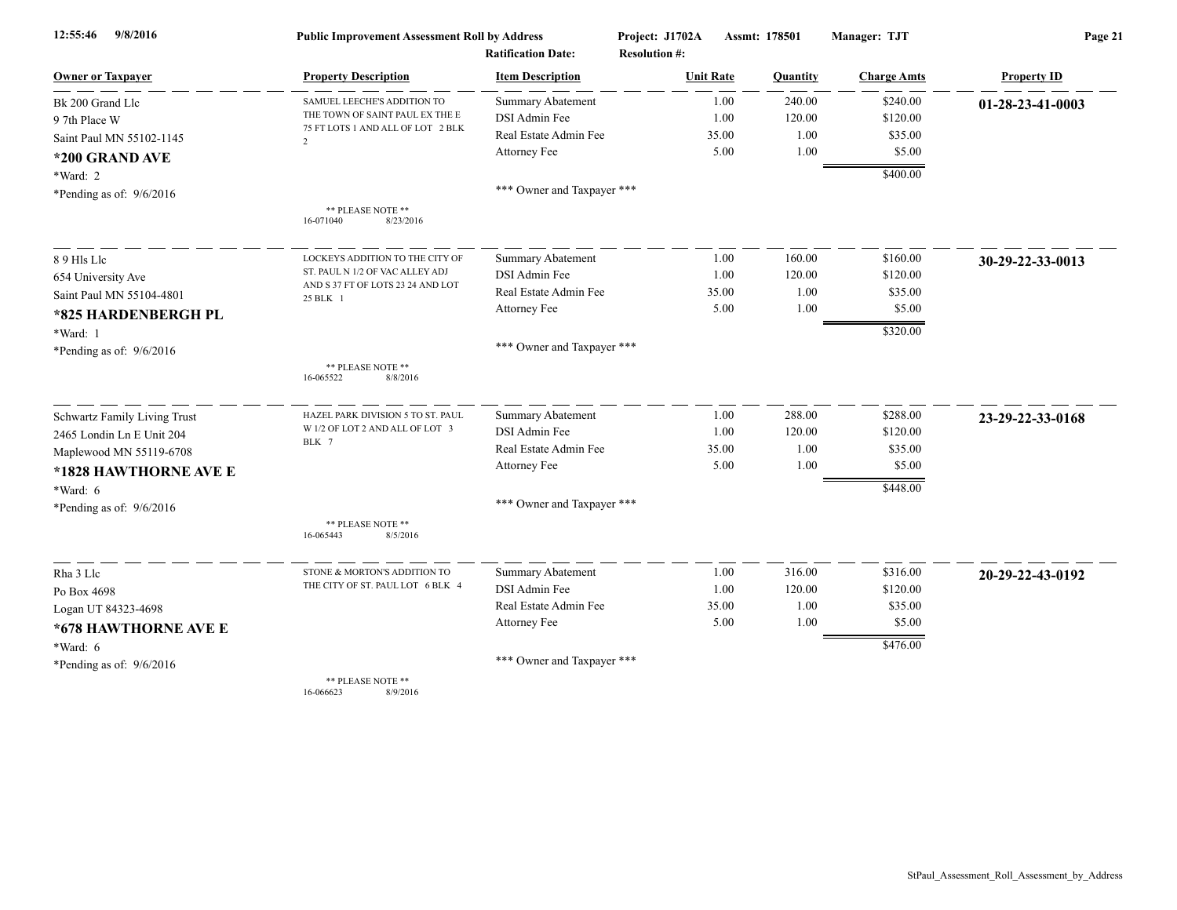| 9/8/2016<br>12:55:46         | <b>Public Improvement Assessment Roll by Address</b> |                            | Project: J1702A      | Assmt: 178501 | Manager: TJT       | Page 21            |  |
|------------------------------|------------------------------------------------------|----------------------------|----------------------|---------------|--------------------|--------------------|--|
|                              |                                                      | <b>Ratification Date:</b>  | <b>Resolution #:</b> |               |                    |                    |  |
| <b>Owner or Taxpayer</b>     | <b>Property Description</b>                          | <b>Item Description</b>    | <b>Unit Rate</b>     | Quantity      | <b>Charge Amts</b> | <b>Property ID</b> |  |
| Bk 200 Grand Llc             | SAMUEL LEECHE'S ADDITION TO                          | <b>Summary Abatement</b>   | 1.00                 | 240.00        | \$240.00           | 01-28-23-41-0003   |  |
| 9 7th Place W                | THE TOWN OF SAINT PAUL EX THE E                      | DSI Admin Fee              | 1.00                 | 120.00        | \$120.00           |                    |  |
| Saint Paul MN 55102-1145     | 75 FT LOTS 1 AND ALL OF LOT 2 BLK<br>$\overline{2}$  | Real Estate Admin Fee      | 35.00                | 1.00          | \$35.00            |                    |  |
| *200 GRAND AVE               |                                                      | Attorney Fee               | 5.00                 | 1.00          | \$5.00             |                    |  |
| *Ward: 2                     |                                                      |                            |                      |               | \$400.00           |                    |  |
| *Pending as of: $9/6/2016$   |                                                      | *** Owner and Taxpayer *** |                      |               |                    |                    |  |
|                              | ** PLEASE NOTE **<br>8/23/2016<br>16-071040          |                            |                      |               |                    |                    |  |
| 89 Hls Llc                   | LOCKEYS ADDITION TO THE CITY OF                      | <b>Summary Abatement</b>   | 1.00                 | 160.00        | \$160.00           | 30-29-22-33-0013   |  |
| 654 University Ave           | ST. PAUL N 1/2 OF VAC ALLEY ADJ                      | DSI Admin Fee              | 1.00                 | 120.00        | \$120.00           |                    |  |
| Saint Paul MN 55104-4801     | AND S 37 FT OF LOTS 23 24 AND LOT<br>25 BLK 1        | Real Estate Admin Fee      | 35.00                | 1.00          | \$35.00            |                    |  |
| *825 HARDENBERGH PL          |                                                      | Attorney Fee               | 5.00                 | 1.00          | \$5.00             |                    |  |
| *Ward: 1                     |                                                      |                            |                      |               | \$320.00           |                    |  |
| *Pending as of: $9/6/2016$   |                                                      | *** Owner and Taxpayer *** |                      |               |                    |                    |  |
|                              | ** PLEASE NOTE **<br>16-065522<br>8/8/2016           |                            |                      |               |                    |                    |  |
| Schwartz Family Living Trust | HAZEL PARK DIVISION 5 TO ST. PAUL                    | Summary Abatement          | 1.00                 | 288.00        | \$288.00           | 23-29-22-33-0168   |  |
| 2465 Londin Ln E Unit 204    | W 1/2 OF LOT 2 AND ALL OF LOT 3<br>BLK 7             | DSI Admin Fee              | 1.00                 | 120.00        | \$120.00           |                    |  |
| Maplewood MN 55119-6708      |                                                      | Real Estate Admin Fee      | 35.00                | 1.00          | \$35.00            |                    |  |
| *1828 HAWTHORNE AVE E        |                                                      | Attorney Fee               | 5.00                 | 1.00          | \$5.00             |                    |  |
| *Ward: 6                     |                                                      |                            |                      |               | \$448.00           |                    |  |
| *Pending as of: $9/6/2016$   |                                                      | *** Owner and Taxpayer *** |                      |               |                    |                    |  |
|                              | ** PLEASE NOTE **<br>16-065443<br>8/5/2016           |                            |                      |               |                    |                    |  |
| Rha 3 Llc                    | STONE & MORTON'S ADDITION TO                         | Summary Abatement          | 1.00                 | 316.00        | \$316.00           | 20-29-22-43-0192   |  |
| Po Box 4698                  | THE CITY OF ST. PAUL LOT 6 BLK 4                     | <b>DSI</b> Admin Fee       | 1.00                 | 120.00        | \$120.00           |                    |  |
| Logan UT 84323-4698          |                                                      | Real Estate Admin Fee      | 35.00                | 1.00          | \$35.00            |                    |  |
| *678 HAWTHORNE AVE E         |                                                      | Attorney Fee               | 5.00                 | 1.00          | \$5.00             |                    |  |
| *Ward: 6                     |                                                      |                            |                      |               | \$476.00           |                    |  |
| *Pending as of: $9/6/2016$   |                                                      | *** Owner and Taxpayer *** |                      |               |                    |                    |  |
|                              | ** PLEASE NOTE **                                    |                            |                      |               |                    |                    |  |

16-066623 8/9/2016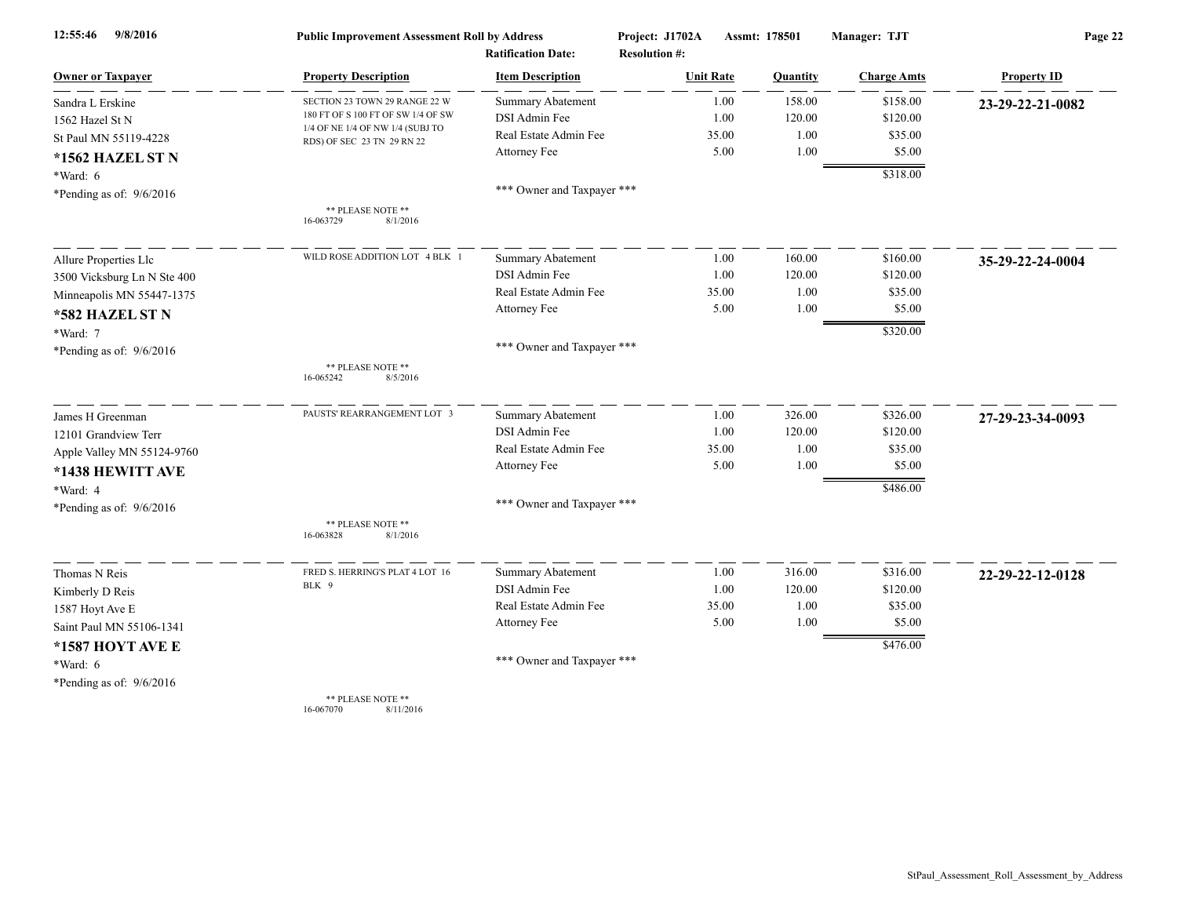| 9/8/2016<br>12:55:46        | <b>Public Improvement Assessment Roll by Address</b>                   |                            | Project: J1702A      | Assmt: 178501 |          | Manager: TJT       | Page 22            |  |
|-----------------------------|------------------------------------------------------------------------|----------------------------|----------------------|---------------|----------|--------------------|--------------------|--|
|                             |                                                                        | <b>Ratification Date:</b>  | <b>Resolution #:</b> |               |          |                    |                    |  |
| <b>Owner or Taxpayer</b>    | <b>Property Description</b>                                            | <b>Item Description</b>    | <b>Unit Rate</b>     |               | Quantity | <b>Charge Amts</b> | <b>Property ID</b> |  |
| Sandra L Erskine            | SECTION 23 TOWN 29 RANGE 22 W                                          | <b>Summary Abatement</b>   |                      | 1.00          | 158.00   | \$158.00           | 23-29-22-21-0082   |  |
| 1562 Hazel St N             | 180 FT OF S 100 FT OF SW 1/4 OF SW<br>1/4 OF NE 1/4 OF NW 1/4 (SUBJ TO | DSI Admin Fee              |                      | 1.00          | 120.00   | \$120.00           |                    |  |
| St Paul MN 55119-4228       | RDS) OF SEC 23 TN 29 RN 22                                             | Real Estate Admin Fee      |                      | 35.00         | 1.00     | \$35.00            |                    |  |
| *1562 HAZEL ST N            |                                                                        | Attorney Fee               |                      | 5.00          | 1.00     | \$5.00             |                    |  |
| $*Ward: 6$                  |                                                                        |                            |                      |               |          | \$318.00           |                    |  |
| *Pending as of: 9/6/2016    |                                                                        | *** Owner and Taxpayer *** |                      |               |          |                    |                    |  |
|                             | ** PLEASE NOTE **<br>16-063729<br>8/1/2016                             |                            |                      |               |          |                    |                    |  |
| Allure Properties Llc       | WILD ROSE ADDITION LOT 4 BLK 1                                         | <b>Summary Abatement</b>   |                      | 1.00          | 160.00   | \$160.00           | 35-29-22-24-0004   |  |
| 3500 Vicksburg Ln N Ste 400 |                                                                        | <b>DSI</b> Admin Fee       |                      | 1.00          | 120.00   | \$120.00           |                    |  |
| Minneapolis MN 55447-1375   |                                                                        | Real Estate Admin Fee      |                      | 35.00         | 1.00     | \$35.00            |                    |  |
| *582 HAZEL ST N             |                                                                        | Attorney Fee               |                      | 5.00          | $1.00\,$ | \$5.00             |                    |  |
| *Ward: 7                    |                                                                        |                            |                      |               |          | \$320.00           |                    |  |
| *Pending as of: $9/6/2016$  |                                                                        | *** Owner and Taxpayer *** |                      |               |          |                    |                    |  |
|                             | ** PLEASE NOTE **<br>16-065242<br>8/5/2016                             |                            |                      |               |          |                    |                    |  |
| James H Greenman            | PAUSTS' REARRANGEMENT LOT 3                                            | <b>Summary Abatement</b>   |                      | 1.00          | 326.00   | \$326.00           | 27-29-23-34-0093   |  |
| 12101 Grandview Terr        |                                                                        | DSI Admin Fee              |                      | 1.00          | 120.00   | \$120.00           |                    |  |
| Apple Valley MN 55124-9760  |                                                                        | Real Estate Admin Fee      |                      | 35.00         | 1.00     | \$35.00            |                    |  |
| *1438 HEWITT AVE            |                                                                        | Attorney Fee               |                      | 5.00          | 1.00     | \$5.00             |                    |  |
| *Ward: 4                    |                                                                        |                            |                      |               |          | \$486.00           |                    |  |
| *Pending as of: $9/6/2016$  |                                                                        | *** Owner and Taxpayer *** |                      |               |          |                    |                    |  |
|                             | ** PLEASE NOTE **<br>16-063828<br>8/1/2016                             |                            |                      |               |          |                    |                    |  |
| Thomas N Reis               | FRED S. HERRING'S PLAT 4 LOT 16                                        | <b>Summary Abatement</b>   |                      | 1.00          | 316.00   | \$316.00           | 22-29-22-12-0128   |  |
| Kimberly D Reis             | BLK 9                                                                  | DSI Admin Fee              |                      | 1.00          | 120.00   | \$120.00           |                    |  |
| 1587 Hoyt Ave E             |                                                                        | Real Estate Admin Fee      |                      | 35.00         | 1.00     | \$35.00            |                    |  |
| Saint Paul MN 55106-1341    |                                                                        | Attorney Fee               |                      | 5.00          | 1.00     | \$5.00             |                    |  |
| *1587 HOYT AVE E            |                                                                        |                            |                      |               |          | \$476.00           |                    |  |
| *Ward: 6                    |                                                                        | *** Owner and Taxpayer *** |                      |               |          |                    |                    |  |
| *Pending as of: 9/6/2016    |                                                                        |                            |                      |               |          |                    |                    |  |
|                             | ** PLEASE NOTE **                                                      |                            |                      |               |          |                    |                    |  |

16-067070 8/11/2016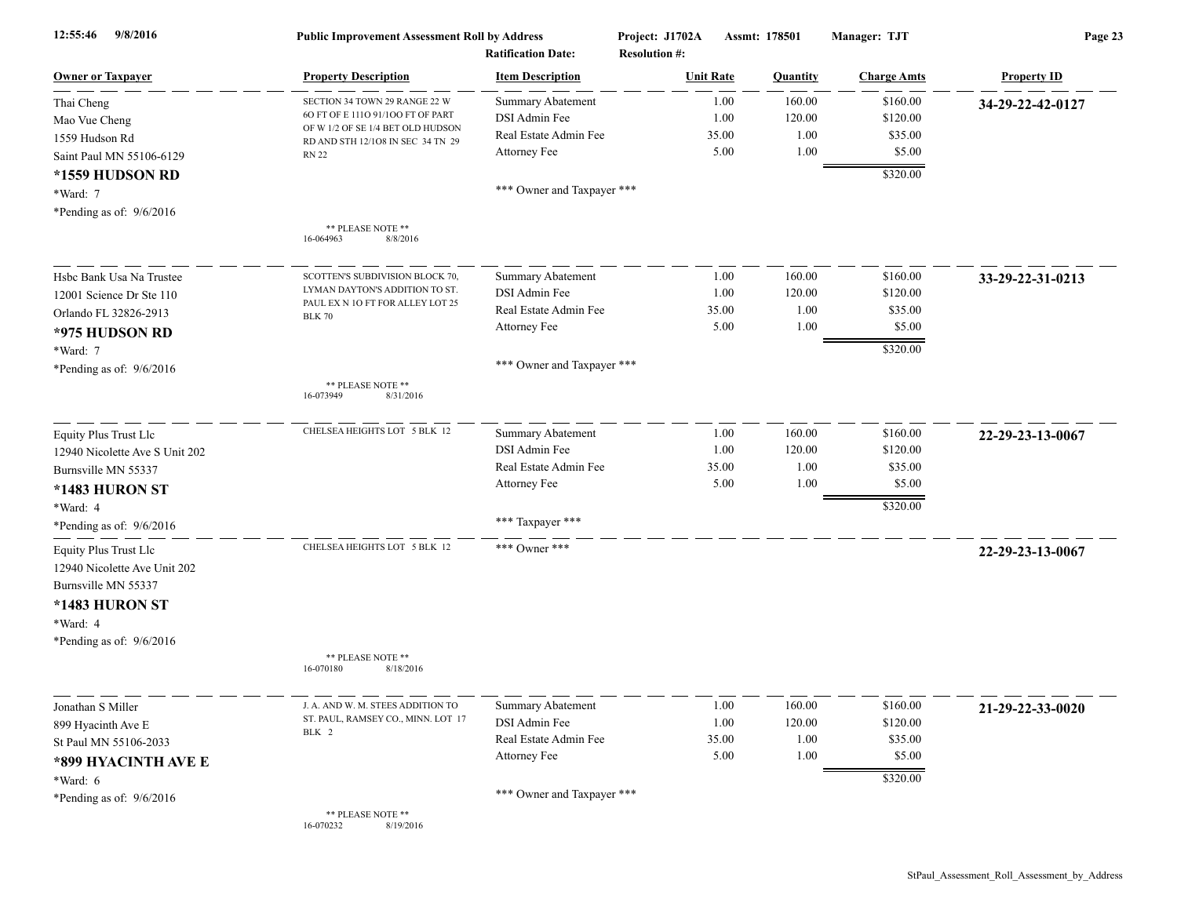| 9/8/2016<br>12:55:46           | <b>Public Improvement Assessment Roll by Address</b><br><b>Ratification Date:</b> |                            | Project: J1702A<br>Assmt: 178501<br><b>Resolution #:</b> |          | Manager: TJT       | Page 23            |  |
|--------------------------------|-----------------------------------------------------------------------------------|----------------------------|----------------------------------------------------------|----------|--------------------|--------------------|--|
| <b>Owner or Taxpayer</b>       | <b>Property Description</b>                                                       | <b>Item Description</b>    | <b>Unit Rate</b>                                         | Quantity | <b>Charge Amts</b> | <b>Property ID</b> |  |
| Thai Cheng                     | SECTION 34 TOWN 29 RANGE 22 W                                                     | <b>Summary Abatement</b>   | 1.00                                                     | 160.00   | \$160.00           | 34-29-22-42-0127   |  |
| Mao Vue Cheng                  | 60 FT OF E 1110 91/100 FT OF PART                                                 | DSI Admin Fee              | 1.00                                                     | 120.00   | \$120.00           |                    |  |
| 1559 Hudson Rd                 | OF W 1/2 OF SE 1/4 BET OLD HUDSON<br>RD AND STH 12/108 IN SEC 34 TN 29            | Real Estate Admin Fee      | 35.00                                                    | 1.00     | \$35.00            |                    |  |
| Saint Paul MN 55106-6129       | <b>RN 22</b>                                                                      | Attorney Fee               | 5.00                                                     | 1.00     | \$5.00             |                    |  |
| *1559 HUDSON RD                |                                                                                   |                            |                                                          |          | \$320.00           |                    |  |
| *Ward: 7                       |                                                                                   | *** Owner and Taxpayer *** |                                                          |          |                    |                    |  |
| *Pending as of: $9/6/2016$     |                                                                                   |                            |                                                          |          |                    |                    |  |
|                                | ** PLEASE NOTE **<br>16-064963<br>8/8/2016                                        |                            |                                                          |          |                    |                    |  |
| Hsbc Bank Usa Na Trustee       | SCOTTEN'S SUBDIVISION BLOCK 70,                                                   | <b>Summary Abatement</b>   | 1.00                                                     | 160.00   | \$160.00           | 33-29-22-31-0213   |  |
| 12001 Science Dr Ste 110       | LYMAN DAYTON'S ADDITION TO ST.                                                    | DSI Admin Fee              | 1.00                                                     | 120.00   | \$120.00           |                    |  |
| Orlando FL 32826-2913          | PAUL EX N 10 FT FOR ALLEY LOT 25<br><b>BLK 70</b>                                 | Real Estate Admin Fee      | 35.00                                                    | 1.00     | \$35.00            |                    |  |
| *975 HUDSON RD                 |                                                                                   | Attorney Fee               | 5.00                                                     | 1.00     | \$5.00             |                    |  |
| *Ward: 7                       |                                                                                   |                            |                                                          |          | \$320.00           |                    |  |
| *Pending as of: $9/6/2016$     |                                                                                   | *** Owner and Taxpayer *** |                                                          |          |                    |                    |  |
|                                | ** PLEASE NOTE **<br>16-073949<br>8/31/2016                                       |                            |                                                          |          |                    |                    |  |
| Equity Plus Trust Llc          | CHELSEA HEIGHTS LOT 5 BLK 12                                                      | Summary Abatement          | 1.00                                                     | 160.00   | \$160.00           | 22-29-23-13-0067   |  |
| 12940 Nicolette Ave S Unit 202 |                                                                                   | DSI Admin Fee              | 1.00                                                     | 120.00   | \$120.00           |                    |  |
| Burnsville MN 55337            |                                                                                   | Real Estate Admin Fee      | 35.00                                                    | 1.00     | \$35.00            |                    |  |
| *1483 HURON ST                 |                                                                                   | Attorney Fee               | 5.00                                                     | 1.00     | \$5.00             |                    |  |
| *Ward: 4                       |                                                                                   |                            |                                                          |          | \$320.00           |                    |  |
| *Pending as of: 9/6/2016       |                                                                                   | *** Taxpayer ***           |                                                          |          |                    |                    |  |
| <b>Equity Plus Trust Llc</b>   | CHELSEA HEIGHTS LOT 5 BLK 12                                                      | *** Owner ***              |                                                          |          |                    | 22-29-23-13-0067   |  |
| 12940 Nicolette Ave Unit 202   |                                                                                   |                            |                                                          |          |                    |                    |  |
| Burnsville MN 55337            |                                                                                   |                            |                                                          |          |                    |                    |  |
| *1483 HURON ST                 |                                                                                   |                            |                                                          |          |                    |                    |  |
| *Ward: 4                       |                                                                                   |                            |                                                          |          |                    |                    |  |
| *Pending as of: $9/6/2016$     |                                                                                   |                            |                                                          |          |                    |                    |  |
|                                | ** PLEASE NOTE **<br>8/18/2016<br>16-070180                                       |                            |                                                          |          |                    |                    |  |
| Jonathan S Miller              | J. A. AND W. M. STEES ADDITION TO                                                 | <b>Summary Abatement</b>   | 1.00                                                     | 160.00   | \$160.00           | 21-29-22-33-0020   |  |
| 899 Hyacinth Ave E             | ST. PAUL, RAMSEY CO., MINN. LOT 17                                                | DSI Admin Fee              | 1.00                                                     | 120.00   | \$120.00           |                    |  |
| St Paul MN 55106-2033          | BLK 2                                                                             | Real Estate Admin Fee      | 35.00                                                    | 1.00     | \$35.00            |                    |  |
| *899 HYACINTH AVE E            |                                                                                   | Attorney Fee               | 5.00                                                     | 1.00     | \$5.00             |                    |  |
| *Ward: $6$                     |                                                                                   |                            |                                                          |          | \$320.00           |                    |  |
| *Pending as of: $9/6/2016$     |                                                                                   | *** Owner and Taxpayer *** |                                                          |          |                    |                    |  |
|                                | ** PLEASE NOTE **<br>16-070232<br>8/19/2016                                       |                            |                                                          |          |                    |                    |  |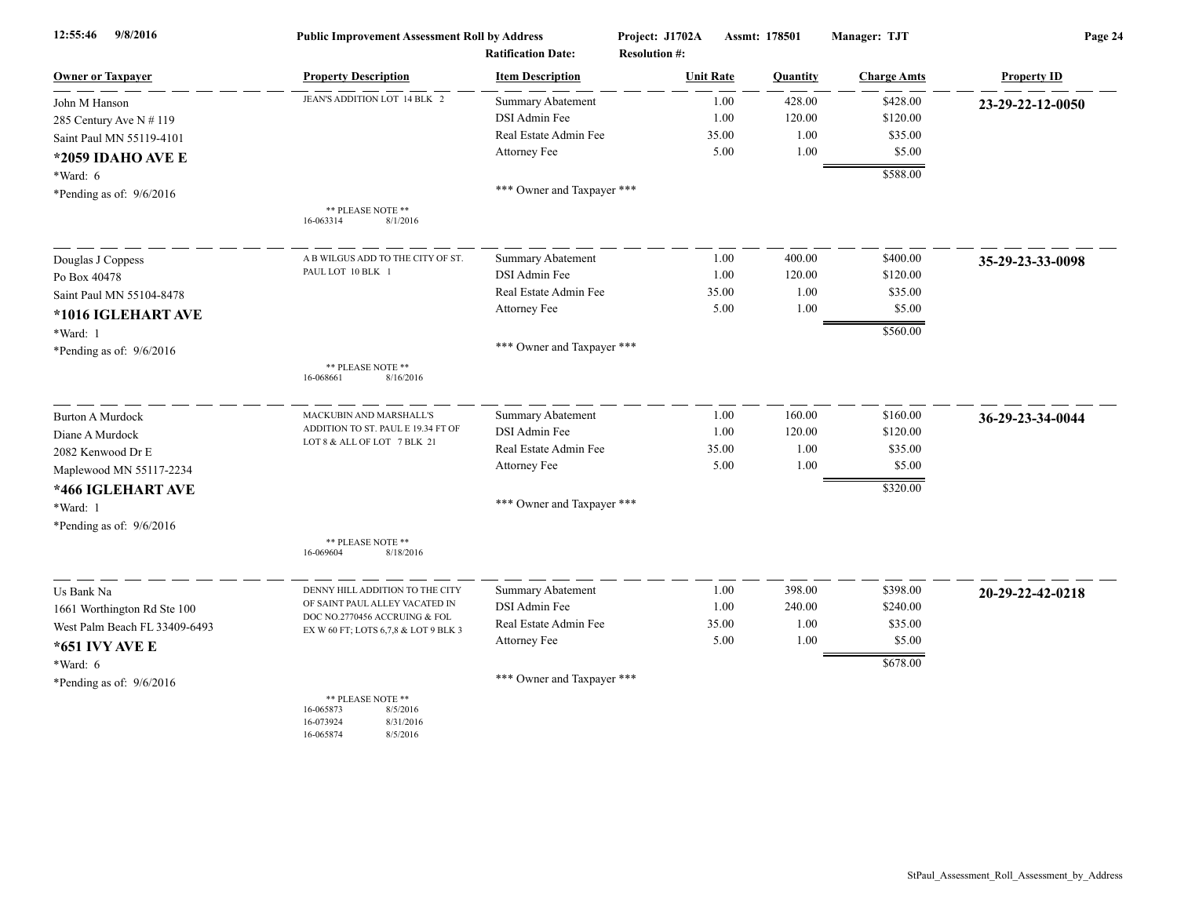| 9/8/2016<br>12:55:46          | <b>Public Improvement Assessment Roll by Address</b><br><b>Ratification Date:</b>             |                            | Project: J1702A<br><b>Resolution #:</b> | Assmt: 178501 |          | Manager: TJT       | Page 24            |  |
|-------------------------------|-----------------------------------------------------------------------------------------------|----------------------------|-----------------------------------------|---------------|----------|--------------------|--------------------|--|
| <b>Owner or Taxpayer</b>      | <b>Property Description</b>                                                                   | <b>Item Description</b>    | <b>Unit Rate</b>                        |               | Quantity | <b>Charge Amts</b> | <b>Property ID</b> |  |
| John M Hanson                 | JEAN'S ADDITION LOT 14 BLK 2                                                                  | <b>Summary Abatement</b>   |                                         | 1.00          | 428.00   | \$428.00           | 23-29-22-12-0050   |  |
| 285 Century Ave N # 119       |                                                                                               | DSI Admin Fee              |                                         | 1.00          | 120.00   | \$120.00           |                    |  |
| Saint Paul MN 55119-4101      |                                                                                               | Real Estate Admin Fee      |                                         | 35.00         | 1.00     | \$35.00            |                    |  |
| *2059 IDAHO AVE E             |                                                                                               | Attorney Fee               |                                         | 5.00          | 1.00     | \$5.00             |                    |  |
| *Ward: 6                      |                                                                                               |                            |                                         |               |          | \$588.00           |                    |  |
| *Pending as of: $9/6/2016$    |                                                                                               | *** Owner and Taxpayer *** |                                         |               |          |                    |                    |  |
|                               | ** PLEASE NOTE **<br>8/1/2016<br>16-063314                                                    |                            |                                         |               |          |                    |                    |  |
| Douglas J Coppess             | A B WILGUS ADD TO THE CITY OF ST.                                                             | Summary Abatement          |                                         | 1.00          | 400.00   | \$400.00           | 35-29-23-33-0098   |  |
| Po Box 40478                  | PAUL LOT 10 BLK 1                                                                             | DSI Admin Fee              |                                         | 1.00          | 120.00   | \$120.00           |                    |  |
| Saint Paul MN 55104-8478      |                                                                                               | Real Estate Admin Fee      | 35.00                                   |               | 1.00     | \$35.00            |                    |  |
| *1016 IGLEHART AVE            |                                                                                               | Attorney Fee               |                                         | 5.00          | 1.00     | \$5.00             |                    |  |
| *Ward: 1                      |                                                                                               |                            |                                         |               |          | \$560.00           |                    |  |
| *Pending as of: $9/6/2016$    |                                                                                               | *** Owner and Taxpayer *** |                                         |               |          |                    |                    |  |
|                               | ** PLEASE NOTE **<br>16-068661<br>8/16/2016                                                   |                            |                                         |               |          |                    |                    |  |
| <b>Burton A Murdock</b>       | MACKUBIN AND MARSHALL'S                                                                       | Summary Abatement          |                                         | 1.00          | 160.00   | \$160.00           | 36-29-23-34-0044   |  |
| Diane A Murdock               | ADDITION TO ST. PAUL E 19.34 FT OF<br>LOT 8 & ALL OF LOT 7 BLK 21                             | DSI Admin Fee              |                                         | 1.00          | 120.00   | \$120.00           |                    |  |
| 2082 Kenwood Dr E             |                                                                                               | Real Estate Admin Fee      | 35.00                                   |               | 1.00     | \$35.00            |                    |  |
| Maplewood MN 55117-2234       |                                                                                               | Attorney Fee               |                                         | 5.00          | 1.00     | \$5.00             |                    |  |
| *466 IGLEHART AVE             |                                                                                               |                            |                                         |               |          | \$320.00           |                    |  |
| *Ward: 1                      |                                                                                               | *** Owner and Taxpayer *** |                                         |               |          |                    |                    |  |
| *Pending as of: $9/6/2016$    |                                                                                               |                            |                                         |               |          |                    |                    |  |
|                               | ** PLEASE NOTE **<br>16-069604<br>8/18/2016                                                   |                            |                                         |               |          |                    |                    |  |
| Us Bank Na                    | DENNY HILL ADDITION TO THE CITY                                                               | <b>Summary Abatement</b>   |                                         | 1.00          | 398.00   | \$398.00           | 20-29-22-42-0218   |  |
| 1661 Worthington Rd Ste 100   | OF SAINT PAUL ALLEY VACATED IN                                                                | DSI Admin Fee              |                                         | 1.00          | 240.00   | \$240.00           |                    |  |
| West Palm Beach FL 33409-6493 | DOC NO.2770456 ACCRUING & FOL<br>EX W 60 FT; LOTS 6,7,8 & LOT 9 BLK 3                         | Real Estate Admin Fee      |                                         | 35.00         | 1.00     | \$35.00            |                    |  |
| *651 IVY AVE E                |                                                                                               | Attorney Fee               |                                         | 5.00          | 1.00     | \$5.00             |                    |  |
| *Ward: 6                      |                                                                                               |                            |                                         |               |          | \$678.00           |                    |  |
| *Pending as of: $9/6/2016$    |                                                                                               | *** Owner and Taxpayer *** |                                         |               |          |                    |                    |  |
|                               | ** PLEASE NOTE **<br>8/5/2016<br>16-065873<br>16-073924<br>8/31/2016<br>16-065874<br>8/5/2016 |                            |                                         |               |          |                    |                    |  |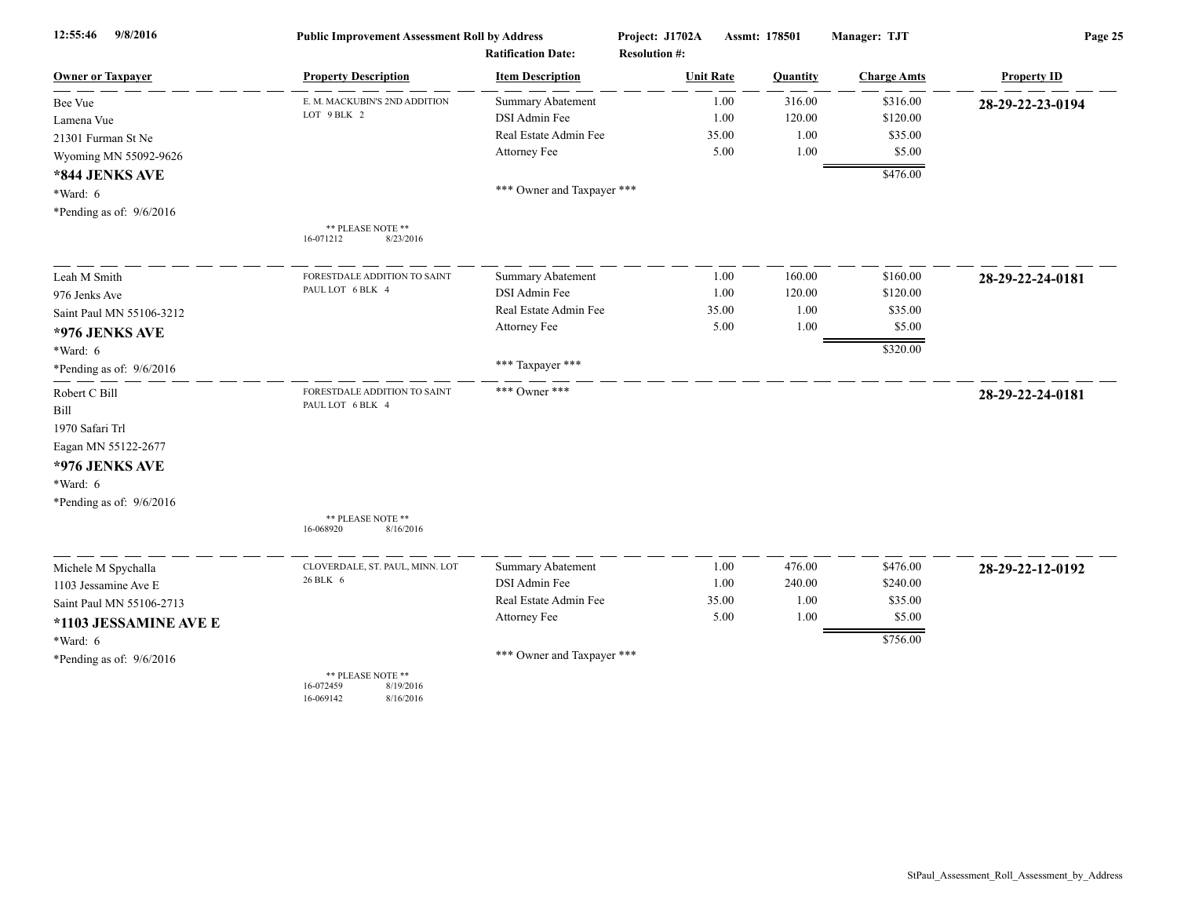| 9/8/2016<br>12:55:46       | <b>Public Improvement Assessment Roll by Address</b>                  |                            | Project: J1702A<br>Assmt: 178501 |          | Manager: TJT       | Page 25            |  |
|----------------------------|-----------------------------------------------------------------------|----------------------------|----------------------------------|----------|--------------------|--------------------|--|
|                            |                                                                       | <b>Ratification Date:</b>  | <b>Resolution #:</b>             |          |                    |                    |  |
| <b>Owner or Taxpayer</b>   | <b>Property Description</b>                                           | <b>Item Description</b>    | <b>Unit Rate</b>                 | Quantity | <b>Charge Amts</b> | <b>Property ID</b> |  |
| Bee Vue                    | E. M. MACKUBIN'S 2ND ADDITION                                         | <b>Summary Abatement</b>   | 1.00                             | 316.00   | \$316.00           | 28-29-22-23-0194   |  |
| Lamena Vue                 | LOT 9 BLK 2                                                           | DSI Admin Fee              | 1.00                             | 120.00   | \$120.00           |                    |  |
| 21301 Furman St Ne         |                                                                       | Real Estate Admin Fee      | 35.00                            | 1.00     | \$35.00            |                    |  |
| Wyoming MN 55092-9626      |                                                                       | Attorney Fee               | 5.00                             | 1.00     | \$5.00             |                    |  |
| *844 JENKS AVE             |                                                                       |                            |                                  |          | \$476.00           |                    |  |
| *Ward: 6                   |                                                                       | *** Owner and Taxpayer *** |                                  |          |                    |                    |  |
| *Pending as of: $9/6/2016$ |                                                                       |                            |                                  |          |                    |                    |  |
|                            | ** PLEASE NOTE **<br>8/23/2016<br>16-071212                           |                            |                                  |          |                    |                    |  |
| Leah M Smith               | FORESTDALE ADDITION TO SAINT                                          | Summary Abatement          | 1.00                             | 160.00   | \$160.00           | 28-29-22-24-0181   |  |
| 976 Jenks Ave              | PAUL LOT 6 BLK 4                                                      | DSI Admin Fee              | 1.00                             | 120.00   | \$120.00           |                    |  |
| Saint Paul MN 55106-3212   |                                                                       | Real Estate Admin Fee      | 35.00                            | 1.00     | \$35.00            |                    |  |
| *976 JENKS AVE             |                                                                       | Attorney Fee               | 5.00                             | 1.00     | \$5.00             |                    |  |
| $*Ward: 6$                 |                                                                       |                            |                                  |          | \$320.00           |                    |  |
| *Pending as of: 9/6/2016   |                                                                       | *** Taxpayer ***           |                                  |          |                    |                    |  |
| Robert C Bill              | FORESTDALE ADDITION TO SAINT                                          | *** Owner ***              |                                  |          |                    | 28-29-22-24-0181   |  |
| Bill                       | PAUL LOT 6 BLK 4                                                      |                            |                                  |          |                    |                    |  |
| 1970 Safari Trl            |                                                                       |                            |                                  |          |                    |                    |  |
| Eagan MN 55122-2677        |                                                                       |                            |                                  |          |                    |                    |  |
| *976 JENKS AVE             |                                                                       |                            |                                  |          |                    |                    |  |
| $*Ward: 6$                 |                                                                       |                            |                                  |          |                    |                    |  |
| *Pending as of: 9/6/2016   |                                                                       |                            |                                  |          |                    |                    |  |
|                            | ** PLEASE NOTE **<br>16-068920<br>8/16/2016                           |                            |                                  |          |                    |                    |  |
|                            |                                                                       |                            |                                  |          |                    |                    |  |
| Michele M Spychalla        | CLOVERDALE, ST. PAUL, MINN. LOT                                       | Summary Abatement          | 1.00                             | 476.00   | \$476.00           | 28-29-22-12-0192   |  |
| 1103 Jessamine Ave E       | 26 BLK 6                                                              | DSI Admin Fee              | 1.00                             | 240.00   | \$240.00           |                    |  |
| Saint Paul MN 55106-2713   |                                                                       | Real Estate Admin Fee      | 35.00                            | 1.00     | \$35.00            |                    |  |
| *1103 JESSAMINE AVE E      |                                                                       | Attorney Fee               | 5.00                             | 1.00     | \$5.00             |                    |  |
| *Ward: 6                   |                                                                       |                            |                                  |          | \$756.00           |                    |  |
| *Pending as of: 9/6/2016   |                                                                       | *** Owner and Taxpayer *** |                                  |          |                    |                    |  |
|                            | ** PLEASE NOTE **<br>8/19/2016<br>16-072459<br>16-069142<br>8/16/2016 |                            |                                  |          |                    |                    |  |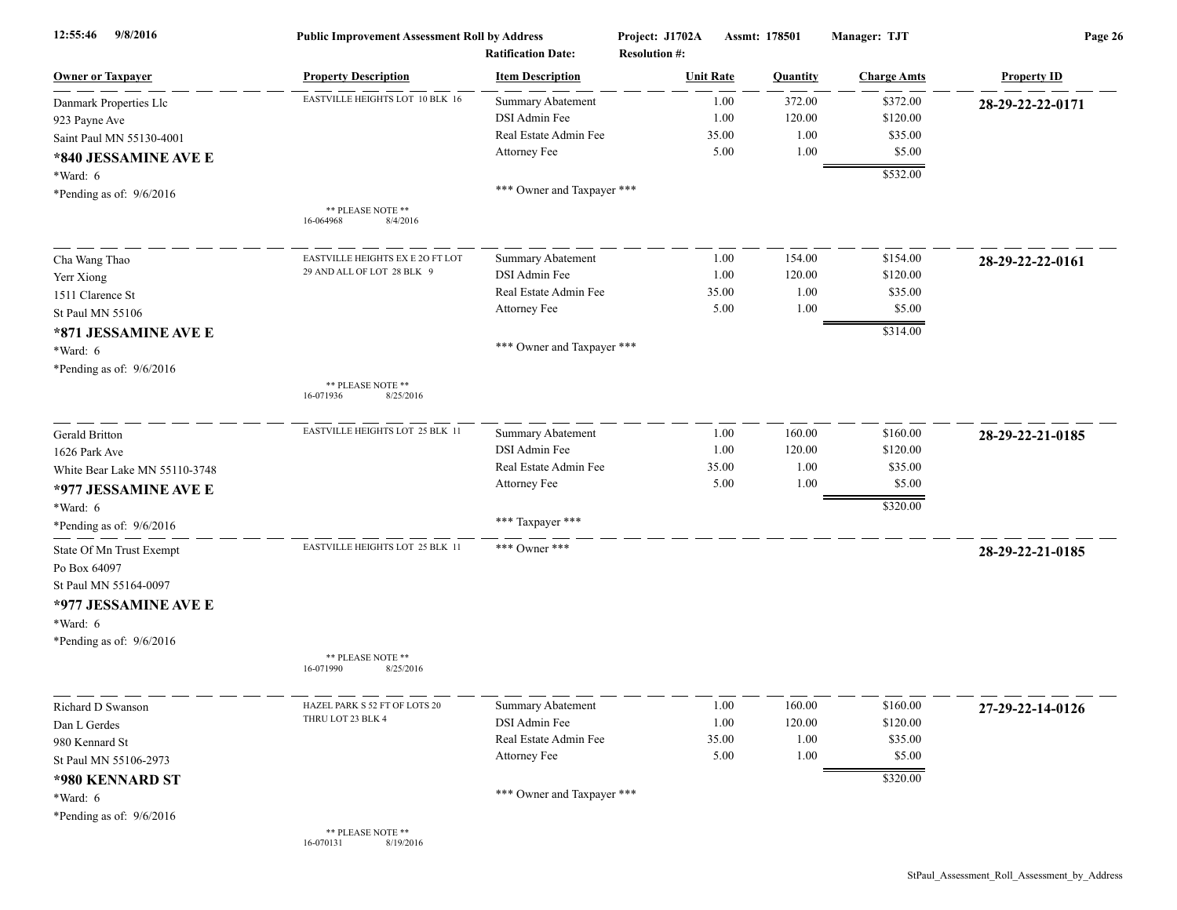| 9/8/2016<br>12:55:46          | <b>Public Improvement Assessment Roll by Address</b><br><b>Ratification Date:</b> |                            | Project: J1702A<br><b>Resolution #:</b> | Assmt: 178501 |          | Manager: TJT       | Page 26            |  |
|-------------------------------|-----------------------------------------------------------------------------------|----------------------------|-----------------------------------------|---------------|----------|--------------------|--------------------|--|
| <b>Owner or Taxpayer</b>      | <b>Property Description</b>                                                       | <b>Item Description</b>    | <b>Unit Rate</b>                        |               | Quantity | <b>Charge Amts</b> | <b>Property ID</b> |  |
| Danmark Properties Llc        | EASTVILLE HEIGHTS LOT 10 BLK 16                                                   | Summary Abatement          |                                         | 1.00          | 372.00   | \$372.00           | 28-29-22-22-0171   |  |
| 923 Payne Ave                 |                                                                                   | DSI Admin Fee              |                                         | 1.00          | 120.00   | \$120.00           |                    |  |
| Saint Paul MN 55130-4001      |                                                                                   | Real Estate Admin Fee      |                                         | 35.00         | 1.00     | \$35.00            |                    |  |
| *840 JESSAMINE AVE E          |                                                                                   | Attorney Fee               |                                         | 5.00          | 1.00     | \$5.00             |                    |  |
|                               |                                                                                   |                            |                                         |               |          | \$532.00           |                    |  |
| *Ward: 6                      |                                                                                   | *** Owner and Taxpayer *** |                                         |               |          |                    |                    |  |
| *Pending as of: 9/6/2016      | ** PLEASE NOTE **                                                                 |                            |                                         |               |          |                    |                    |  |
|                               | 16-064968<br>8/4/2016                                                             |                            |                                         |               |          |                    |                    |  |
| Cha Wang Thao                 | EASTVILLE HEIGHTS EX E 20 FT LOT                                                  | <b>Summary Abatement</b>   |                                         | 1.00          | 154.00   | \$154.00           | 28-29-22-22-0161   |  |
| Yerr Xiong                    | 29 AND ALL OF LOT 28 BLK 9                                                        | DSI Admin Fee              |                                         | 1.00          | 120.00   | \$120.00           |                    |  |
| 1511 Clarence St              |                                                                                   | Real Estate Admin Fee      |                                         | 35.00         | 1.00     | \$35.00            |                    |  |
| St Paul MN 55106              |                                                                                   | Attorney Fee               |                                         | 5.00          | 1.00     | \$5.00             |                    |  |
| *871 JESSAMINE AVE E          |                                                                                   |                            |                                         |               |          | \$314.00           |                    |  |
| *Ward: 6                      |                                                                                   | *** Owner and Taxpayer *** |                                         |               |          |                    |                    |  |
| *Pending as of: $9/6/2016$    |                                                                                   |                            |                                         |               |          |                    |                    |  |
|                               | ** PLEASE NOTE **<br>16-071936<br>8/25/2016                                       |                            |                                         |               |          |                    |                    |  |
| Gerald Britton                | EASTVILLE HEIGHTS LOT 25 BLK 11                                                   | Summary Abatement          |                                         | 1.00          | 160.00   | \$160.00           | 28-29-22-21-0185   |  |
| 1626 Park Ave                 |                                                                                   | DSI Admin Fee              |                                         | 1.00          | 120.00   | \$120.00           |                    |  |
| White Bear Lake MN 55110-3748 |                                                                                   | Real Estate Admin Fee      |                                         | 35.00         | 1.00     | \$35.00            |                    |  |
|                               |                                                                                   | Attorney Fee               |                                         | 5.00          | 1.00     | \$5.00             |                    |  |
| *977 JESSAMINE AVE E          |                                                                                   |                            |                                         |               |          |                    |                    |  |
| *Ward: 6                      |                                                                                   | *** Taxpayer ***           |                                         |               |          | \$320.00           |                    |  |
| *Pending as of: 9/6/2016      |                                                                                   |                            |                                         |               |          |                    |                    |  |
| State Of Mn Trust Exempt      | EASTVILLE HEIGHTS LOT 25 BLK 11                                                   | *** Owner ***              |                                         |               |          |                    | 28-29-22-21-0185   |  |
| Po Box 64097                  |                                                                                   |                            |                                         |               |          |                    |                    |  |
| St Paul MN 55164-0097         |                                                                                   |                            |                                         |               |          |                    |                    |  |
| *977 JESSAMINE AVE E          |                                                                                   |                            |                                         |               |          |                    |                    |  |
| *Ward: 6                      |                                                                                   |                            |                                         |               |          |                    |                    |  |
| *Pending as of: $9/6/2016$    |                                                                                   |                            |                                         |               |          |                    |                    |  |
|                               | ** PLEASE NOTE **                                                                 |                            |                                         |               |          |                    |                    |  |
|                               | 16-071990<br>8/25/2016                                                            |                            |                                         |               |          |                    |                    |  |
| Richard D Swanson             | HAZEL PARK S 52 FT OF LOTS 20                                                     | Summary Abatement          |                                         | 1.00          | 160.00   | \$160.00           | 27-29-22-14-0126   |  |
| Dan L Gerdes                  | THRU LOT 23 BLK 4                                                                 | DSI Admin Fee              |                                         | 1.00          | 120.00   | \$120.00           |                    |  |
| 980 Kennard St                |                                                                                   | Real Estate Admin Fee      |                                         | 35.00         | 1.00     | \$35.00            |                    |  |
| St Paul MN 55106-2973         |                                                                                   | Attorney Fee               |                                         | 5.00          | 1.00     | \$5.00             |                    |  |
| *980 KENNARD ST               |                                                                                   |                            |                                         |               |          | \$320.00           |                    |  |
| *Ward: $6$                    |                                                                                   | *** Owner and Taxpayer *** |                                         |               |          |                    |                    |  |
| *Pending as of: 9/6/2016      |                                                                                   |                            |                                         |               |          |                    |                    |  |
|                               | ** PLEASE NOTE **<br>8/19/2016<br>16-070131                                       |                            |                                         |               |          |                    |                    |  |

StPaul\_Assessment\_Roll\_Assessment\_by\_Address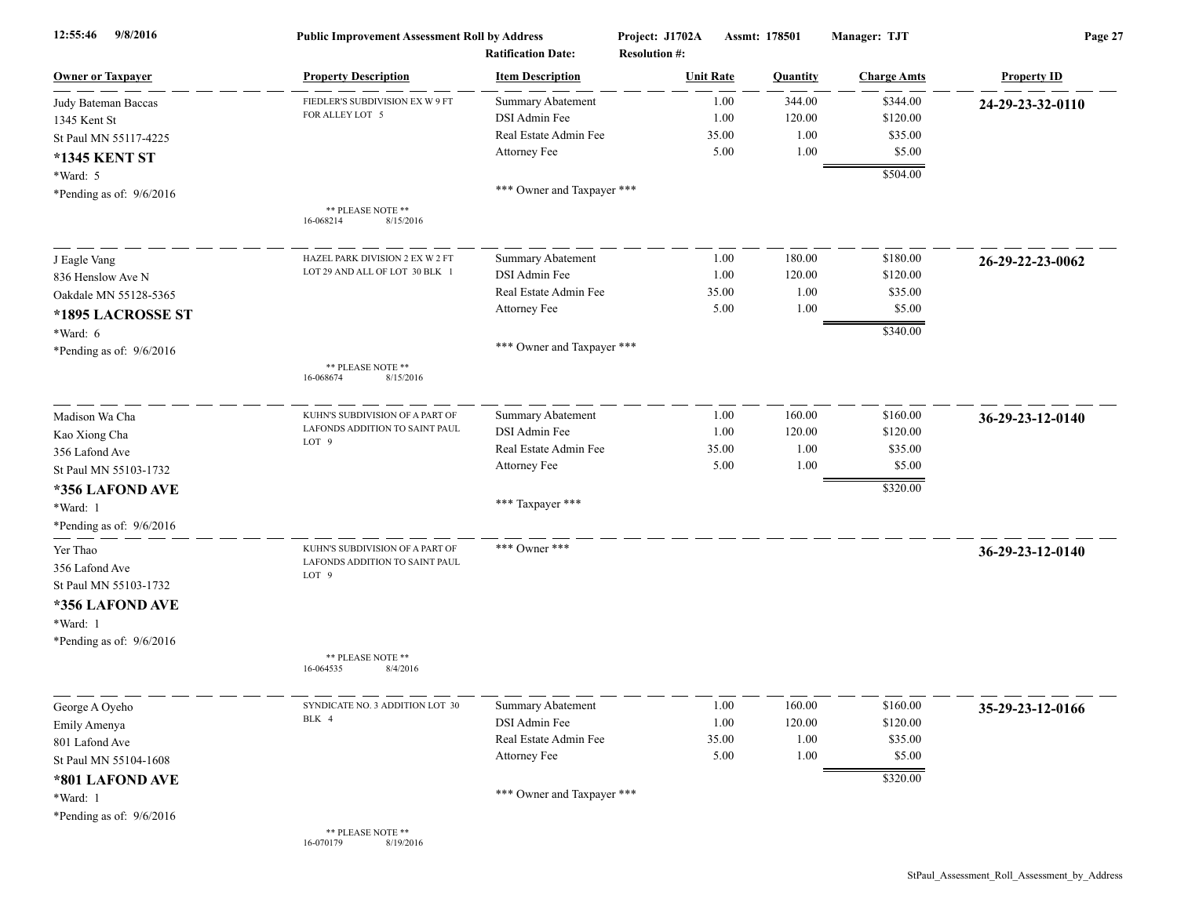| 9/8/2016<br>12:55:46       | <b>Public Improvement Assessment Roll by Address</b><br><b>Ratification Date:</b> |                            | Project: J1702A<br><b>Resolution #:</b> | Assmt: 178501    |                 | Manager: TJT       | Page 27            |  |
|----------------------------|-----------------------------------------------------------------------------------|----------------------------|-----------------------------------------|------------------|-----------------|--------------------|--------------------|--|
| <b>Owner or Taxpayer</b>   | <b>Property Description</b>                                                       | <b>Item Description</b>    |                                         | <b>Unit Rate</b> | <b>Quantity</b> | <b>Charge Amts</b> | <b>Property ID</b> |  |
| Judy Bateman Baccas        | FIEDLER'S SUBDIVISION EX W 9 FT                                                   | <b>Summary Abatement</b>   |                                         | 1.00             | 344.00          | \$344.00           | 24-29-23-32-0110   |  |
| 1345 Kent St               | FOR ALLEY LOT 5                                                                   | DSI Admin Fee              |                                         | 1.00             | 120.00          | \$120.00           |                    |  |
| St Paul MN 55117-4225      |                                                                                   | Real Estate Admin Fee      |                                         | 35.00            | 1.00            | \$35.00            |                    |  |
| <b>*1345 KENT ST</b>       |                                                                                   | Attorney Fee               |                                         | 5.00             | 1.00            | \$5.00             |                    |  |
| *Ward: 5                   |                                                                                   |                            |                                         |                  |                 | \$504.00           |                    |  |
| *Pending as of: $9/6/2016$ |                                                                                   | *** Owner and Taxpayer *** |                                         |                  |                 |                    |                    |  |
|                            | ** PLEASE NOTE **<br>8/15/2016<br>16-068214                                       |                            |                                         |                  |                 |                    |                    |  |
| J Eagle Vang               | HAZEL PARK DIVISION 2 EX W 2 FT                                                   | <b>Summary Abatement</b>   |                                         | 1.00             | 180.00          | \$180.00           | 26-29-22-23-0062   |  |
| 836 Henslow Ave N          | LOT 29 AND ALL OF LOT 30 BLK 1                                                    | DSI Admin Fee              |                                         | 1.00             | 120.00          | \$120.00           |                    |  |
| Oakdale MN 55128-5365      |                                                                                   | Real Estate Admin Fee      |                                         | 35.00            | 1.00            | \$35.00            |                    |  |
|                            |                                                                                   | Attorney Fee               |                                         | 5.00             | 1.00            | \$5.00             |                    |  |
| *1895 LACROSSE ST          |                                                                                   |                            |                                         |                  |                 | \$340.00           |                    |  |
| *Ward: 6                   |                                                                                   | *** Owner and Taxpayer *** |                                         |                  |                 |                    |                    |  |
| *Pending as of: $9/6/2016$ | ** PLEASE NOTE **<br>16-068674<br>8/15/2016                                       |                            |                                         |                  |                 |                    |                    |  |
| Madison Wa Cha             | KUHN'S SUBDIVISION OF A PART OF                                                   | <b>Summary Abatement</b>   |                                         | 1.00             | 160.00          | \$160.00           | 36-29-23-12-0140   |  |
| Kao Xiong Cha              | LAFONDS ADDITION TO SAINT PAUL                                                    | DSI Admin Fee              |                                         | 1.00             | 120.00          | \$120.00           |                    |  |
| 356 Lafond Ave             | LOT <sub>9</sub>                                                                  | Real Estate Admin Fee      |                                         | 35.00            | 1.00            | \$35.00            |                    |  |
| St Paul MN 55103-1732      |                                                                                   | Attorney Fee               |                                         | 5.00             | 1.00            | \$5.00             |                    |  |
| *356 LAFOND AVE            |                                                                                   |                            |                                         |                  |                 | \$320.00           |                    |  |
| *Ward: 1                   |                                                                                   | *** Taxpayer ***           |                                         |                  |                 |                    |                    |  |
| *Pending as of: 9/6/2016   |                                                                                   |                            |                                         |                  |                 |                    |                    |  |
|                            |                                                                                   |                            |                                         |                  |                 |                    |                    |  |
| Yer Thao                   | KUHN'S SUBDIVISION OF A PART OF                                                   | *** Owner ***              |                                         |                  |                 |                    | 36-29-23-12-0140   |  |
| 356 Lafond Ave             | LAFONDS ADDITION TO SAINT PAUL<br>LOT <sub>9</sub>                                |                            |                                         |                  |                 |                    |                    |  |
| St Paul MN 55103-1732      |                                                                                   |                            |                                         |                  |                 |                    |                    |  |
| *356 LAFOND AVE            |                                                                                   |                            |                                         |                  |                 |                    |                    |  |
| *Ward: 1                   |                                                                                   |                            |                                         |                  |                 |                    |                    |  |
| *Pending as of: $9/6/2016$ |                                                                                   |                            |                                         |                  |                 |                    |                    |  |
|                            | ** PLEASE NOTE **<br>8/4/2016<br>16-064535                                        |                            |                                         |                  |                 |                    |                    |  |
| George A Oyeho             | SYNDICATE NO. 3 ADDITION LOT 30                                                   | <b>Summary Abatement</b>   |                                         | 1.00             | 160.00          | \$160.00           | 35-29-23-12-0166   |  |
| Emily Amenya               | BLK 4                                                                             | DSI Admin Fee              |                                         | 1.00             | 120.00          | \$120.00           |                    |  |
| 801 Lafond Ave             |                                                                                   | Real Estate Admin Fee      |                                         | 35.00            | 1.00            | \$35.00            |                    |  |
| St Paul MN 55104-1608      |                                                                                   | Attorney Fee               |                                         | 5.00             | 1.00            | \$5.00             |                    |  |
| *801 LAFOND AVE            |                                                                                   |                            |                                         |                  |                 | \$320.00           |                    |  |
| *Ward: 1                   |                                                                                   | *** Owner and Taxpayer *** |                                         |                  |                 |                    |                    |  |
| *Pending as of: 9/6/2016   |                                                                                   |                            |                                         |                  |                 |                    |                    |  |
|                            | ** PLEASE NOTE **<br>8/19/2016<br>16-070179                                       |                            |                                         |                  |                 |                    |                    |  |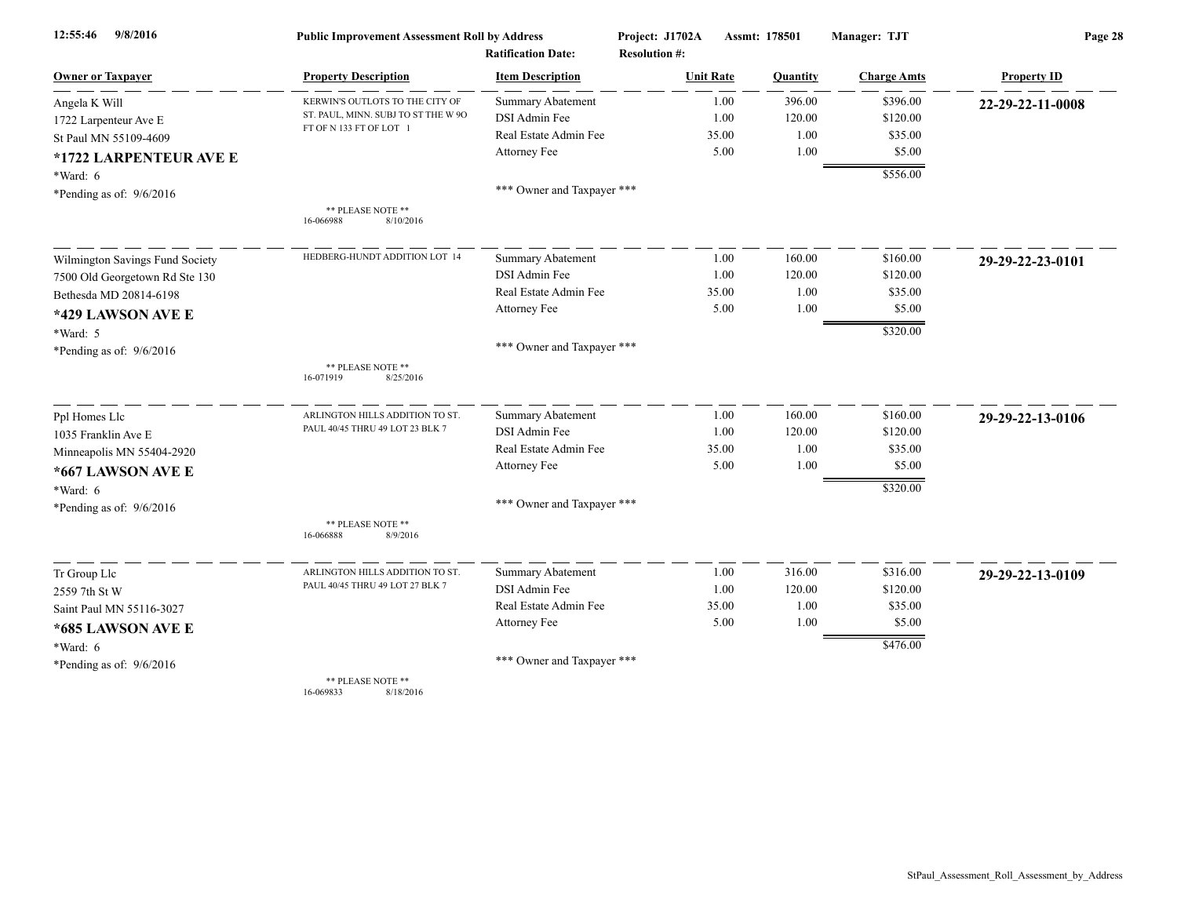| 9/8/2016<br>12:55:46            | <b>Public Improvement Assessment Roll by Address</b> |                            | Project: J1702A      | Assmt: 178501 | Manager: TJT       | Page 28            |  |
|---------------------------------|------------------------------------------------------|----------------------------|----------------------|---------------|--------------------|--------------------|--|
|                                 |                                                      | <b>Ratification Date:</b>  | <b>Resolution #:</b> |               |                    |                    |  |
| <b>Owner or Taxpayer</b>        | <b>Property Description</b>                          | <b>Item Description</b>    | <b>Unit Rate</b>     | Quantity      | <b>Charge Amts</b> | <b>Property ID</b> |  |
| Angela K Will                   | KERWIN'S OUTLOTS TO THE CITY OF                      | Summary Abatement          | 1.00                 | 396.00        | \$396.00           | 22-29-22-11-0008   |  |
| 1722 Larpenteur Ave E           | ST. PAUL, MINN. SUBJ TO ST THE W 90                  | DSI Admin Fee              | 1.00                 | 120.00        | \$120.00           |                    |  |
| St Paul MN 55109-4609           | FT OF N 133 FT OF LOT 1                              | Real Estate Admin Fee      | 35.00                | 1.00          | \$35.00            |                    |  |
| *1722 LARPENTEUR AVE E          |                                                      | Attorney Fee               | 5.00                 | 1.00          | \$5.00             |                    |  |
| *Ward: 6                        |                                                      |                            |                      |               | \$556.00           |                    |  |
| *Pending as of: $9/6/2016$      |                                                      | *** Owner and Taxpayer *** |                      |               |                    |                    |  |
|                                 | ** PLEASE NOTE **<br>8/10/2016<br>16-066988          |                            |                      |               |                    |                    |  |
| Wilmington Savings Fund Society | HEDBERG-HUNDT ADDITION LOT 14                        | <b>Summary Abatement</b>   | 1.00                 | 160.00        | \$160.00           | 29-29-22-23-0101   |  |
| 7500 Old Georgetown Rd Ste 130  |                                                      | DSI Admin Fee              | 1.00                 | 120.00        | \$120.00           |                    |  |
| Bethesda MD 20814-6198          |                                                      | Real Estate Admin Fee      | 35.00                | 1.00          | \$35.00            |                    |  |
| *429 LAWSON AVE E               |                                                      | Attorney Fee               | 5.00                 | 1.00          | \$5.00             |                    |  |
| *Ward: 5                        |                                                      |                            |                      |               | \$320.00           |                    |  |
| *Pending as of: $9/6/2016$      |                                                      | *** Owner and Taxpayer *** |                      |               |                    |                    |  |
|                                 | ** PLEASE NOTE **<br>16-071919<br>8/25/2016          |                            |                      |               |                    |                    |  |
| Ppl Homes Llc                   | ARLINGTON HILLS ADDITION TO ST                       | Summary Abatement          | 1.00                 | 160.00        | \$160.00           | 29-29-22-13-0106   |  |
| 1035 Franklin Ave E             | PAUL 40/45 THRU 49 LOT 23 BLK 7                      | DSI Admin Fee              | 1.00                 | 120.00        | \$120.00           |                    |  |
| Minneapolis MN 55404-2920       |                                                      | Real Estate Admin Fee      | 35.00                | 1.00          | \$35.00            |                    |  |
| *667 LAWSON AVE E               |                                                      | Attorney Fee               | 5.00                 | 1.00          | \$5.00             |                    |  |
| *Ward: 6                        |                                                      |                            |                      |               | \$320.00           |                    |  |
| *Pending as of: $9/6/2016$      |                                                      | *** Owner and Taxpayer *** |                      |               |                    |                    |  |
|                                 | ** PLEASE NOTE **<br>16-066888<br>8/9/2016           |                            |                      |               |                    |                    |  |
| Tr Group Llc                    | ARLINGTON HILLS ADDITION TO ST.                      | Summary Abatement          | 1.00                 | 316.00        | \$316.00           | 29-29-22-13-0109   |  |
| 2559 7th St W                   | PAUL 40/45 THRU 49 LOT 27 BLK 7                      | DSI Admin Fee              | 1.00                 | 120.00        | \$120.00           |                    |  |
| Saint Paul MN 55116-3027        |                                                      | Real Estate Admin Fee      | 35.00                | 1.00          | \$35.00            |                    |  |
| *685 LAWSON AVE E               |                                                      | Attorney Fee               | 5.00                 | 1.00          | \$5.00             |                    |  |
| *Ward: 6                        |                                                      |                            |                      |               | \$476.00           |                    |  |
| *Pending as of: $9/6/2016$      |                                                      | *** Owner and Taxpayer *** |                      |               |                    |                    |  |
|                                 | ** PLEASE NOTE **                                    |                            |                      |               |                    |                    |  |

16-069833 8/18/2016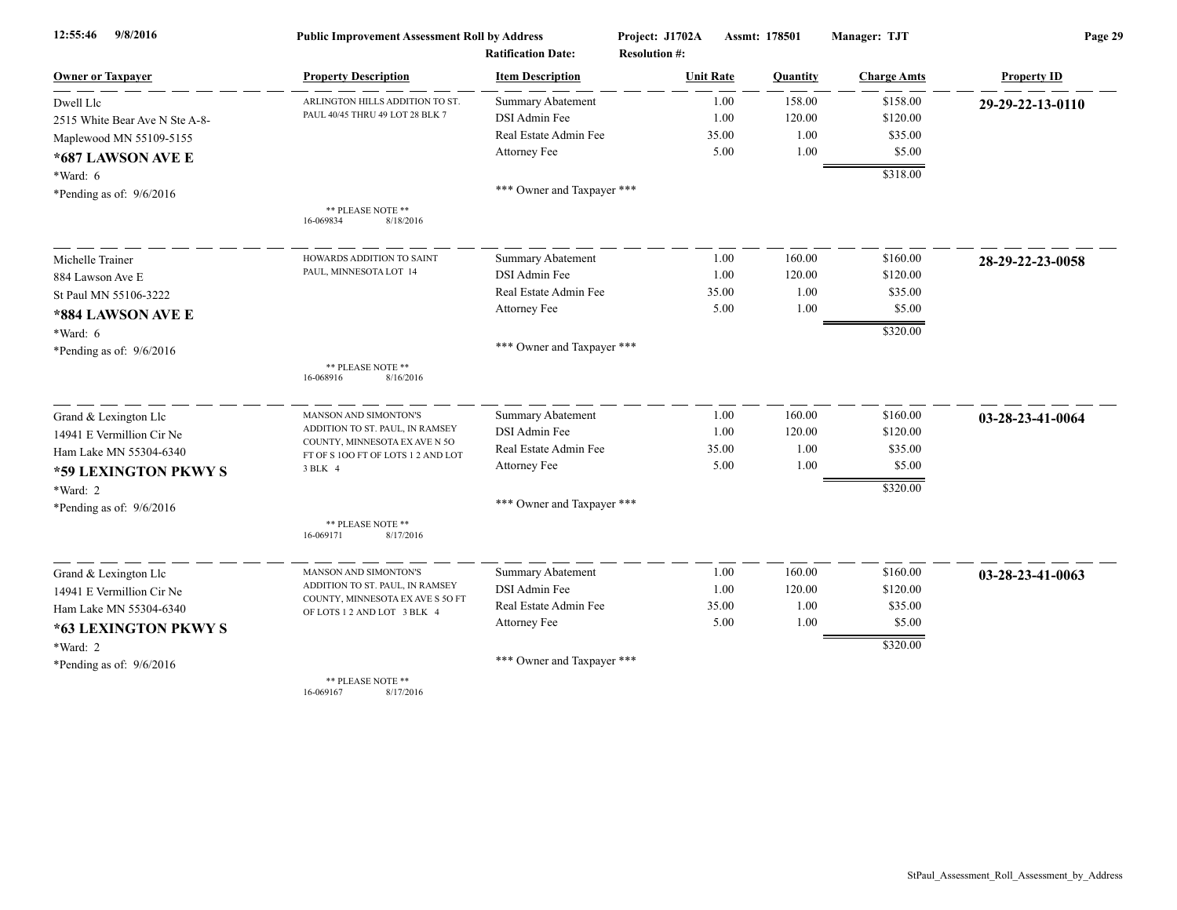| 9/8/2016<br>12:55:46           | <b>Public Improvement Assessment Roll by Address</b>             |                                                      | Project: J1702A                          | Assmt: 178501   |                    | Page 29            |  |
|--------------------------------|------------------------------------------------------------------|------------------------------------------------------|------------------------------------------|-----------------|--------------------|--------------------|--|
| <b>Owner or Taxpayer</b>       | <b>Property Description</b>                                      | <b>Ratification Date:</b><br><b>Item Description</b> | <b>Resolution #:</b><br><b>Unit Rate</b> | <b>Quantity</b> | <b>Charge Amts</b> | <b>Property ID</b> |  |
|                                | ARLINGTON HILLS ADDITION TO ST.                                  | <b>Summary Abatement</b>                             | 1.00                                     | 158.00          | \$158.00           |                    |  |
| Dwell Llc                      | PAUL 40/45 THRU 49 LOT 28 BLK 7                                  | DSI Admin Fee                                        | 1.00                                     | 120.00          | \$120.00           | 29-29-22-13-0110   |  |
| 2515 White Bear Ave N Ste A-8- |                                                                  | Real Estate Admin Fee                                | 35.00                                    | 1.00            | \$35.00            |                    |  |
| Maplewood MN 55109-5155        |                                                                  | Attorney Fee                                         | 5.00                                     | 1.00            | \$5.00             |                    |  |
| *687 LAWSON AVE E              |                                                                  |                                                      |                                          |                 |                    |                    |  |
| *Ward: 6                       |                                                                  | *** Owner and Taxpayer ***                           |                                          |                 | \$318.00           |                    |  |
| *Pending as of: $9/6/2016$     |                                                                  |                                                      |                                          |                 |                    |                    |  |
|                                | ** PLEASE NOTE **<br>16-069834<br>8/18/2016                      |                                                      |                                          |                 |                    |                    |  |
| Michelle Trainer               | HOWARDS ADDITION TO SAINT                                        | <b>Summary Abatement</b>                             | 1.00                                     | 160.00          | \$160.00           | 28-29-22-23-0058   |  |
| 884 Lawson Ave E               | PAUL, MINNESOTA LOT 14                                           | DSI Admin Fee                                        | 1.00                                     | 120.00          | \$120.00           |                    |  |
| St Paul MN 55106-3222          |                                                                  | Real Estate Admin Fee                                | 35.00                                    | 1.00            | \$35.00            |                    |  |
| *884 LAWSON AVE E              |                                                                  | Attorney Fee                                         | 5.00                                     | 1.00            | \$5.00             |                    |  |
| $*Ward: 6$                     |                                                                  |                                                      |                                          |                 | \$320.00           |                    |  |
| *Pending as of: $9/6/2016$     |                                                                  | *** Owner and Taxpayer ***                           |                                          |                 |                    |                    |  |
|                                | ** PLEASE NOTE **<br>16-068916<br>8/16/2016                      |                                                      |                                          |                 |                    |                    |  |
| Grand & Lexington Llc          | MANSON AND SIMONTON'S                                            | Summary Abatement                                    | 1.00                                     | 160.00          | \$160.00           | 03-28-23-41-0064   |  |
| 14941 E Vermillion Cir Ne      | ADDITION TO ST. PAUL, IN RAMSEY                                  | DSI Admin Fee                                        | 1.00                                     | 120.00          | \$120.00           |                    |  |
| Ham Lake MN 55304-6340         | COUNTY, MINNESOTA EX AVE N 50<br>FT OF S1OO FT OF LOTS12 AND LOT | Real Estate Admin Fee                                | 35.00                                    | 1.00            | \$35.00            |                    |  |
| *59 LEXINGTON PKWY S           | 3 BLK 4                                                          | Attorney Fee                                         | 5.00                                     | 1.00            | \$5.00             |                    |  |
| *Ward: 2                       |                                                                  |                                                      |                                          |                 | \$320.00           |                    |  |
| *Pending as of: $9/6/2016$     |                                                                  | *** Owner and Taxpayer ***                           |                                          |                 |                    |                    |  |
|                                | ** PLEASE NOTE **<br>8/17/2016<br>16-069171                      |                                                      |                                          |                 |                    |                    |  |
| Grand & Lexington Llc          | MANSON AND SIMONTON'S                                            | Summary Abatement                                    | 1.00                                     | 160.00          | \$160.00           | 03-28-23-41-0063   |  |
| 14941 E Vermillion Cir Ne      | ADDITION TO ST. PAUL, IN RAMSEY                                  | DSI Admin Fee                                        | 1.00                                     | 120.00          | \$120.00           |                    |  |
| Ham Lake MN 55304-6340         | COUNTY, MINNESOTA EX AVE S 50 FT<br>OF LOTS 1 2 AND LOT 3 BLK 4  | Real Estate Admin Fee                                | 35.00                                    | 1.00            | \$35.00            |                    |  |
| *63 LEXINGTON PKWY S           |                                                                  | Attorney Fee                                         | 5.00                                     | 1.00            | \$5.00             |                    |  |
| *Ward: 2                       |                                                                  |                                                      |                                          |                 | \$320.00           |                    |  |
| *Pending as of: $9/6/2016$     |                                                                  | *** Owner and Taxpayer ***                           |                                          |                 |                    |                    |  |
|                                | ** PLEASE NOTE **<br>8/17/2016<br>16-069167                      |                                                      |                                          |                 |                    |                    |  |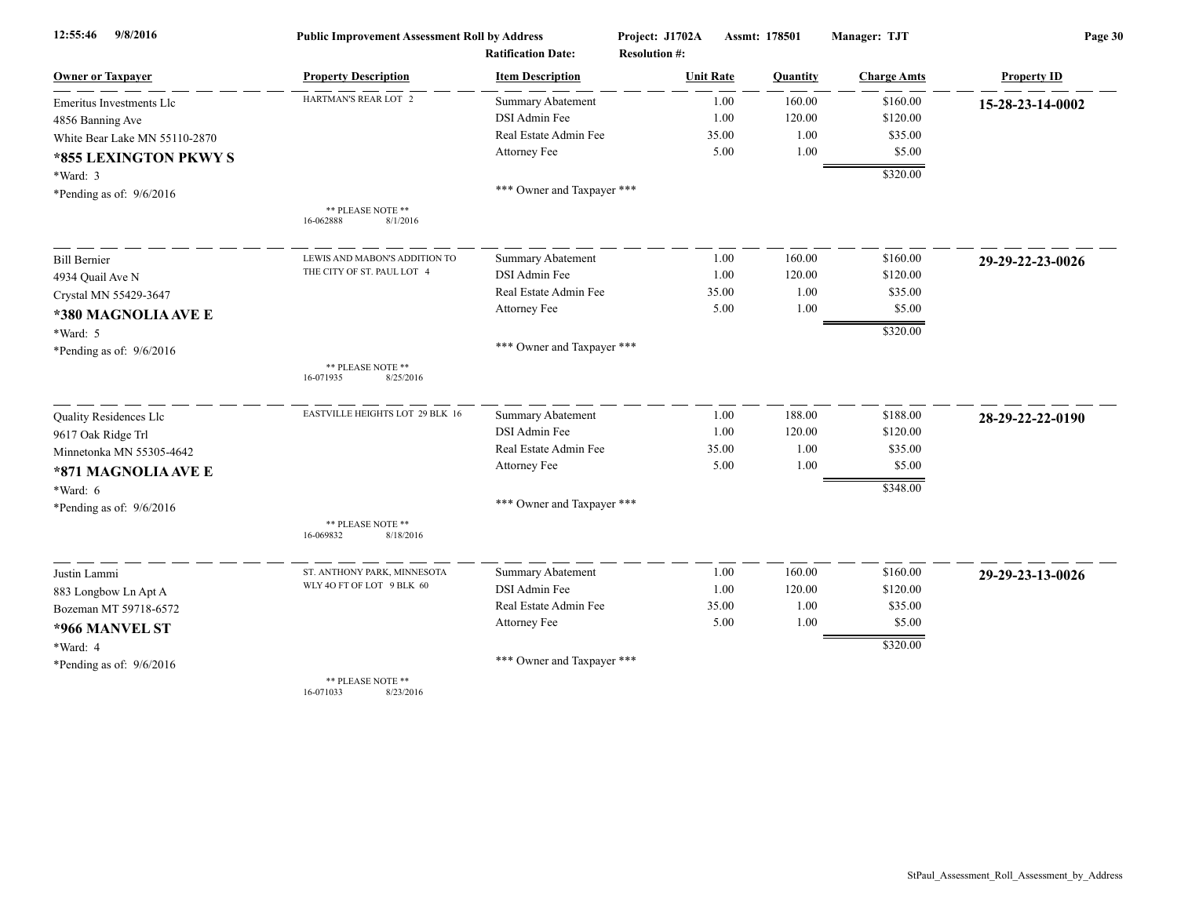| 9/8/2016<br>12:55:46          | <b>Public Improvement Assessment Roll by Address</b> |                            | Project: J1702A<br>Assmt: 178501 |          | Manager: TJT       | Page 30            |  |
|-------------------------------|------------------------------------------------------|----------------------------|----------------------------------|----------|--------------------|--------------------|--|
|                               |                                                      | <b>Ratification Date:</b>  | <b>Resolution #:</b>             |          |                    |                    |  |
| <b>Owner or Taxpayer</b>      | <b>Property Description</b>                          | <b>Item Description</b>    | <b>Unit Rate</b>                 | Quantity | <b>Charge Amts</b> | <b>Property ID</b> |  |
| Emeritus Investments Llc      | HARTMAN'S REAR LOT 2                                 | Summary Abatement          | 1.00                             | 160.00   | \$160.00           | 15-28-23-14-0002   |  |
| 4856 Banning Ave              |                                                      | DSI Admin Fee              | 1.00                             | 120.00   | \$120.00           |                    |  |
| White Bear Lake MN 55110-2870 |                                                      | Real Estate Admin Fee      | 35.00                            | 1.00     | \$35.00            |                    |  |
| *855 LEXINGTON PKWY S         |                                                      | Attorney Fee               | 5.00                             | 1.00     | \$5.00             |                    |  |
| *Ward: 3                      |                                                      |                            |                                  |          | \$320.00           |                    |  |
| *Pending as of: $9/6/2016$    |                                                      | *** Owner and Taxpayer *** |                                  |          |                    |                    |  |
|                               | ** PLEASE NOTE **                                    |                            |                                  |          |                    |                    |  |
|                               | 16-062888<br>8/1/2016                                |                            |                                  |          |                    |                    |  |
| <b>Bill Bernier</b>           | LEWIS AND MABON'S ADDITION TO                        | <b>Summary Abatement</b>   | 1.00                             | 160.00   | \$160.00           | 29-29-22-23-0026   |  |
| 4934 Quail Ave N              | THE CITY OF ST. PAUL LOT 4                           | DSI Admin Fee              | 1.00                             | 120.00   | \$120.00           |                    |  |
| Crystal MN 55429-3647         |                                                      | Real Estate Admin Fee      | 35.00                            | 1.00     | \$35.00            |                    |  |
| *380 MAGNOLIA AVE E           |                                                      | Attorney Fee               | 5.00                             | 1.00     | \$5.00             |                    |  |
| *Ward: 5                      |                                                      |                            |                                  |          | \$320.00           |                    |  |
| *Pending as of: $9/6/2016$    |                                                      | *** Owner and Taxpayer *** |                                  |          |                    |                    |  |
|                               | ** PLEASE NOTE **<br>16-071935<br>8/25/2016          |                            |                                  |          |                    |                    |  |
| Quality Residences Llc        | EASTVILLE HEIGHTS LOT 29 BLK 16                      | Summary Abatement          | 1.00                             | 188.00   | \$188.00           | 28-29-22-22-0190   |  |
| 9617 Oak Ridge Trl            |                                                      | DSI Admin Fee              | 1.00                             | 120.00   | \$120.00           |                    |  |
| Minnetonka MN 55305-4642      |                                                      | Real Estate Admin Fee      | 35.00                            | 1.00     | \$35.00            |                    |  |
| *871 MAGNOLIA AVE E           |                                                      | Attorney Fee               | 5.00                             | 1.00     | \$5.00             |                    |  |
| $*Ward: 6$                    |                                                      |                            |                                  |          | \$348.00           |                    |  |
| *Pending as of: $9/6/2016$    |                                                      | *** Owner and Taxpayer *** |                                  |          |                    |                    |  |
|                               | ** PLEASE NOTE **<br>16-069832<br>8/18/2016          |                            |                                  |          |                    |                    |  |
| Justin Lammi                  | ST. ANTHONY PARK, MINNESOTA                          | Summary Abatement          | 1.00                             | 160.00   | \$160.00           | 29-29-23-13-0026   |  |
| 883 Longbow Ln Apt A          | WLY 4O FT OF LOT 9 BLK 60                            | DSI Admin Fee              | 1.00                             | 120.00   | \$120.00           |                    |  |
| Bozeman MT 59718-6572         |                                                      | Real Estate Admin Fee      | 35.00                            | 1.00     | \$35.00            |                    |  |
| *966 MANVEL ST                |                                                      | Attorney Fee               | 5.00                             | 1.00     | \$5.00             |                    |  |
| *Ward: 4                      |                                                      |                            |                                  |          | \$320.00           |                    |  |
| *Pending as of: $9/6/2016$    |                                                      | *** Owner and Taxpayer *** |                                  |          |                    |                    |  |
|                               | ** PLEASE NOTE **<br>0/22/201<br>071022              |                            |                                  |          |                    |                    |  |

16-071033 8/23/2016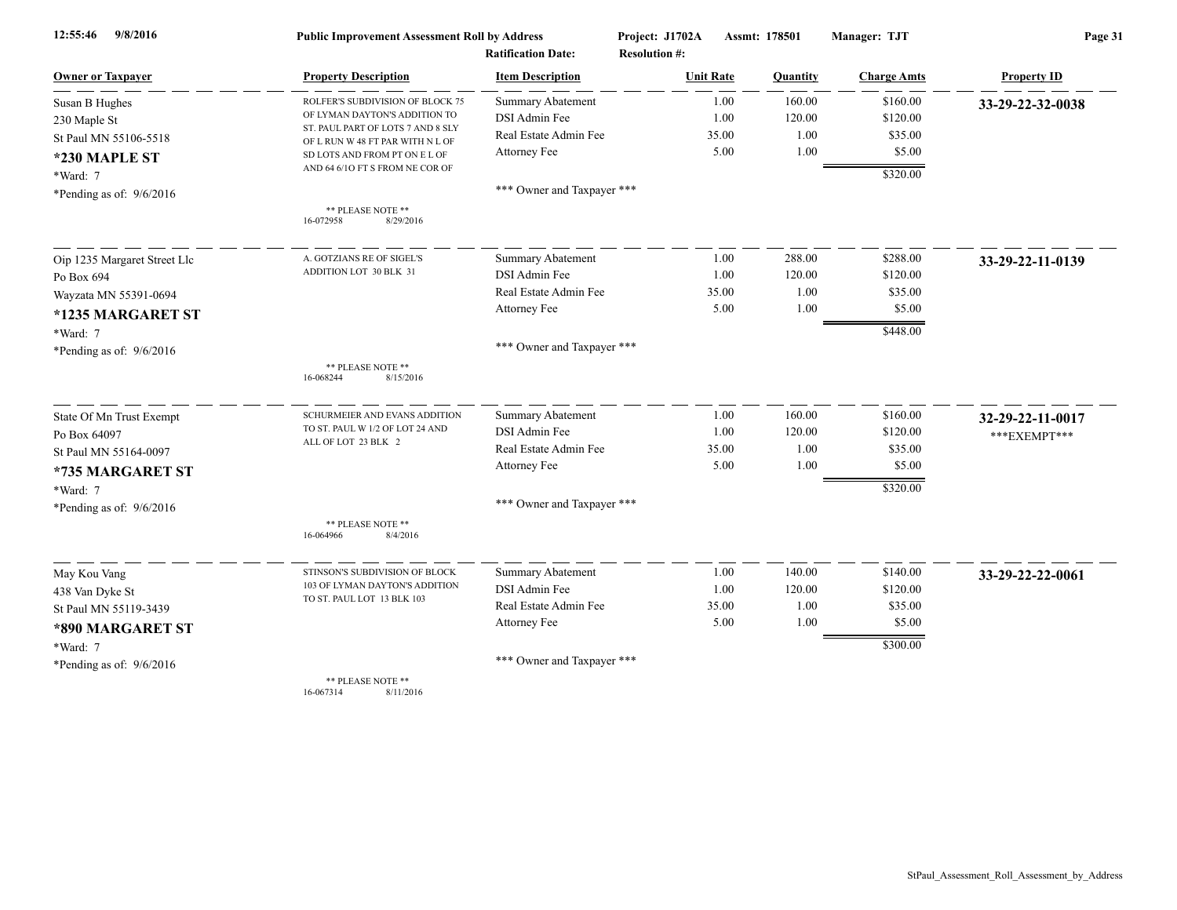| 9/8/2016<br>12:55:46         | <b>Public Improvement Assessment Roll by Address</b>                  |                            | Project: J1702A      | Assmt: 178501 | Manager: TJT       | Page 31            |  |
|------------------------------|-----------------------------------------------------------------------|----------------------------|----------------------|---------------|--------------------|--------------------|--|
|                              |                                                                       | <b>Ratification Date:</b>  | <b>Resolution #:</b> |               |                    |                    |  |
| <b>Owner or Taxpayer</b>     | <b>Property Description</b>                                           | <b>Item Description</b>    | <b>Unit Rate</b>     | Quantity      | <b>Charge Amts</b> | <b>Property ID</b> |  |
| Susan B Hughes               | ROLFER'S SUBDIVISION OF BLOCK 75                                      | Summary Abatement          | 1.00                 | 160.00        | \$160.00           | 33-29-22-32-0038   |  |
| 230 Maple St                 | OF LYMAN DAYTON'S ADDITION TO                                         | DSI Admin Fee              | 1.00                 | 120.00        | \$120.00           |                    |  |
| St Paul MN 55106-5518        | ST. PAUL PART OF LOTS 7 AND 8 SLY<br>OF L RUN W 48 FT PAR WITH N L OF | Real Estate Admin Fee      | 35.00                | 1.00          | \$35.00            |                    |  |
| *230 MAPLE ST                | SD LOTS AND FROM PT ON E L OF                                         | Attorney Fee               | 5.00                 | 1.00          | \$5.00             |                    |  |
| *Ward: 7                     | AND 64 6/10 FT S FROM NE COR OF                                       |                            |                      |               | \$320.00           |                    |  |
| *Pending as of: $9/6/2016$   |                                                                       | *** Owner and Taxpayer *** |                      |               |                    |                    |  |
|                              | ** PLEASE NOTE **<br>16-072958<br>8/29/2016                           |                            |                      |               |                    |                    |  |
| Oip 1235 Margaret Street Llc | A. GOTZIANS RE OF SIGEL'S                                             | <b>Summary Abatement</b>   | 1.00                 | 288.00        | \$288.00           | 33-29-22-11-0139   |  |
| Po Box 694                   | ADDITION LOT 30 BLK 31                                                | DSI Admin Fee              | 1.00                 | 120.00        | \$120.00           |                    |  |
| Wayzata MN 55391-0694        |                                                                       | Real Estate Admin Fee      | 35.00                | 1.00          | \$35.00            |                    |  |
| *1235 MARGARET ST            |                                                                       | Attorney Fee               | 5.00                 | 1.00          | \$5.00             |                    |  |
| *Ward: 7                     |                                                                       |                            |                      |               | \$448.00           |                    |  |
| *Pending as of: $9/6/2016$   |                                                                       | *** Owner and Taxpayer *** |                      |               |                    |                    |  |
|                              | ** PLEASE NOTE **<br>8/15/2016<br>16-068244                           |                            |                      |               |                    |                    |  |
| State Of Mn Trust Exempt     | SCHURMEIER AND EVANS ADDITION                                         | Summary Abatement          | 1.00                 | 160.00        | \$160.00           | 32-29-22-11-0017   |  |
| Po Box 64097                 | TO ST. PAUL W 1/2 OF LOT 24 AND                                       | DSI Admin Fee              | 1.00                 | 120.00        | \$120.00           | ***EXEMPT***       |  |
| St Paul MN 55164-0097        | ALL OF LOT 23 BLK 2                                                   | Real Estate Admin Fee      | 35.00                | 1.00          | \$35.00            |                    |  |
| *735 MARGARET ST             |                                                                       | Attorney Fee               | 5.00                 | 1.00          | \$5.00             |                    |  |
| *Ward: 7                     |                                                                       |                            |                      |               | \$320.00           |                    |  |
| *Pending as of: $9/6/2016$   |                                                                       | *** Owner and Taxpayer *** |                      |               |                    |                    |  |
|                              | ** PLEASE NOTE **<br>8/4/2016<br>16-064966                            |                            |                      |               |                    |                    |  |
| May Kou Vang                 | STINSON'S SUBDIVISION OF BLOCK                                        | <b>Summary Abatement</b>   | 1.00                 | 140.00        | \$140.00           | 33-29-22-22-0061   |  |
| 438 Van Dyke St              | 103 OF LYMAN DAYTON'S ADDITION                                        | DSI Admin Fee              | 1.00                 | 120.00        | \$120.00           |                    |  |
| St Paul MN 55119-3439        | TO ST. PAUL LOT 13 BLK 103                                            | Real Estate Admin Fee      | 35.00                | 1.00          | \$35.00            |                    |  |
| *890 MARGARET ST             |                                                                       | Attorney Fee               | 5.00                 | 1.00          | \$5.00             |                    |  |
| *Ward: 7                     |                                                                       |                            |                      |               | \$300.00           |                    |  |
| *Pending as of: $9/6/2016$   |                                                                       | *** Owner and Taxpayer *** |                      |               |                    |                    |  |
|                              | ** PLEASE NOTE **                                                     |                            |                      |               |                    |                    |  |

16-067314 8/11/2016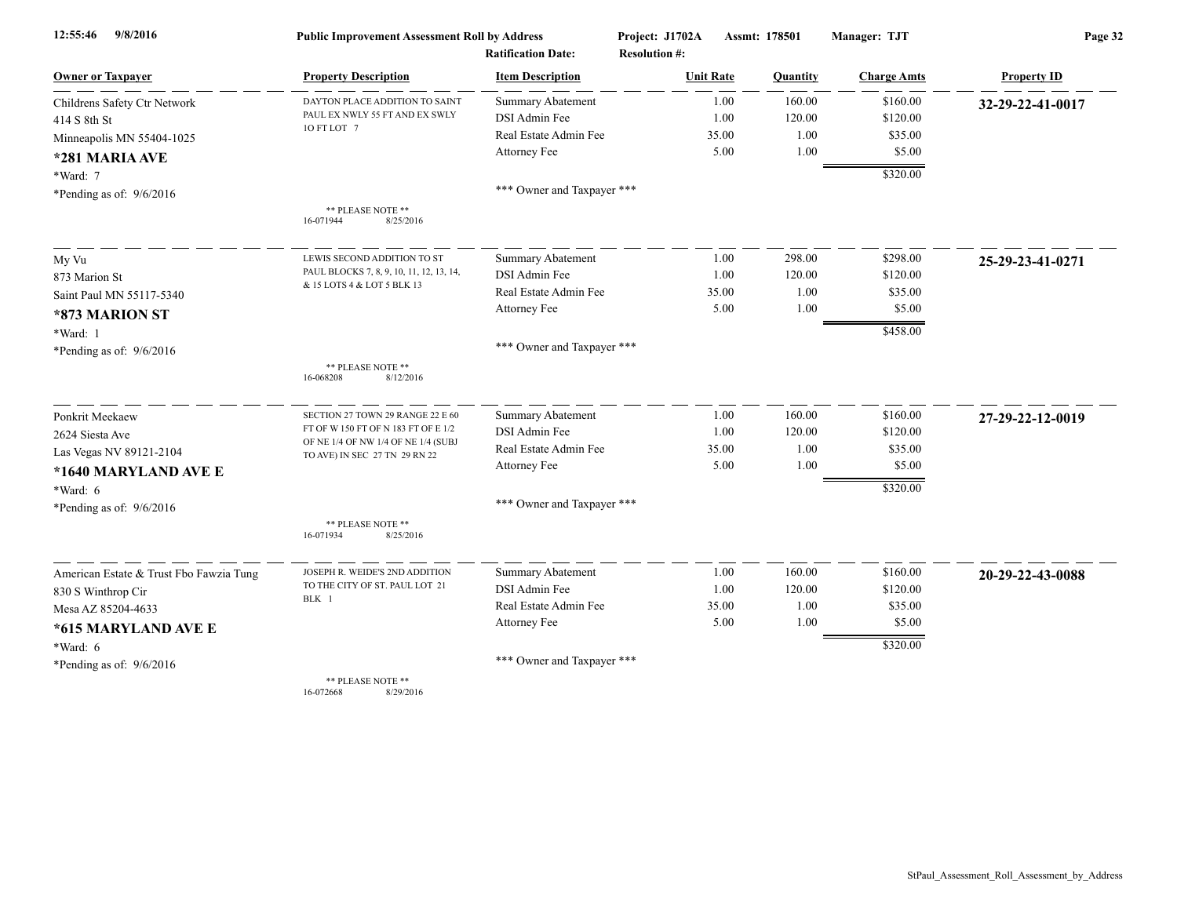| 9/8/2016<br>12:55:46                    | <b>Public Improvement Assessment Roll by Address</b>                 |                            | Project: J1702A      | Assmt: 178501<br>Manager: TJT |                      | Page 32            |  |
|-----------------------------------------|----------------------------------------------------------------------|----------------------------|----------------------|-------------------------------|----------------------|--------------------|--|
|                                         |                                                                      | <b>Ratification Date:</b>  | <b>Resolution #:</b> |                               |                      |                    |  |
| <b>Owner or Taxpayer</b>                | <b>Property Description</b>                                          | <b>Item Description</b>    | <b>Unit Rate</b>     | Quantity                      | <b>Charge Amts</b>   | <b>Property ID</b> |  |
| Childrens Safety Ctr Network            | DAYTON PLACE ADDITION TO SAINT                                       | <b>Summary Abatement</b>   | 1.00                 | 160.00                        | \$160.00             | 32-29-22-41-0017   |  |
| 414 S 8th St                            | PAUL EX NWLY 55 FT AND EX SWLY                                       | DSI Admin Fee              | 1.00                 | 120.00                        | \$120.00             |                    |  |
| Minneapolis MN 55404-1025               | 10 FT LOT 7                                                          | Real Estate Admin Fee      | 35.00                | 1.00                          | \$35.00              |                    |  |
| *281 MARIA AVE                          |                                                                      | Attorney Fee               | 5.00                 | 1.00                          | \$5.00               |                    |  |
| *Ward: 7                                |                                                                      |                            |                      |                               | \$320.00             |                    |  |
| *Pending as of: 9/6/2016                |                                                                      | *** Owner and Taxpayer *** |                      |                               |                      |                    |  |
|                                         | ** PLEASE NOTE **<br>16-071944<br>8/25/2016                          |                            |                      |                               |                      |                    |  |
| My Vu                                   | LEWIS SECOND ADDITION TO ST                                          | <b>Summary Abatement</b>   | 1.00                 | 298.00                        | \$298.00             | 25-29-23-41-0271   |  |
| 873 Marion St                           | PAUL BLOCKS 7, 8, 9, 10, 11, 12, 13, 14,                             | DSI Admin Fee              | 1.00                 | 120.00                        | \$120.00             |                    |  |
| Saint Paul MN 55117-5340                | & 15 LOTS 4 & LOT 5 BLK 13                                           | Real Estate Admin Fee      | 35.00                | 1.00                          | \$35.00              |                    |  |
| *873 MARION ST                          |                                                                      | Attorney Fee               | 5.00                 | 1.00                          | \$5.00               |                    |  |
| *Ward: 1                                |                                                                      |                            |                      |                               | \$458.00             |                    |  |
| *Pending as of: $9/6/2016$              |                                                                      | *** Owner and Taxpayer *** |                      |                               |                      |                    |  |
|                                         | ** PLEASE NOTE **<br>16-068208<br>8/12/2016                          |                            |                      |                               |                      |                    |  |
| Ponkrit Meekaew                         | SECTION 27 TOWN 29 RANGE 22 E 60                                     | Summary Abatement          | 1.00                 | 160.00                        | \$160.00             | 27-29-22-12-0019   |  |
| 2624 Siesta Ave                         | FT OF W 150 FT OF N 183 FT OF E 1/2                                  | DSI Admin Fee              | 1.00                 | 120.00                        | \$120.00             |                    |  |
| Las Vegas NV 89121-2104                 | OF NE 1/4 OF NW 1/4 OF NE 1/4 (SUBJ<br>TO AVE) IN SEC 27 TN 29 RN 22 | Real Estate Admin Fee      | 35.00                | 1.00                          | \$35.00              |                    |  |
| *1640 MARYLAND AVE E                    |                                                                      | Attorney Fee               | 5.00                 | 1.00                          | \$5.00               |                    |  |
| *Ward: 6                                |                                                                      |                            |                      |                               | \$320.00             |                    |  |
| *Pending as of: $9/6/2016$              |                                                                      | *** Owner and Taxpayer *** |                      |                               |                      |                    |  |
|                                         | ** PLEASE NOTE **<br>16-071934<br>8/25/2016                          |                            |                      |                               |                      |                    |  |
| American Estate & Trust Fbo Fawzia Tung | JOSEPH R. WEIDE'S 2ND ADDITION                                       | Summary Abatement          | 1.00                 | 160.00                        | \$160.00             | 20-29-22-43-0088   |  |
| 830 S Winthrop Cir                      | TO THE CITY OF ST. PAUL LOT 21                                       | DSI Admin Fee              | 1.00                 | 120.00                        | \$120.00             |                    |  |
| Mesa AZ 85204-4633                      | BLK 1                                                                | Real Estate Admin Fee      | 35.00                | 1.00                          | \$35.00              |                    |  |
| *615 MARYLAND AVE E                     |                                                                      | Attorney Fee               | 5.00                 | 1.00                          | \$5.00               |                    |  |
| *Ward: 6                                |                                                                      |                            |                      |                               | $\overline{$}320.00$ |                    |  |
| *Pending as of: $9/6/2016$              |                                                                      | *** Owner and Taxpayer *** |                      |                               |                      |                    |  |
|                                         | ** PLEASE NOTE **                                                    |                            |                      |                               |                      |                    |  |

16-072668 8/29/2016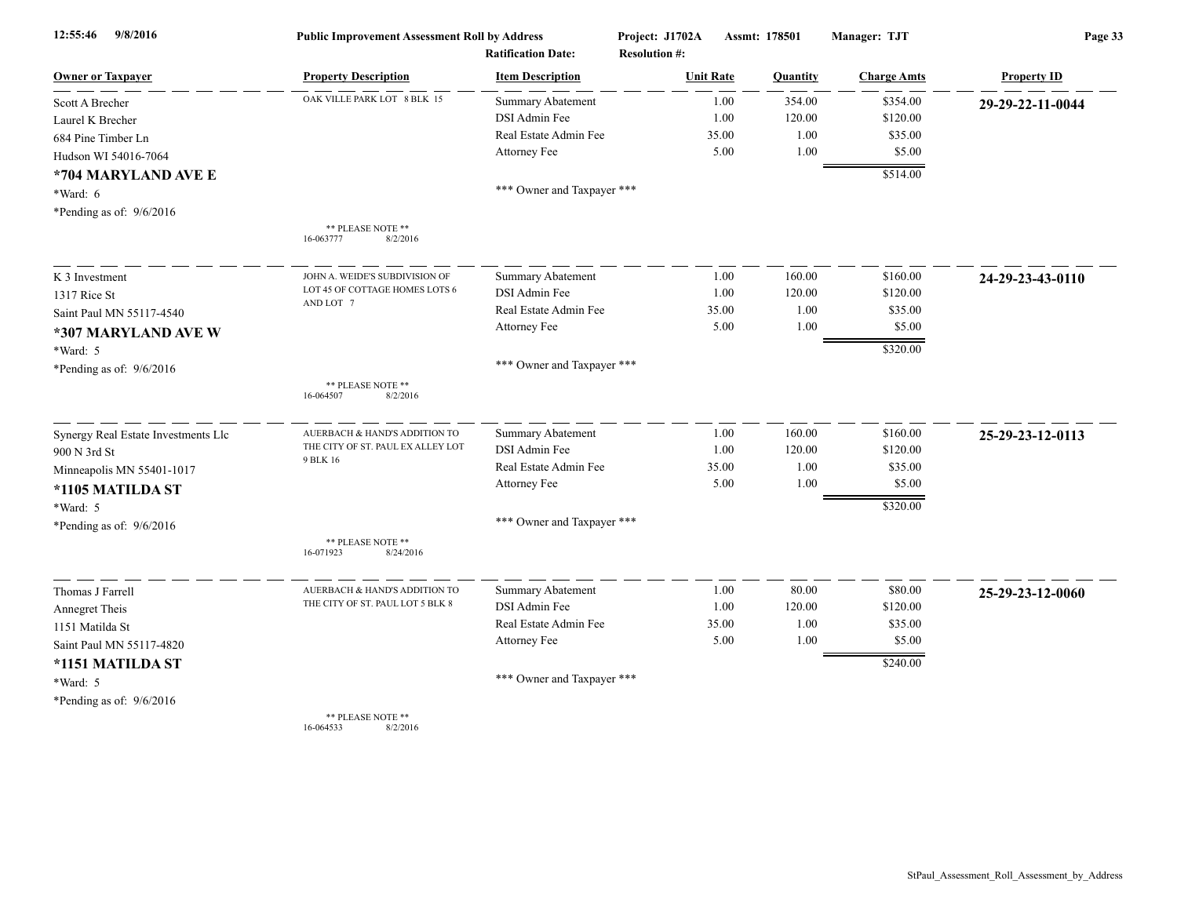| 9/8/2016<br>12:55:46                | <b>Public Improvement Assessment Roll by Address</b> |                            | Project: J1702A      | Assmt: 178501 |          | Manager: TJT       | Page 33            |  |
|-------------------------------------|------------------------------------------------------|----------------------------|----------------------|---------------|----------|--------------------|--------------------|--|
|                                     |                                                      | <b>Ratification Date:</b>  | <b>Resolution #:</b> |               |          |                    |                    |  |
| <b>Owner or Taxpayer</b>            | <b>Property Description</b>                          | <b>Item Description</b>    | <b>Unit Rate</b>     |               | Quantity | <b>Charge Amts</b> | <b>Property ID</b> |  |
| Scott A Brecher                     | OAK VILLE PARK LOT 8 BLK 15                          | <b>Summary Abatement</b>   |                      | 1.00          | 354.00   | \$354.00           | 29-29-22-11-0044   |  |
| Laurel K Brecher                    |                                                      | DSI Admin Fee              |                      | 1.00          | 120.00   | \$120.00           |                    |  |
| 684 Pine Timber Ln                  |                                                      | Real Estate Admin Fee      |                      | 35.00         | 1.00     | \$35.00            |                    |  |
| Hudson WI 54016-7064                |                                                      | Attorney Fee               |                      | 5.00          | 1.00     | \$5.00             |                    |  |
| *704 MARYLAND AVE E                 |                                                      |                            |                      |               |          | \$514.00           |                    |  |
| *Ward: 6                            |                                                      | *** Owner and Taxpayer *** |                      |               |          |                    |                    |  |
| *Pending as of: $9/6/2016$          |                                                      |                            |                      |               |          |                    |                    |  |
|                                     | ** PLEASE NOTE **<br>8/2/2016<br>16-063777           |                            |                      |               |          |                    |                    |  |
| K 3 Investment                      | JOHN A. WEIDE'S SUBDIVISION OF                       | Summary Abatement          |                      | 1.00          | 160.00   | \$160.00           | 24-29-23-43-0110   |  |
| 1317 Rice St                        | LOT 45 OF COTTAGE HOMES LOTS 6                       | DSI Admin Fee              |                      | 1.00          | 120.00   | \$120.00           |                    |  |
| Saint Paul MN 55117-4540            | AND LOT 7                                            | Real Estate Admin Fee      |                      | 35.00         | 1.00     | \$35.00            |                    |  |
| *307 MARYLAND AVE W                 |                                                      | Attorney Fee               |                      | 5.00          | 1.00     | \$5.00             |                    |  |
| *Ward: 5                            |                                                      |                            |                      |               |          | \$320.00           |                    |  |
| *Pending as of: 9/6/2016            |                                                      | *** Owner and Taxpayer *** |                      |               |          |                    |                    |  |
|                                     | ** PLEASE NOTE **<br>8/2/2016<br>16-064507           |                            |                      |               |          |                    |                    |  |
| Synergy Real Estate Investments Llc | AUERBACH & HAND'S ADDITION TO                        | Summary Abatement          |                      | 1.00          | 160.00   | \$160.00           | 25-29-23-12-0113   |  |
| 900 N 3rd St                        | THE CITY OF ST. PAUL EX ALLEY LOT<br>9 BLK 16        | <b>DSI</b> Admin Fee       |                      | 1.00          | 120.00   | \$120.00           |                    |  |
| Minneapolis MN 55401-1017           |                                                      | Real Estate Admin Fee      |                      | 35.00         | 1.00     | \$35.00            |                    |  |
| *1105 MATILDA ST                    |                                                      | Attorney Fee               |                      | 5.00          | 1.00     | \$5.00             |                    |  |
| *Ward: 5                            |                                                      |                            |                      |               |          | \$320.00           |                    |  |
| *Pending as of: 9/6/2016            |                                                      | *** Owner and Taxpayer *** |                      |               |          |                    |                    |  |
|                                     | ** PLEASE NOTE **<br>16-071923<br>8/24/2016          |                            |                      |               |          |                    |                    |  |
| Thomas J Farrell                    | AUERBACH & HAND'S ADDITION TO                        | Summary Abatement          |                      | 1.00          | 80.00    | \$80.00            | 25-29-23-12-0060   |  |
| Annegret Theis                      | THE CITY OF ST. PAUL LOT 5 BLK 8                     | DSI Admin Fee              |                      | 1.00          | 120.00   | \$120.00           |                    |  |
| 1151 Matilda St                     |                                                      | Real Estate Admin Fee      |                      | 35.00         | 1.00     | \$35.00            |                    |  |
| Saint Paul MN 55117-4820            |                                                      | Attorney Fee               |                      | 5.00          | 1.00     | \$5.00             |                    |  |
| *1151 MATILDA ST                    |                                                      |                            |                      |               |          | \$240.00           |                    |  |
| *Ward: 5                            |                                                      | *** Owner and Taxpayer *** |                      |               |          |                    |                    |  |
| *Pending as of: 9/6/2016            |                                                      |                            |                      |               |          |                    |                    |  |
|                                     | ** PLEASE NOTE **                                    |                            |                      |               |          |                    |                    |  |

16-064533 8/2/2016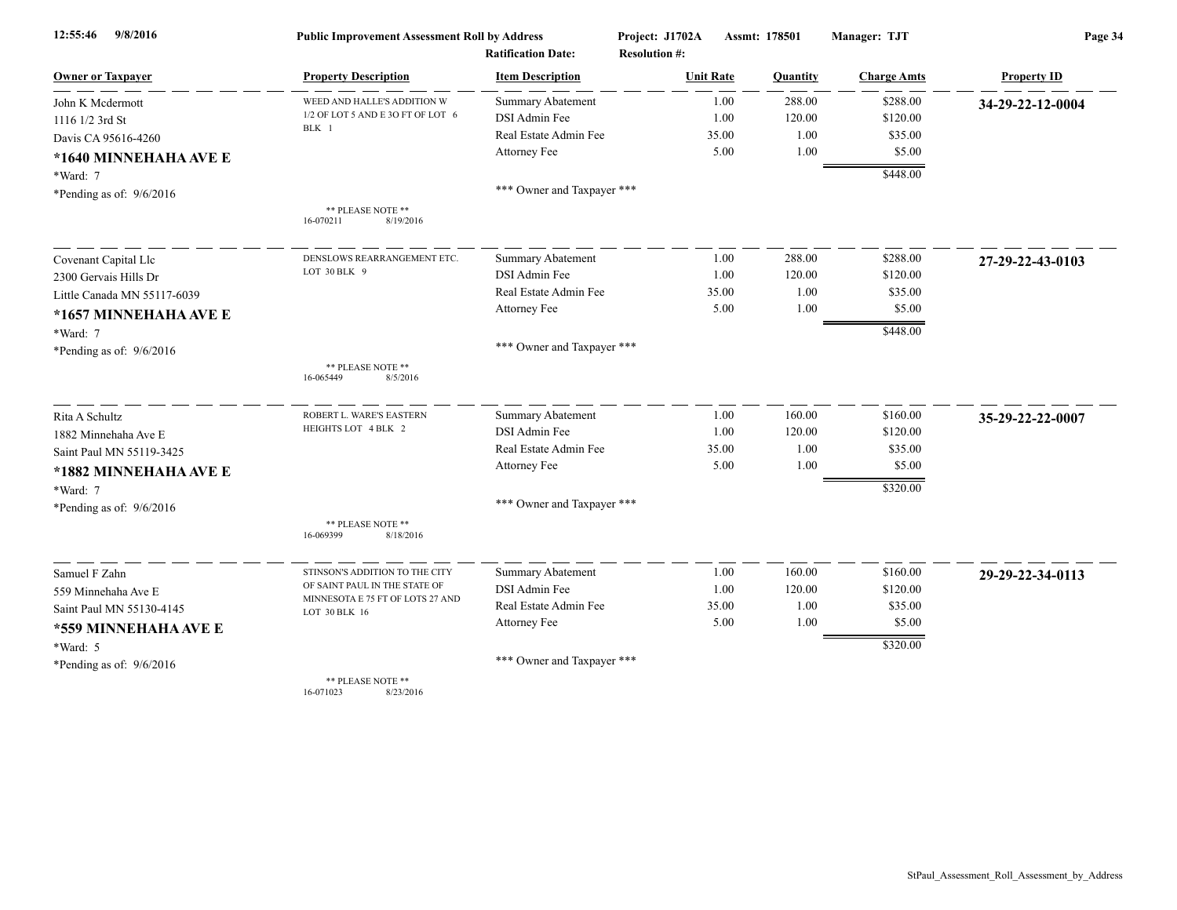| 9/8/2016<br>12:55:46        | <b>Public Improvement Assessment Roll by Address</b> |                            | Project: J1702A      | Assmt: 178501 | Manager: TJT       | Page 34            |  |
|-----------------------------|------------------------------------------------------|----------------------------|----------------------|---------------|--------------------|--------------------|--|
|                             |                                                      | <b>Ratification Date:</b>  | <b>Resolution #:</b> |               |                    |                    |  |
| <b>Owner or Taxpayer</b>    | <b>Property Description</b>                          | <b>Item Description</b>    | <b>Unit Rate</b>     | Quantity      | <b>Charge Amts</b> | <b>Property ID</b> |  |
| John K Mcdermott            | WEED AND HALLE'S ADDITION W                          | <b>Summary Abatement</b>   | 1.00                 | 288.00        | \$288.00           | 34-29-22-12-0004   |  |
| 1116 1/2 3rd St             | 1/2 OF LOT 5 AND E 3O FT OF LOT 6<br>BLK 1           | DSI Admin Fee              | 1.00                 | 120.00        | \$120.00           |                    |  |
| Davis CA 95616-4260         |                                                      | Real Estate Admin Fee      | 35.00                | 1.00          | \$35.00            |                    |  |
| *1640 MINNEHAHA AVE E       |                                                      | Attorney Fee               | 5.00                 | 1.00          | \$5.00             |                    |  |
| *Ward: 7                    |                                                      |                            |                      |               | \$448.00           |                    |  |
| *Pending as of: $9/6/2016$  |                                                      | *** Owner and Taxpayer *** |                      |               |                    |                    |  |
|                             | ** PLEASE NOTE **<br>8/19/2016<br>16-070211          |                            |                      |               |                    |                    |  |
| Covenant Capital Llc        | DENSLOWS REARRANGEMENT ETC.                          | <b>Summary Abatement</b>   | 1.00                 | 288.00        | \$288.00           | 27-29-22-43-0103   |  |
| 2300 Gervais Hills Dr       | LOT 30 BLK 9                                         | DSI Admin Fee              | 1.00                 | 120.00        | \$120.00           |                    |  |
| Little Canada MN 55117-6039 |                                                      | Real Estate Admin Fee      | 35.00                | 1.00          | \$35.00            |                    |  |
| *1657 MINNEHAHA AVE E       |                                                      | Attorney Fee               | 5.00                 | 1.00          | \$5.00             |                    |  |
| *Ward: 7                    |                                                      |                            |                      |               | \$448.00           |                    |  |
| *Pending as of: $9/6/2016$  |                                                      | *** Owner and Taxpayer *** |                      |               |                    |                    |  |
|                             | ** PLEASE NOTE **<br>8/5/2016<br>16-065449           |                            |                      |               |                    |                    |  |
| Rita A Schultz              | ROBERT L. WARE'S EASTERN                             | Summary Abatement          | 1.00                 | 160.00        | \$160.00           | 35-29-22-22-0007   |  |
| 1882 Minnehaha Ave E        | HEIGHTS LOT 4 BLK 2                                  | DSI Admin Fee              | 1.00                 | 120.00        | \$120.00           |                    |  |
| Saint Paul MN 55119-3425    |                                                      | Real Estate Admin Fee      | 35.00                | 1.00          | \$35.00            |                    |  |
| *1882 MINNEHAHA AVE E       |                                                      | Attorney Fee               | 5.00                 | 1.00          | \$5.00             |                    |  |
| *Ward: 7                    |                                                      |                            |                      |               | \$320.00           |                    |  |
| *Pending as of: $9/6/2016$  |                                                      | *** Owner and Taxpayer *** |                      |               |                    |                    |  |
|                             | ** PLEASE NOTE **<br>16-069399<br>8/18/2016          |                            |                      |               |                    |                    |  |
| Samuel F Zahn               | STINSON'S ADDITION TO THE CITY                       | Summary Abatement          | 1.00                 | 160.00        | \$160.00           | 29-29-22-34-0113   |  |
| 559 Minnehaha Ave E         | OF SAINT PAUL IN THE STATE OF                        | DSI Admin Fee              | 1.00                 | 120.00        | \$120.00           |                    |  |
| Saint Paul MN 55130-4145    | MINNESOTA E 75 FT OF LOTS 27 AND<br>LOT 30 BLK 16    | Real Estate Admin Fee      | 35.00                | 1.00          | \$35.00            |                    |  |
| *559 MINNEHAHA AVE E        |                                                      | Attorney Fee               | 5.00                 | 1.00          | \$5.00             |                    |  |
| *Ward: 5                    |                                                      |                            |                      |               | \$320.00           |                    |  |
| *Pending as of: $9/6/2016$  |                                                      | *** Owner and Taxpayer *** |                      |               |                    |                    |  |
|                             | ** PLEASE NOTE **                                    |                            |                      |               |                    |                    |  |

16-071023 8/23/2016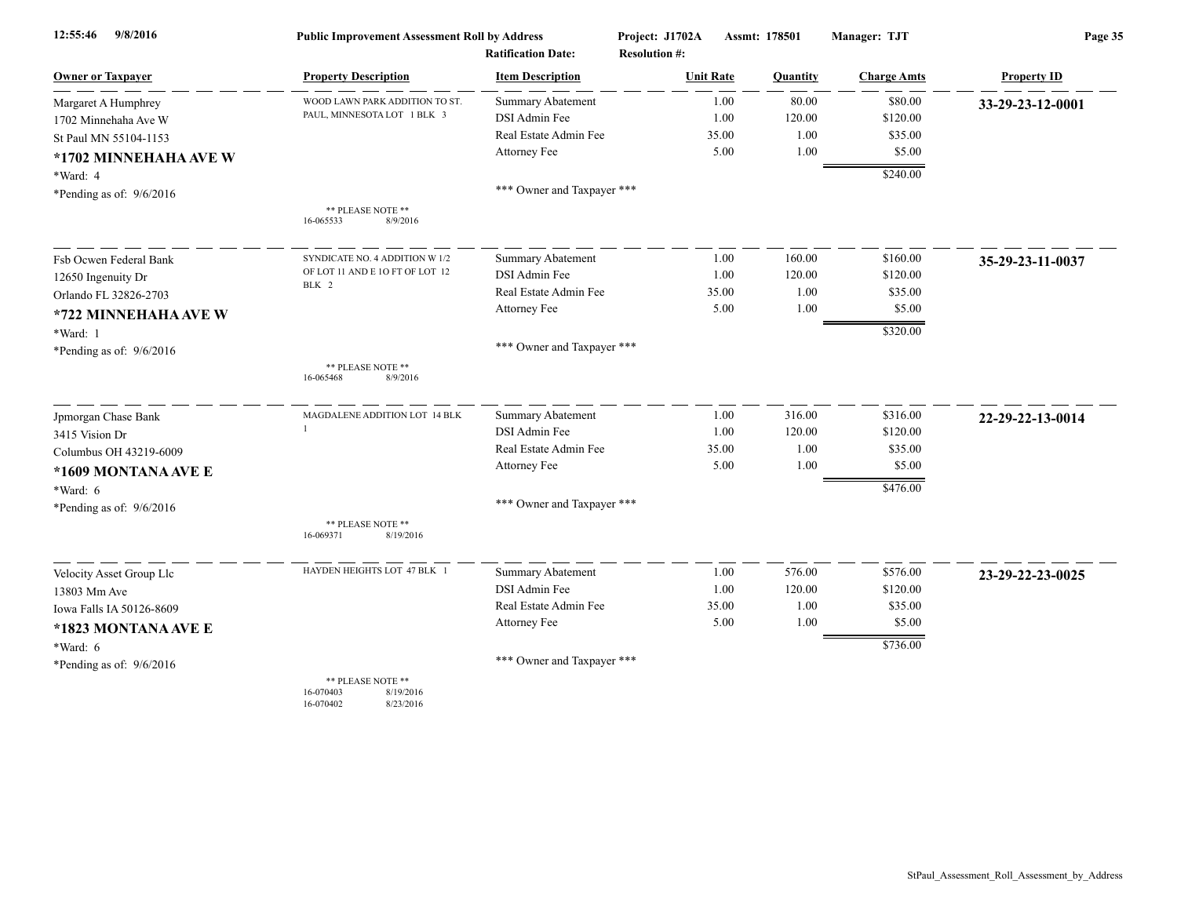| 9/8/2016<br>12:55:46       | <b>Public Improvement Assessment Roll by Address</b>                  |                                                      | Project: J1702A                          | Assmt: 178501 |          | Manager: TJT       | Page 35            |  |
|----------------------------|-----------------------------------------------------------------------|------------------------------------------------------|------------------------------------------|---------------|----------|--------------------|--------------------|--|
| <b>Owner or Taxpayer</b>   | <b>Property Description</b>                                           | <b>Ratification Date:</b><br><b>Item Description</b> | <b>Resolution #:</b><br><b>Unit Rate</b> |               | Quantity | <b>Charge Amts</b> | <b>Property ID</b> |  |
|                            | WOOD LAWN PARK ADDITION TO ST.                                        | <b>Summary Abatement</b>                             |                                          | 1.00          | 80.00    | \$80.00            |                    |  |
| Margaret A Humphrey        | PAUL, MINNESOTA LOT 1 BLK 3                                           | DSI Admin Fee                                        |                                          | 1.00          | 120.00   | \$120.00           | 33-29-23-12-0001   |  |
| 1702 Minnehaha Ave W       |                                                                       | Real Estate Admin Fee                                |                                          | 35.00         | 1.00     | \$35.00            |                    |  |
| St Paul MN 55104-1153      |                                                                       | Attorney Fee                                         |                                          | 5.00          | 1.00     | \$5.00             |                    |  |
| *1702 MINNEHAHA AVE W      |                                                                       |                                                      |                                          |               |          |                    |                    |  |
| *Ward: 4                   |                                                                       |                                                      |                                          |               |          | \$240.00           |                    |  |
| *Pending as of: $9/6/2016$ |                                                                       | *** Owner and Taxpayer ***                           |                                          |               |          |                    |                    |  |
|                            | ** PLEASE NOTE **<br>16-065533<br>8/9/2016                            |                                                      |                                          |               |          |                    |                    |  |
| Fsb Ocwen Federal Bank     | SYNDICATE NO. 4 ADDITION W 1/2                                        | Summary Abatement                                    |                                          | 1.00          | 160.00   | \$160.00           | 35-29-23-11-0037   |  |
| 12650 Ingenuity Dr         | OF LOT 11 AND E 10 FT OF LOT 12                                       | DSI Admin Fee                                        |                                          | 1.00          | 120.00   | \$120.00           |                    |  |
| Orlando FL 32826-2703      | BLK 2                                                                 | Real Estate Admin Fee                                |                                          | 35.00         | 1.00     | \$35.00            |                    |  |
| *722 MINNEHAHA AVE W       |                                                                       | Attorney Fee                                         |                                          | 5.00          | 1.00     | \$5.00             |                    |  |
| *Ward: 1                   |                                                                       |                                                      |                                          |               |          | \$320.00           |                    |  |
| *Pending as of: $9/6/2016$ |                                                                       | *** Owner and Taxpayer ***                           |                                          |               |          |                    |                    |  |
|                            | ** PLEASE NOTE **<br>8/9/2016<br>16-065468                            |                                                      |                                          |               |          |                    |                    |  |
| Jpmorgan Chase Bank        | MAGDALENE ADDITION LOT 14 BLK                                         | Summary Abatement                                    |                                          | 1.00          | 316.00   | \$316.00           | 22-29-22-13-0014   |  |
| 3415 Vision Dr             | 1                                                                     | DSI Admin Fee                                        |                                          | 1.00          | 120.00   | \$120.00           |                    |  |
| Columbus OH 43219-6009     |                                                                       | Real Estate Admin Fee                                |                                          | 35.00         | 1.00     | \$35.00            |                    |  |
| *1609 MONTANA AVE E        |                                                                       | Attorney Fee                                         |                                          | 5.00          | 1.00     | \$5.00             |                    |  |
| $*Ward: 6$                 |                                                                       |                                                      |                                          |               |          | \$476.00           |                    |  |
| *Pending as of: 9/6/2016   |                                                                       | *** Owner and Taxpayer ***                           |                                          |               |          |                    |                    |  |
|                            | ** PLEASE NOTE **<br>16-069371<br>8/19/2016                           |                                                      |                                          |               |          |                    |                    |  |
| Velocity Asset Group Llc   | HAYDEN HEIGHTS LOT 47 BLK 1                                           | <b>Summary Abatement</b>                             |                                          | 1.00          | 576.00   | \$576.00           | 23-29-22-23-0025   |  |
| 13803 Mm Ave               |                                                                       | DSI Admin Fee                                        |                                          | 1.00          | 120.00   | \$120.00           |                    |  |
| Iowa Falls IA 50126-8609   |                                                                       | Real Estate Admin Fee                                |                                          | 35.00         | 1.00     | \$35.00            |                    |  |
| *1823 MONTANA AVE E        |                                                                       | Attorney Fee                                         |                                          | 5.00          | 1.00     | \$5.00             |                    |  |
| *Ward: 6                   |                                                                       |                                                      |                                          |               |          | \$736.00           |                    |  |
| *Pending as of: $9/6/2016$ |                                                                       | *** Owner and Taxpayer ***                           |                                          |               |          |                    |                    |  |
|                            | ** PLEASE NOTE **<br>8/19/2016<br>16-070403<br>16-070402<br>8/23/2016 |                                                      |                                          |               |          |                    |                    |  |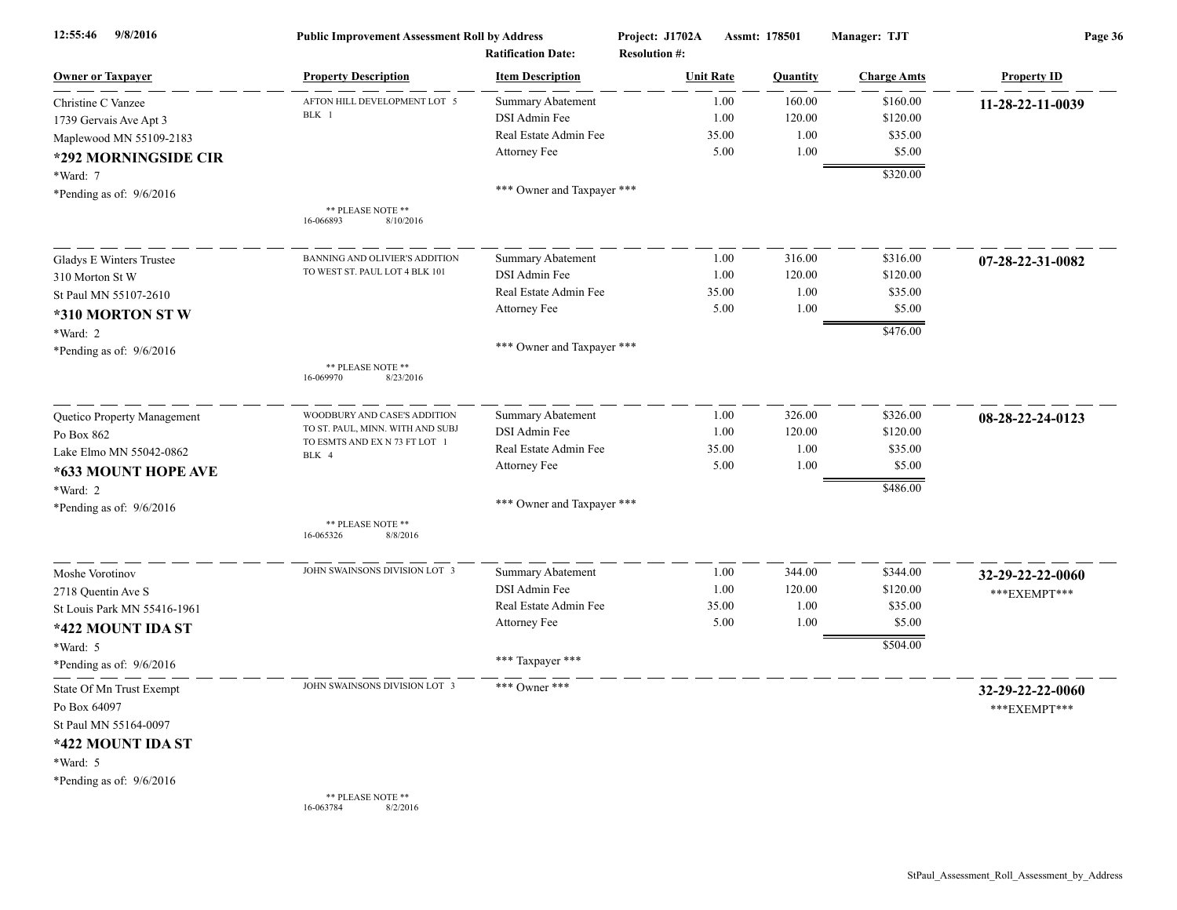| 9/8/2016<br>12:55:46        | <b>Public Improvement Assessment Roll by Address</b><br><b>Ratification Date:</b> |                            | Project: J1702A<br><b>Resolution #:</b> | Assmt: 178501    |          | Manager: TJT       | Page 36            |  |
|-----------------------------|-----------------------------------------------------------------------------------|----------------------------|-----------------------------------------|------------------|----------|--------------------|--------------------|--|
| <b>Owner or Taxpayer</b>    | <b>Property Description</b>                                                       | <b>Item Description</b>    |                                         | <b>Unit Rate</b> | Quantity | <b>Charge Amts</b> | <b>Property ID</b> |  |
| Christine C Vanzee          | AFTON HILL DEVELOPMENT LOT 5                                                      | <b>Summary Abatement</b>   |                                         | 1.00             | 160.00   | \$160.00           | 11-28-22-11-0039   |  |
| 1739 Gervais Ave Apt 3      | BLK 1                                                                             | DSI Admin Fee              |                                         | 1.00             | 120.00   | \$120.00           |                    |  |
| Maplewood MN 55109-2183     |                                                                                   | Real Estate Admin Fee      |                                         | 35.00            | 1.00     | \$35.00            |                    |  |
| *292 MORNINGSIDE CIR        |                                                                                   | Attorney Fee               |                                         | 5.00             | 1.00     | \$5.00             |                    |  |
| *Ward: 7                    |                                                                                   |                            |                                         |                  |          | \$320.00           |                    |  |
| *Pending as of: $9/6/2016$  |                                                                                   | *** Owner and Taxpayer *** |                                         |                  |          |                    |                    |  |
|                             | ** PLEASE NOTE **<br>8/10/2016<br>16-066893                                       |                            |                                         |                  |          |                    |                    |  |
| Gladys E Winters Trustee    | BANNING AND OLIVIER'S ADDITION                                                    | <b>Summary Abatement</b>   |                                         | 1.00             | 316.00   | \$316.00           | 07-28-22-31-0082   |  |
| 310 Morton St W             | TO WEST ST. PAUL LOT 4 BLK 101                                                    | DSI Admin Fee              |                                         | 1.00             | 120.00   | \$120.00           |                    |  |
| St Paul MN 55107-2610       |                                                                                   | Real Estate Admin Fee      |                                         | 35.00            | 1.00     | \$35.00            |                    |  |
| *310 MORTON ST W            |                                                                                   | Attorney Fee               |                                         | 5.00             | 1.00     | \$5.00             |                    |  |
| *Ward: 2                    |                                                                                   |                            |                                         |                  |          | \$476.00           |                    |  |
| *Pending as of: $9/6/2016$  |                                                                                   | *** Owner and Taxpayer *** |                                         |                  |          |                    |                    |  |
|                             | ** PLEASE NOTE **<br>16-069970<br>8/23/2016                                       |                            |                                         |                  |          |                    |                    |  |
| Quetico Property Management | WOODBURY AND CASE'S ADDITION                                                      | <b>Summary Abatement</b>   |                                         | 1.00             | 326.00   | \$326.00           | 08-28-22-24-0123   |  |
| Po Box 862                  | TO ST. PAUL, MINN. WITH AND SUBJ                                                  | DSI Admin Fee              |                                         | 1.00             | 120.00   | \$120.00           |                    |  |
| Lake Elmo MN 55042-0862     | TO ESMTS AND EX N 73 FT LOT 1<br>BLK 4                                            | Real Estate Admin Fee      |                                         | 35.00            | 1.00     | \$35.00            |                    |  |
| *633 MOUNT HOPE AVE         |                                                                                   | Attorney Fee               |                                         | 5.00             | 1.00     | \$5.00             |                    |  |
| *Ward: 2                    |                                                                                   |                            |                                         |                  |          | \$486.00           |                    |  |
| *Pending as of: $9/6/2016$  |                                                                                   | *** Owner and Taxpayer *** |                                         |                  |          |                    |                    |  |
|                             | ** PLEASE NOTE **<br>16-065326<br>8/8/2016                                        |                            |                                         |                  |          |                    |                    |  |
| Moshe Vorotinov             | JOHN SWAINSONS DIVISION LOT 3                                                     | <b>Summary Abatement</b>   |                                         | 1.00             | 344.00   | \$344.00           | 32-29-22-22-0060   |  |
| 2718 Quentin Ave S          |                                                                                   | DSI Admin Fee              |                                         | 1.00             | 120.00   | \$120.00           | *** EXEMPT***      |  |
| St Louis Park MN 55416-1961 |                                                                                   | Real Estate Admin Fee      |                                         | 35.00            | $1.00\,$ | \$35.00            |                    |  |
| *422 MOUNT IDA ST           |                                                                                   | Attorney Fee               |                                         | 5.00             | 1.00     | \$5.00             |                    |  |
| *Ward: 5                    |                                                                                   |                            |                                         |                  |          | \$504.00           |                    |  |
| *Pending as of: 9/6/2016    |                                                                                   | *** Taxpayer ***           |                                         |                  |          |                    |                    |  |
| State Of Mn Trust Exempt    | JOHN SWAINSONS DIVISION LOT 3                                                     | *** Owner ***              |                                         |                  |          |                    | 32-29-22-22-0060   |  |
| Po Box 64097                |                                                                                   |                            |                                         |                  |          |                    | ***EXEMPT***       |  |
| St Paul MN 55164-0097       |                                                                                   |                            |                                         |                  |          |                    |                    |  |
| *422 MOUNT IDA ST           |                                                                                   |                            |                                         |                  |          |                    |                    |  |
| *Ward: 5                    |                                                                                   |                            |                                         |                  |          |                    |                    |  |
| *Pending as of: 9/6/2016    |                                                                                   |                            |                                         |                  |          |                    |                    |  |
|                             | ** PLEASE NOTE **<br>16-063784<br>8/2/2016                                        |                            |                                         |                  |          |                    |                    |  |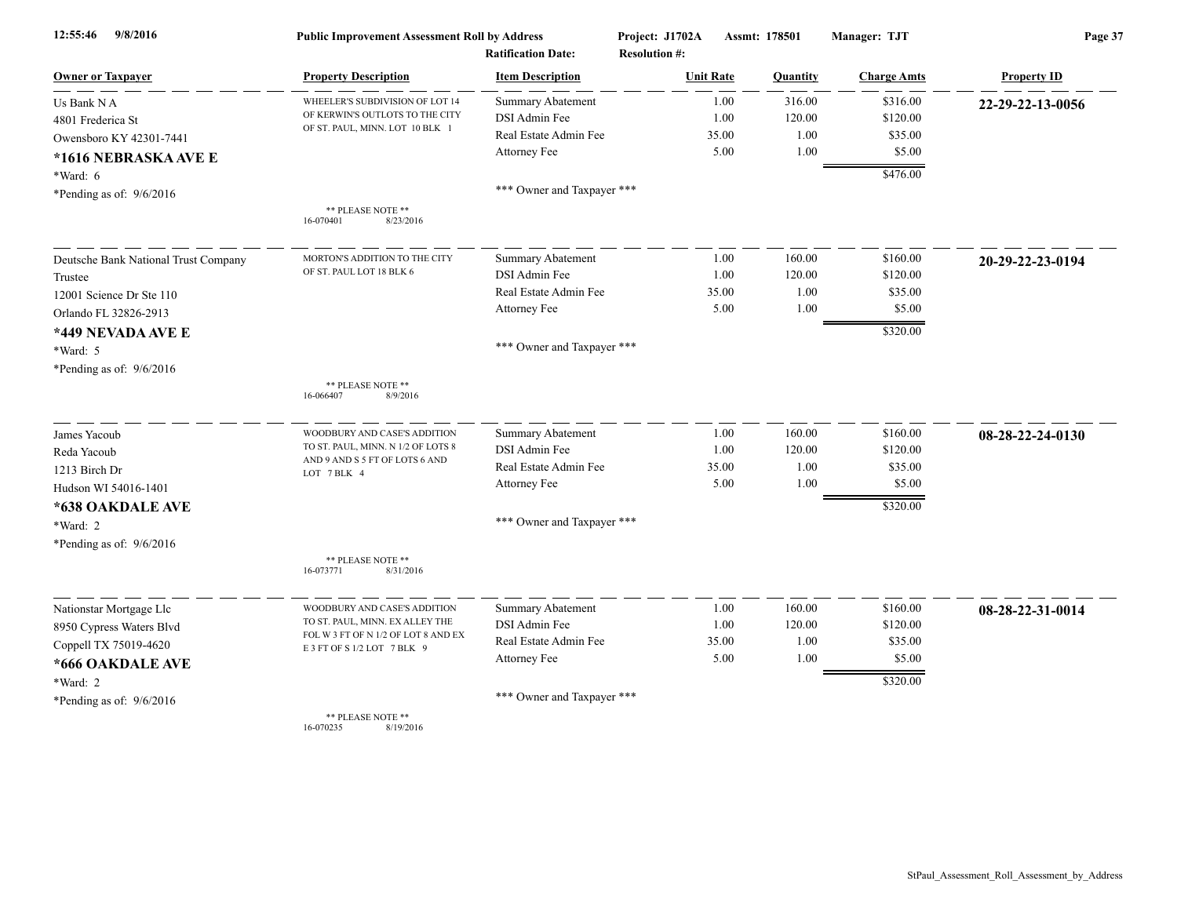| 9/8/2016<br>12:55:46                 | <b>Public Improvement Assessment Roll by Address</b>               |                            | Project: J1702A      | Assmt: 178501 |          | Manager: TJT       | Page 37            |  |
|--------------------------------------|--------------------------------------------------------------------|----------------------------|----------------------|---------------|----------|--------------------|--------------------|--|
|                                      |                                                                    | <b>Ratification Date:</b>  | <b>Resolution #:</b> |               |          |                    |                    |  |
| <b>Owner or Taxpayer</b>             | <b>Property Description</b>                                        | <b>Item Description</b>    | <b>Unit Rate</b>     |               | Quantity | <b>Charge Amts</b> | <b>Property ID</b> |  |
| Us Bank N A                          | WHEELER'S SUBDIVISION OF LOT 14                                    | <b>Summary Abatement</b>   |                      | 1.00          | 316.00   | \$316.00           | 22-29-22-13-0056   |  |
| 4801 Frederica St                    | OF KERWIN'S OUTLOTS TO THE CITY<br>OF ST. PAUL, MINN. LOT 10 BLK 1 | DSI Admin Fee              |                      | 1.00          | 120.00   | \$120.00           |                    |  |
| Owensboro KY 42301-7441              |                                                                    | Real Estate Admin Fee      |                      | 35.00         | 1.00     | \$35.00            |                    |  |
| *1616 NEBRASKA AVE E                 |                                                                    | Attorney Fee               |                      | 5.00          | 1.00     | \$5.00             |                    |  |
| *Ward: 6                             |                                                                    |                            |                      |               |          | \$476.00           |                    |  |
| *Pending as of: $9/6/2016$           |                                                                    | *** Owner and Taxpayer *** |                      |               |          |                    |                    |  |
|                                      | ** PLEASE NOTE **<br>16-070401<br>8/23/2016                        |                            |                      |               |          |                    |                    |  |
| Deutsche Bank National Trust Company | MORTON'S ADDITION TO THE CITY                                      | Summary Abatement          |                      | 1.00          | 160.00   | \$160.00           | 20-29-22-23-0194   |  |
| Trustee                              | OF ST. PAUL LOT 18 BLK 6                                           | DSI Admin Fee              |                      | 1.00          | 120.00   | \$120.00           |                    |  |
| 12001 Science Dr Ste 110             |                                                                    | Real Estate Admin Fee      |                      | 35.00         | 1.00     | \$35.00            |                    |  |
| Orlando FL 32826-2913                |                                                                    | Attorney Fee               |                      | 5.00          | 1.00     | \$5.00             |                    |  |
| *449 NEVADA AVE E                    |                                                                    |                            |                      |               |          | \$320.00           |                    |  |
| *Ward: 5                             |                                                                    | *** Owner and Taxpayer *** |                      |               |          |                    |                    |  |
| *Pending as of: 9/6/2016             |                                                                    |                            |                      |               |          |                    |                    |  |
|                                      | ** PLEASE NOTE **<br>16-066407<br>8/9/2016                         |                            |                      |               |          |                    |                    |  |
| James Yacoub                         | WOODBURY AND CASE'S ADDITION                                       | Summary Abatement          |                      | 1.00          | 160.00   | \$160.00           | 08-28-22-24-0130   |  |
| Reda Yacoub                          | TO ST. PAUL, MINN. N 1/2 OF LOTS 8                                 | DSI Admin Fee              |                      | 1.00          | 120.00   | \$120.00           |                    |  |
| 1213 Birch Dr                        | AND 9 AND S 5 FT OF LOTS 6 AND<br>LOT 7 BLK 4                      | Real Estate Admin Fee      |                      | 35.00         | 1.00     | \$35.00            |                    |  |
| Hudson WI 54016-1401                 |                                                                    | Attorney Fee               |                      | 5.00          | 1.00     | \$5.00             |                    |  |
| *638 OAKDALE AVE                     |                                                                    |                            |                      |               |          | \$320.00           |                    |  |
| *Ward: 2                             |                                                                    | *** Owner and Taxpayer *** |                      |               |          |                    |                    |  |
| *Pending as of: $9/6/2016$           |                                                                    |                            |                      |               |          |                    |                    |  |
|                                      | ** PLEASE NOTE **<br>16-073771<br>8/31/2016                        |                            |                      |               |          |                    |                    |  |
| Nationstar Mortgage Llc              | WOODBURY AND CASE'S ADDITION                                       | <b>Summary Abatement</b>   |                      | 1.00          | 160.00   | \$160.00           | 08-28-22-31-0014   |  |
| 8950 Cypress Waters Blvd             | TO ST. PAUL, MINN. EX ALLEY THE                                    | DSI Admin Fee              |                      | 1.00          | 120.00   | \$120.00           |                    |  |
| Coppell TX 75019-4620                | FOL W 3 FT OF N 1/2 OF LOT 8 AND EX<br>E 3 FT OF S 1/2 LOT 7 BLK 9 | Real Estate Admin Fee      |                      | 35.00         | 1.00     | \$35.00            |                    |  |
| *666 OAKDALE AVE                     |                                                                    | Attorney Fee               |                      | 5.00          | 1.00     | \$5.00             |                    |  |
| *Ward: 2                             |                                                                    |                            |                      |               |          | \$320.00           |                    |  |
| *Pending as of: 9/6/2016             |                                                                    | *** Owner and Taxpayer *** |                      |               |          |                    |                    |  |
|                                      | ** PLEASE NOTE **                                                  |                            |                      |               |          |                    |                    |  |

16-070235 8/19/2016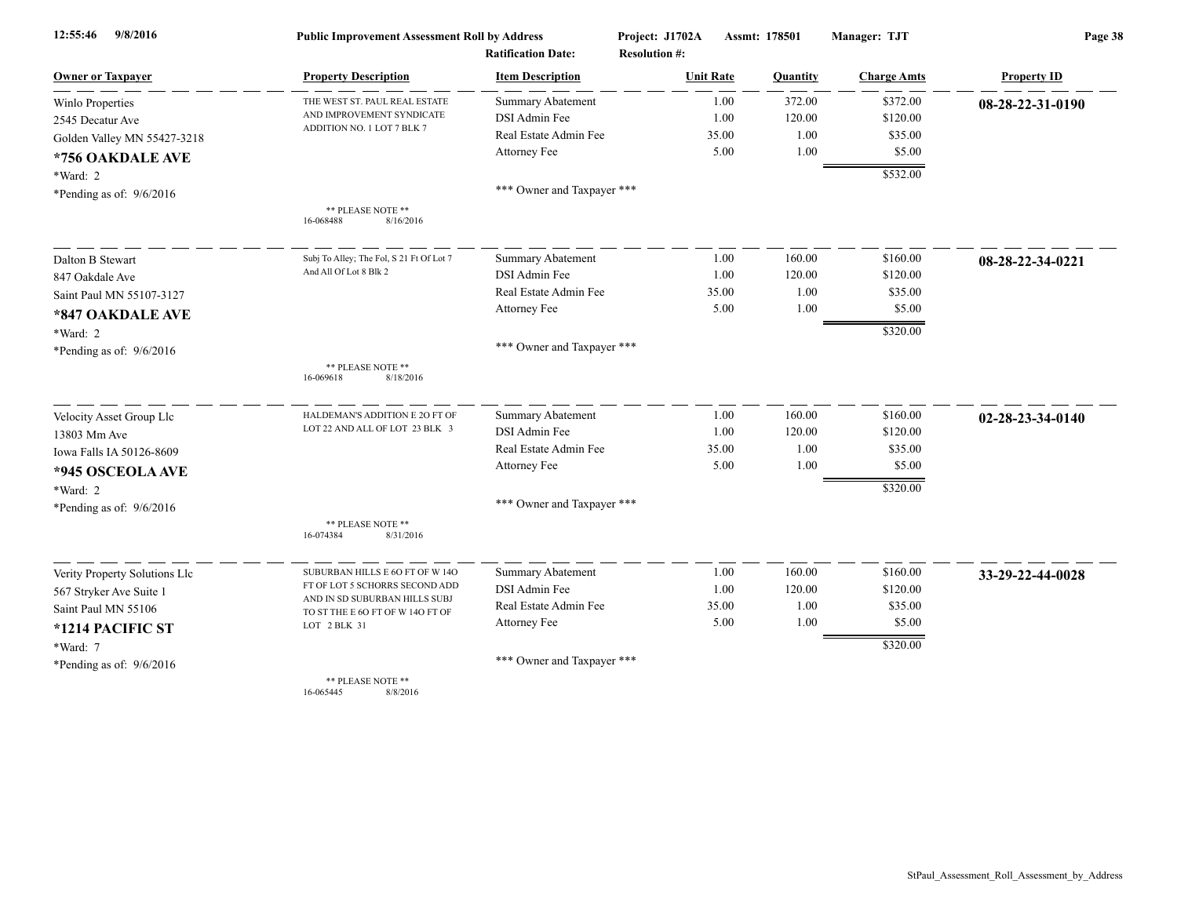| 9/8/2016<br>12:55:46          | <b>Public Improvement Assessment Roll by Address</b>              |                            | Project: J1702A      | Assmt: 178501 |                    | Page 38            |  |
|-------------------------------|-------------------------------------------------------------------|----------------------------|----------------------|---------------|--------------------|--------------------|--|
|                               |                                                                   | <b>Ratification Date:</b>  | <b>Resolution #:</b> |               |                    |                    |  |
| <b>Owner or Taxpayer</b>      | <b>Property Description</b>                                       | <b>Item Description</b>    | <b>Unit Rate</b>     | Quantity      | <b>Charge Amts</b> | <b>Property ID</b> |  |
| <b>Winlo Properties</b>       | THE WEST ST. PAUL REAL ESTATE                                     | <b>Summary Abatement</b>   | 1.00                 | 372.00        | \$372.00           | 08-28-22-31-0190   |  |
| 2545 Decatur Ave              | AND IMPROVEMENT SYNDICATE                                         | DSI Admin Fee              | 1.00                 | 120.00        | \$120.00           |                    |  |
| Golden Valley MN 55427-3218   | ADDITION NO. 1 LOT 7 BLK 7                                        | Real Estate Admin Fee      | 35.00                | 1.00          | \$35.00            |                    |  |
| *756 OAKDALE AVE              |                                                                   | Attorney Fee               | 5.00                 | 1.00          | \$5.00             |                    |  |
| *Ward: 2                      |                                                                   |                            |                      |               | \$532.00           |                    |  |
| *Pending as of: 9/6/2016      |                                                                   | *** Owner and Taxpayer *** |                      |               |                    |                    |  |
|                               | ** PLEASE NOTE **<br>8/16/2016<br>16-068488                       |                            |                      |               |                    |                    |  |
| Dalton B Stewart              | Subj To Alley; The Fol, S 21 Ft Of Lot 7                          | Summary Abatement          | 1.00                 | 160.00        | \$160.00           | 08-28-22-34-0221   |  |
| 847 Oakdale Ave               | And All Of Lot 8 Blk 2                                            | DSI Admin Fee              | 1.00                 | 120.00        | \$120.00           |                    |  |
| Saint Paul MN 55107-3127      |                                                                   | Real Estate Admin Fee      | 35.00                | 1.00          | \$35.00            |                    |  |
| *847 OAKDALE AVE              |                                                                   | Attorney Fee               | 5.00                 | 1.00          | \$5.00             |                    |  |
| *Ward: 2                      |                                                                   |                            |                      |               | \$320.00           |                    |  |
| *Pending as of: $9/6/2016$    |                                                                   | *** Owner and Taxpayer *** |                      |               |                    |                    |  |
|                               | ** PLEASE NOTE **<br>16-069618<br>8/18/2016                       |                            |                      |               |                    |                    |  |
| Velocity Asset Group Llc      | HALDEMAN'S ADDITION E 20 FT OF                                    | <b>Summary Abatement</b>   | 1.00                 | 160.00        | \$160.00           | 02-28-23-34-0140   |  |
| 13803 Mm Ave                  | LOT 22 AND ALL OF LOT 23 BLK 3                                    | DSI Admin Fee              | 1.00                 | 120.00        | \$120.00           |                    |  |
| Iowa Falls IA 50126-8609      |                                                                   | Real Estate Admin Fee      | 35.00                | 1.00          | \$35.00            |                    |  |
| *945 OSCEOLA AVE              |                                                                   | Attorney Fee               | 5.00                 | 1.00          | \$5.00             |                    |  |
| *Ward: 2                      |                                                                   |                            |                      |               | \$320.00           |                    |  |
| *Pending as of: $9/6/2016$    |                                                                   | *** Owner and Taxpayer *** |                      |               |                    |                    |  |
|                               | ** PLEASE NOTE **<br>16-074384<br>8/31/2016                       |                            |                      |               |                    |                    |  |
| Verity Property Solutions Llc | SUBURBAN HILLS E 6O FT OF W 14O                                   | <b>Summary Abatement</b>   | 1.00                 | 160.00        | \$160.00           | 33-29-22-44-0028   |  |
| 567 Stryker Ave Suite 1       | FT OF LOT 5 SCHORRS SECOND ADD                                    | DSI Admin Fee              | 1.00                 | 120.00        | \$120.00           |                    |  |
| Saint Paul MN 55106           | AND IN SD SUBURBAN HILLS SUBJ<br>TO ST THE E 6O FT OF W 14O FT OF | Real Estate Admin Fee      | 35.00                | 1.00          | \$35.00            |                    |  |
| *1214 PACIFIC ST              | LOT 2 BLK 31                                                      | Attorney Fee               | 5.00                 | 1.00          | \$5.00             |                    |  |
| *Ward: 7                      |                                                                   |                            |                      |               | \$320.00           |                    |  |
| *Pending as of: $9/6/2016$    |                                                                   | *** Owner and Taxpayer *** |                      |               |                    |                    |  |
|                               | ** PLEASE NOTE **<br>16-065445<br>8/8/2016                        |                            |                      |               |                    |                    |  |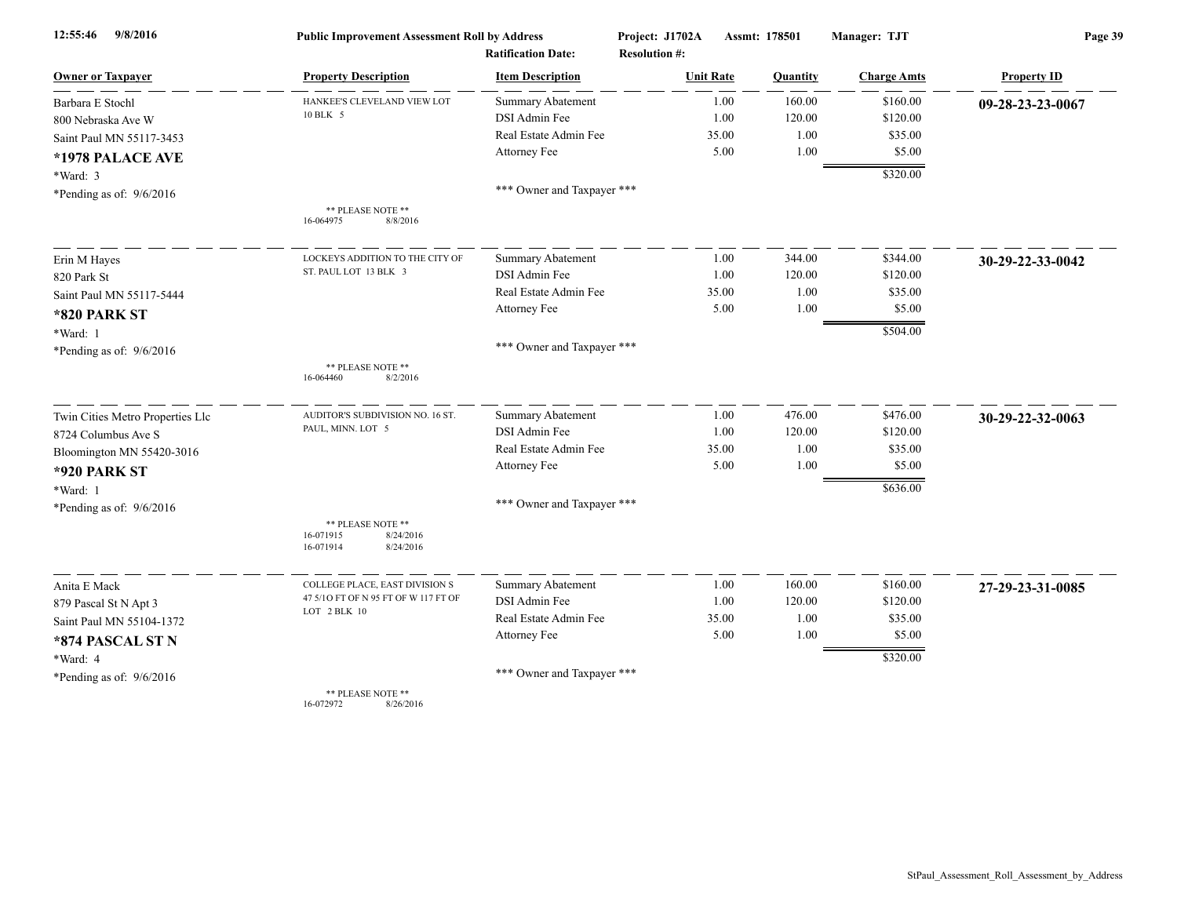| 9/8/2016<br>12:55:46             | <b>Public Improvement Assessment Roll by Address</b>                  |                                                      | Project: J1702A                          | Assmt: 178501 | Manager: TJT       | Page 39            |  |
|----------------------------------|-----------------------------------------------------------------------|------------------------------------------------------|------------------------------------------|---------------|--------------------|--------------------|--|
| <b>Owner or Taxpaver</b>         | <b>Property Description</b>                                           | <b>Ratification Date:</b><br><b>Item Description</b> | <b>Resolution #:</b><br><b>Unit Rate</b> | Quantity      | <b>Charge Amts</b> | <b>Property ID</b> |  |
| Barbara E Stochl                 | HANKEE'S CLEVELAND VIEW LOT                                           | Summary Abatement                                    | 1.00                                     | 160.00        | \$160.00           | 09-28-23-23-0067   |  |
| 800 Nebraska Ave W               | 10 BLK 5                                                              | DSI Admin Fee                                        | 1.00                                     | 120.00        | \$120.00           |                    |  |
| Saint Paul MN 55117-3453         |                                                                       | Real Estate Admin Fee                                | 35.00                                    | 1.00          | \$35.00            |                    |  |
| *1978 PALACE AVE                 |                                                                       | Attorney Fee                                         | 5.00                                     | 1.00          | \$5.00             |                    |  |
| *Ward: 3                         |                                                                       |                                                      |                                          |               | \$320.00           |                    |  |
| *Pending as of: 9/6/2016         |                                                                       | *** Owner and Taxpayer ***                           |                                          |               |                    |                    |  |
|                                  | ** PLEASE NOTE **<br>16-064975<br>8/8/2016                            |                                                      |                                          |               |                    |                    |  |
| Erin M Hayes                     | LOCKEYS ADDITION TO THE CITY OF                                       | <b>Summary Abatement</b>                             | 1.00                                     | 344.00        | \$344.00           | 30-29-22-33-0042   |  |
| 820 Park St                      | ST. PAUL LOT 13 BLK 3                                                 | DSI Admin Fee                                        | 1.00                                     | 120.00        | \$120.00           |                    |  |
| Saint Paul MN 55117-5444         |                                                                       | Real Estate Admin Fee                                | 35.00                                    | 1.00          | \$35.00            |                    |  |
| <b>*820 PARK ST</b>              |                                                                       | Attorney Fee                                         | 5.00                                     | 1.00          | \$5.00             |                    |  |
| *Ward: 1                         |                                                                       |                                                      |                                          |               | \$504.00           |                    |  |
| *Pending as of: $9/6/2016$       |                                                                       | *** Owner and Taxpayer ***                           |                                          |               |                    |                    |  |
|                                  | ** PLEASE NOTE **<br>8/2/2016<br>16-064460                            |                                                      |                                          |               |                    |                    |  |
| Twin Cities Metro Properties Llc | AUDITOR'S SUBDIVISION NO. 16 ST.                                      | Summary Abatement                                    | 1.00                                     | 476.00        | \$476.00           | 30-29-22-32-0063   |  |
| 8724 Columbus Ave S              | PAUL, MINN. LOT 5                                                     | DSI Admin Fee                                        | 1.00                                     | 120.00        | \$120.00           |                    |  |
| Bloomington MN 55420-3016        |                                                                       | Real Estate Admin Fee                                | 35.00                                    | 1.00          | \$35.00            |                    |  |
| <b>*920 PARK ST</b>              |                                                                       | Attorney Fee                                         | 5.00                                     | 1.00          | \$5.00             |                    |  |
| *Ward: 1                         |                                                                       |                                                      |                                          |               | \$636.00           |                    |  |
| *Pending as of: 9/6/2016         |                                                                       | *** Owner and Taxpayer ***                           |                                          |               |                    |                    |  |
|                                  | ** PLEASE NOTE **<br>16-071915<br>8/24/2016<br>16-071914<br>8/24/2016 |                                                      |                                          |               |                    |                    |  |
| Anita E Mack                     | COLLEGE PLACE, EAST DIVISION S                                        | Summary Abatement                                    | 1.00                                     | 160.00        | \$160.00           | 27-29-23-31-0085   |  |
| 879 Pascal St N Apt 3            | 47 5/10 FT OF N 95 FT OF W 117 FT OF                                  | DSI Admin Fee                                        | 1.00                                     | 120.00        | \$120.00           |                    |  |
| Saint Paul MN 55104-1372         | LOT 2 BLK 10                                                          | Real Estate Admin Fee                                | 35.00                                    | 1.00          | \$35.00            |                    |  |
| *874 PASCAL ST N                 |                                                                       | Attorney Fee                                         | 5.00                                     | 1.00          | \$5.00             |                    |  |
| *Ward: 4                         |                                                                       |                                                      |                                          |               | \$320.00           |                    |  |
| *Pending as of: 9/6/2016         |                                                                       | *** Owner and Taxpayer ***                           |                                          |               |                    |                    |  |
|                                  | ** PLEASE NOTE **<br>16-072972<br>8/26/2016                           |                                                      |                                          |               |                    |                    |  |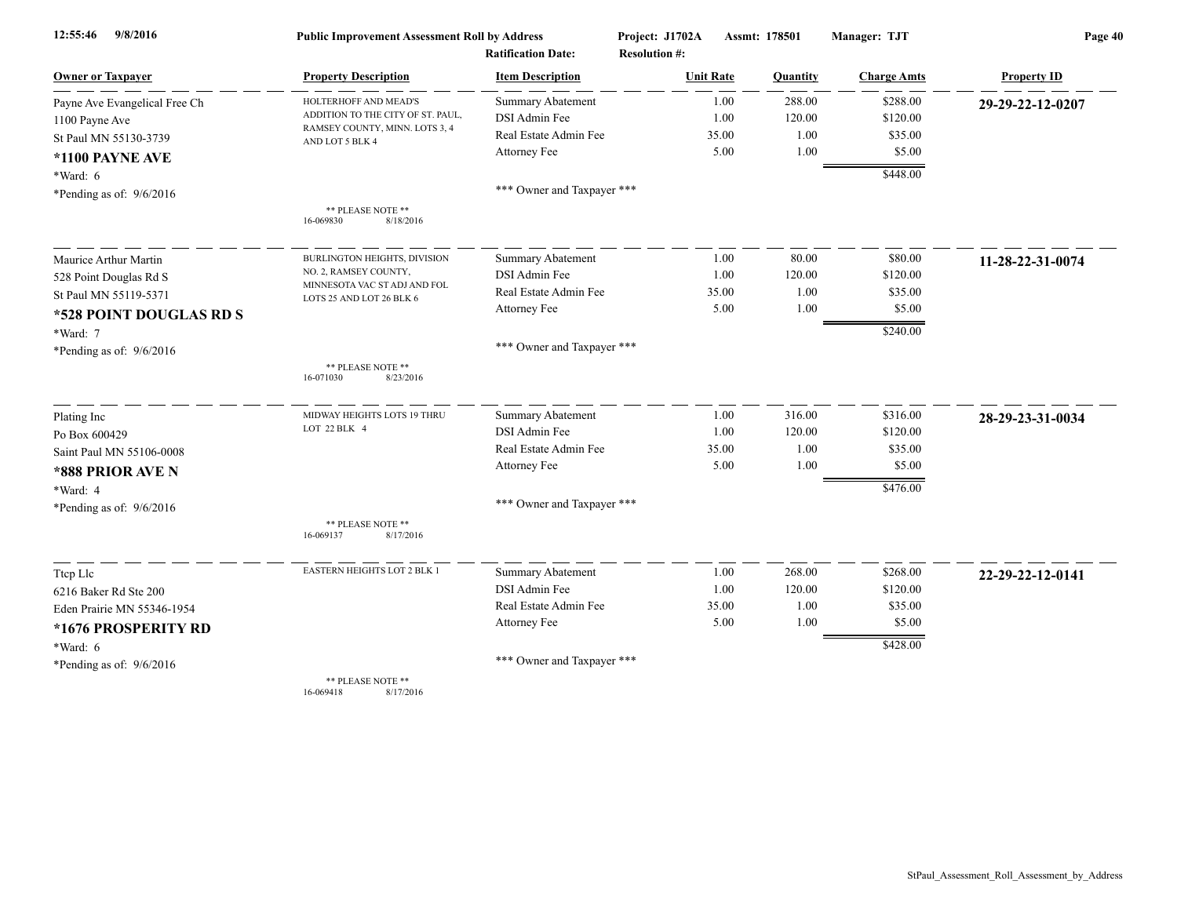| 9/8/2016<br>12:55:46          | <b>Public Improvement Assessment Roll by Address</b>     |                            | Project: J1702A      | Manager: TJT<br>Assmt: 178501 |                    | Page 40            |  |
|-------------------------------|----------------------------------------------------------|----------------------------|----------------------|-------------------------------|--------------------|--------------------|--|
|                               |                                                          | <b>Ratification Date:</b>  | <b>Resolution #:</b> |                               |                    |                    |  |
| <b>Owner or Taxpayer</b>      | <b>Property Description</b>                              | <b>Item Description</b>    | <b>Unit Rate</b>     | Quantity                      | <b>Charge Amts</b> | <b>Property ID</b> |  |
| Payne Ave Evangelical Free Ch | HOLTERHOFF AND MEAD'S                                    | Summary Abatement          | 1.00                 | 288.00                        | \$288.00           | 29-29-22-12-0207   |  |
| 1100 Payne Ave                | ADDITION TO THE CITY OF ST. PAUL,                        | DSI Admin Fee              | 1.00                 | 120.00                        | \$120.00           |                    |  |
| St Paul MN 55130-3739         | RAMSEY COUNTY, MINN. LOTS 3, 4<br>AND LOT 5 BLK 4        | Real Estate Admin Fee      | 35.00                | 1.00                          | \$35.00            |                    |  |
| *1100 PAYNE AVE               |                                                          | Attorney Fee               | 5.00                 | 1.00                          | \$5.00             |                    |  |
| *Ward: 6                      |                                                          |                            |                      |                               | \$448.00           |                    |  |
| *Pending as of: $9/6/2016$    |                                                          | *** Owner and Taxpayer *** |                      |                               |                    |                    |  |
|                               | ** PLEASE NOTE **<br>8/18/2016<br>16-069830              |                            |                      |                               |                    |                    |  |
| Maurice Arthur Martin         | BURLINGTON HEIGHTS, DIVISION                             | <b>Summary Abatement</b>   | 1.00                 | 80.00                         | \$80.00            | 11-28-22-31-0074   |  |
| 528 Point Douglas Rd S        | NO. 2, RAMSEY COUNTY,                                    | DSI Admin Fee              | 1.00                 | 120.00                        | \$120.00           |                    |  |
| St Paul MN 55119-5371         | MINNESOTA VAC ST ADJ AND FOL<br>LOTS 25 AND LOT 26 BLK 6 | Real Estate Admin Fee      | 35.00                | 1.00                          | \$35.00            |                    |  |
| *528 POINT DOUGLAS RD S       |                                                          | Attorney Fee               | 5.00                 | 1.00                          | \$5.00             |                    |  |
| *Ward: 7                      |                                                          |                            |                      |                               | \$240.00           |                    |  |
| *Pending as of: $9/6/2016$    |                                                          | *** Owner and Taxpayer *** |                      |                               |                    |                    |  |
|                               | ** PLEASE NOTE **<br>16-071030<br>8/23/2016              |                            |                      |                               |                    |                    |  |
| Plating Inc                   | MIDWAY HEIGHTS LOTS 19 THRU                              | Summary Abatement          | 1.00                 | 316.00                        | \$316.00           | 28-29-23-31-0034   |  |
| Po Box 600429                 | LOT 22 BLK 4                                             | DSI Admin Fee              | 1.00                 | 120.00                        | \$120.00           |                    |  |
| Saint Paul MN 55106-0008      |                                                          | Real Estate Admin Fee      | 35.00                | 1.00                          | \$35.00            |                    |  |
| *888 PRIOR AVE N              |                                                          | Attorney Fee               | 5.00                 | 1.00                          | \$5.00             |                    |  |
| *Ward: 4                      |                                                          |                            |                      |                               | \$476.00           |                    |  |
| *Pending as of: $9/6/2016$    |                                                          | *** Owner and Taxpayer *** |                      |                               |                    |                    |  |
|                               | ** PLEASE NOTE **<br>16-069137<br>8/17/2016              |                            |                      |                               |                    |                    |  |
| Ttep Lle                      | EASTERN HEIGHTS LOT 2 BLK 1                              | <b>Summary Abatement</b>   | 1.00                 | 268.00                        | \$268.00           | 22-29-22-12-0141   |  |
| 6216 Baker Rd Ste 200         |                                                          | DSI Admin Fee              | 1.00                 | 120.00                        | \$120.00           |                    |  |
| Eden Prairie MN 55346-1954    |                                                          | Real Estate Admin Fee      | 35.00                | 1.00                          | \$35.00            |                    |  |
| *1676 PROSPERITY RD           |                                                          | Attorney Fee               | 5.00                 | 1.00                          | \$5.00             |                    |  |
| *Ward: 6                      |                                                          |                            |                      |                               | \$428.00           |                    |  |
| *Pending as of: $9/6/2016$    |                                                          | *** Owner and Taxpayer *** |                      |                               |                    |                    |  |
|                               | ** PLEASE NOTE **                                        |                            |                      |                               |                    |                    |  |

16-069418 8/17/2016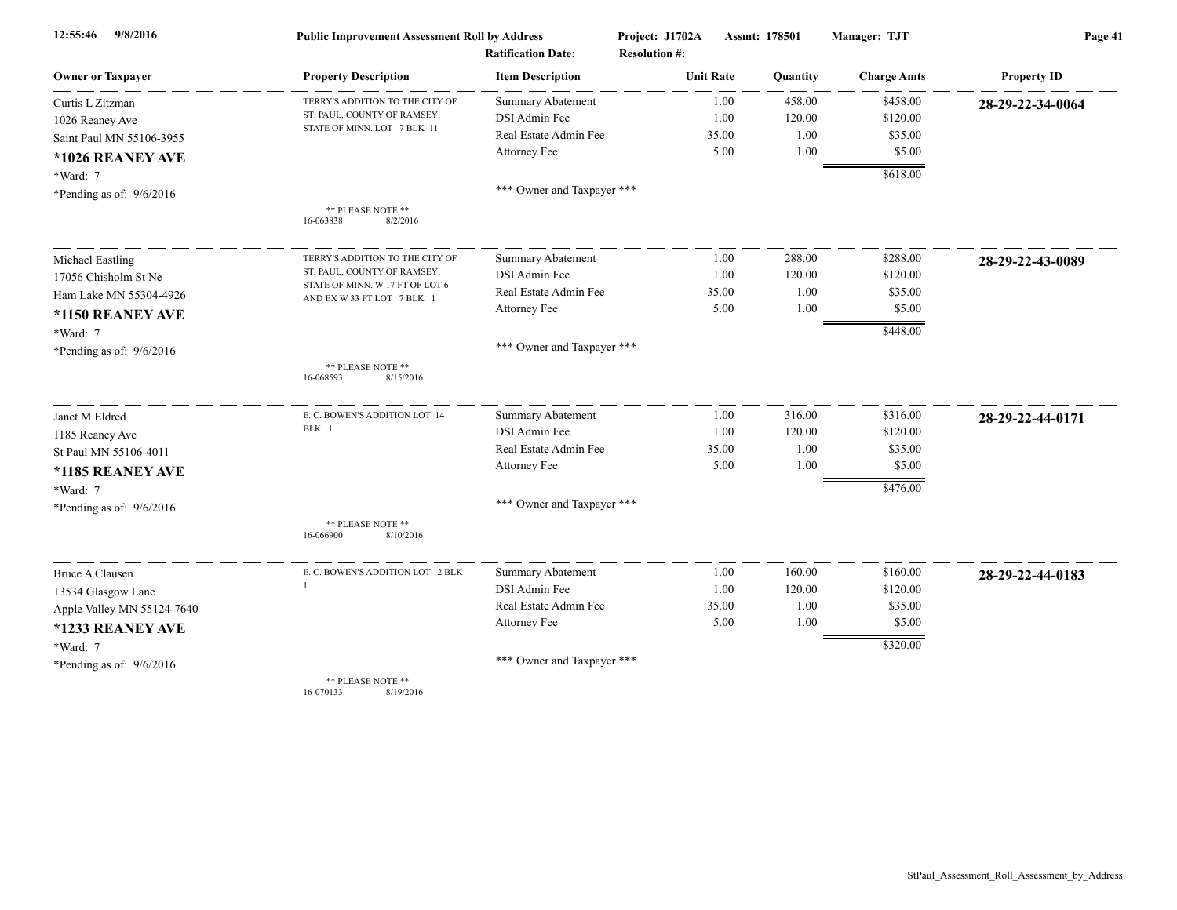| 9/8/2016<br>12:55:46       | <b>Public Improvement Assessment Roll by Address</b>          |                            | Project: J1702A      | Manager: TJT<br>Assmt: 178501 |                    | Page 41            |  |
|----------------------------|---------------------------------------------------------------|----------------------------|----------------------|-------------------------------|--------------------|--------------------|--|
|                            |                                                               | <b>Ratification Date:</b>  | <b>Resolution #:</b> |                               |                    |                    |  |
| <b>Owner or Taxpayer</b>   | <b>Property Description</b>                                   | <b>Item Description</b>    | <b>Unit Rate</b>     | Quantity                      | <b>Charge Amts</b> | <b>Property ID</b> |  |
| Curtis L Zitzman           | TERRY'S ADDITION TO THE CITY OF                               | <b>Summary Abatement</b>   | 1.00                 | 458.00                        | \$458.00           | 28-29-22-34-0064   |  |
| 1026 Reaney Ave            | ST. PAUL, COUNTY OF RAMSEY,                                   | DSI Admin Fee              | 1.00                 | 120.00                        | \$120.00           |                    |  |
| Saint Paul MN 55106-3955   | STATE OF MINN. LOT 7 BLK 11                                   | Real Estate Admin Fee      | 35.00                | 1.00                          | \$35.00            |                    |  |
| *1026 REANEY AVE           |                                                               | Attorney Fee               | 5.00                 | 1.00                          | \$5.00             |                    |  |
| *Ward: 7                   |                                                               |                            |                      |                               | \$618.00           |                    |  |
| *Pending as of: $9/6/2016$ |                                                               | *** Owner and Taxpayer *** |                      |                               |                    |                    |  |
|                            | ** PLEASE NOTE **                                             |                            |                      |                               |                    |                    |  |
|                            | 16-063838<br>8/2/2016                                         |                            |                      |                               |                    |                    |  |
| Michael Eastling           | TERRY'S ADDITION TO THE CITY OF                               | <b>Summary Abatement</b>   | 1.00                 | 288.00                        | \$288.00           | 28-29-22-43-0089   |  |
| 17056 Chisholm St Ne       | ST. PAUL, COUNTY OF RAMSEY,                                   | DSI Admin Fee              | 1.00                 | 120.00                        | \$120.00           |                    |  |
| Ham Lake MN 55304-4926     | STATE OF MINN. W 17 FT OF LOT 6<br>AND EX W 33 FT LOT 7 BLK 1 | Real Estate Admin Fee      | 35.00                | 1.00                          | \$35.00            |                    |  |
| *1150 REANEY AVE           |                                                               | Attorney Fee               | 5.00                 | 1.00                          | \$5.00             |                    |  |
| *Ward: 7                   |                                                               |                            |                      |                               | \$448.00           |                    |  |
| *Pending as of: 9/6/2016   |                                                               | *** Owner and Taxpayer *** |                      |                               |                    |                    |  |
|                            | ** PLEASE NOTE **                                             |                            |                      |                               |                    |                    |  |
|                            | 16-068593<br>8/15/2016                                        |                            |                      |                               |                    |                    |  |
| Janet M Eldred             | E. C. BOWEN'S ADDITION LOT 14                                 | Summary Abatement          | 1.00                 | 316.00                        | \$316.00           | 28-29-22-44-0171   |  |
| 1185 Reaney Ave            | BLK 1                                                         | DSI Admin Fee              | 1.00                 | 120.00                        | \$120.00           |                    |  |
| St Paul MN 55106-4011      |                                                               | Real Estate Admin Fee      | 35.00                | 1.00                          | \$35.00            |                    |  |
| *1185 REANEY AVE           |                                                               | Attorney Fee               | 5.00                 | 1.00                          | \$5.00             |                    |  |
| *Ward: 7                   |                                                               |                            |                      |                               | \$476.00           |                    |  |
| *Pending as of: 9/6/2016   |                                                               | *** Owner and Taxpayer *** |                      |                               |                    |                    |  |
|                            | ** PLEASE NOTE **<br>16-066900<br>8/10/2016                   |                            |                      |                               |                    |                    |  |
| <b>Bruce A Clausen</b>     | E. C. BOWEN'S ADDITION LOT 2 BLK                              | Summary Abatement          | 1.00                 | 160.00                        | \$160.00           | 28-29-22-44-0183   |  |
| 13534 Glasgow Lane         |                                                               | DSI Admin Fee              | 1.00                 | 120.00                        | \$120.00           |                    |  |
| Apple Valley MN 55124-7640 |                                                               | Real Estate Admin Fee      | 35.00                | 1.00                          | \$35.00            |                    |  |
| *1233 REANEY AVE           |                                                               | Attorney Fee               | 5.00                 | 1.00                          | \$5.00             |                    |  |
| *Ward: 7                   |                                                               |                            |                      |                               | \$320.00           |                    |  |
| *Pending as of: $9/6/2016$ |                                                               | *** Owner and Taxpayer *** |                      |                               |                    |                    |  |
|                            | ** PLEASE NOTE **                                             |                            |                      |                               |                    |                    |  |

16-070133 8/19/2016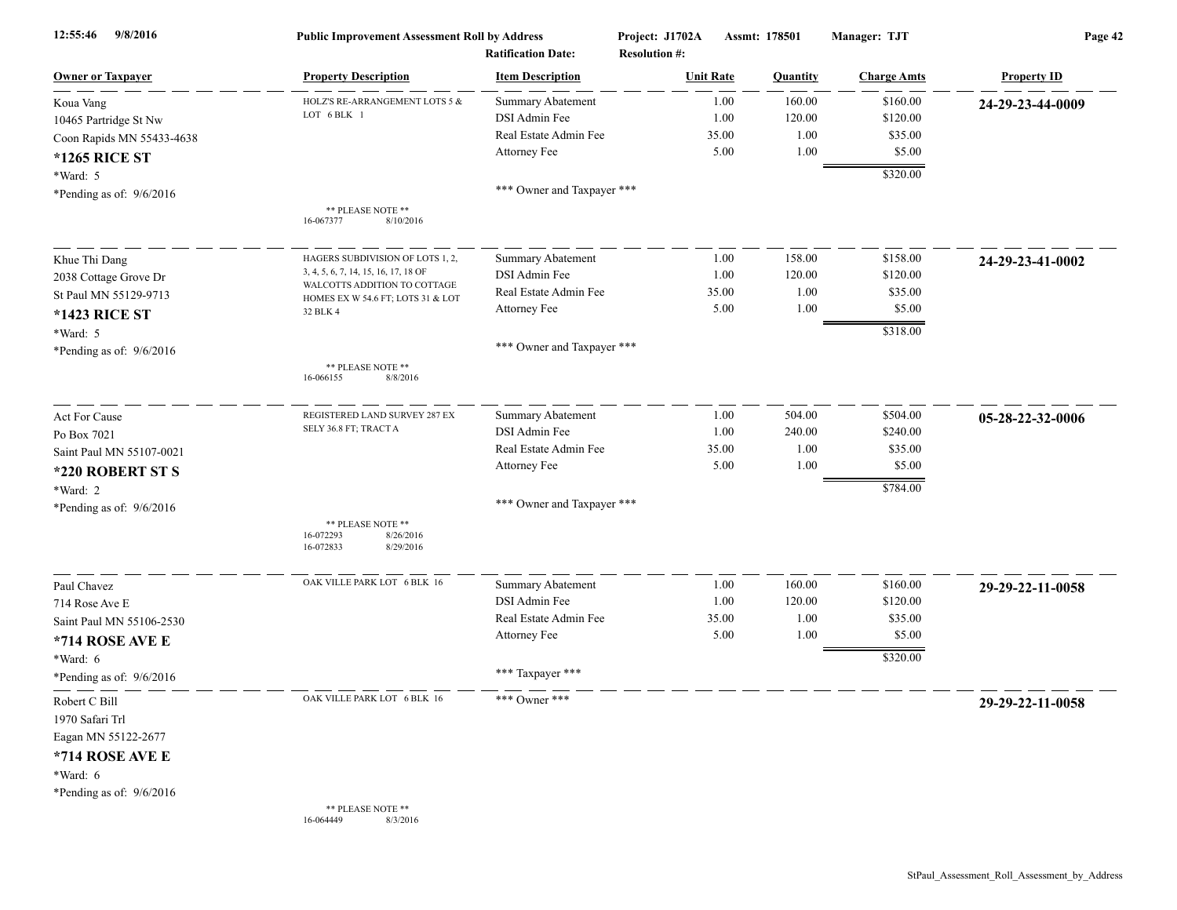| 9/8/2016<br>12:55:46                                                                                                 | <b>Public Improvement Assessment Roll by Address</b><br><b>Ratification Date:</b> |                                                                           | Project: J1702A<br>Assmt: 178501<br><b>Resolution #:</b> |                       | Manager: TJT             | Page 42                         |                    |
|----------------------------------------------------------------------------------------------------------------------|-----------------------------------------------------------------------------------|---------------------------------------------------------------------------|----------------------------------------------------------|-----------------------|--------------------------|---------------------------------|--------------------|
| <b>Owner or Taxpayer</b>                                                                                             | <b>Property Description</b>                                                       | <b>Item Description</b>                                                   |                                                          | <b>Unit Rate</b>      | Quantity                 | <b>Charge Amts</b>              | <b>Property ID</b> |
| Koua Vang<br>10465 Partridge St Nw                                                                                   | HOLZ'S RE-ARRANGEMENT LOTS 5 &<br>LOT 6 BLK 1                                     | <b>Summary Abatement</b><br><b>DSI</b> Admin Fee<br>Real Estate Admin Fee |                                                          | 1.00<br>1.00<br>35.00 | 160.00<br>120.00<br>1.00 | \$160.00<br>\$120.00<br>\$35.00 | 24-29-23-44-0009   |
| Coon Rapids MN 55433-4638<br><b>*1265 RICE ST</b><br>*Ward: 5                                                        |                                                                                   | Attorney Fee                                                              |                                                          | 5.00                  | 1.00                     | \$5.00<br>\$320.00              |                    |
| *Pending as of: $9/6/2016$                                                                                           | ** PLEASE NOTE **<br>8/10/2016<br>16-067377                                       | *** Owner and Taxpayer ***                                                |                                                          |                       |                          |                                 |                    |
| Khue Thi Dang                                                                                                        | HAGERS SUBDIVISION OF LOTS 1, 2,                                                  | <b>Summary Abatement</b>                                                  |                                                          | 1.00                  | 158.00                   | \$158.00                        | 24-29-23-41-0002   |
| 2038 Cottage Grove Dr                                                                                                | 3, 4, 5, 6, 7, 14, 15, 16, 17, 18 OF<br>WALCOTTS ADDITION TO COTTAGE              | DSI Admin Fee                                                             |                                                          | 1.00                  | 120.00                   | \$120.00                        |                    |
| St Paul MN 55129-9713                                                                                                | HOMES EX W 54.6 FT; LOTS 31 & LOT                                                 | Real Estate Admin Fee                                                     |                                                          | 35.00                 | 1.00                     | \$35.00                         |                    |
| <b>*1423 RICE ST</b>                                                                                                 | 32 BLK 4                                                                          | Attorney Fee                                                              |                                                          | 5.00                  | 1.00                     | \$5.00                          |                    |
| *Ward: 5                                                                                                             |                                                                                   |                                                                           |                                                          |                       |                          | \$318.00                        |                    |
| *Pending as of: $9/6/2016$                                                                                           | ** PLEASE NOTE **<br>16-066155<br>8/8/2016                                        | *** Owner and Taxpayer ***                                                |                                                          |                       |                          |                                 |                    |
| <b>Act For Cause</b>                                                                                                 | REGISTERED LAND SURVEY 287 EX                                                     | <b>Summary Abatement</b>                                                  |                                                          | 1.00                  | 504.00                   | \$504.00                        | 05-28-22-32-0006   |
| Po Box 7021                                                                                                          | SELY 36.8 FT; TRACT A                                                             | DSI Admin Fee                                                             |                                                          | 1.00                  | 240.00                   | \$240.00                        |                    |
| Saint Paul MN 55107-0021                                                                                             |                                                                                   | Real Estate Admin Fee                                                     |                                                          | 35.00                 | 1.00                     | \$35.00                         |                    |
| *220 ROBERT ST S                                                                                                     |                                                                                   | Attorney Fee                                                              |                                                          | 5.00                  | 1.00                     | \$5.00                          |                    |
| *Ward: 2                                                                                                             |                                                                                   |                                                                           |                                                          |                       |                          | \$784.00                        |                    |
| *Pending as of: $9/6/2016$                                                                                           |                                                                                   | *** Owner and Taxpayer ***                                                |                                                          |                       |                          |                                 |                    |
|                                                                                                                      | ** PLEASE NOTE **<br>16-072293<br>8/26/2016<br>16-072833<br>8/29/2016             |                                                                           |                                                          |                       |                          |                                 |                    |
| Paul Chavez                                                                                                          | OAK VILLE PARK LOT 6 BLK 16                                                       | <b>Summary Abatement</b>                                                  |                                                          | 1.00                  | 160.00                   | \$160.00                        | 29-29-22-11-0058   |
| 714 Rose Ave E                                                                                                       |                                                                                   | DSI Admin Fee                                                             |                                                          | 1.00                  | 120.00                   | \$120.00                        |                    |
| Saint Paul MN 55106-2530                                                                                             |                                                                                   | Real Estate Admin Fee                                                     |                                                          | 35.00                 | 1.00                     | \$35.00                         |                    |
| *714 ROSE AVE E                                                                                                      |                                                                                   | Attorney Fee                                                              |                                                          | 5.00                  | 1.00                     | \$5.00                          |                    |
| *Ward: 6                                                                                                             |                                                                                   |                                                                           |                                                          |                       |                          | \$320.00                        |                    |
| *Pending as of: $9/6/2016$                                                                                           |                                                                                   | *** Taxpayer ***                                                          |                                                          |                       |                          |                                 |                    |
| Robert C Bill<br>1970 Safari Trl<br>Eagan MN 55122-2677<br>*714 ROSE AVE E<br>*Ward: 6<br>*Pending as of: $9/6/2016$ | OAK VILLE PARK LOT 6 BLK 16                                                       | *** Owner ***                                                             |                                                          |                       |                          |                                 | 29-29-22-11-0058   |
|                                                                                                                      | ** PLEASE NOTE **<br>8/3/2016<br>16-064449                                        |                                                                           |                                                          |                       |                          |                                 |                    |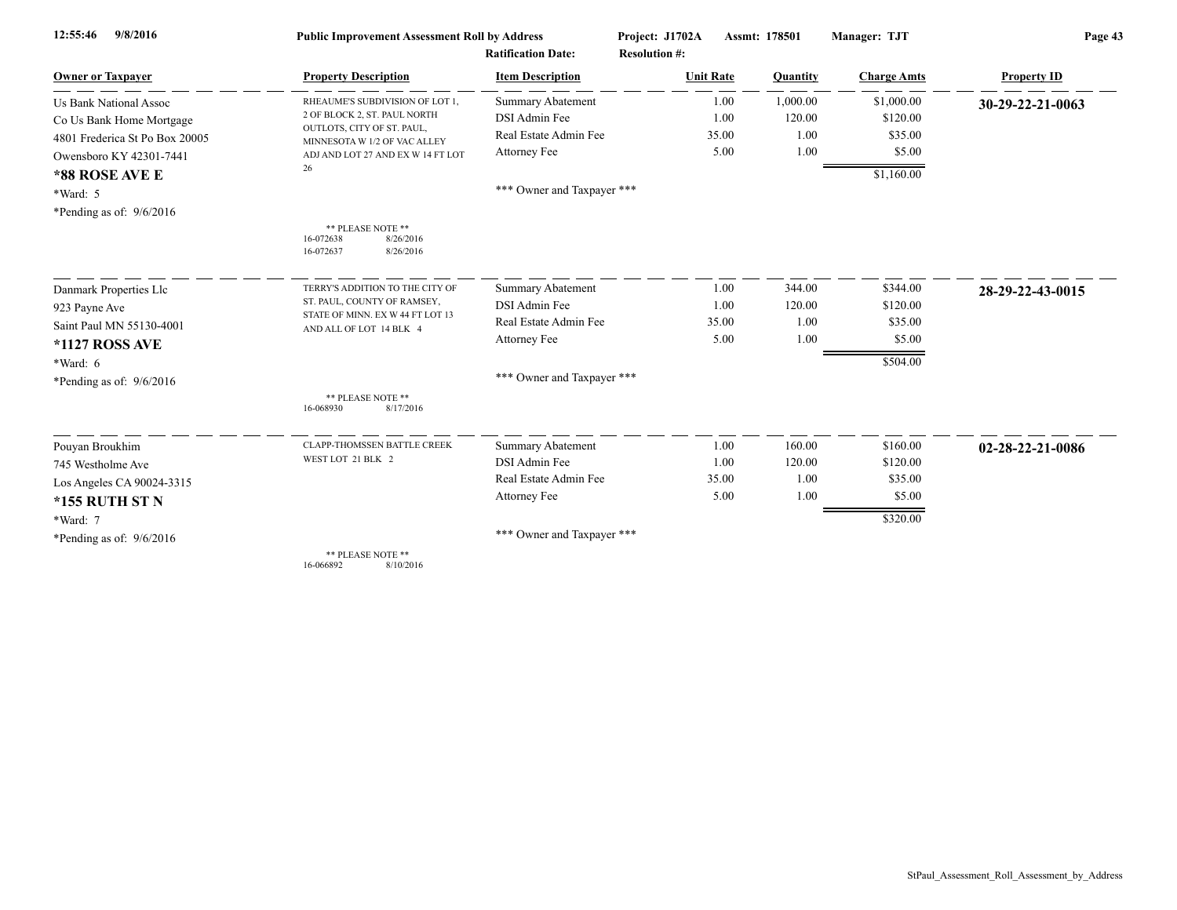| 9/8/2016<br>12:55:46                                                                                                                     | <b>Public Improvement Assessment Roll by Address</b>                                                                                                                         | <b>Ratification Date:</b>                                                                                        | Project: J1702A<br><b>Resolution #:</b> | Assmt: 178501                      | Manager: TJT                                              | Page 43            |
|------------------------------------------------------------------------------------------------------------------------------------------|------------------------------------------------------------------------------------------------------------------------------------------------------------------------------|------------------------------------------------------------------------------------------------------------------|-----------------------------------------|------------------------------------|-----------------------------------------------------------|--------------------|
| <b>Owner or Taxpayer</b>                                                                                                                 | <b>Property Description</b>                                                                                                                                                  | <b>Item Description</b>                                                                                          | <b>Unit Rate</b>                        | Quantity                           | <b>Charge Amts</b>                                        | <b>Property ID</b> |
| <b>Us Bank National Assoc</b><br>Co Us Bank Home Mortgage<br>4801 Frederica St Po Box 20005<br>Owensboro KY 42301-7441<br>*88 ROSE AVE E | RHEAUME'S SUBDIVISION OF LOT 1,<br>2 OF BLOCK 2, ST. PAUL NORTH<br>OUTLOTS, CITY OF ST. PAUL,<br>MINNESOTA W 1/2 OF VAC ALLEY<br>ADJ AND LOT 27 AND EX W 14 FT LOT<br>26     | <b>Summary Abatement</b><br><b>DSI</b> Admin Fee<br>Real Estate Admin Fee<br>Attorney Fee                        | 1.00<br>1.00<br>35.00<br>5.00           | 1,000.00<br>120.00<br>1.00<br>1.00 | \$1,000.00<br>\$120.00<br>\$35.00<br>\$5.00<br>\$1,160.00 | 30-29-22-21-0063   |
| *Ward: 5<br>*Pending as of: 9/6/2016                                                                                                     | ** PLEASE NOTE **<br>8/26/2016<br>16-072638<br>16-072637<br>8/26/2016                                                                                                        | *** Owner and Taxpayer ***                                                                                       |                                         |                                    |                                                           |                    |
| Danmark Properties Llc<br>923 Payne Ave<br>Saint Paul MN 55130-4001<br>*1127 ROSS AVE<br>$*Ward: 6$<br>*Pending as of: $9/6/2016$        | TERRY'S ADDITION TO THE CITY OF<br>ST. PAUL, COUNTY OF RAMSEY,<br>STATE OF MINN. EX W 44 FT LOT 13<br>AND ALL OF LOT 14 BLK 4<br>** PLEASE NOTE **<br>16-068930<br>8/17/2016 | <b>Summary Abatement</b><br>DSI Admin Fee<br>Real Estate Admin Fee<br>Attorney Fee<br>*** Owner and Taxpayer *** | 1.00<br>1.00<br>35.00<br>5.00           | 344.00<br>120.00<br>1.00<br>1.00   | \$344.00<br>\$120.00<br>\$35.00<br>\$5.00<br>\$504.00     | 28-29-22-43-0015   |
| Pouyan Broukhim<br>745 Westholme Ave<br>Los Angeles CA 90024-3315<br>*155 RUTH ST N<br>*Ward: 7<br>*Pending as of: $9/6/2016$            | <b>CLAPP-THOMSSEN BATTLE CREEK</b><br>WEST LOT 21 BLK 2<br>** PLEASE NOTE **<br>16-066892<br>8/10/2016                                                                       | <b>Summary Abatement</b><br>DSI Admin Fee<br>Real Estate Admin Fee<br>Attorney Fee<br>*** Owner and Taxpayer *** | 1.00<br>1.00<br>35.00<br>5.00           | 160.00<br>120.00<br>1.00<br>1.00   | \$160.00<br>\$120.00<br>\$35.00<br>\$5.00<br>\$320.00     | 02-28-22-21-0086   |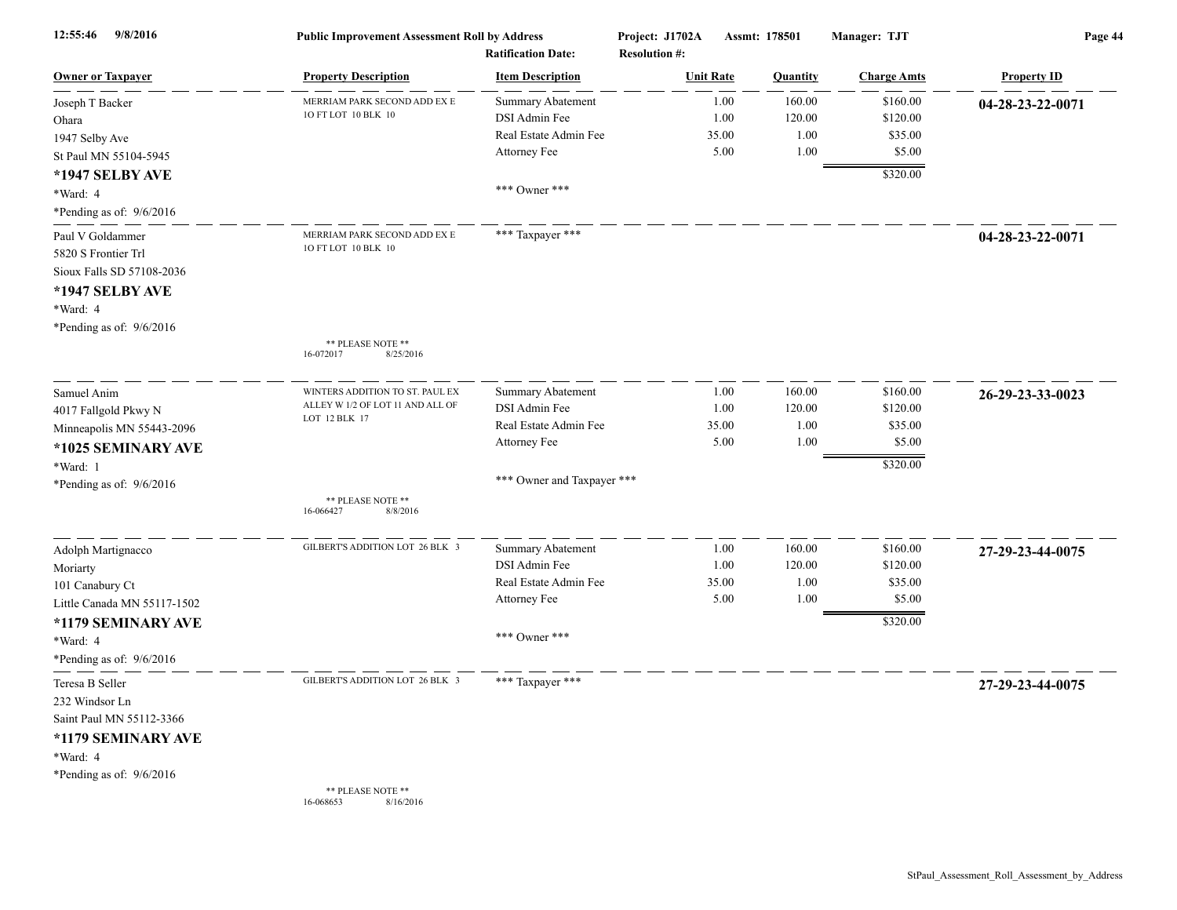| 12:55:46<br>9/8/2016                                                                                                                             | <b>Public Improvement Assessment Roll by Address</b><br><b>Ratification Date:</b>    |                                                                                              | Project: J1702A<br>Assmt: 178501<br><b>Resolution #:</b> |                               | Manager: TJT                     | Page 44                                               |                    |
|--------------------------------------------------------------------------------------------------------------------------------------------------|--------------------------------------------------------------------------------------|----------------------------------------------------------------------------------------------|----------------------------------------------------------|-------------------------------|----------------------------------|-------------------------------------------------------|--------------------|
| <b>Owner or Taxpayer</b>                                                                                                                         | <b>Property Description</b>                                                          | <b>Item Description</b>                                                                      |                                                          | <b>Unit Rate</b>              | Quantity                         | <b>Charge Amts</b>                                    | <b>Property ID</b> |
| Joseph T Backer<br>Ohara<br>1947 Selby Ave<br>St Paul MN 55104-5945                                                                              | MERRIAM PARK SECOND ADD EX E<br>10 FT LOT 10 BLK 10                                  | Summary Abatement<br>DSI Admin Fee<br>Real Estate Admin Fee<br>Attorney Fee                  |                                                          | 1.00<br>1.00<br>35.00<br>5.00 | 160.00<br>120.00<br>1.00<br>1.00 | \$160.00<br>\$120.00<br>\$35.00<br>\$5.00             | 04-28-23-22-0071   |
| *1947 SELBY AVE<br>*Ward: 4<br>*Pending as of: 9/6/2016                                                                                          |                                                                                      | *** Owner ***                                                                                |                                                          |                               |                                  | \$320.00                                              |                    |
| Paul V Goldammer<br>5820 S Frontier Trl<br>Sioux Falls SD 57108-2036<br>*1947 SELBY AVE<br>*Ward: 4<br>*Pending as of: 9/6/2016                  | MERRIAM PARK SECOND ADD EX E<br>10 FT LOT 10 BLK 10                                  | *** Taxpayer ***                                                                             |                                                          |                               |                                  |                                                       | 04-28-23-22-0071   |
|                                                                                                                                                  | ** PLEASE NOTE **<br>16-072017<br>8/25/2016                                          |                                                                                              |                                                          |                               |                                  |                                                       |                    |
| Samuel Anim<br>4017 Fallgold Pkwy N<br>Minneapolis MN 55443-2096<br>*1025 SEMINARY AVE                                                           | WINTERS ADDITION TO ST. PAUL EX<br>ALLEY W 1/2 OF LOT 11 AND ALL OF<br>LOT 12 BLK 17 | Summary Abatement<br>DSI Admin Fee<br>Real Estate Admin Fee<br>Attorney Fee                  |                                                          | 1.00<br>1.00<br>35.00<br>5.00 | 160.00<br>120.00<br>1.00<br>1.00 | \$160.00<br>\$120.00<br>\$35.00<br>\$5.00             | 26-29-23-33-0023   |
| *Ward: 1<br>*Pending as of: 9/6/2016                                                                                                             | ** PLEASE NOTE **<br>16-066427<br>8/8/2016                                           | *** Owner and Taxpayer ***                                                                   |                                                          |                               |                                  | \$320.00                                              |                    |
| Adolph Martignacco<br>Moriarty<br>101 Canabury Ct<br>Little Canada MN 55117-1502<br>*1179 SEMINARY AVE<br>*Ward: 4<br>*Pending as of: $9/6/2016$ | GILBERT'S ADDITION LOT 26 BLK 3                                                      | Summary Abatement<br>DSI Admin Fee<br>Real Estate Admin Fee<br>Attorney Fee<br>*** Owner *** |                                                          | 1.00<br>1.00<br>35.00<br>5.00 | 160.00<br>120.00<br>1.00<br>1.00 | \$160.00<br>\$120.00<br>\$35.00<br>\$5.00<br>\$320.00 | 27-29-23-44-0075   |
| Teresa B Seller<br>232 Windsor Ln<br>Saint Paul MN 55112-3366<br>*1179 SEMINARY AVE<br>*Ward: 4<br>*Pending as of: $9/6/2016$                    | GILBERT'S ADDITION LOT 26 BLK 3<br>** PLEASE NOTE **<br>8/16/2016<br>16-068653       | *** Taxpayer ***                                                                             |                                                          |                               |                                  |                                                       | 27-29-23-44-0075   |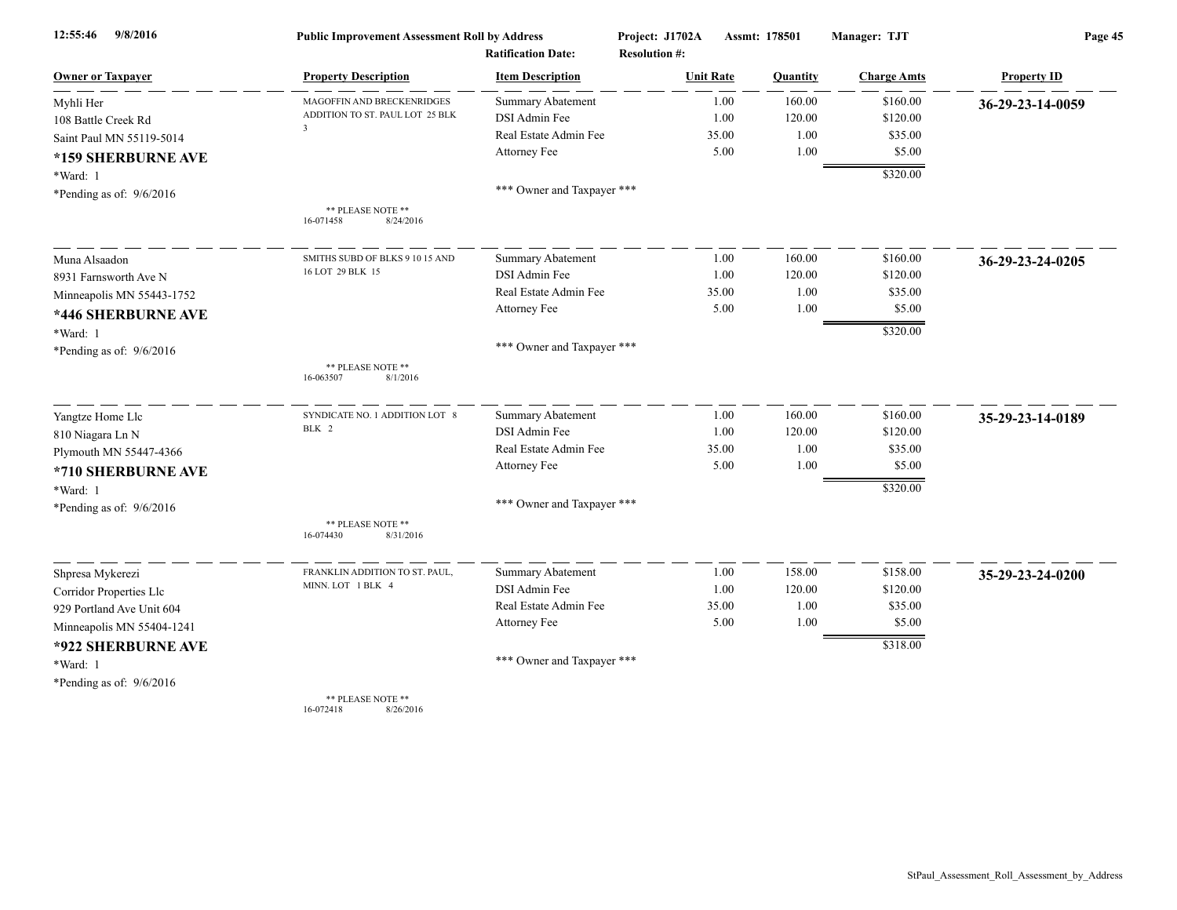| 9/8/2016<br>12:55:46       | <b>Public Improvement Assessment Roll by Address</b><br><b>Ratification Date:</b> |                            | Project: J1702A  | Assmt: 178501<br><b>Resolution #:</b> |          | Manager: TJT       | Page 45            |  |
|----------------------------|-----------------------------------------------------------------------------------|----------------------------|------------------|---------------------------------------|----------|--------------------|--------------------|--|
| <b>Owner or Taxpayer</b>   | <b>Property Description</b>                                                       | <b>Item Description</b>    | <b>Unit Rate</b> |                                       | Quantity | <b>Charge Amts</b> | <b>Property ID</b> |  |
| Myhli Her                  | MAGOFFIN AND BRECKENRIDGES                                                        | <b>Summary Abatement</b>   |                  | 1.00                                  | 160.00   | \$160.00           | 36-29-23-14-0059   |  |
| 108 Battle Creek Rd        | ADDITION TO ST. PAUL LOT 25 BLK                                                   | DSI Admin Fee              |                  | 1.00                                  | 120.00   | \$120.00           |                    |  |
| Saint Paul MN 55119-5014   | $\overline{\mathbf{3}}$                                                           | Real Estate Admin Fee      |                  | 35.00                                 | 1.00     | \$35.00            |                    |  |
| *159 SHERBURNE AVE         |                                                                                   | Attorney Fee               |                  | 5.00                                  | 1.00     | \$5.00             |                    |  |
| *Ward: 1                   |                                                                                   |                            |                  |                                       |          | \$320.00           |                    |  |
| *Pending as of: $9/6/2016$ |                                                                                   | *** Owner and Taxpayer *** |                  |                                       |          |                    |                    |  |
|                            | ** PLEASE NOTE **<br>16-071458<br>8/24/2016                                       |                            |                  |                                       |          |                    |                    |  |
| Muna Alsaadon              | SMITHS SUBD OF BLKS 9 10 15 AND                                                   | <b>Summary Abatement</b>   |                  | 1.00                                  | 160.00   | \$160.00           | 36-29-23-24-0205   |  |
| 8931 Farnsworth Ave N      | 16 LOT 29 BLK 15                                                                  | DSI Admin Fee              |                  | 1.00                                  | 120.00   | \$120.00           |                    |  |
| Minneapolis MN 55443-1752  |                                                                                   | Real Estate Admin Fee      |                  | 35.00                                 | 1.00     | \$35.00            |                    |  |
| *446 SHERBURNE AVE         |                                                                                   | Attorney Fee               |                  | 5.00                                  | 1.00     | \$5.00             |                    |  |
| *Ward: 1                   |                                                                                   |                            |                  |                                       |          | \$320.00           |                    |  |
| *Pending as of: 9/6/2016   |                                                                                   | *** Owner and Taxpayer *** |                  |                                       |          |                    |                    |  |
|                            | ** PLEASE NOTE **<br>8/1/2016<br>16-063507                                        |                            |                  |                                       |          |                    |                    |  |
| Yangtze Home Llc           | SYNDICATE NO. 1 ADDITION LOT 8                                                    | Summary Abatement          |                  | 1.00                                  | 160.00   | \$160.00           | 35-29-23-14-0189   |  |
| 810 Niagara Ln N           | BLK 2                                                                             | DSI Admin Fee              |                  | 1.00                                  | 120.00   | \$120.00           |                    |  |
| Plymouth MN 55447-4366     |                                                                                   | Real Estate Admin Fee      |                  | 35.00                                 | 1.00     | \$35.00            |                    |  |
| *710 SHERBURNE AVE         |                                                                                   | Attorney Fee               |                  | 5.00                                  | 1.00     | \$5.00             |                    |  |
| *Ward: 1                   |                                                                                   |                            |                  |                                       |          | \$320.00           |                    |  |
| *Pending as of: $9/6/2016$ |                                                                                   | *** Owner and Taxpayer *** |                  |                                       |          |                    |                    |  |
|                            | ** PLEASE NOTE **<br>16-074430<br>8/31/2016                                       |                            |                  |                                       |          |                    |                    |  |
| Shpresa Mykerezi           | FRANKLIN ADDITION TO ST. PAUL,                                                    | Summary Abatement          |                  | 1.00                                  | 158.00   | \$158.00           | 35-29-23-24-0200   |  |
| Corridor Properties Llc    | MINN. LOT 1 BLK 4                                                                 | DSI Admin Fee              |                  | 1.00                                  | 120.00   | \$120.00           |                    |  |
| 929 Portland Ave Unit 604  |                                                                                   | Real Estate Admin Fee      |                  | 35.00                                 | 1.00     | \$35.00            |                    |  |
| Minneapolis MN 55404-1241  |                                                                                   | Attorney Fee               |                  | 5.00                                  | 1.00     | \$5.00             |                    |  |
| *922 SHERBURNE AVE         |                                                                                   |                            |                  |                                       |          | \$318.00           |                    |  |
| *Ward: 1                   |                                                                                   | *** Owner and Taxpayer *** |                  |                                       |          |                    |                    |  |
| *Pending as of: $9/6/2016$ |                                                                                   |                            |                  |                                       |          |                    |                    |  |
|                            | ** PLEASE NOTE **                                                                 |                            |                  |                                       |          |                    |                    |  |

16-072418 8/26/2016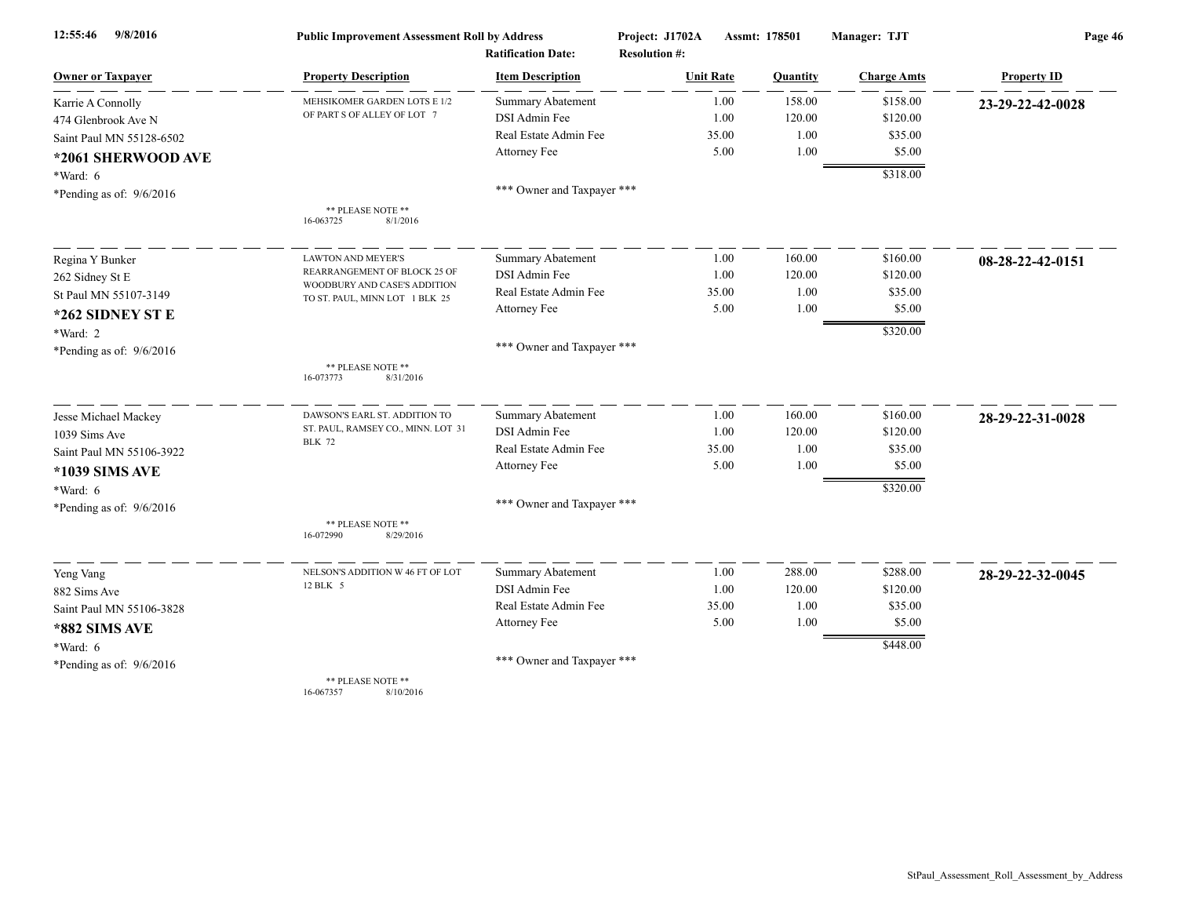| 9/8/2016<br>12:55:46       | <b>Public Improvement Assessment Roll by Address</b>           |                            | Project: J1702A      | Assmt: 178501 | Manager: TJT       | Page 46            |  |
|----------------------------|----------------------------------------------------------------|----------------------------|----------------------|---------------|--------------------|--------------------|--|
|                            |                                                                | <b>Ratification Date:</b>  | <b>Resolution #:</b> |               |                    |                    |  |
| <b>Owner or Taxpayer</b>   | <b>Property Description</b>                                    | <b>Item Description</b>    | <b>Unit Rate</b>     | Quantity      | <b>Charge Amts</b> | <b>Property ID</b> |  |
| Karrie A Connolly          | MEHSIKOMER GARDEN LOTS E 1/2                                   | Summary Abatement          | 1.00                 | 158.00        | \$158.00           | 23-29-22-42-0028   |  |
| 474 Glenbrook Ave N        | OF PART S OF ALLEY OF LOT 7                                    | DSI Admin Fee              | 1.00                 | 120.00        | \$120.00           |                    |  |
| Saint Paul MN 55128-6502   |                                                                | Real Estate Admin Fee      | 35.00                | 1.00          | \$35.00            |                    |  |
| *2061 SHERWOOD AVE         |                                                                | Attorney Fee               | 5.00                 | 1.00          | \$5.00             |                    |  |
| $*Ward: 6$                 |                                                                |                            |                      |               | \$318.00           |                    |  |
| *Pending as of: $9/6/2016$ |                                                                | *** Owner and Taxpayer *** |                      |               |                    |                    |  |
|                            | ** PLEASE NOTE **<br>8/1/2016<br>16-063725                     |                            |                      |               |                    |                    |  |
| Regina Y Bunker            | <b>LAWTON AND MEYER'S</b>                                      | <b>Summary Abatement</b>   | 1.00                 | 160.00        | \$160.00           | 08-28-22-42-0151   |  |
| 262 Sidney St E            | REARRANGEMENT OF BLOCK 25 OF                                   | DSI Admin Fee              | 1.00                 | 120.00        | \$120.00           |                    |  |
| St Paul MN 55107-3149      | WOODBURY AND CASE'S ADDITION<br>TO ST. PAUL, MINN LOT 1 BLK 25 | Real Estate Admin Fee      | 35.00                | 1.00          | \$35.00            |                    |  |
| *262 SIDNEY ST E           |                                                                | Attorney Fee               | 5.00                 | 1.00          | \$5.00             |                    |  |
| *Ward: 2                   |                                                                |                            |                      |               | \$320.00           |                    |  |
| *Pending as of: $9/6/2016$ |                                                                | *** Owner and Taxpayer *** |                      |               |                    |                    |  |
|                            | ** PLEASE NOTE **<br>16-073773<br>8/31/2016                    |                            |                      |               |                    |                    |  |
| Jesse Michael Mackey       | DAWSON'S EARL ST. ADDITION TO                                  | Summary Abatement          | 1.00                 | 160.00        | \$160.00           | 28-29-22-31-0028   |  |
| 1039 Sims Ave              | ST. PAUL, RAMSEY CO., MINN. LOT 31<br><b>BLK 72</b>            | DSI Admin Fee              | 1.00                 | 120.00        | \$120.00           |                    |  |
| Saint Paul MN 55106-3922   |                                                                | Real Estate Admin Fee      | 35.00                | 1.00          | \$35.00            |                    |  |
| *1039 SIMS AVE             |                                                                | Attorney Fee               | 5.00                 | 1.00          | \$5.00             |                    |  |
| *Ward: 6                   |                                                                |                            |                      |               | \$320.00           |                    |  |
| *Pending as of: $9/6/2016$ |                                                                | *** Owner and Taxpayer *** |                      |               |                    |                    |  |
|                            | ** PLEASE NOTE **<br>16-072990<br>8/29/2016                    |                            |                      |               |                    |                    |  |
| Yeng Vang                  | NELSON'S ADDITION W 46 FT OF LOT                               | Summary Abatement          | 1.00                 | 288.00        | \$288.00           | 28-29-22-32-0045   |  |
| 882 Sims Ave               | 12 BLK 5                                                       | DSI Admin Fee              | 1.00                 | 120.00        | \$120.00           |                    |  |
| Saint Paul MN 55106-3828   |                                                                | Real Estate Admin Fee      | 35.00                | 1.00          | \$35.00            |                    |  |
| *882 SIMS AVE              |                                                                | Attorney Fee               | 5.00                 | 1.00          | \$5.00             |                    |  |
| $*Ward: 6$                 |                                                                |                            |                      |               | \$448.00           |                    |  |
| *Pending as of: $9/6/2016$ |                                                                | *** Owner and Taxpayer *** |                      |               |                    |                    |  |
|                            | ** PLEASE NOTE **                                              |                            |                      |               |                    |                    |  |

16-067357 8/10/2016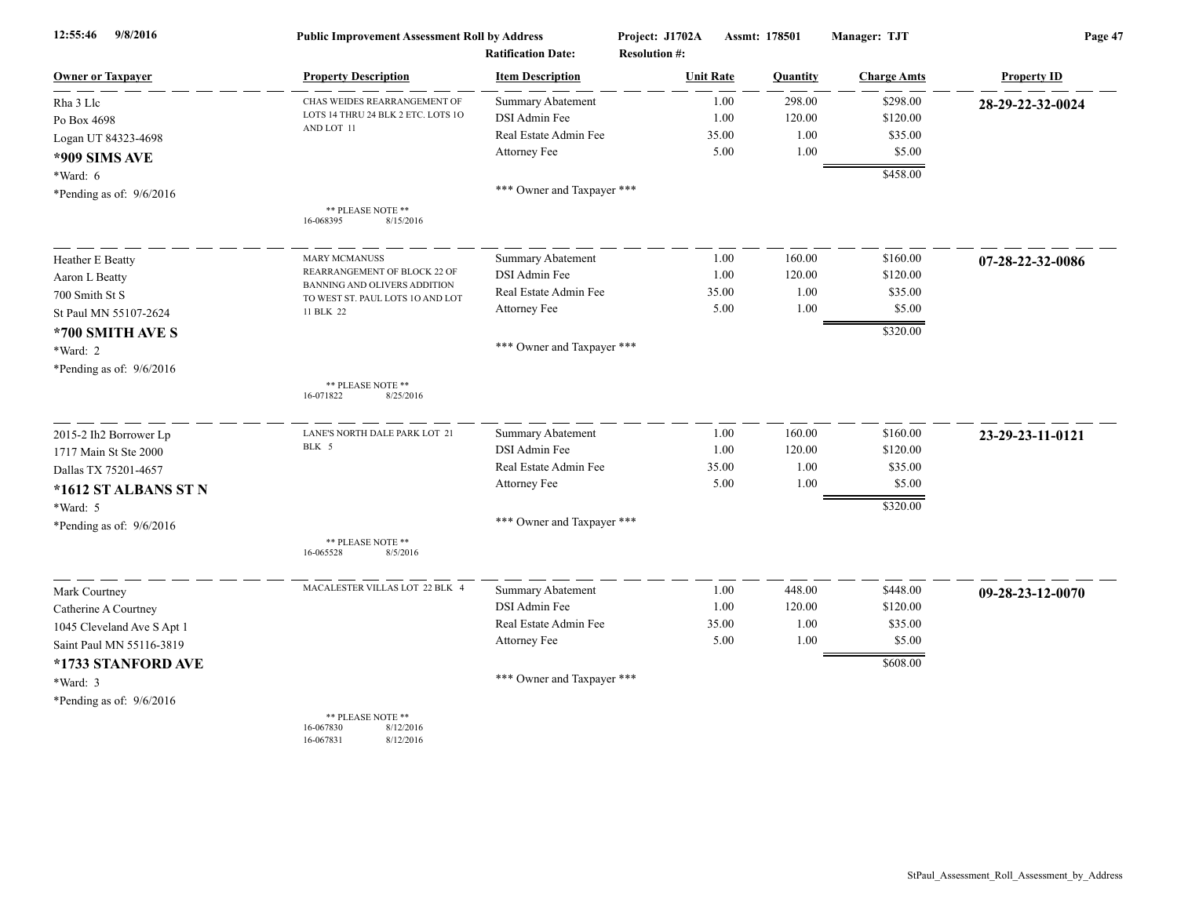| 9/8/2016<br>12:55:46       | <b>Public Improvement Assessment Roll by Address</b><br><b>Ratification Date:</b> |                            | Project: J1702A<br>Assmt: 178501<br><b>Resolution #:</b> |       |                 | Manager: TJT       | Page 47            |  |
|----------------------------|-----------------------------------------------------------------------------------|----------------------------|----------------------------------------------------------|-------|-----------------|--------------------|--------------------|--|
| <b>Owner or Taxpayer</b>   | <b>Property Description</b>                                                       | <b>Item Description</b>    | <b>Unit Rate</b>                                         |       | <b>Quantity</b> | <b>Charge Amts</b> | <b>Property ID</b> |  |
| Rha 3 Llc                  | CHAS WEIDES REARRANGEMENT OF                                                      | Summary Abatement          |                                                          | 1.00  | 298.00          | \$298.00           | 28-29-22-32-0024   |  |
| Po Box 4698                | LOTS 14 THRU 24 BLK 2 ETC. LOTS 10                                                | DSI Admin Fee              |                                                          | 1.00  | 120.00          | \$120.00           |                    |  |
| Logan UT 84323-4698        | AND LOT 11                                                                        | Real Estate Admin Fee      |                                                          | 35.00 | 1.00            | \$35.00            |                    |  |
| *909 SIMS AVE              |                                                                                   | Attorney Fee               |                                                          | 5.00  | 1.00            | \$5.00             |                    |  |
| $*Ward: 6$                 |                                                                                   |                            |                                                          |       |                 | \$458.00           |                    |  |
| *Pending as of: 9/6/2016   |                                                                                   | *** Owner and Taxpayer *** |                                                          |       |                 |                    |                    |  |
|                            | ** PLEASE NOTE **<br>16-068395<br>8/15/2016                                       |                            |                                                          |       |                 |                    |                    |  |
| Heather E Beatty           | <b>MARY MCMANUSS</b>                                                              | <b>Summary Abatement</b>   |                                                          | 1.00  | 160.00          | \$160.00           | 07-28-22-32-0086   |  |
| Aaron L Beatty             | REARRANGEMENT OF BLOCK 22 OF                                                      | DSI Admin Fee              |                                                          | 1.00  | 120.00          | \$120.00           |                    |  |
| 700 Smith St S             | BANNING AND OLIVERS ADDITION<br>TO WEST ST. PAUL LOTS 10 AND LOT                  | Real Estate Admin Fee      |                                                          | 35.00 | 1.00            | \$35.00            |                    |  |
| St Paul MN 55107-2624      | 11 BLK 22                                                                         | Attorney Fee               |                                                          | 5.00  | 1.00            | \$5.00             |                    |  |
| *700 SMITH AVE S           |                                                                                   |                            |                                                          |       |                 | \$320.00           |                    |  |
| *Ward: 2                   |                                                                                   | *** Owner and Taxpayer *** |                                                          |       |                 |                    |                    |  |
| *Pending as of: 9/6/2016   |                                                                                   |                            |                                                          |       |                 |                    |                    |  |
|                            | ** PLEASE NOTE **<br>16-071822<br>8/25/2016                                       |                            |                                                          |       |                 |                    |                    |  |
| 2015-2 Ih2 Borrower Lp     | LANE'S NORTH DALE PARK LOT 21                                                     | Summary Abatement          |                                                          | 1.00  | 160.00          | \$160.00           | 23-29-23-11-0121   |  |
| 1717 Main St Ste 2000      | BLK 5                                                                             | DSI Admin Fee              |                                                          | 1.00  | 120.00          | \$120.00           |                    |  |
| Dallas TX 75201-4657       |                                                                                   | Real Estate Admin Fee      |                                                          | 35.00 | 1.00            | \$35.00            |                    |  |
| *1612 ST ALBANS ST N       |                                                                                   | Attorney Fee               |                                                          | 5.00  | 1.00            | \$5.00             |                    |  |
| *Ward: 5                   |                                                                                   |                            |                                                          |       |                 | \$320.00           |                    |  |
| *Pending as of: $9/6/2016$ |                                                                                   | *** Owner and Taxpayer *** |                                                          |       |                 |                    |                    |  |
|                            | ** PLEASE NOTE **<br>16-065528<br>8/5/2016                                        |                            |                                                          |       |                 |                    |                    |  |
| Mark Courtney              | MACALESTER VILLAS LOT 22 BLK 4                                                    | <b>Summary Abatement</b>   |                                                          | 1.00  | 448.00          | \$448.00           | 09-28-23-12-0070   |  |
| Catherine A Courtney       |                                                                                   | DSI Admin Fee              |                                                          | 1.00  | 120.00          | \$120.00           |                    |  |
| 1045 Cleveland Ave S Apt 1 |                                                                                   | Real Estate Admin Fee      |                                                          | 35.00 | 1.00            | \$35.00            |                    |  |
| Saint Paul MN 55116-3819   |                                                                                   | Attorney Fee               |                                                          | 5.00  | 1.00            | \$5.00             |                    |  |
| *1733 STANFORD AVE         |                                                                                   |                            |                                                          |       |                 | \$608.00           |                    |  |
| *Ward: 3                   |                                                                                   | *** Owner and Taxpayer *** |                                                          |       |                 |                    |                    |  |
| *Pending as of: 9/6/2016   |                                                                                   |                            |                                                          |       |                 |                    |                    |  |
|                            | ** PLEASE NOTE **<br>16-067830<br>8/12/2016<br>16-067831<br>8/12/2016             |                            |                                                          |       |                 |                    |                    |  |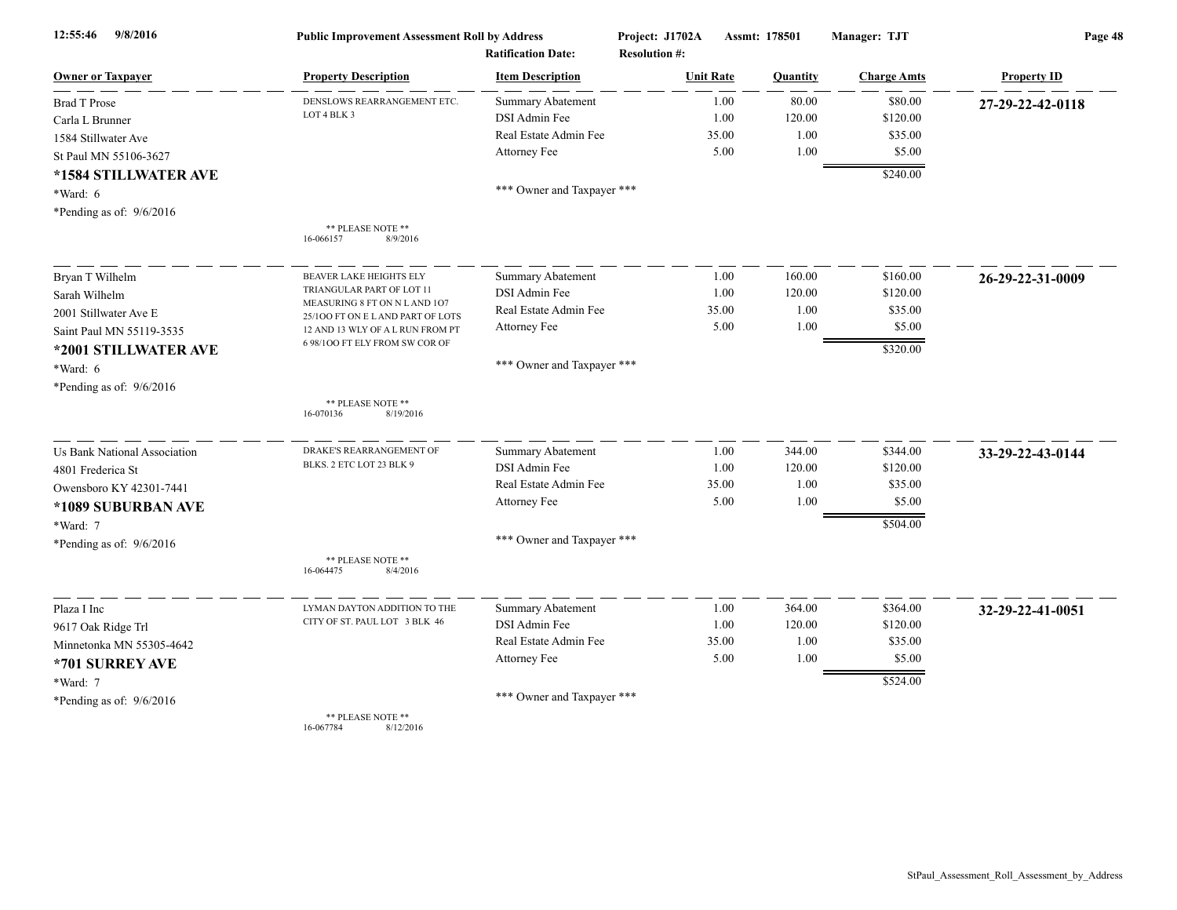| 9/8/2016<br>12:55:46         | <b>Public Improvement Assessment Roll by Address</b>               |                                                      | Project: J1702A                          | Assmt: 178501 |                    | Page 48            |  |
|------------------------------|--------------------------------------------------------------------|------------------------------------------------------|------------------------------------------|---------------|--------------------|--------------------|--|
| <b>Owner or Taxpayer</b>     | <b>Property Description</b>                                        | <b>Ratification Date:</b><br><b>Item Description</b> | <b>Resolution #:</b><br><b>Unit Rate</b> | Quantity      | <b>Charge Amts</b> | <b>Property ID</b> |  |
| <b>Brad T Prose</b>          | DENSLOWS REARRANGEMENT ETC                                         | <b>Summary Abatement</b>                             | 1.00                                     | 80.00         | \$80.00            | 27-29-22-42-0118   |  |
| Carla L Brunner              | LOT 4 BLK 3                                                        | DSI Admin Fee                                        | 1.00                                     | 120.00        | \$120.00           |                    |  |
| 1584 Stillwater Ave          |                                                                    | Real Estate Admin Fee                                | 35.00                                    | 1.00          | \$35.00            |                    |  |
| St Paul MN 55106-3627        |                                                                    | Attorney Fee                                         | 5.00                                     | 1.00          | \$5.00             |                    |  |
| *1584 STILLWATER AVE         |                                                                    |                                                      |                                          |               | \$240.00           |                    |  |
| *Ward: 6                     |                                                                    | *** Owner and Taxpayer ***                           |                                          |               |                    |                    |  |
| *Pending as of: $9/6/2016$   |                                                                    |                                                      |                                          |               |                    |                    |  |
|                              | ** PLEASE NOTE **<br>16-066157<br>8/9/2016                         |                                                      |                                          |               |                    |                    |  |
| Bryan T Wilhelm              | <b>BEAVER LAKE HEIGHTS ELY</b>                                     | Summary Abatement                                    | 1.00                                     | 160.00        | \$160.00           | 26-29-22-31-0009   |  |
| Sarah Wilhelm                | TRIANGULAR PART OF LOT 11                                          | DSI Admin Fee                                        | 1.00                                     | 120.00        | \$120.00           |                    |  |
| 2001 Stillwater Ave E        | MEASURING 8 FT ON N L AND 107<br>25/100 FT ON E L AND PART OF LOTS | Real Estate Admin Fee                                | 35.00                                    | 1.00          | \$35.00            |                    |  |
| Saint Paul MN 55119-3535     | 12 AND 13 WLY OF A L RUN FROM PT                                   | Attorney Fee                                         | 5.00                                     | 1.00          | \$5.00             |                    |  |
| *2001 STILLWATER AVE         | 6 98/100 FT ELY FROM SW COR OF                                     |                                                      |                                          |               | \$320.00           |                    |  |
| *Ward: 6                     |                                                                    | *** Owner and Taxpayer ***                           |                                          |               |                    |                    |  |
| *Pending as of: 9/6/2016     |                                                                    |                                                      |                                          |               |                    |                    |  |
|                              | ** PLEASE NOTE **<br>16-070136<br>8/19/2016                        |                                                      |                                          |               |                    |                    |  |
| Us Bank National Association | DRAKE'S REARRANGEMENT OF                                           | <b>Summary Abatement</b>                             | 1.00                                     | 344.00        | \$344.00           | 33-29-22-43-0144   |  |
| 4801 Frederica St            | BLKS. 2 ETC LOT 23 BLK 9                                           | DSI Admin Fee                                        | 1.00                                     | 120.00        | \$120.00           |                    |  |
| Owensboro KY 42301-7441      |                                                                    | Real Estate Admin Fee                                | 35.00                                    | 1.00          | \$35.00            |                    |  |
| *1089 SUBURBAN AVE           |                                                                    | Attorney Fee                                         | 5.00                                     | 1.00          | \$5.00             |                    |  |
| *Ward: 7                     |                                                                    |                                                      |                                          |               | \$504.00           |                    |  |
| *Pending as of: $9/6/2016$   |                                                                    | *** Owner and Taxpayer ***                           |                                          |               |                    |                    |  |
|                              | ** PLEASE NOTE **<br>16-064475<br>8/4/2016                         |                                                      |                                          |               |                    |                    |  |
| Plaza I Inc                  | LYMAN DAYTON ADDITION TO THE                                       | <b>Summary Abatement</b>                             | 1.00                                     | 364.00        | \$364.00           | 32-29-22-41-0051   |  |
| 9617 Oak Ridge Trl           | CITY OF ST. PAUL LOT 3 BLK 46                                      | DSI Admin Fee                                        | 1.00                                     | 120.00        | \$120.00           |                    |  |
| Minnetonka MN 55305-4642     |                                                                    | Real Estate Admin Fee                                | 35.00                                    | 1.00          | \$35.00            |                    |  |
| *701 SURREY AVE              |                                                                    | Attorney Fee                                         | 5.00                                     | 1.00          | \$5.00             |                    |  |
| *Ward: 7                     |                                                                    |                                                      |                                          |               | \$524.00           |                    |  |
| *Pending as of: $9/6/2016$   |                                                                    | *** Owner and Taxpayer ***                           |                                          |               |                    |                    |  |
|                              | ** PLEASE NOTE **                                                  |                                                      |                                          |               |                    |                    |  |

16-067784 8/12/2016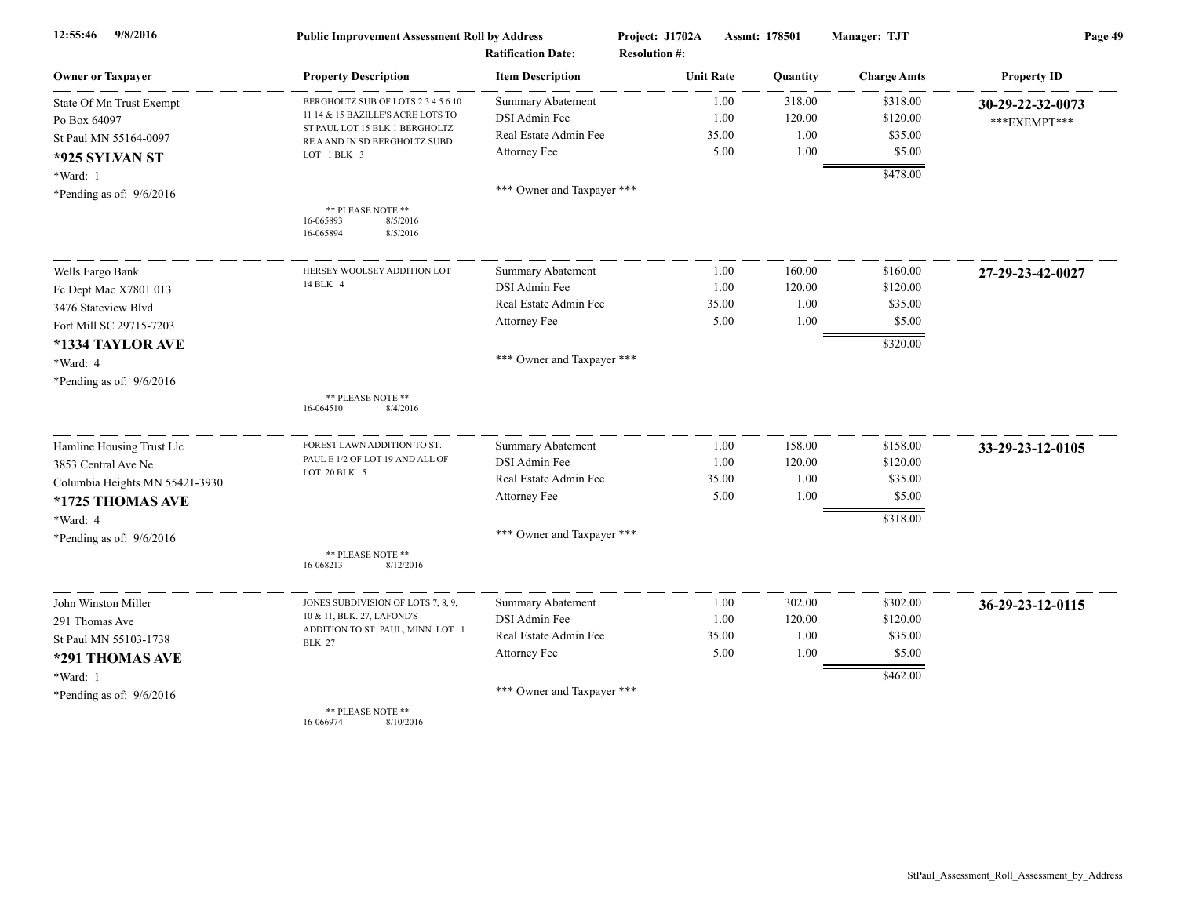| 12:55:46<br>9/8/2016           | <b>Public Improvement Assessment Roll by Address</b><br><b>Ratification Date:</b> |                            | Project: J1702A<br>Assmt: 178501<br><b>Resolution #:</b> |                 | Manager: TJT       | Page 49            |  |
|--------------------------------|-----------------------------------------------------------------------------------|----------------------------|----------------------------------------------------------|-----------------|--------------------|--------------------|--|
| <b>Owner or Taxpayer</b>       | <b>Property Description</b>                                                       | <b>Item Description</b>    | <b>Unit Rate</b>                                         | <b>Quantity</b> | <b>Charge Amts</b> | <b>Property ID</b> |  |
| State Of Mn Trust Exempt       | BERGHOLTZ SUB OF LOTS 2 3 4 5 6 10                                                | <b>Summary Abatement</b>   | 1.00                                                     | 318.00          | \$318.00           | 30-29-22-32-0073   |  |
| Po Box 64097                   | 11 14 & 15 BAZILLE'S ACRE LOTS TO                                                 | DSI Admin Fee              | 1.00                                                     | 120.00          | \$120.00           | ***EXEMPT***       |  |
| St Paul MN 55164-0097          | ST PAUL LOT 15 BLK 1 BERGHOLTZ<br>RE A AND IN SD BERGHOLTZ SUBD                   | Real Estate Admin Fee      | 35.00                                                    | 1.00            | \$35.00            |                    |  |
| *925 SYLVAN ST                 | LOT 1 BLK 3                                                                       | Attorney Fee               | 5.00                                                     | 1.00            | \$5.00             |                    |  |
| *Ward: 1                       |                                                                                   |                            |                                                          |                 | \$478.00           |                    |  |
| *Pending as of: $9/6/2016$     |                                                                                   | *** Owner and Taxpayer *** |                                                          |                 |                    |                    |  |
|                                | ** PLEASE NOTE **<br>16-065893<br>8/5/2016<br>16-065894<br>8/5/2016               |                            |                                                          |                 |                    |                    |  |
| Wells Fargo Bank               | HERSEY WOOLSEY ADDITION LOT                                                       | Summary Abatement          | 1.00                                                     | 160.00          | \$160.00           | 27-29-23-42-0027   |  |
| Fc Dept Mac X7801 013          | 14 BLK 4                                                                          | DSI Admin Fee              | 1.00                                                     | 120.00          | \$120.00           |                    |  |
| 3476 Stateview Blvd            |                                                                                   | Real Estate Admin Fee      | 35.00                                                    | 1.00            | \$35.00            |                    |  |
| Fort Mill SC 29715-7203        |                                                                                   | Attorney Fee               | 5.00                                                     | 1.00            | \$5.00             |                    |  |
| *1334 TAYLOR AVE               |                                                                                   |                            |                                                          |                 | \$320.00           |                    |  |
| *Ward: 4                       |                                                                                   | *** Owner and Taxpayer *** |                                                          |                 |                    |                    |  |
| *Pending as of: 9/6/2016       |                                                                                   |                            |                                                          |                 |                    |                    |  |
|                                | ** PLEASE NOTE **<br>8/4/2016<br>16-064510                                        |                            |                                                          |                 |                    |                    |  |
| Hamline Housing Trust Llc      | FOREST LAWN ADDITION TO ST.                                                       | <b>Summary Abatement</b>   | 1.00                                                     | 158.00          | \$158.00           | 33-29-23-12-0105   |  |
| 3853 Central Ave Ne            | PAUL E 1/2 OF LOT 19 AND ALL OF                                                   | DSI Admin Fee              | 1.00                                                     | 120.00          | \$120.00           |                    |  |
| Columbia Heights MN 55421-3930 | LOT 20 BLK 5                                                                      | Real Estate Admin Fee      | 35.00                                                    | 1.00            | \$35.00            |                    |  |
| *1725 THOMAS AVE               |                                                                                   | Attorney Fee               | 5.00                                                     | 1.00            | \$5.00             |                    |  |
| *Ward: 4                       |                                                                                   |                            |                                                          |                 | \$318.00           |                    |  |
| *Pending as of: $9/6/2016$     |                                                                                   | *** Owner and Taxpayer *** |                                                          |                 |                    |                    |  |
|                                | ** PLEASE NOTE **<br>16-068213<br>8/12/2016                                       |                            |                                                          |                 |                    |                    |  |
| John Winston Miller            | JONES SUBDIVISION OF LOTS 7, 8, 9,                                                | Summary Abatement          | 1.00                                                     | 302.00          | \$302.00           | 36-29-23-12-0115   |  |
| 291 Thomas Ave                 | 10 & 11, BLK. 27, LAFOND'S                                                        | DSI Admin Fee              | 1.00                                                     | 120.00          | \$120.00           |                    |  |
| St Paul MN 55103-1738          | ADDITION TO ST. PAUL, MINN. LOT 1<br><b>BLK 27</b>                                | Real Estate Admin Fee      | 35.00                                                    | 1.00            | \$35.00            |                    |  |
| *291 THOMAS AVE                |                                                                                   | Attorney Fee               | 5.00                                                     | 1.00            | \$5.00             |                    |  |
| *Ward: 1                       |                                                                                   |                            |                                                          |                 | \$462.00           |                    |  |
| *Pending as of: $9/6/2016$     |                                                                                   | *** Owner and Taxpayer *** |                                                          |                 |                    |                    |  |
|                                | ** PLEASE NOTE **                                                                 |                            |                                                          |                 |                    |                    |  |

16-066974 8/10/2016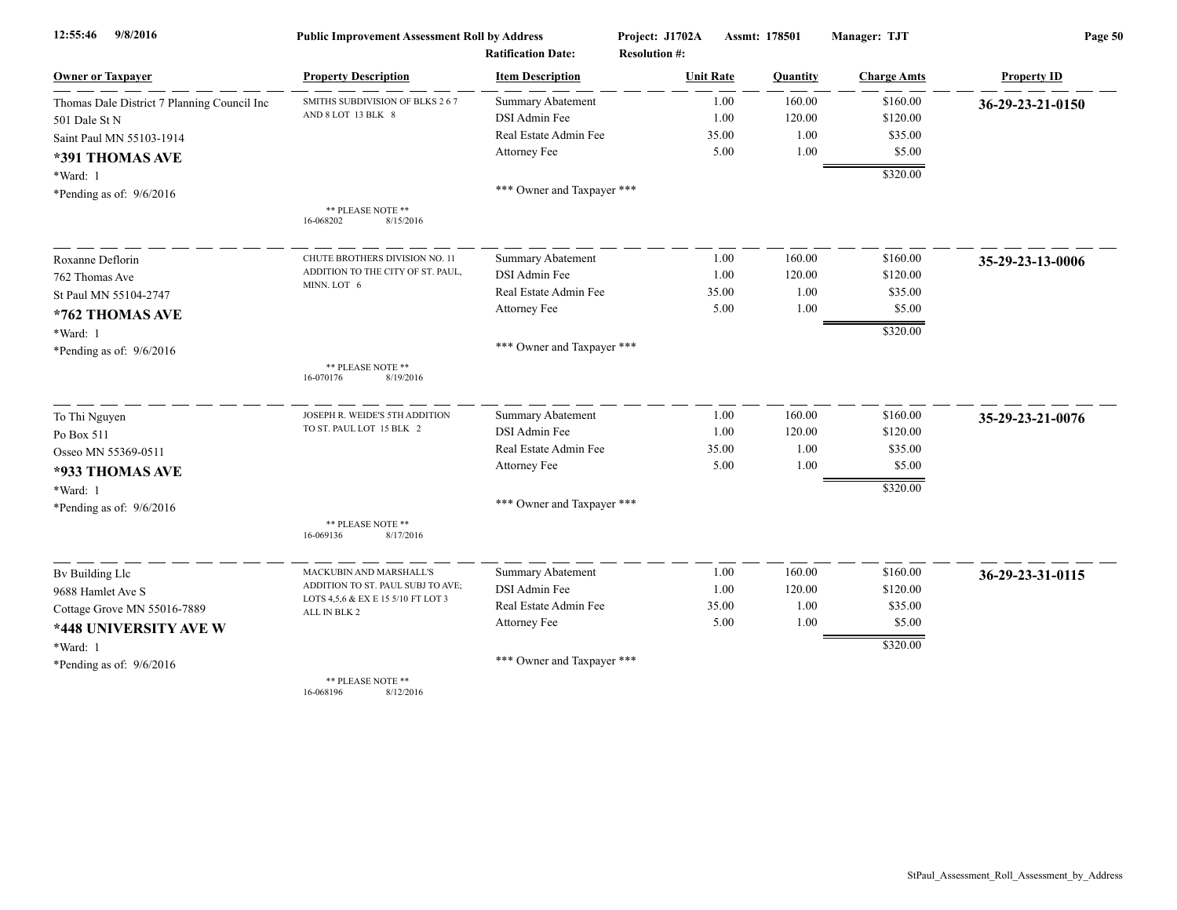| 9/8/2016<br>12:55:46                        | <b>Public Improvement Assessment Roll by Address</b> |                                                      | Project: J1702A                          | Assmt: 178501    | Manager: TJT         | Page 50            |  |
|---------------------------------------------|------------------------------------------------------|------------------------------------------------------|------------------------------------------|------------------|----------------------|--------------------|--|
| <b>Owner or Taxpayer</b>                    | <b>Property Description</b>                          | <b>Ratification Date:</b><br><b>Item Description</b> | <b>Resolution #:</b><br><b>Unit Rate</b> | Quantity         | <b>Charge Amts</b>   | <b>Property ID</b> |  |
|                                             |                                                      |                                                      |                                          |                  |                      |                    |  |
| Thomas Dale District 7 Planning Council Inc | SMITHS SUBDIVISION OF BLKS 267<br>AND 8 LOT 13 BLK 8 | <b>Summary Abatement</b><br>DSI Admin Fee            | 1.00                                     | 160.00<br>120.00 | \$160.00<br>\$120.00 | 36-29-23-21-0150   |  |
| 501 Dale St N                               |                                                      | Real Estate Admin Fee                                | 1.00<br>35.00                            | 1.00             | \$35.00              |                    |  |
| Saint Paul MN 55103-1914                    |                                                      | Attorney Fee                                         | 5.00                                     | 1.00             | \$5.00               |                    |  |
| *391 THOMAS AVE                             |                                                      |                                                      |                                          |                  |                      |                    |  |
| *Ward: 1                                    |                                                      |                                                      |                                          |                  | \$320.00             |                    |  |
| *Pending as of: $9/6/2016$                  |                                                      | *** Owner and Taxpayer ***                           |                                          |                  |                      |                    |  |
|                                             | ** PLEASE NOTE **<br>16-068202<br>8/15/2016          |                                                      |                                          |                  |                      |                    |  |
| Roxanne Deflorin                            | CHUTE BROTHERS DIVISION NO. 11                       | Summary Abatement                                    | 1.00                                     | 160.00           | \$160.00             | 35-29-23-13-0006   |  |
| 762 Thomas Ave                              | ADDITION TO THE CITY OF ST. PAUL,                    | DSI Admin Fee                                        | 1.00                                     | 120.00           | \$120.00             |                    |  |
| St Paul MN 55104-2747                       | MINN. LOT 6                                          | Real Estate Admin Fee                                | 35.00                                    | 1.00             | \$35.00              |                    |  |
| *762 THOMAS AVE                             |                                                      | Attorney Fee                                         | 5.00                                     | 1.00             | \$5.00               |                    |  |
| *Ward: 1                                    |                                                      |                                                      |                                          |                  | \$320.00             |                    |  |
| *Pending as of: $9/6/2016$                  |                                                      | *** Owner and Taxpayer ***                           |                                          |                  |                      |                    |  |
|                                             | ** PLEASE NOTE **<br>8/19/2016<br>16-070176          |                                                      |                                          |                  |                      |                    |  |
| To Thi Nguyen                               | JOSEPH R. WEIDE'S 5TH ADDITION                       | <b>Summary Abatement</b>                             | 1.00                                     | 160.00           | \$160.00             | 35-29-23-21-0076   |  |
| Po Box 511                                  | TO ST. PAUL LOT 15 BLK 2                             | DSI Admin Fee                                        | 1.00                                     | 120.00           | \$120.00             |                    |  |
| Osseo MN 55369-0511                         |                                                      | Real Estate Admin Fee                                | 35.00                                    | 1.00             | \$35.00              |                    |  |
| *933 THOMAS AVE                             |                                                      | Attorney Fee                                         | 5.00                                     | 1.00             | \$5.00               |                    |  |
| *Ward: 1                                    |                                                      |                                                      |                                          |                  | \$320.00             |                    |  |
| *Pending as of: 9/6/2016                    |                                                      | *** Owner and Taxpayer ***                           |                                          |                  |                      |                    |  |
|                                             | ** PLEASE NOTE **<br>16-069136<br>8/17/2016          |                                                      |                                          |                  |                      |                    |  |
| By Building Llc                             | MACKUBIN AND MARSHALL'S                              | Summary Abatement                                    | 1.00                                     | 160.00           | \$160.00             | 36-29-23-31-0115   |  |
| 9688 Hamlet Ave S                           | ADDITION TO ST. PAUL SUBJ TO AVE;                    | DSI Admin Fee                                        | 1.00                                     | 120.00           | \$120.00             |                    |  |
| Cottage Grove MN 55016-7889                 | LOTS 4,5,6 & EX E 15 5/10 FT LOT 3<br>ALL IN BLK 2   | Real Estate Admin Fee                                | 35.00                                    | 1.00             | \$35.00              |                    |  |
| *448 UNIVERSITY AVE W                       |                                                      | Attorney Fee                                         | 5.00                                     | 1.00             | \$5.00               |                    |  |
| *Ward: 1                                    |                                                      |                                                      |                                          |                  | \$320.00             |                    |  |
| *Pending as of: $9/6/2016$                  |                                                      | *** Owner and Taxpayer ***                           |                                          |                  |                      |                    |  |
|                                             | ** PLEASE NOTE **                                    |                                                      |                                          |                  |                      |                    |  |

16-068196 8/12/2016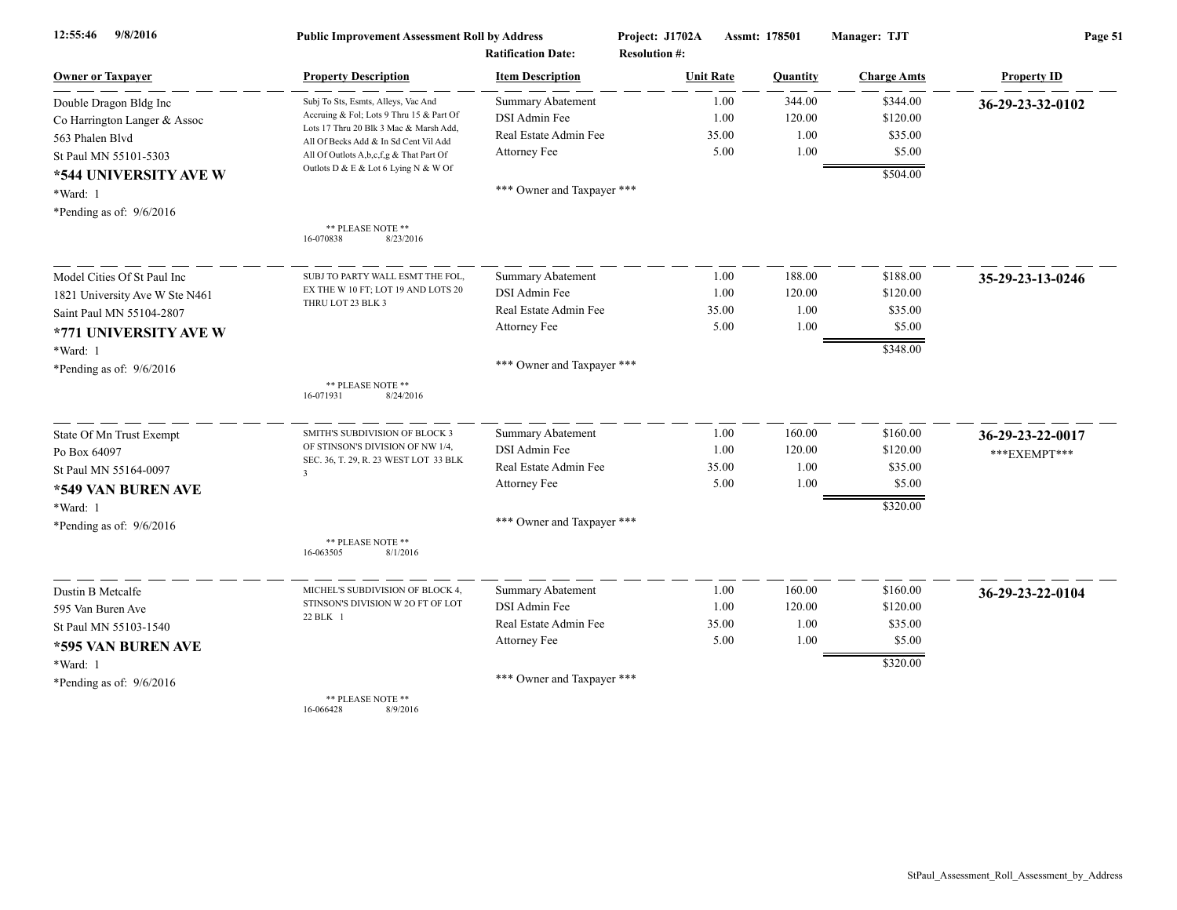| 9/8/2016<br>12:55:46           | <b>Public Improvement Assessment Roll by Address</b><br><b>Ratification Date:</b> |                            | Project: J1702A<br><b>Resolution #:</b> | <b>Assmt: 178501</b> |          | Manager: TJT       | Page 51            |  |
|--------------------------------|-----------------------------------------------------------------------------------|----------------------------|-----------------------------------------|----------------------|----------|--------------------|--------------------|--|
| <b>Owner or Taxpayer</b>       | <b>Property Description</b>                                                       | <b>Item Description</b>    | <b>Unit Rate</b>                        |                      | Quantity | <b>Charge Amts</b> | <b>Property ID</b> |  |
| Double Dragon Bldg Inc         | Subj To Sts, Esmts, Alleys, Vac And                                               | <b>Summary Abatement</b>   |                                         | 1.00                 | 344.00   | \$344.00           | 36-29-23-32-0102   |  |
| Co Harrington Langer & Assoc   | Accruing & Fol; Lots 9 Thru 15 & Part Of                                          | DSI Admin Fee              |                                         | 1.00                 | 120.00   | \$120.00           |                    |  |
| 563 Phalen Blvd                | Lots 17 Thru 20 Blk 3 Mac & Marsh Add,<br>All Of Becks Add & In Sd Cent Vil Add   | Real Estate Admin Fee      | 35.00                                   |                      | 1.00     | \$35.00            |                    |  |
| St Paul MN 55101-5303          | All Of Outlots A,b,c,f,g & That Part Of                                           | Attorney Fee               |                                         | 5.00                 | 1.00     | \$5.00             |                    |  |
| *544 UNIVERSITY AVE W          | Outlots D & E & Lot 6 Lying N & W Of                                              |                            |                                         |                      |          | \$504.00           |                    |  |
| *Ward: 1                       |                                                                                   | *** Owner and Taxpayer *** |                                         |                      |          |                    |                    |  |
| *Pending as of: $9/6/2016$     |                                                                                   |                            |                                         |                      |          |                    |                    |  |
|                                | ** PLEASE NOTE **<br>16-070838<br>8/23/2016                                       |                            |                                         |                      |          |                    |                    |  |
| Model Cities Of St Paul Inc    | SUBJ TO PARTY WALL ESMT THE FOL.                                                  | <b>Summary Abatement</b>   |                                         | 1.00                 | 188.00   | \$188.00           | 35-29-23-13-0246   |  |
| 1821 University Ave W Ste N461 | EX THE W 10 FT; LOT 19 AND LOTS 20                                                | DSI Admin Fee              |                                         | 1.00                 | 120.00   | \$120.00           |                    |  |
| Saint Paul MN 55104-2807       | THRU LOT 23 BLK 3                                                                 | Real Estate Admin Fee      | 35.00                                   |                      | 1.00     | \$35.00            |                    |  |
| *771 UNIVERSITY AVE W          |                                                                                   | Attorney Fee               |                                         | 5.00                 | 1.00     | \$5.00             |                    |  |
| *Ward: 1                       |                                                                                   |                            |                                         |                      |          | \$348.00           |                    |  |
| *Pending as of: 9/6/2016       |                                                                                   | *** Owner and Taxpayer *** |                                         |                      |          |                    |                    |  |
|                                | ** PLEASE NOTE **<br>16-071931<br>8/24/2016                                       |                            |                                         |                      |          |                    |                    |  |
| State Of Mn Trust Exempt       | SMITH'S SUBDIVISION OF BLOCK 3                                                    | <b>Summary Abatement</b>   |                                         | 1.00                 | 160.00   | \$160.00           | 36-29-23-22-0017   |  |
| Po Box 64097                   | OF STINSON'S DIVISION OF NW 1/4,                                                  | DSI Admin Fee              |                                         | 1.00                 | 120.00   | \$120.00           | *** EXEMPT***      |  |
| St Paul MN 55164-0097          | SEC. 36, T. 29, R. 23 WEST LOT 33 BLK<br>$\overline{\mathbf{3}}$                  | Real Estate Admin Fee      | 35.00                                   |                      | 1.00     | \$35.00            |                    |  |
| *549 VAN BUREN AVE             |                                                                                   | Attorney Fee               |                                         | 5.00                 | 1.00     | \$5.00             |                    |  |
| *Ward: 1                       |                                                                                   |                            |                                         |                      |          | \$320.00           |                    |  |
| *Pending as of: 9/6/2016       |                                                                                   | *** Owner and Taxpayer *** |                                         |                      |          |                    |                    |  |
|                                | ** PLEASE NOTE **<br>16-063505<br>8/1/2016                                        |                            |                                         |                      |          |                    |                    |  |
| Dustin B Metcalfe              | MICHEL'S SUBDIVISION OF BLOCK 4,                                                  | Summary Abatement          |                                         | 1.00                 | 160.00   | \$160.00           | 36-29-23-22-0104   |  |
| 595 Van Buren Ave              | STINSON'S DIVISION W 2O FT OF LOT                                                 | DSI Admin Fee              |                                         | 1.00                 | 120.00   | \$120.00           |                    |  |
| St Paul MN 55103-1540          | 22 BLK 1                                                                          | Real Estate Admin Fee      | 35.00                                   |                      | 1.00     | \$35.00            |                    |  |
| *595 VAN BUREN AVE             |                                                                                   | Attorney Fee               |                                         | 5.00                 | 1.00     | \$5.00             |                    |  |
| *Ward: 1                       |                                                                                   |                            |                                         |                      |          | \$320.00           |                    |  |
| *Pending as of: $9/6/2016$     |                                                                                   | *** Owner and Taxpayer *** |                                         |                      |          |                    |                    |  |
|                                | ** PLEASE NOTE **<br>16-066428<br>8/9/2016                                        |                            |                                         |                      |          |                    |                    |  |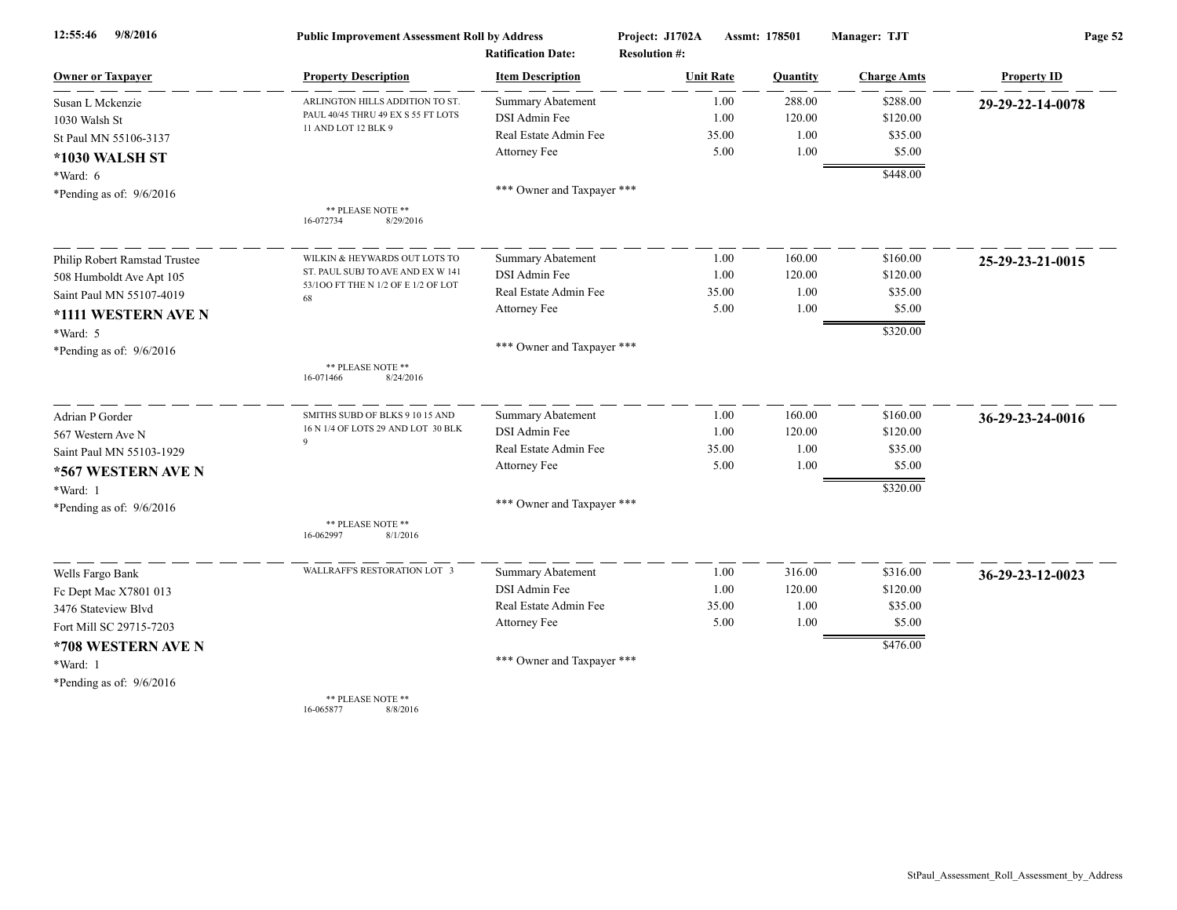| 9/8/2016<br>12:55:46          | <b>Public Improvement Assessment Roll by Address</b> |                                                      | Project: J1702A      |                  | Assmt: 178501 | Manager: TJT       | Page 52            |  |
|-------------------------------|------------------------------------------------------|------------------------------------------------------|----------------------|------------------|---------------|--------------------|--------------------|--|
| <b>Owner or Taxpayer</b>      | <b>Property Description</b>                          | <b>Ratification Date:</b><br><b>Item Description</b> | <b>Resolution #:</b> | <b>Unit Rate</b> | Quantity      | <b>Charge Amts</b> | <b>Property ID</b> |  |
| Susan L Mckenzie              | ARLINGTON HILLS ADDITION TO ST.                      | <b>Summary Abatement</b>                             |                      | 1.00             | 288.00        | \$288.00           | 29-29-22-14-0078   |  |
| 1030 Walsh St                 | PAUL 40/45 THRU 49 EX S 55 FT LOTS                   | DSI Admin Fee                                        |                      | 1.00             | 120.00        | \$120.00           |                    |  |
| St Paul MN 55106-3137         | 11 AND LOT 12 BLK 9                                  | Real Estate Admin Fee                                |                      | 35.00            | 1.00          | \$35.00            |                    |  |
| *1030 WALSH ST                |                                                      | Attorney Fee                                         |                      | 5.00             | 1.00          | \$5.00             |                    |  |
| *Ward: 6                      |                                                      |                                                      |                      |                  |               | \$448.00           |                    |  |
| *Pending as of: $9/6/2016$    |                                                      | *** Owner and Taxpayer ***                           |                      |                  |               |                    |                    |  |
|                               | ** PLEASE NOTE **<br>16-072734<br>8/29/2016          |                                                      |                      |                  |               |                    |                    |  |
| Philip Robert Ramstad Trustee | WILKIN & HEYWARDS OUT LOTS TO                        | <b>Summary Abatement</b>                             |                      | 1.00             | 160.00        | \$160.00           | 25-29-23-21-0015   |  |
| 508 Humboldt Ave Apt 105      | ST. PAUL SUBJ TO AVE AND EX W 141                    | DSI Admin Fee                                        |                      | 1.00             | 120.00        | \$120.00           |                    |  |
| Saint Paul MN 55107-4019      | 53/100 FT THE N 1/2 OF E 1/2 OF LOT<br>68            | Real Estate Admin Fee                                |                      | 35.00            | 1.00          | \$35.00            |                    |  |
| *1111 WESTERN AVE N           |                                                      | Attorney Fee                                         |                      | 5.00             | 1.00          | \$5.00             |                    |  |
| *Ward: 5                      |                                                      |                                                      |                      |                  |               | \$320.00           |                    |  |
| *Pending as of: $9/6/2016$    |                                                      | *** Owner and Taxpayer ***                           |                      |                  |               |                    |                    |  |
|                               | ** PLEASE NOTE **<br>8/24/2016<br>16-071466          |                                                      |                      |                  |               |                    |                    |  |
| Adrian P Gorder               | SMITHS SUBD OF BLKS 9 10 15 AND                      | <b>Summary Abatement</b>                             |                      | 1.00             | 160.00        | \$160.00           | 36-29-23-24-0016   |  |
| 567 Western Ave N             | 16 N 1/4 OF LOTS 29 AND LOT 30 BLK                   | DSI Admin Fee                                        |                      | 1.00             | 120.00        | \$120.00           |                    |  |
| Saint Paul MN 55103-1929      | $\mathbf{Q}$                                         | Real Estate Admin Fee                                |                      | 35.00            | 1.00          | \$35.00            |                    |  |
| *567 WESTERN AVE N            |                                                      | Attorney Fee                                         |                      | 5.00             | 1.00          | \$5.00             |                    |  |
| *Ward: 1                      |                                                      |                                                      |                      |                  |               | \$320.00           |                    |  |
| *Pending as of: $9/6/2016$    |                                                      | *** Owner and Taxpayer ***                           |                      |                  |               |                    |                    |  |
|                               | ** PLEASE NOTE **<br>16-062997<br>8/1/2016           |                                                      |                      |                  |               |                    |                    |  |
| Wells Fargo Bank              | WALLRAFF'S RESTORATION LOT 3                         | Summary Abatement                                    |                      | 1.00             | 316.00        | \$316.00           | 36-29-23-12-0023   |  |
| Fc Dept Mac X7801 013         |                                                      | DSI Admin Fee                                        |                      | 1.00             | 120.00        | \$120.00           |                    |  |
| 3476 Stateview Blvd           |                                                      | Real Estate Admin Fee                                |                      | 35.00            | 1.00          | \$35.00            |                    |  |
| Fort Mill SC 29715-7203       |                                                      | Attorney Fee                                         |                      | 5.00             | 1.00          | \$5.00             |                    |  |
| *708 WESTERN AVE N            |                                                      |                                                      |                      |                  |               | \$476.00           |                    |  |
| *Ward: 1                      |                                                      | *** Owner and Taxpayer ***                           |                      |                  |               |                    |                    |  |
| *Pending as of: $9/6/2016$    |                                                      |                                                      |                      |                  |               |                    |                    |  |
|                               | ** PLEASE NOTE **                                    |                                                      |                      |                  |               |                    |                    |  |

16-065877 8/8/2016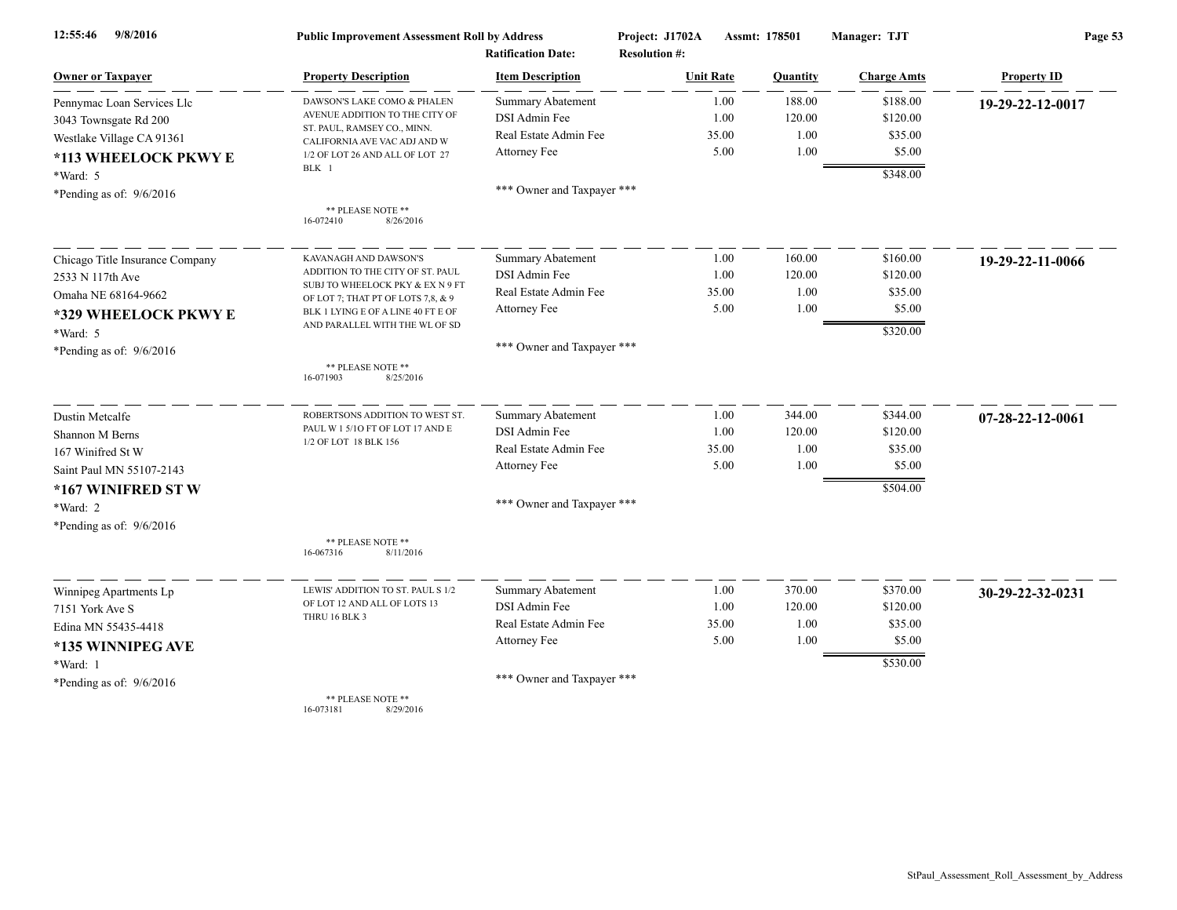| 9/8/2016<br>12:55:46            | <b>Public Improvement Assessment Roll by Address</b><br><b>Ratification Date:</b> |                            | Project: J1702A<br><b>Resolution #:</b> | Assmt: 178501    |          | Manager: TJT       | Page 53            |  |
|---------------------------------|-----------------------------------------------------------------------------------|----------------------------|-----------------------------------------|------------------|----------|--------------------|--------------------|--|
| <b>Owner or Taxpayer</b>        | <b>Property Description</b>                                                       | <b>Item Description</b>    |                                         | <b>Unit Rate</b> | Quantity | <b>Charge Amts</b> | <b>Property ID</b> |  |
| Pennymac Loan Services Llc      | DAWSON'S LAKE COMO & PHALEN                                                       | <b>Summary Abatement</b>   |                                         | 1.00             | 188.00   | \$188.00           | 19-29-22-12-0017   |  |
| 3043 Townsgate Rd 200           | AVENUE ADDITION TO THE CITY OF                                                    | DSI Admin Fee              |                                         | 1.00             | 120.00   | \$120.00           |                    |  |
| Westlake Village CA 91361       | ST. PAUL, RAMSEY CO., MINN.<br>CALIFORNIA AVE VAC ADJ AND W                       | Real Estate Admin Fee      |                                         | 35.00            | 1.00     | \$35.00            |                    |  |
| *113 WHEELOCK PKWY E            | 1/2 OF LOT 26 AND ALL OF LOT 27                                                   | Attorney Fee               |                                         | 5.00             | 1.00     | \$5.00             |                    |  |
| *Ward: 5                        | BLK 1                                                                             |                            |                                         |                  |          | \$348.00           |                    |  |
| *Pending as of: $9/6/2016$      |                                                                                   | *** Owner and Taxpayer *** |                                         |                  |          |                    |                    |  |
|                                 | ** PLEASE NOTE **<br>16-072410<br>8/26/2016                                       |                            |                                         |                  |          |                    |                    |  |
| Chicago Title Insurance Company | KAVANAGH AND DAWSON'S                                                             | <b>Summary Abatement</b>   |                                         | 1.00             | 160.00   | \$160.00           | 19-29-22-11-0066   |  |
| 2533 N 117th Ave                | ADDITION TO THE CITY OF ST. PAUL                                                  | DSI Admin Fee              |                                         | 1.00             | 120.00   | \$120.00           |                    |  |
| Omaha NE 68164-9662             | SUBJ TO WHEELOCK PKY & EX N 9 FT<br>OF LOT 7; THAT PT OF LOTS 7,8, & 9            | Real Estate Admin Fee      |                                         | 35.00            | 1.00     | \$35.00            |                    |  |
| *329 WHEELOCK PKWY E            | BLK 1 LYING E OF A LINE 40 FT E OF                                                | Attorney Fee               |                                         | 5.00             | 1.00     | \$5.00             |                    |  |
| *Ward: 5                        | AND PARALLEL WITH THE WL OF SD                                                    |                            |                                         |                  |          | \$320.00           |                    |  |
| *Pending as of: $9/6/2016$      |                                                                                   | *** Owner and Taxpayer *** |                                         |                  |          |                    |                    |  |
|                                 | ** PLEASE NOTE **<br>16-071903<br>8/25/2016                                       |                            |                                         |                  |          |                    |                    |  |
| Dustin Metcalfe                 | ROBERTSONS ADDITION TO WEST ST.                                                   | <b>Summary Abatement</b>   |                                         | 1.00             | 344.00   | \$344.00           | 07-28-22-12-0061   |  |
| Shannon M Berns                 | PAUL W 1 5/10 FT OF LOT 17 AND E                                                  | DSI Admin Fee              |                                         | 1.00             | 120.00   | \$120.00           |                    |  |
| 167 Winifred St W               | 1/2 OF LOT 18 BLK 156                                                             | Real Estate Admin Fee      |                                         | 35.00            | 1.00     | \$35.00            |                    |  |
| Saint Paul MN 55107-2143        |                                                                                   | Attorney Fee               |                                         | 5.00             | 1.00     | \$5.00             |                    |  |
| *167 WINIFRED ST W              |                                                                                   |                            |                                         |                  |          | \$504.00           |                    |  |
| *Ward: 2                        |                                                                                   | *** Owner and Taxpayer *** |                                         |                  |          |                    |                    |  |
| *Pending as of: $9/6/2016$      |                                                                                   |                            |                                         |                  |          |                    |                    |  |
|                                 | ** PLEASE NOTE **<br>8/11/2016<br>16-067316                                       |                            |                                         |                  |          |                    |                    |  |
| Winnipeg Apartments Lp          | LEWIS' ADDITION TO ST. PAUL S 1/2                                                 | <b>Summary Abatement</b>   |                                         | 1.00             | 370.00   | \$370.00           | 30-29-22-32-0231   |  |
| 7151 York Ave S                 | OF LOT 12 AND ALL OF LOTS 13                                                      | DSI Admin Fee              |                                         | 1.00             | 120.00   | \$120.00           |                    |  |
| Edina MN 55435-4418             | THRU 16 BLK 3                                                                     | Real Estate Admin Fee      |                                         | 35.00            | 1.00     | \$35.00            |                    |  |
| *135 WINNIPEG AVE               |                                                                                   | Attorney Fee               |                                         | 5.00             | 1.00     | \$5.00             |                    |  |
| *Ward: 1                        |                                                                                   |                            |                                         |                  |          | \$530.00           |                    |  |
| *Pending as of: $9/6/2016$      |                                                                                   | *** Owner and Taxpayer *** |                                         |                  |          |                    |                    |  |
|                                 | ** PLEASE NOTE **<br>16-073181<br>8/29/2016                                       |                            |                                         |                  |          |                    |                    |  |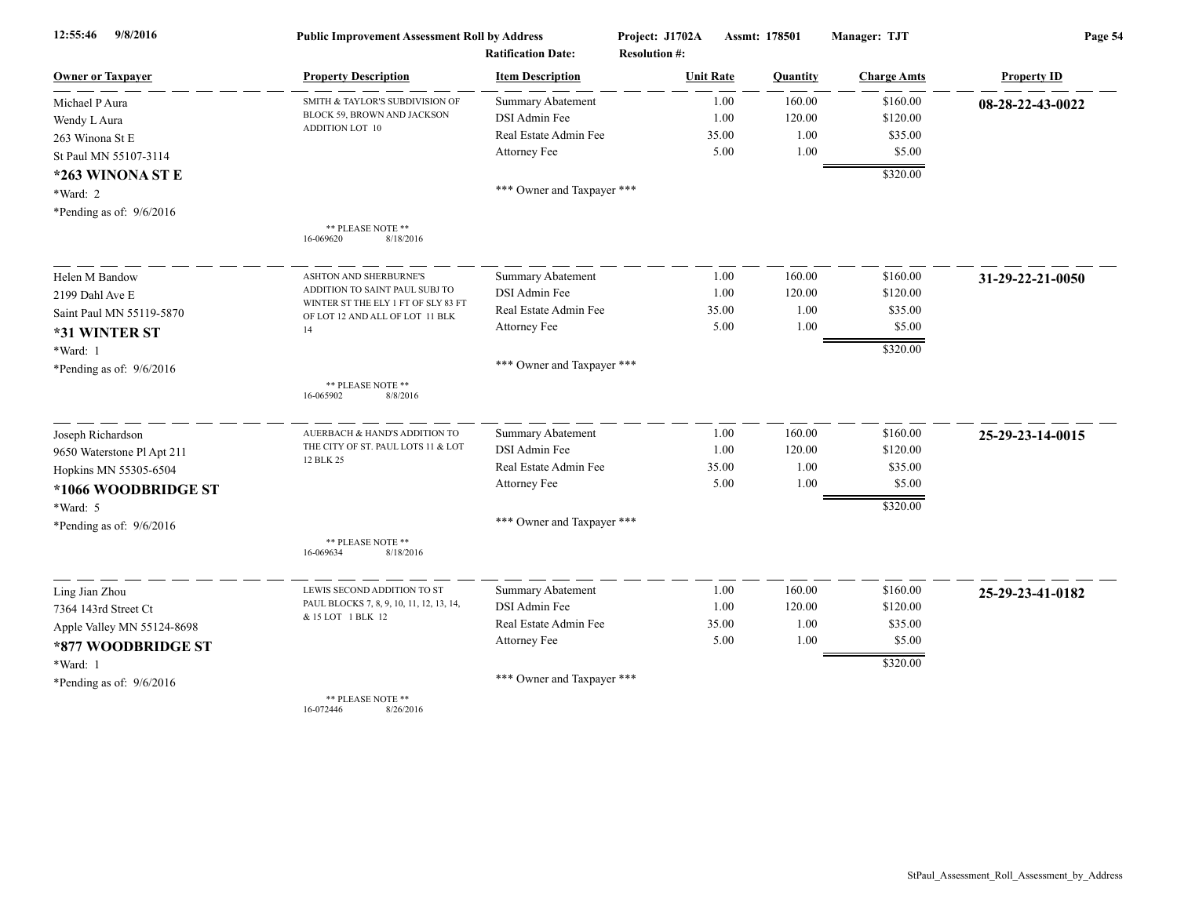| 12:55:46<br>9/8/2016       | <b>Public Improvement Assessment Roll by Address</b><br><b>Ratification Date:</b> |                            | Project: J1702A<br><b>Resolution #:</b> | Assmt: 178501  | Manager: TJT       | Page 54            |  |
|----------------------------|-----------------------------------------------------------------------------------|----------------------------|-----------------------------------------|----------------|--------------------|--------------------|--|
| <b>Owner or Taxpayer</b>   | <b>Property Description</b>                                                       | <b>Item Description</b>    | <b>Unit Rate</b>                        | Quantity       | <b>Charge Amts</b> | <b>Property ID</b> |  |
| Michael P Aura             | SMITH & TAYLOR'S SUBDIVISION OF                                                   | <b>Summary Abatement</b>   |                                         | 1.00<br>160.00 | \$160.00           | 08-28-22-43-0022   |  |
| Wendy L Aura               | BLOCK 59, BROWN AND JACKSON                                                       | DSI Admin Fee              |                                         | 1.00<br>120.00 | \$120.00           |                    |  |
| 263 Winona St E            | <b>ADDITION LOT 10</b>                                                            | Real Estate Admin Fee      | 35.00                                   | 1.00           | \$35.00            |                    |  |
| St Paul MN 55107-3114      |                                                                                   | Attorney Fee               |                                         | 5.00<br>1.00   | \$5.00             |                    |  |
| *263 WINONA ST E           |                                                                                   |                            |                                         |                | \$320.00           |                    |  |
| *Ward: 2                   |                                                                                   | *** Owner and Taxpayer *** |                                         |                |                    |                    |  |
| *Pending as of: $9/6/2016$ |                                                                                   |                            |                                         |                |                    |                    |  |
|                            | ** PLEASE NOTE **<br>16-069620<br>8/18/2016                                       |                            |                                         |                |                    |                    |  |
| Helen M Bandow             | <b>ASHTON AND SHERBURNE'S</b>                                                     | <b>Summary Abatement</b>   |                                         | 160.00<br>1.00 | \$160.00           | 31-29-22-21-0050   |  |
| 2199 Dahl Ave E            | ADDITION TO SAINT PAUL SUBJ TO                                                    | DSI Admin Fee              |                                         | 1.00<br>120.00 | \$120.00           |                    |  |
| Saint Paul MN 55119-5870   | WINTER ST THE ELY 1 FT OF SLY 83 FT<br>OF LOT 12 AND ALL OF LOT 11 BLK            | Real Estate Admin Fee      | 35.00                                   | 1.00           | \$35.00            |                    |  |
| *31 WINTER ST              | 14                                                                                | Attorney Fee               |                                         | 5.00<br>1.00   | \$5.00             |                    |  |
| *Ward: 1                   |                                                                                   |                            |                                         |                | \$320.00           |                    |  |
| *Pending as of: $9/6/2016$ |                                                                                   | *** Owner and Taxpayer *** |                                         |                |                    |                    |  |
|                            | ** PLEASE NOTE **<br>16-065902<br>8/8/2016                                        |                            |                                         |                |                    |                    |  |
| Joseph Richardson          | AUERBACH & HAND'S ADDITION TO                                                     | <b>Summary Abatement</b>   |                                         | 160.00<br>1.00 | \$160.00           | 25-29-23-14-0015   |  |
| 9650 Waterstone Pl Apt 211 | THE CITY OF ST. PAUL LOTS 11 & LOT                                                | DSI Admin Fee              |                                         | 1.00<br>120.00 | \$120.00           |                    |  |
| Hopkins MN 55305-6504      | 12 BLK 25                                                                         | Real Estate Admin Fee      | 35.00                                   | 1.00           | \$35.00            |                    |  |
| *1066 WOODBRIDGE ST        |                                                                                   | Attorney Fee               |                                         | 5.00<br>1.00   | \$5.00             |                    |  |
| *Ward: 5                   |                                                                                   |                            |                                         |                | \$320.00           |                    |  |
| *Pending as of: 9/6/2016   |                                                                                   | *** Owner and Taxpayer *** |                                         |                |                    |                    |  |
|                            | ** PLEASE NOTE **<br>16-069634<br>8/18/2016                                       |                            |                                         |                |                    |                    |  |
| Ling Jian Zhou             | LEWIS SECOND ADDITION TO ST                                                       | Summary Abatement          |                                         | 160.00<br>1.00 | \$160.00           | 25-29-23-41-0182   |  |
| 7364 143rd Street Ct       | PAUL BLOCKS 7, 8, 9, 10, 11, 12, 13, 14,                                          | DSI Admin Fee              |                                         | 1.00<br>120.00 | \$120.00           |                    |  |
| Apple Valley MN 55124-8698 | & 15 LOT 1 BLK 12                                                                 | Real Estate Admin Fee      | 35.00                                   | 1.00           | \$35.00            |                    |  |
| *877 WOODBRIDGE ST         |                                                                                   | Attorney Fee               |                                         | 5.00<br>1.00   | \$5.00             |                    |  |
| *Ward: 1                   |                                                                                   |                            |                                         |                | \$320.00           |                    |  |
| *Pending as of: $9/6/2016$ |                                                                                   | *** Owner and Taxpayer *** |                                         |                |                    |                    |  |
|                            | ** PLEASE NOTE **<br>16-072446<br>8/26/2016                                       |                            |                                         |                |                    |                    |  |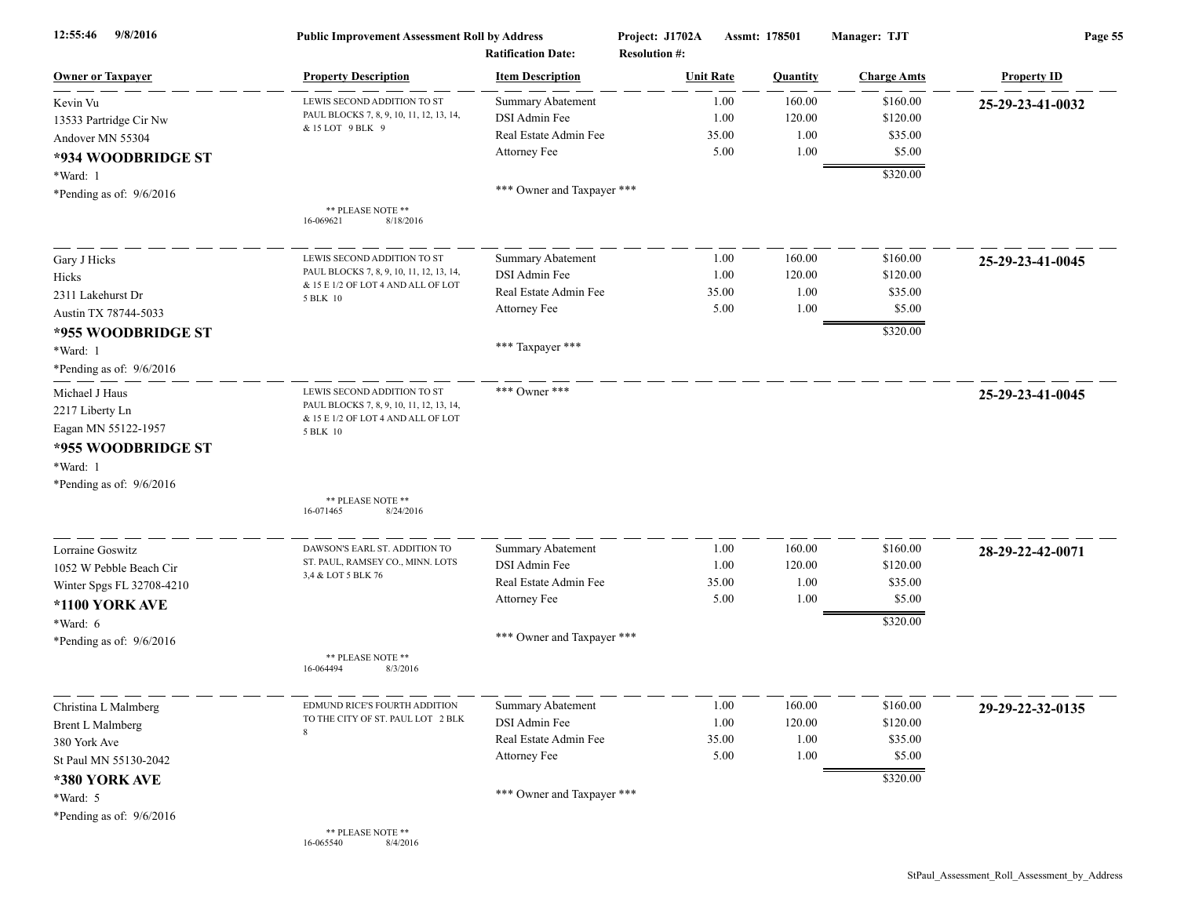| 9/8/2016<br>12:55:46       | <b>Public Improvement Assessment Roll by Address</b><br><b>Ratification Date:</b> |                            | Assmt: 178501<br>Project: J1702A<br><b>Resolution #:</b> |                | Manager: TJT       | Page 55            |
|----------------------------|-----------------------------------------------------------------------------------|----------------------------|----------------------------------------------------------|----------------|--------------------|--------------------|
| <b>Owner or Taxpayer</b>   | <b>Property Description</b>                                                       | <b>Item Description</b>    | <b>Unit Rate</b>                                         | Quantity       | <b>Charge Amts</b> | <b>Property ID</b> |
| Kevin Vu                   | LEWIS SECOND ADDITION TO ST                                                       | Summary Abatement          |                                                          | 160.00<br>1.00 | \$160.00           | 25-29-23-41-0032   |
| 13533 Partridge Cir Nw     | PAUL BLOCKS 7, 8, 9, 10, 11, 12, 13, 14,                                          | DSI Admin Fee              |                                                          | 1.00<br>120.00 | \$120.00           |                    |
| Andover MN 55304           | & 15 LOT 9 BLK 9                                                                  | Real Estate Admin Fee      | 35.00                                                    |                | 1.00<br>\$35.00    |                    |
| *934 WOODBRIDGE ST         |                                                                                   | Attorney Fee               |                                                          | 5.00           | 1.00<br>\$5.00     |                    |
| *Ward: 1                   |                                                                                   |                            |                                                          |                | \$320.00           |                    |
| *Pending as of: $9/6/2016$ |                                                                                   | *** Owner and Taxpayer *** |                                                          |                |                    |                    |
|                            | ** PLEASE NOTE **<br>16-069621<br>8/18/2016                                       |                            |                                                          |                |                    |                    |
|                            |                                                                                   |                            |                                                          |                |                    |                    |
| Gary J Hicks               | LEWIS SECOND ADDITION TO ST                                                       | <b>Summary Abatement</b>   |                                                          | 160.00<br>1.00 | \$160.00           | 25-29-23-41-0045   |
| Hicks                      | PAUL BLOCKS 7, 8, 9, 10, 11, 12, 13, 14,<br>& 15 E 1/2 OF LOT 4 AND ALL OF LOT    | DSI Admin Fee              |                                                          | 1.00<br>120.00 | \$120.00           |                    |
| 2311 Lakehurst Dr          | 5 BLK 10                                                                          | Real Estate Admin Fee      | 35.00                                                    |                | 1.00<br>\$35.00    |                    |
| Austin TX 78744-5033       |                                                                                   | Attorney Fee               |                                                          | 5.00           | 1.00<br>\$5.00     |                    |
| *955 WOODBRIDGE ST         |                                                                                   |                            |                                                          |                | \$320.00           |                    |
| *Ward: 1                   |                                                                                   | *** Taxpayer ***           |                                                          |                |                    |                    |
| *Pending as of: $9/6/2016$ |                                                                                   |                            |                                                          |                |                    |                    |
| Michael J Haus             | LEWIS SECOND ADDITION TO ST                                                       | *** Owner ***              |                                                          |                |                    | 25-29-23-41-0045   |
| 2217 Liberty Ln            | PAUL BLOCKS 7, 8, 9, 10, 11, 12, 13, 14,                                          |                            |                                                          |                |                    |                    |
|                            | & 15 E 1/2 OF LOT 4 AND ALL OF LOT                                                |                            |                                                          |                |                    |                    |
| Eagan MN 55122-1957        | 5 BLK 10                                                                          |                            |                                                          |                |                    |                    |
| *955 WOODBRIDGE ST         |                                                                                   |                            |                                                          |                |                    |                    |
| *Ward: 1                   |                                                                                   |                            |                                                          |                |                    |                    |
| *Pending as of: $9/6/2016$ |                                                                                   |                            |                                                          |                |                    |                    |
|                            | ** PLEASE NOTE **<br>16-071465<br>8/24/2016                                       |                            |                                                          |                |                    |                    |
| Lorraine Goswitz           | DAWSON'S EARL ST. ADDITION TO                                                     | <b>Summary Abatement</b>   |                                                          | 1.00<br>160.00 | \$160.00           | 28-29-22-42-0071   |
| 1052 W Pebble Beach Cir    | ST. PAUL, RAMSEY CO., MINN. LOTS                                                  | DSI Admin Fee              |                                                          | 1.00<br>120.00 | \$120.00           |                    |
| Winter Spgs FL 32708-4210  | 3,4 & LOT 5 BLK 76                                                                | Real Estate Admin Fee      | 35.00                                                    |                | 1.00<br>\$35.00    |                    |
|                            |                                                                                   | Attorney Fee               |                                                          | 5.00           | 1.00<br>\$5.00     |                    |
| *1100 YORK AVE             |                                                                                   |                            |                                                          |                | \$320.00           |                    |
| *Ward: 6                   |                                                                                   | *** Owner and Taxpayer *** |                                                          |                |                    |                    |
| *Pending as of: $9/6/2016$ | ** PLEASE NOTE **                                                                 |                            |                                                          |                |                    |                    |
|                            | 8/3/2016<br>16-064494                                                             |                            |                                                          |                |                    |                    |
| Christina L Malmberg       | EDMUND RICE'S FOURTH ADDITION                                                     | Summary Abatement          |                                                          | 160.00<br>1.00 | \$160.00           | 29-29-22-32-0135   |
| <b>Brent L Malmberg</b>    | TO THE CITY OF ST. PAUL LOT 2 BLK                                                 | DSI Admin Fee              |                                                          | 1.00<br>120.00 | \$120.00           |                    |
| 380 York Ave               | 8                                                                                 | Real Estate Admin Fee      | 35.00                                                    |                | 1.00<br>\$35.00    |                    |
| St Paul MN 55130-2042      |                                                                                   | Attorney Fee               |                                                          | 5.00           | 1.00<br>\$5.00     |                    |
| *380 YORK AVE              |                                                                                   |                            |                                                          |                | \$320.00           |                    |
| *Ward: 5                   |                                                                                   | *** Owner and Taxpayer *** |                                                          |                |                    |                    |
| *Pending as of: $9/6/2016$ |                                                                                   |                            |                                                          |                |                    |                    |
|                            | ** PLEASE NOTE **<br>16-065540<br>8/4/2016                                        |                            |                                                          |                |                    |                    |